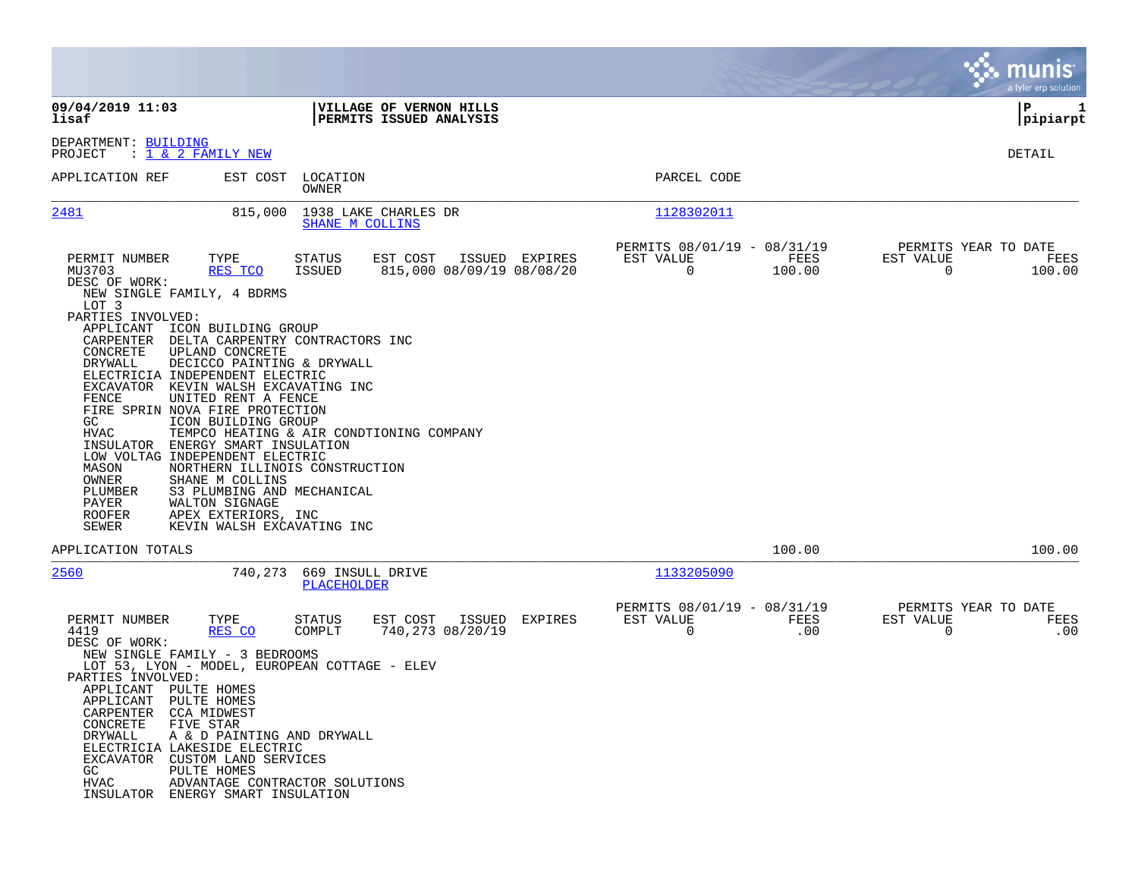|                                                                                                                                                                                                                                                                                                                                                                                                                                                                                                                    |                                                                                                                                                                      |                                                                        | munis<br>a tyler erp solution                                   |
|--------------------------------------------------------------------------------------------------------------------------------------------------------------------------------------------------------------------------------------------------------------------------------------------------------------------------------------------------------------------------------------------------------------------------------------------------------------------------------------------------------------------|----------------------------------------------------------------------------------------------------------------------------------------------------------------------|------------------------------------------------------------------------|-----------------------------------------------------------------|
| 09/04/2019 11:03<br>lisaf                                                                                                                                                                                                                                                                                                                                                                                                                                                                                          | VILLAGE OF VERNON HILLS<br>PERMITS ISSUED ANALYSIS                                                                                                                   |                                                                        | 1<br>∣P<br> pipiarpt                                            |
| DEPARTMENT: BUILDING<br>: <u>1 &amp; 2 FAMILY NEW</u><br>PROJECT                                                                                                                                                                                                                                                                                                                                                                                                                                                   |                                                                                                                                                                      |                                                                        | DETAIL                                                          |
| APPLICATION REF<br>EST COST                                                                                                                                                                                                                                                                                                                                                                                                                                                                                        | LOCATION<br>OWNER                                                                                                                                                    | PARCEL CODE                                                            |                                                                 |
| 2481                                                                                                                                                                                                                                                                                                                                                                                                                                                                                                               | 815,000<br>1938 LAKE CHARLES DR<br>SHANE M COLLINS                                                                                                                   | 1128302011                                                             |                                                                 |
| PERMIT NUMBER<br>TYPE<br>RES TCO<br>MU3703<br>DESC OF WORK:<br>NEW SINGLE FAMILY, 4 BDRMS<br>LOT 3<br>PARTIES INVOLVED:                                                                                                                                                                                                                                                                                                                                                                                            | <b>STATUS</b><br>EST COST<br>ISSUED EXPIRES<br><b>ISSUED</b><br>815,000 08/09/19 08/08/20                                                                            | PERMITS 08/01/19 - 08/31/19<br>FEES<br>EST VALUE<br>$\Omega$<br>100.00 | PERMITS YEAR TO DATE<br>EST VALUE<br>FEES<br>$\Omega$<br>100.00 |
| APPLICANT ICON BUILDING GROUP<br>CARPENTER DELTA CARPENTRY CONTRACTORS INC<br>CONCRETE<br>UPLAND CONCRETE<br>DRYWALL<br>ELECTRICIA INDEPENDENT ELECTRIC<br>EXCAVATOR KEVIN WALSH EXCAVATING INC<br>UNITED RENT A FENCE<br>FENCE<br>FIRE SPRIN NOVA FIRE PROTECTION<br>GC<br>ICON BUILDING GROUP<br><b>HVAC</b><br>INSULATOR ENERGY SMART INSULATION<br>LOW VOLTAG INDEPENDENT ELECTRIC<br>MASON<br>OWNER<br>SHANE M COLLINS<br>PLUMBER<br>WALTON SIGNAGE<br>PAYER<br><b>ROOFER</b><br>APEX EXTERIORS, INC<br>SEWER | DECICCO PAINTING & DRYWALL<br>TEMPCO HEATING & AIR CONDTIONING COMPANY<br>NORTHERN ILLINOIS CONSTRUCTION<br>S3 PLUMBING AND MECHANICAL<br>KEVIN WALSH EXCAVATING INC |                                                                        |                                                                 |
| APPLICATION TOTALS                                                                                                                                                                                                                                                                                                                                                                                                                                                                                                 |                                                                                                                                                                      | 100.00                                                                 | 100.00                                                          |
| 2560                                                                                                                                                                                                                                                                                                                                                                                                                                                                                                               | 740,273<br>669 INSULL DRIVE<br>PLACEHOLDER                                                                                                                           | 1133205090                                                             |                                                                 |
| PERMIT NUMBER<br>TYPE<br>RES CO<br>4419<br>DESC OF WORK:<br>NEW SINGLE FAMILY - 3 BEDROOMS<br>LOT 53, LYON - MODEL, EUROPEAN COTTAGE - ELEV<br>PARTIES INVOLVED:<br>APPLICANT PULTE HOMES<br>PULTE HOMES<br>APPLICANT<br>CARPENTER<br><b>CCA MIDWEST</b><br>CONCRETE<br>FIVE STAR<br>DRYWALL<br>ELECTRICIA LAKESIDE ELECTRIC<br>EXCAVATOR<br>CUSTOM LAND SERVICES<br>GC.<br>PULTE HOMES<br><b>HVAC</b><br>INSULATOR ENERGY SMART INSULATION                                                                        | EST COST<br>ISSUED<br>EXPIRES<br>STATUS<br>COMPLT<br>740,273 08/20/19<br>A & D PAINTING AND DRYWALL<br>ADVANTAGE CONTRACTOR SOLUTIONS                                | PERMITS 08/01/19 - 08/31/19<br>EST VALUE<br>FEES<br>0<br>.00           | PERMITS YEAR TO DATE<br>EST VALUE<br>FEES<br>$\mathbf 0$<br>.00 |

 $\mathcal{L}^{\mathcal{L}}$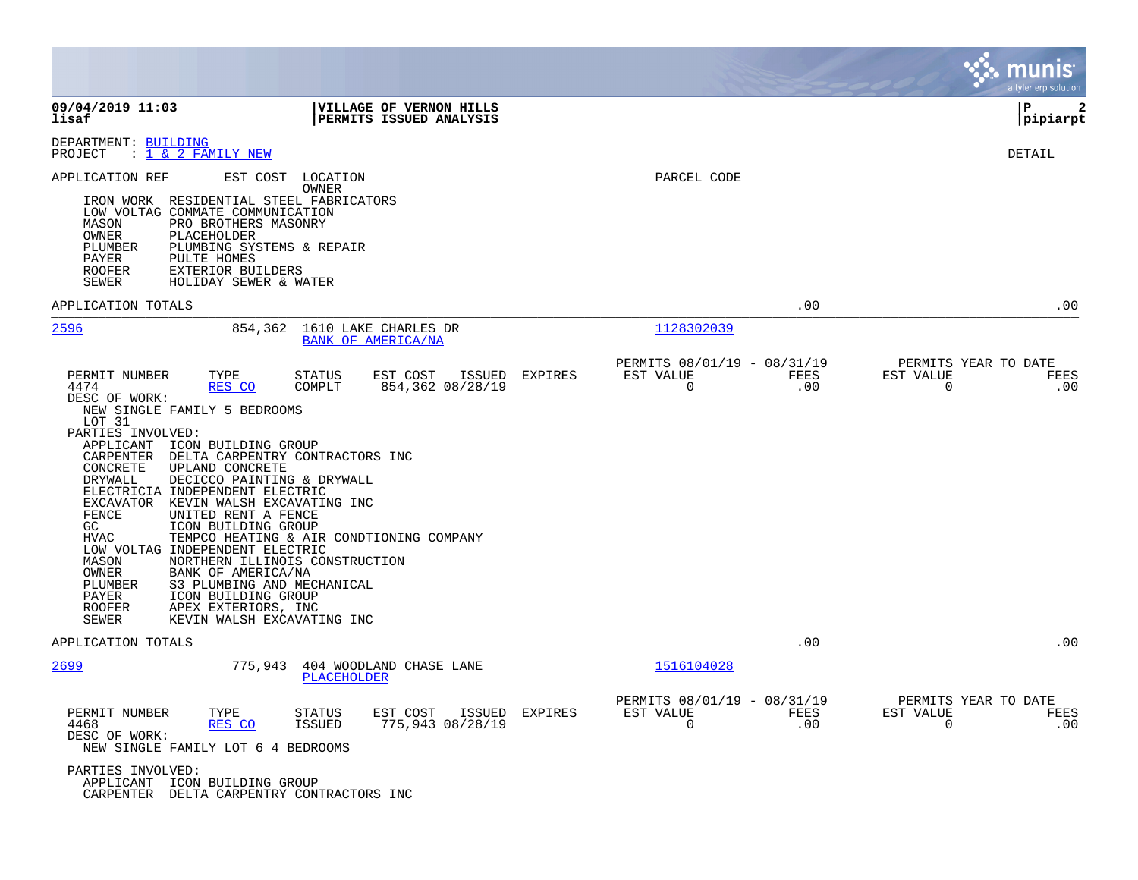|                                                                                                                                                                                                                                                                                                                                                                                                                                                                                                                                                                                                                                                                                                                                                                                                             |                                                                                                | munis<br>a tyler erp solution                      |
|-------------------------------------------------------------------------------------------------------------------------------------------------------------------------------------------------------------------------------------------------------------------------------------------------------------------------------------------------------------------------------------------------------------------------------------------------------------------------------------------------------------------------------------------------------------------------------------------------------------------------------------------------------------------------------------------------------------------------------------------------------------------------------------------------------------|------------------------------------------------------------------------------------------------|----------------------------------------------------|
| 09/04/2019 11:03<br>VILLAGE OF VERNON HILLS<br>lisaf<br>PERMITS ISSUED ANALYSIS                                                                                                                                                                                                                                                                                                                                                                                                                                                                                                                                                                                                                                                                                                                             |                                                                                                | lР<br>$\overline{a}$<br> pipiarpt                  |
| DEPARTMENT: BUILDING<br>: 1 & 2 FAMILY NEW<br>PROJECT                                                                                                                                                                                                                                                                                                                                                                                                                                                                                                                                                                                                                                                                                                                                                       |                                                                                                | DETAIL                                             |
| APPLICATION REF<br>EST COST<br>LOCATION<br>OWNER<br>IRON WORK RESIDENTIAL STEEL FABRICATORS<br>LOW VOLTAG COMMATE COMMUNICATION<br>MASON<br>PRO BROTHERS MASONRY<br>OWNER<br>PLACEHOLDER<br>PLUMBING SYSTEMS & REPAIR<br>PLUMBER<br>PAYER<br>PULTE HOMES<br><b>ROOFER</b><br>EXTERIOR BUILDERS<br>SEWER<br>HOLIDAY SEWER & WATER                                                                                                                                                                                                                                                                                                                                                                                                                                                                            | PARCEL CODE                                                                                    |                                                    |
| APPLICATION TOTALS                                                                                                                                                                                                                                                                                                                                                                                                                                                                                                                                                                                                                                                                                                                                                                                          | .00                                                                                            | .00                                                |
| 2596<br>854,362 1610 LAKE CHARLES DR<br>BANK OF AMERICA/NA                                                                                                                                                                                                                                                                                                                                                                                                                                                                                                                                                                                                                                                                                                                                                  | 1128302039                                                                                     |                                                    |
| PERMIT NUMBER<br>TYPE<br>STATUS<br>EST COST<br>ISSUED<br>4474<br>RES CO<br>COMPLT<br>854,362 08/28/19<br>DESC OF WORK:<br>NEW SINGLE FAMILY 5 BEDROOMS<br>LOT 31<br>PARTIES INVOLVED:<br>APPLICANT<br>ICON BUILDING GROUP<br>CARPENTER<br>DELTA CARPENTRY CONTRACTORS INC<br>CONCRETE<br>UPLAND CONCRETE<br>DRYWALL<br>DECICCO PAINTING & DRYWALL<br>ELECTRICIA INDEPENDENT ELECTRIC<br>EXCAVATOR KEVIN WALSH EXCAVATING INC<br>FENCE<br>UNITED RENT A FENCE<br>GC<br>ICON BUILDING GROUP<br>TEMPCO HEATING & AIR CONDTIONING COMPANY<br>HVAC<br>LOW VOLTAG INDEPENDENT ELECTRIC<br>MASON<br>NORTHERN ILLINOIS CONSTRUCTION<br>BANK OF AMERICA/NA<br>OWNER<br>PLUMBER<br>S3 PLUMBING AND MECHANICAL<br>ICON BUILDING GROUP<br>PAYER<br>APEX EXTERIORS, INC<br>ROOFER<br>KEVIN WALSH EXCAVATING INC<br>SEWER | PERMITS 08/01/19 - 08/31/19<br>EXPIRES<br>EST VALUE<br>FEES<br>EST VALUE<br>$\mathbf 0$<br>.00 | PERMITS YEAR TO DATE<br>FEES<br>$\mathbf 0$<br>.00 |
| APPLICATION TOTALS                                                                                                                                                                                                                                                                                                                                                                                                                                                                                                                                                                                                                                                                                                                                                                                          | .00                                                                                            | .00                                                |
| 2699<br>775,943 404 WOODLAND CHASE LANE<br>PLACEHOLDER                                                                                                                                                                                                                                                                                                                                                                                                                                                                                                                                                                                                                                                                                                                                                      | 1516104028<br>PERMITS 08/01/19 - 08/31/19                                                      | PERMITS YEAR TO DATE                               |
| PERMIT NUMBER<br>TYPE<br>EST COST<br><b>STATUS</b><br>ISSUED<br>RES CO<br><b>ISSUED</b><br>775,943 08/28/19<br>4468<br>DESC OF WORK:<br>NEW SINGLE FAMILY LOT 6 4 BEDROOMS<br>PARTIES INVOLVED:<br>APPLICANT ICON BUILDING GROUP<br>CARPENTER DELTA CARPENTRY CONTRACTORS INC                                                                                                                                                                                                                                                                                                                                                                                                                                                                                                                               | FEES<br>EST VALUE<br>EXPIRES<br>EST VALUE<br>$\mathbf 0$<br>.00                                | FEES<br>$\mathbf 0$<br>.00                         |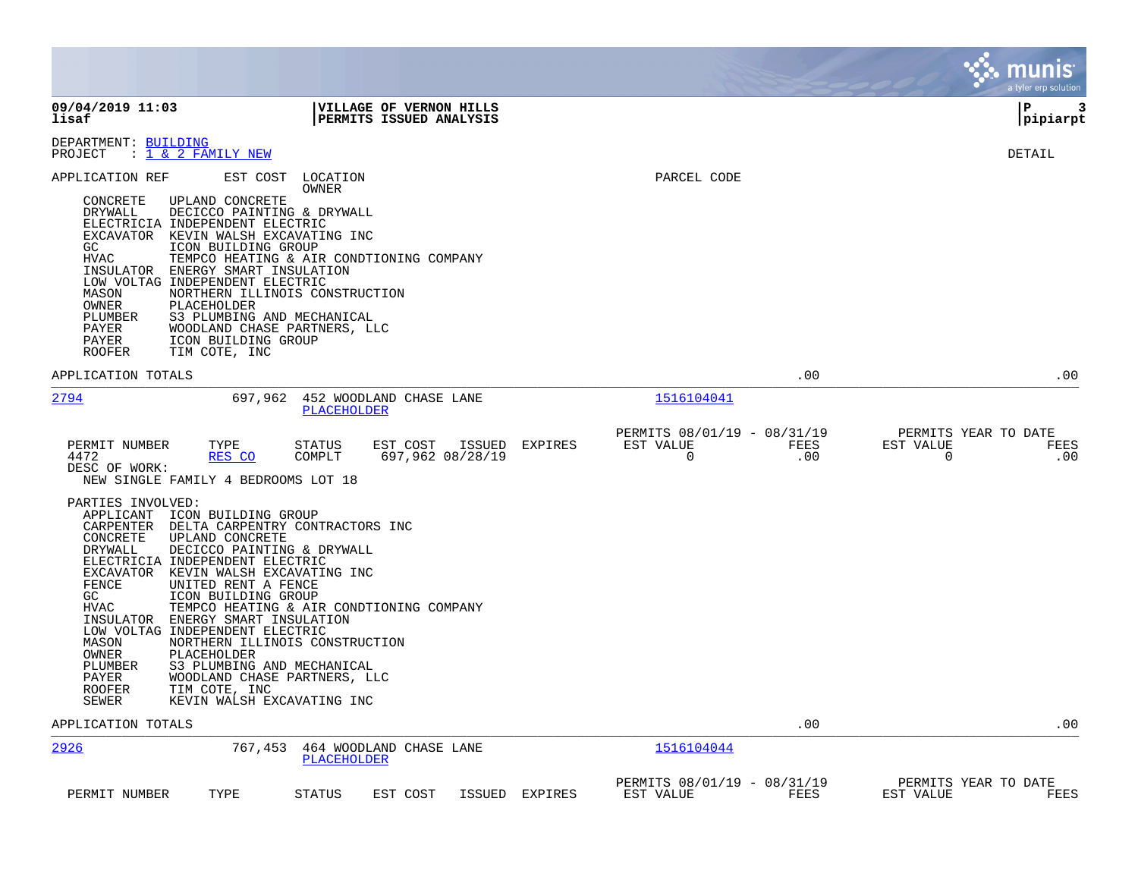|                                                                                                                                |                                                                                                                                                                                                                                                                                                                                                                                                                                                                                                                    |                            |                                                    |                |                                                         |             |                       | <b>munis</b><br>a tyler erp solution |
|--------------------------------------------------------------------------------------------------------------------------------|--------------------------------------------------------------------------------------------------------------------------------------------------------------------------------------------------------------------------------------------------------------------------------------------------------------------------------------------------------------------------------------------------------------------------------------------------------------------------------------------------------------------|----------------------------|----------------------------------------------------|----------------|---------------------------------------------------------|-------------|-----------------------|--------------------------------------|
| 09/04/2019 11:03<br>lisaf                                                                                                      |                                                                                                                                                                                                                                                                                                                                                                                                                                                                                                                    |                            | VILLAGE OF VERNON HILLS<br>PERMITS ISSUED ANALYSIS |                |                                                         |             |                       | l P<br>3<br> pipiarpt                |
| DEPARTMENT: BUILDING<br>PROJECT                                                                                                | : 1 & 2 FAMILY NEW                                                                                                                                                                                                                                                                                                                                                                                                                                                                                                 |                            |                                                    |                |                                                         |             |                       | <b>DETAIL</b>                        |
| APPLICATION REF<br>CONCRETE<br>DRYWALL<br>GC.<br><b>HVAC</b><br>MASON<br>OWNER<br>PLUMBER<br>PAYER<br>PAYER<br><b>ROOFER</b>   | UPLAND CONCRETE<br>DECICCO PAINTING & DRYWALL<br>ELECTRICIA INDEPENDENT ELECTRIC<br>EXCAVATOR KEVIN WALSH EXCAVATING INC<br>ICON BUILDING GROUP<br>TEMPCO HEATING & AIR CONDTIONING COMPANY<br>INSULATOR ENERGY SMART INSULATION<br>LOW VOLTAG INDEPENDENT ELECTRIC<br>NORTHERN ILLINOIS CONSTRUCTION<br>PLACEHOLDER<br>S3 PLUMBING AND MECHANICAL<br>WOODLAND CHASE PARTNERS, LLC<br>ICON BUILDING GROUP<br>TIM COTE, INC                                                                                         | EST COST LOCATION<br>OWNER |                                                    |                | PARCEL CODE                                             |             |                       |                                      |
| APPLICATION TOTALS                                                                                                             |                                                                                                                                                                                                                                                                                                                                                                                                                                                                                                                    |                            |                                                    |                |                                                         | .00         |                       | .00                                  |
| 2794                                                                                                                           | 697,962                                                                                                                                                                                                                                                                                                                                                                                                                                                                                                            | PLACEHOLDER                | 452 WOODLAND CHASE LANE                            |                | 1516104041                                              |             |                       |                                      |
| PERMIT NUMBER<br>4472<br>DESC OF WORK:<br>PARTIES INVOLVED:                                                                    | TYPE<br>RES CO<br>NEW SINGLE FAMILY 4 BEDROOMS LOT 18                                                                                                                                                                                                                                                                                                                                                                                                                                                              | <b>STATUS</b><br>COMPLT    | EST COST ISSUED<br>697,962 08/28/19                | EXPIRES        | PERMITS 08/01/19 - 08/31/19<br>EST VALUE<br>$\mathbf 0$ | FEES<br>.00 | EST VALUE<br>$\Omega$ | PERMITS YEAR TO DATE<br>FEES<br>.00  |
| APPLICANT<br>CARPENTER<br>CONCRETE<br>DRYWALL<br>FENCE<br>GC.<br>HVAC<br>MASON<br>OWNER<br>PLUMBER<br>PAYER<br>ROOFER<br>SEWER | ICON BUILDING GROUP<br>DELTA CARPENTRY CONTRACTORS INC<br>UPLAND CONCRETE<br>DECICCO PAINTING & DRYWALL<br>ELECTRICIA INDEPENDENT ELECTRIC<br>EXCAVATOR KEVIN WALSH EXCAVATING INC<br>UNITED RENT A FENCE<br>ICON BUILDING GROUP<br>TEMPCO HEATING & AIR CONDTIONING COMPANY<br>INSULATOR ENERGY SMART INSULATION<br>LOW VOLTAG INDEPENDENT ELECTRIC<br>NORTHERN ILLINOIS CONSTRUCTION<br>PLACEHOLDER<br>S3 PLUMBING AND MECHANICAL<br>WOODLAND CHASE PARTNERS, LLC<br>TIM COTE, INC<br>KEVIN WALSH EXCAVATING INC |                            |                                                    |                |                                                         |             |                       |                                      |
| APPLICATION TOTALS                                                                                                             |                                                                                                                                                                                                                                                                                                                                                                                                                                                                                                                    |                            |                                                    |                |                                                         | .00         |                       | .00                                  |
| 2926                                                                                                                           | 767,453                                                                                                                                                                                                                                                                                                                                                                                                                                                                                                            | PLACEHOLDER                | 464 WOODLAND CHASE LANE                            |                | 1516104044                                              |             |                       |                                      |
| PERMIT NUMBER                                                                                                                  | TYPE                                                                                                                                                                                                                                                                                                                                                                                                                                                                                                               | <b>STATUS</b>              | EST COST                                           | ISSUED EXPIRES | PERMITS 08/01/19 - 08/31/19<br>EST VALUE                | FEES        | EST VALUE             | PERMITS YEAR TO DATE<br>FEES         |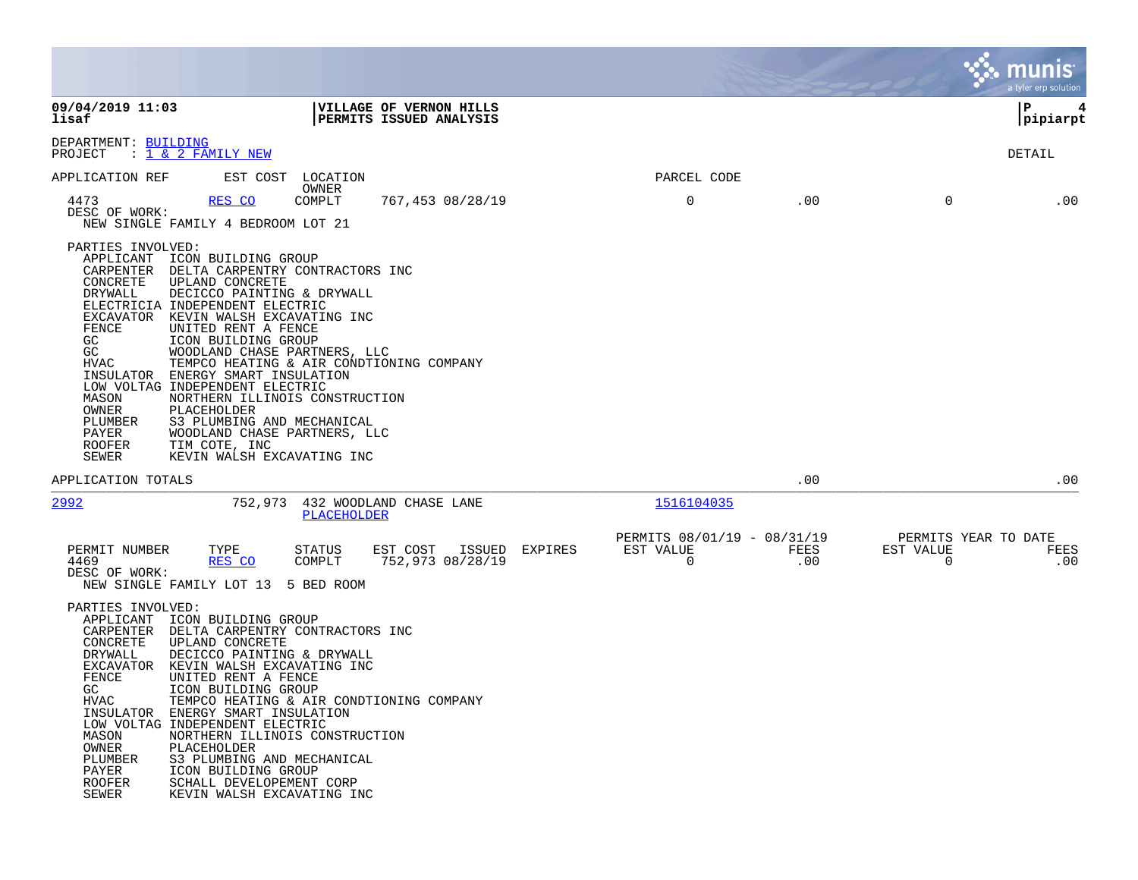|                                                                                                                                                                                                                                                                                                                                                                                                                                                                                                                                                                                                                                                                                                                                     |                                               |             |                                        | munis<br>a tyler erp solution |
|-------------------------------------------------------------------------------------------------------------------------------------------------------------------------------------------------------------------------------------------------------------------------------------------------------------------------------------------------------------------------------------------------------------------------------------------------------------------------------------------------------------------------------------------------------------------------------------------------------------------------------------------------------------------------------------------------------------------------------------|-----------------------------------------------|-------------|----------------------------------------|-------------------------------|
| 09/04/2019 11:03<br>VILLAGE OF VERNON HILLS<br>PERMITS ISSUED ANALYSIS<br>lisaf                                                                                                                                                                                                                                                                                                                                                                                                                                                                                                                                                                                                                                                     |                                               |             |                                        | P<br>4<br> pipiarpt           |
| DEPARTMENT: BUILDING<br>: 1 & 2 FAMILY NEW<br>PROJECT                                                                                                                                                                                                                                                                                                                                                                                                                                                                                                                                                                                                                                                                               |                                               |             |                                        | DETAIL                        |
| APPLICATION REF<br>EST COST LOCATION<br>OWNER                                                                                                                                                                                                                                                                                                                                                                                                                                                                                                                                                                                                                                                                                       | PARCEL CODE                                   |             |                                        |                               |
| RES CO<br>COMPLT<br>4473<br>767,453 08/28/19<br>DESC OF WORK:<br>NEW SINGLE FAMILY 4 BEDROOM LOT 21                                                                                                                                                                                                                                                                                                                                                                                                                                                                                                                                                                                                                                 | 0                                             | .00         | 0                                      | .00                           |
| PARTIES INVOLVED:<br>APPLICANT<br>ICON BUILDING GROUP<br>CARPENTER<br>DELTA CARPENTRY CONTRACTORS INC<br>CONCRETE<br>UPLAND CONCRETE<br>DRYWALL<br>DECICCO PAINTING & DRYWALL<br>ELECTRICIA INDEPENDENT ELECTRIC<br>EXCAVATOR<br>KEVIN WALSH EXCAVATING INC<br>FENCE<br>UNITED RENT A FENCE<br>GC.<br>ICON BUILDING GROUP<br>GC<br>WOODLAND CHASE PARTNERS, LLC<br>TEMPCO HEATING & AIR CONDTIONING COMPANY<br>HVAC<br>INSULATOR<br>ENERGY SMART INSULATION<br>LOW VOLTAG INDEPENDENT ELECTRIC<br>MASON<br>NORTHERN ILLINOIS CONSTRUCTION<br>OWNER<br>PLACEHOLDER<br>S3 PLUMBING AND MECHANICAL<br>PLUMBER<br>PAYER<br>WOODLAND CHASE PARTNERS, LLC<br><b>ROOFER</b><br>TIM COTE, INC<br><b>SEWER</b><br>KEVIN WALSH EXCAVATING INC |                                               |             |                                        |                               |
| APPLICATION TOTALS                                                                                                                                                                                                                                                                                                                                                                                                                                                                                                                                                                                                                                                                                                                  |                                               | .00         |                                        | .00                           |
| <u> 2992</u><br>432 WOODLAND CHASE LANE<br>752,973<br>PLACEHOLDER                                                                                                                                                                                                                                                                                                                                                                                                                                                                                                                                                                                                                                                                   | 1516104035                                    |             |                                        |                               |
| PERMIT NUMBER<br>TYPE<br><b>STATUS</b><br>EST COST<br>ISSUED<br>EXPIRES<br>4469<br>RES CO<br>COMPLT<br>752,973 08/28/19<br>DESC OF WORK:<br>NEW SINGLE FAMILY LOT 13 5 BED ROOM                                                                                                                                                                                                                                                                                                                                                                                                                                                                                                                                                     | PERMITS 08/01/19 - 08/31/19<br>EST VALUE<br>0 | FEES<br>.00 | PERMITS YEAR TO DATE<br>EST VALUE<br>0 | FEES<br>.00                   |
| PARTIES INVOLVED:<br>APPLICANT<br>ICON BUILDING GROUP<br>CARPENTER<br>DELTA CARPENTRY CONTRACTORS INC<br>CONCRETE<br>UPLAND CONCRETE<br>DRYWALL<br>DECICCO PAINTING & DRYWALL<br>KEVIN WALSH EXCAVATING INC<br><b>EXCAVATOR</b><br>FENCE<br>UNITED RENT A FENCE<br>GC<br>ICON BUILDING GROUP<br>HVAC<br>TEMPCO HEATING & AIR CONDTIONING COMPANY<br>INSULATOR<br>ENERGY SMART INSULATION<br>LOW VOLTAG INDEPENDENT ELECTRIC<br>MASON<br>NORTHERN ILLINOIS CONSTRUCTION<br>OWNER<br>PLACEHOLDER<br>S3 PLUMBING AND MECHANICAL<br>PLUMBER<br>PAYER<br>ICON BUILDING GROUP<br><b>ROOFER</b><br>SCHALL DEVELOPEMENT CORP<br>SEWER<br>KEVIN WALSH EXCAVATING INC                                                                         |                                               |             |                                        |                               |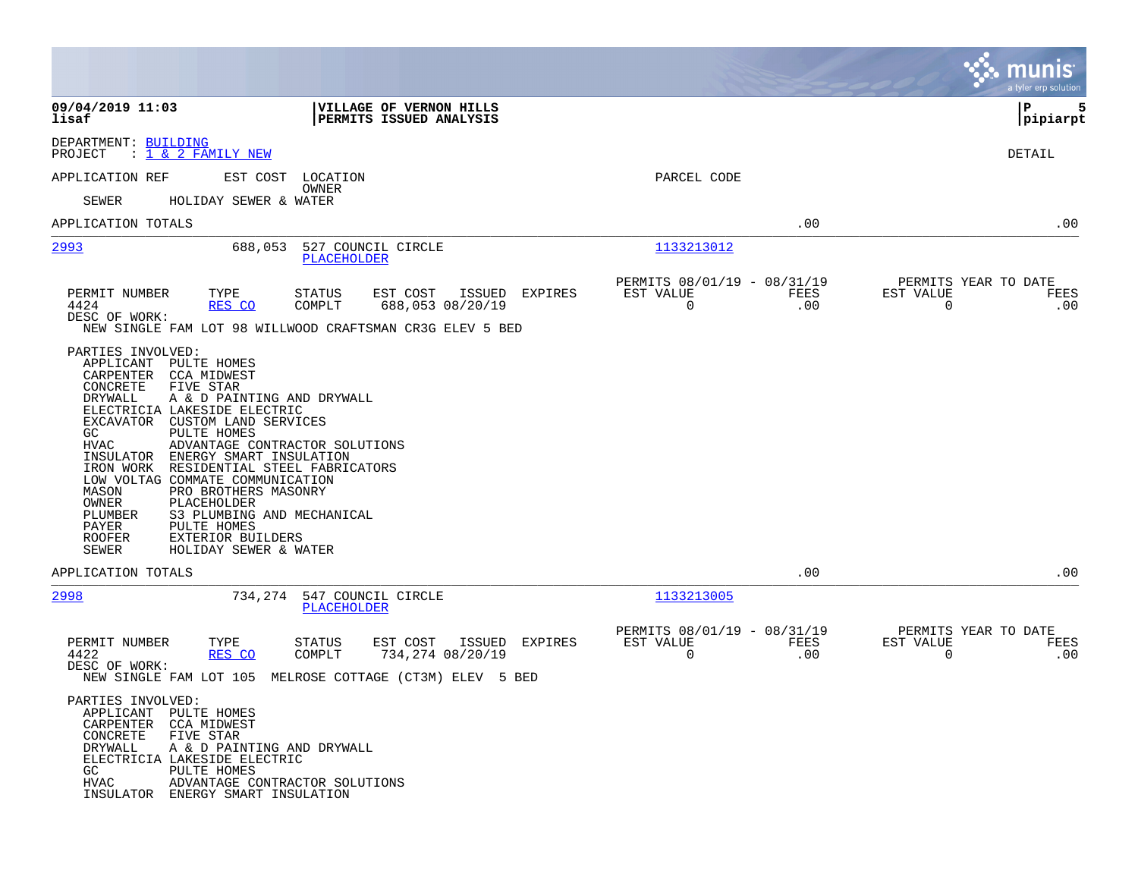|                                                                                                                                                                                                                                                                                                                                                                                                                                                                                                                                                                                                 |                                                                                                                                   |                                                            |             | munis<br>a tyler erp solution                                   |
|-------------------------------------------------------------------------------------------------------------------------------------------------------------------------------------------------------------------------------------------------------------------------------------------------------------------------------------------------------------------------------------------------------------------------------------------------------------------------------------------------------------------------------------------------------------------------------------------------|-----------------------------------------------------------------------------------------------------------------------------------|------------------------------------------------------------|-------------|-----------------------------------------------------------------|
| 09/04/2019 11:03<br>lisaf                                                                                                                                                                                                                                                                                                                                                                                                                                                                                                                                                                       | VILLAGE OF VERNON HILLS<br>PERMITS ISSUED ANALYSIS                                                                                |                                                            |             | 5<br>l P<br> pipiarpt                                           |
| DEPARTMENT: BUILDING<br>: <u>1 &amp; 2 FAMILY NEW</u><br>PROJECT                                                                                                                                                                                                                                                                                                                                                                                                                                                                                                                                |                                                                                                                                   |                                                            |             | DETAIL                                                          |
| APPLICATION REF                                                                                                                                                                                                                                                                                                                                                                                                                                                                                                                                                                                 | EST COST LOCATION<br>OWNER                                                                                                        | PARCEL CODE                                                |             |                                                                 |
| SEWER<br>HOLIDAY SEWER & WATER                                                                                                                                                                                                                                                                                                                                                                                                                                                                                                                                                                  |                                                                                                                                   |                                                            |             |                                                                 |
| APPLICATION TOTALS                                                                                                                                                                                                                                                                                                                                                                                                                                                                                                                                                                              |                                                                                                                                   |                                                            | .00         | .00.                                                            |
| 2993<br>688,053                                                                                                                                                                                                                                                                                                                                                                                                                                                                                                                                                                                 | 527 COUNCIL CIRCLE<br>PLACEHOLDER                                                                                                 | 1133213012                                                 |             |                                                                 |
| PERMIT NUMBER<br>TYPE<br>4424<br>RES CO<br>DESC OF WORK:                                                                                                                                                                                                                                                                                                                                                                                                                                                                                                                                        | EST COST<br>ISSUED<br>EXPIRES<br>STATUS<br>COMPLT<br>688,053 08/20/19<br>NEW SINGLE FAM LOT 98 WILLWOOD CRAFTSMAN CR3G ELEV 5 BED | PERMITS 08/01/19 - 08/31/19<br>EST VALUE<br>$\overline{0}$ | FEES<br>.00 | PERMITS YEAR TO DATE<br>EST VALUE<br>FEES<br>$\Omega$<br>.00    |
| PARTIES INVOLVED:<br>APPLICANT PULTE HOMES<br>CARPENTER CCA MIDWEST<br>CONCRETE<br>FIVE STAR<br>DRYWALL<br>A & D PAINTING AND DRYWALL<br>ELECTRICIA LAKESIDE ELECTRIC<br>EXCAVATOR CUSTOM LAND SERVICES<br>PULTE HOMES<br>GC<br>HVAC<br>ADVANTAGE CONTRACTOR SOLUTIONS<br>INSULATOR ENERGY SMART INSULATION<br>RESIDENTIAL STEEL FABRICATORS<br>IRON WORK<br>LOW VOLTAG COMMATE COMMUNICATION<br>MASON<br>PRO BROTHERS MASONRY<br>OWNER<br>PLACEHOLDER<br>PLUMBER<br>S3 PLUMBING AND MECHANICAL<br>PAYER<br>PULTE HOMES<br>EXTERIOR BUILDERS<br><b>ROOFER</b><br>SEWER<br>HOLIDAY SEWER & WATER |                                                                                                                                   |                                                            |             |                                                                 |
| APPLICATION TOTALS                                                                                                                                                                                                                                                                                                                                                                                                                                                                                                                                                                              |                                                                                                                                   |                                                            | .00         | .00                                                             |
| 2998                                                                                                                                                                                                                                                                                                                                                                                                                                                                                                                                                                                            | 734,274 547 COUNCIL CIRCLE<br>PLACEHOLDER                                                                                         | 1133213005                                                 |             |                                                                 |
| PERMIT NUMBER<br>TYPE<br>4422<br>RES CO<br>DESC OF WORK:                                                                                                                                                                                                                                                                                                                                                                                                                                                                                                                                        | EST COST<br>ISSUED<br>STATUS<br>COMPLT<br>734,274 08/20/19<br>NEW SINGLE FAM LOT 105 MELROSE COTTAGE (CT3M) ELEV 5 BED            | PERMITS 08/01/19 - 08/31/19<br>EST VALUE<br>EXPIRES<br>0   | FEES<br>.00 | PERMITS YEAR TO DATE<br>EST VALUE<br>FEES<br>$\mathbf 0$<br>.00 |
| PARTIES INVOLVED:<br>APPLICANT PULTE HOMES<br>CARPENTER CCA MIDWEST<br>CONCRETE<br>FIVE STAR<br>DRYWALL<br>A & D PAINTING AND DRYWALL<br>ELECTRICIA LAKESIDE ELECTRIC<br>PULTE HOMES<br>GC<br><b>HVAC</b><br>ADVANTAGE CONTRACTOR SOLUTIONS<br>INSULATOR ENERGY SMART INSULATION                                                                                                                                                                                                                                                                                                                |                                                                                                                                   |                                                            |             |                                                                 |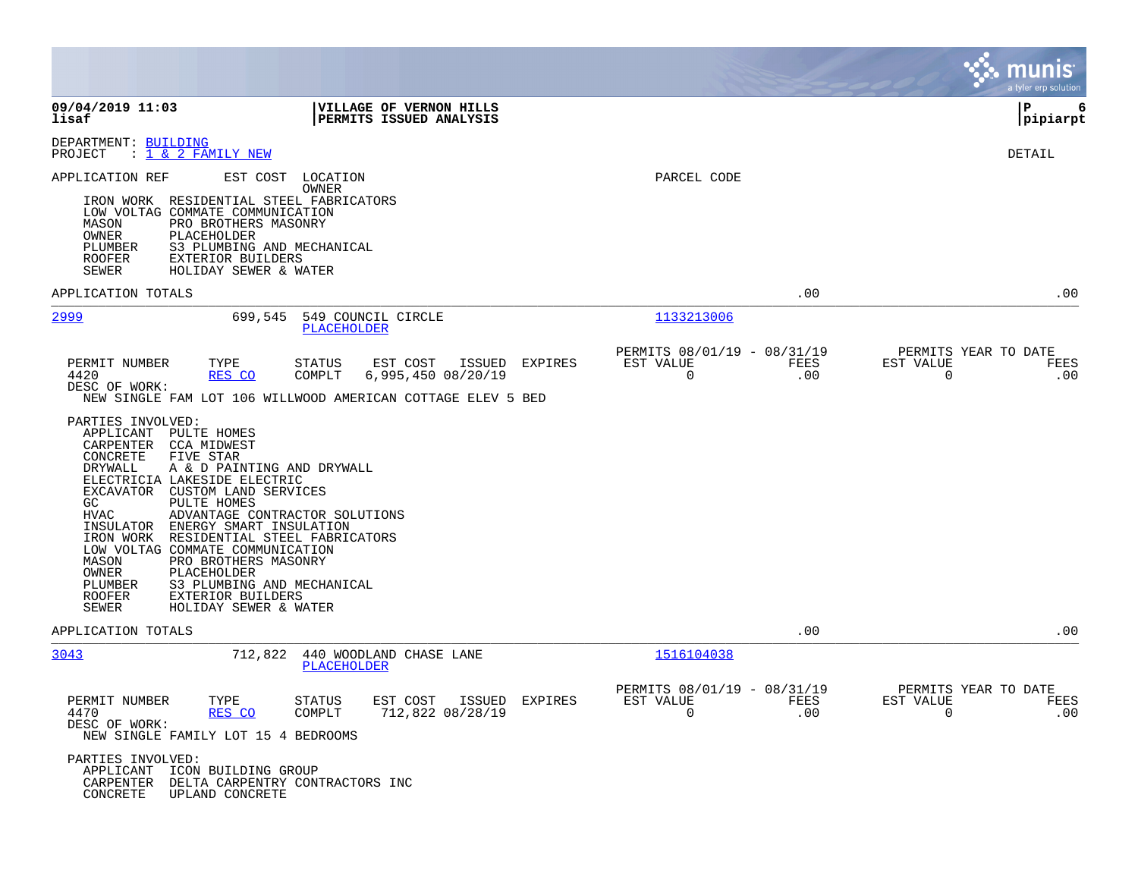|                                                                                                                                                                                                                                                                                                                                                                                                                                                                                                                                                                                                                    |                                                                                                                                                                                     |                                                                        | munis<br>a tyler erp solution                                |
|--------------------------------------------------------------------------------------------------------------------------------------------------------------------------------------------------------------------------------------------------------------------------------------------------------------------------------------------------------------------------------------------------------------------------------------------------------------------------------------------------------------------------------------------------------------------------------------------------------------------|-------------------------------------------------------------------------------------------------------------------------------------------------------------------------------------|------------------------------------------------------------------------|--------------------------------------------------------------|
| 09/04/2019 11:03<br>lisaf                                                                                                                                                                                                                                                                                                                                                                                                                                                                                                                                                                                          | VILLAGE OF VERNON HILLS<br>PERMITS ISSUED ANALYSIS                                                                                                                                  |                                                                        | l P<br>6<br> pipiarpt                                        |
| DEPARTMENT: BUILDING<br>PROJECT<br>$\therefore$ 1 & 2 FAMILY NEW                                                                                                                                                                                                                                                                                                                                                                                                                                                                                                                                                   |                                                                                                                                                                                     |                                                                        | DETAIL                                                       |
| APPLICATION REF<br>EST COST<br>RESIDENTIAL STEEL FABRICATORS<br>IRON WORK<br>LOW VOLTAG COMMATE COMMUNICATION<br>MASON<br>PRO BROTHERS MASONRY<br>OWNER<br><b>PLACEHOLDER</b><br>PLUMBER<br>S3 PLUMBING AND MECHANICAL<br><b>ROOFER</b><br>EXTERIOR BUILDERS<br>SEWER<br>HOLIDAY SEWER & WATER                                                                                                                                                                                                                                                                                                                     | LOCATION<br>OWNER                                                                                                                                                                   | PARCEL CODE                                                            |                                                              |
| APPLICATION TOTALS<br>2999<br>699,545                                                                                                                                                                                                                                                                                                                                                                                                                                                                                                                                                                              | 549 COUNCIL CIRCLE                                                                                                                                                                  | .00<br>1133213006                                                      | .00                                                          |
|                                                                                                                                                                                                                                                                                                                                                                                                                                                                                                                                                                                                                    | PLACEHOLDER                                                                                                                                                                         |                                                                        |                                                              |
| PERMIT NUMBER<br>TYPE<br>4420<br>RES CO<br>DESC OF WORK:<br>PARTIES INVOLVED:<br>APPLICANT<br>PULTE HOMES<br>CARPENTER<br><b>CCA MIDWEST</b><br>CONCRETE<br>FIVE STAR<br>DRYWALL<br>A & D PAINTING AND DRYWALL<br>ELECTRICIA LAKESIDE ELECTRIC<br>EXCAVATOR CUSTOM LAND SERVICES<br>GC.<br>PULTE HOMES<br>HVAC<br>INSULATOR<br>ENERGY SMART INSULATION<br>RESIDENTIAL STEEL FABRICATORS<br>IRON WORK<br>LOW VOLTAG COMMATE COMMUNICATION<br>MASON<br>PRO BROTHERS MASONRY<br>OWNER<br>PLACEHOLDER<br>PLUMBER<br>S3 PLUMBING AND MECHANICAL<br><b>ROOFER</b><br>EXTERIOR BUILDERS<br>SEWER<br>HOLIDAY SEWER & WATER | ISSUED<br><b>STATUS</b><br>EST COST<br>EXPIRES<br>COMPLT<br>$6,995,450$ $08/20/19$<br>NEW SINGLE FAM LOT 106 WILLWOOD AMERICAN COTTAGE ELEV 5 BED<br>ADVANTAGE CONTRACTOR SOLUTIONS | PERMITS 08/01/19 - 08/31/19<br>EST VALUE<br>FEES<br>$\mathbf 0$<br>.00 | PERMITS YEAR TO DATE<br>EST VALUE<br>FEES<br>0<br>.00        |
| APPLICATION TOTALS                                                                                                                                                                                                                                                                                                                                                                                                                                                                                                                                                                                                 |                                                                                                                                                                                     | .00                                                                    | .00                                                          |
| 3043<br>712,822                                                                                                                                                                                                                                                                                                                                                                                                                                                                                                                                                                                                    | 440 WOODLAND CHASE LANE<br>PLACEHOLDER                                                                                                                                              | 1516104038                                                             |                                                              |
| PERMIT NUMBER<br>TYPE<br>4470<br>RES CO<br>DESC OF WORK:<br>NEW SINGLE FAMILY LOT 15 4 BEDROOMS<br>PARTIES INVOLVED:                                                                                                                                                                                                                                                                                                                                                                                                                                                                                               | <b>STATUS</b><br>EST COST ISSUED EXPIRES<br>COMPLT<br>712,822 08/28/19                                                                                                              | PERMITS 08/01/19 - 08/31/19<br>EST VALUE<br>FEES<br>$\Omega$<br>.00    | PERMITS YEAR TO DATE<br>EST VALUE<br>FEES<br>.00<br>$\Omega$ |
| APPLICANT ICON BUILDING GROUP<br>CARPENTER DELTA CARPENTRY CONTRACTORS INC<br>CONCRETE<br>UPLAND CONCRETE                                                                                                                                                                                                                                                                                                                                                                                                                                                                                                          |                                                                                                                                                                                     |                                                                        |                                                              |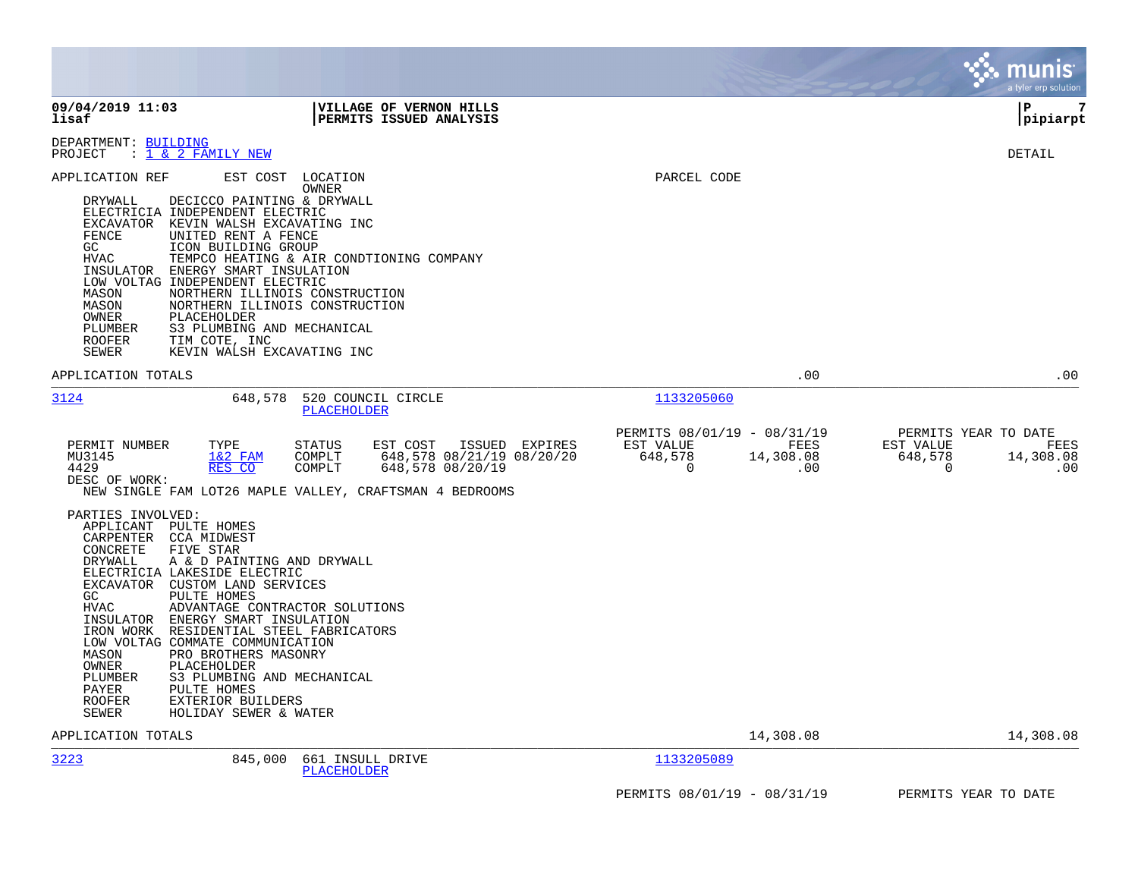|                                                                                                                                                                                                                                                                                                                                                                                                                                                                                                                                                                                                                          |                                                                                                                                                                   | munis<br>a tyler erp solution                                                           |
|--------------------------------------------------------------------------------------------------------------------------------------------------------------------------------------------------------------------------------------------------------------------------------------------------------------------------------------------------------------------------------------------------------------------------------------------------------------------------------------------------------------------------------------------------------------------------------------------------------------------------|-------------------------------------------------------------------------------------------------------------------------------------------------------------------|-----------------------------------------------------------------------------------------|
| 09/04/2019 11:03<br>VILLAGE OF VERNON HILLS<br>PERMITS ISSUED ANALYSIS<br>lisaf                                                                                                                                                                                                                                                                                                                                                                                                                                                                                                                                          |                                                                                                                                                                   | ΙP<br>7<br> pipiarpt                                                                    |
| DEPARTMENT: BUILDING<br>PROJECT<br>: 1 & 2 FAMILY NEW                                                                                                                                                                                                                                                                                                                                                                                                                                                                                                                                                                    |                                                                                                                                                                   | DETAIL                                                                                  |
| APPLICATION REF<br>EST COST<br>LOCATION<br>OWNER<br>DRYWALL<br>DECICCO PAINTING & DRYWALL<br>ELECTRICIA INDEPENDENT ELECTRIC<br>EXCAVATOR<br>KEVIN WALSH EXCAVATING INC<br><b>FENCE</b><br>UNITED RENT A FENCE<br>GC<br>ICON BUILDING GROUP<br><b>HVAC</b><br>TEMPCO HEATING & AIR CONDTIONING COMPANY<br>INSULATOR<br>ENERGY SMART INSULATION<br>LOW VOLTAG INDEPENDENT ELECTRIC<br>MASON<br>NORTHERN ILLINOIS CONSTRUCTION<br>MASON<br>NORTHERN ILLINOIS CONSTRUCTION<br>OWNER<br>PLACEHOLDER<br>PLUMBER<br>S3 PLUMBING AND MECHANICAL<br>TIM COTE, INC<br><b>ROOFER</b><br>KEVIN WALSH EXCAVATING INC<br><b>SEWER</b> | PARCEL CODE                                                                                                                                                       |                                                                                         |
| APPLICATION TOTALS                                                                                                                                                                                                                                                                                                                                                                                                                                                                                                                                                                                                       | .00                                                                                                                                                               | .00                                                                                     |
| 3124<br>648,578<br>520 COUNCIL CIRCLE<br><b>PLACEHOLDER</b>                                                                                                                                                                                                                                                                                                                                                                                                                                                                                                                                                              | 1133205060                                                                                                                                                        |                                                                                         |
| PERMIT NUMBER<br>TYPE<br>STATUS<br>EST COST<br>MU3145<br>$1&2$ FAM<br>COMPLT<br>4429<br>RES CO<br>COMPLT<br>DESC OF WORK:<br>NEW SINGLE FAM LOT26 MAPLE VALLEY, CRAFTSMAN 4 BEDROOMS                                                                                                                                                                                                                                                                                                                                                                                                                                     | PERMITS 08/01/19 - 08/31/19<br>ISSUED EXPIRES<br>EST VALUE<br>FEES<br>648,578 08/21/19 08/20/20<br>648,578<br>14,308.08<br>$\mathbf 0$<br>648,578 08/20/19<br>.00 | PERMITS YEAR TO DATE<br>EST VALUE<br>FEES<br>648,578<br>14,308.08<br>$\mathbf 0$<br>.00 |
| PARTIES INVOLVED:<br>APPLICANT PULTE HOMES<br>CARPENTER<br>CCA MIDWEST<br>CONCRETE<br>FIVE STAR<br>DRYWALL<br>A & D PAINTING AND DRYWALL<br>ELECTRICIA LAKESIDE ELECTRIC<br>EXCAVATOR CUSTOM LAND SERVICES<br>GC<br>PULTE HOMES<br>HVAC<br>ADVANTAGE CONTRACTOR SOLUTIONS<br>INSULATOR<br>ENERGY SMART INSULATION<br>RESIDENTIAL STEEL FABRICATORS<br>IRON WORK<br>LOW VOLTAG COMMATE COMMUNICATION<br>MASON<br>PRO BROTHERS MASONRY<br>OWNER<br>PLACEHOLDER<br>PLUMBER<br>S3 PLUMBING AND MECHANICAL<br>PAYER<br>PULTE HOMES<br>ROOFER<br><b>EXTERIOR BUILDERS</b><br><b>SEWER</b><br>HOLIDAY SEWER & WATER             |                                                                                                                                                                   |                                                                                         |
| APPLICATION TOTALS                                                                                                                                                                                                                                                                                                                                                                                                                                                                                                                                                                                                       | 14,308.08                                                                                                                                                         | 14,308.08                                                                               |
| 3223<br>845,000<br>661 INSULL DRIVE<br>PLACEHOLDER                                                                                                                                                                                                                                                                                                                                                                                                                                                                                                                                                                       | 1133205089                                                                                                                                                        |                                                                                         |
|                                                                                                                                                                                                                                                                                                                                                                                                                                                                                                                                                                                                                          | PERMITS 08/01/19 - 08/31/19                                                                                                                                       | PERMITS YEAR TO DATE                                                                    |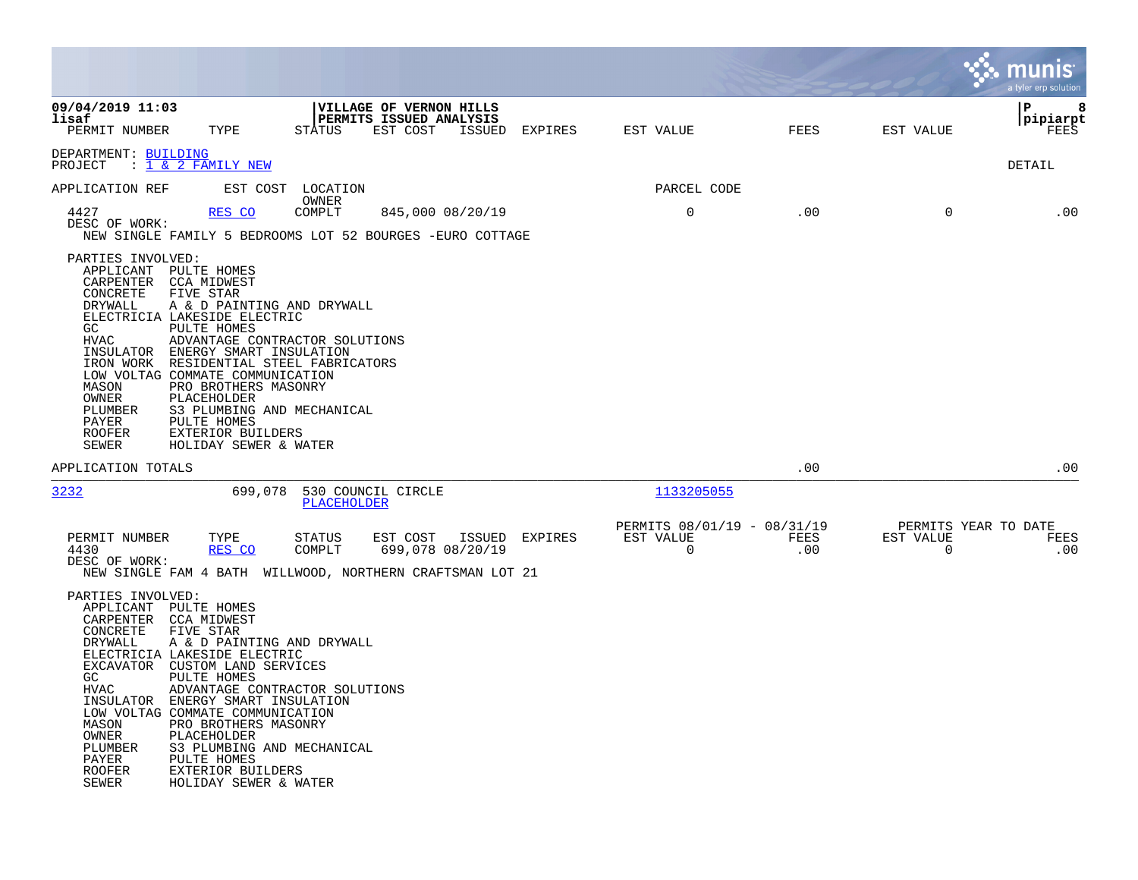|                                                                                                                                                                                    |                                                                                                                                                                                                                                                                                                                                                                                                    |                   |                                                                |        |                |                                               |             |                          | munis<br>a tyler erp solution       |
|------------------------------------------------------------------------------------------------------------------------------------------------------------------------------------|----------------------------------------------------------------------------------------------------------------------------------------------------------------------------------------------------------------------------------------------------------------------------------------------------------------------------------------------------------------------------------------------------|-------------------|----------------------------------------------------------------|--------|----------------|-----------------------------------------------|-------------|--------------------------|-------------------------------------|
| 09/04/2019 11:03<br>lisaf<br>PERMIT NUMBER                                                                                                                                         | TYPE                                                                                                                                                                                                                                                                                                                                                                                               | <b>STATUS</b>     | VILLAGE OF VERNON HILLS<br>PERMITS ISSUED ANALYSIS<br>EST COST |        | ISSUED EXPIRES | EST VALUE                                     | FEES        | EST VALUE                | P<br>8<br>pipiarpt<br>FEES          |
| DEPARTMENT: BUILDING<br>PROJECT                                                                                                                                                    | : 1 & 2 FAMILY NEW                                                                                                                                                                                                                                                                                                                                                                                 |                   |                                                                |        |                |                                               |             |                          | DETAIL                              |
| APPLICATION REF                                                                                                                                                                    | EST COST                                                                                                                                                                                                                                                                                                                                                                                           | LOCATION<br>OWNER |                                                                |        |                | PARCEL CODE                                   |             |                          |                                     |
| 4427<br>DESC OF WORK:                                                                                                                                                              | RES CO<br>NEW SINGLE FAMILY 5 BEDROOMS LOT 52 BOURGES -EURO COTTAGE                                                                                                                                                                                                                                                                                                                                | COMPLT            | 845,000 08/20/19                                               |        |                | 0                                             | .00         | $\Omega$                 | .00                                 |
| PARTIES INVOLVED:<br>APPLICANT<br>CARPENTER<br>CONCRETE<br><b>DRYWALL</b><br>GC<br><b>HVAC</b><br>IRON WORK<br>MASON<br><b>OWNER</b><br>PLUMBER<br>PAYER<br><b>ROOFER</b><br>SEWER | PULTE HOMES<br>CCA MIDWEST<br>FIVE STAR<br>A & D PAINTING AND DRYWALL<br>ELECTRICIA LAKESIDE ELECTRIC<br>PULTE HOMES<br>ADVANTAGE CONTRACTOR SOLUTIONS<br>INSULATOR ENERGY SMART INSULATION<br>RESIDENTIAL STEEL FABRICATORS<br>LOW VOLTAG COMMATE COMMUNICATION<br>PRO BROTHERS MASONRY<br>PLACEHOLDER<br>S3 PLUMBING AND MECHANICAL<br>PULTE HOMES<br>EXTERIOR BUILDERS<br>HOLIDAY SEWER & WATER |                   |                                                                |        |                |                                               |             |                          |                                     |
| APPLICATION TOTALS                                                                                                                                                                 |                                                                                                                                                                                                                                                                                                                                                                                                    |                   |                                                                |        |                |                                               | .00         |                          | .00                                 |
| 3232                                                                                                                                                                               | 699,078                                                                                                                                                                                                                                                                                                                                                                                            | PLACEHOLDER       | 530 COUNCIL CIRCLE                                             |        |                | 1133205055                                    |             |                          |                                     |
| PERMIT NUMBER<br>4430<br>DESC OF WORK:                                                                                                                                             | TYPE<br>RES CO<br>NEW SINGLE FAM 4 BATH WILLWOOD, NORTHERN CRAFTSMAN LOT 21                                                                                                                                                                                                                                                                                                                        | STATUS<br>COMPLT  | EST COST<br>699,078 08/20/19                                   | ISSUED | <b>EXPIRES</b> | PERMITS 08/01/19 - 08/31/19<br>EST VALUE<br>0 | FEES<br>.00 | EST VALUE<br>$\mathbf 0$ | PERMITS YEAR TO DATE<br>FEES<br>.00 |
| PARTIES INVOLVED:<br>CARPENTER<br>CONCRETE<br>DRYWALL<br>EXCAVATOR<br>GC<br><b>HVAC</b><br>INSULATOR<br>MASON<br>OWNER<br>PLUMBER<br>PAYER<br><b>ROOFER</b><br><b>SEWER</b>        | APPLICANT PULTE HOMES<br><b>CCA MIDWEST</b><br>FIVE STAR<br>A & D PAINTING AND DRYWALL<br>ELECTRICIA LAKESIDE ELECTRIC<br>CUSTOM LAND SERVICES<br>PULTE HOMES<br>ADVANTAGE CONTRACTOR SOLUTIONS<br>ENERGY SMART INSULATION<br>LOW VOLTAG COMMATE COMMUNICATION<br>PRO BROTHERS MASONRY<br>PLACEHOLDER<br>S3 PLUMBING AND MECHANICAL<br>PULTE HOMES<br>EXTERIOR BUILDERS<br>HOLIDAY SEWER & WATER   |                   |                                                                |        |                |                                               |             |                          |                                     |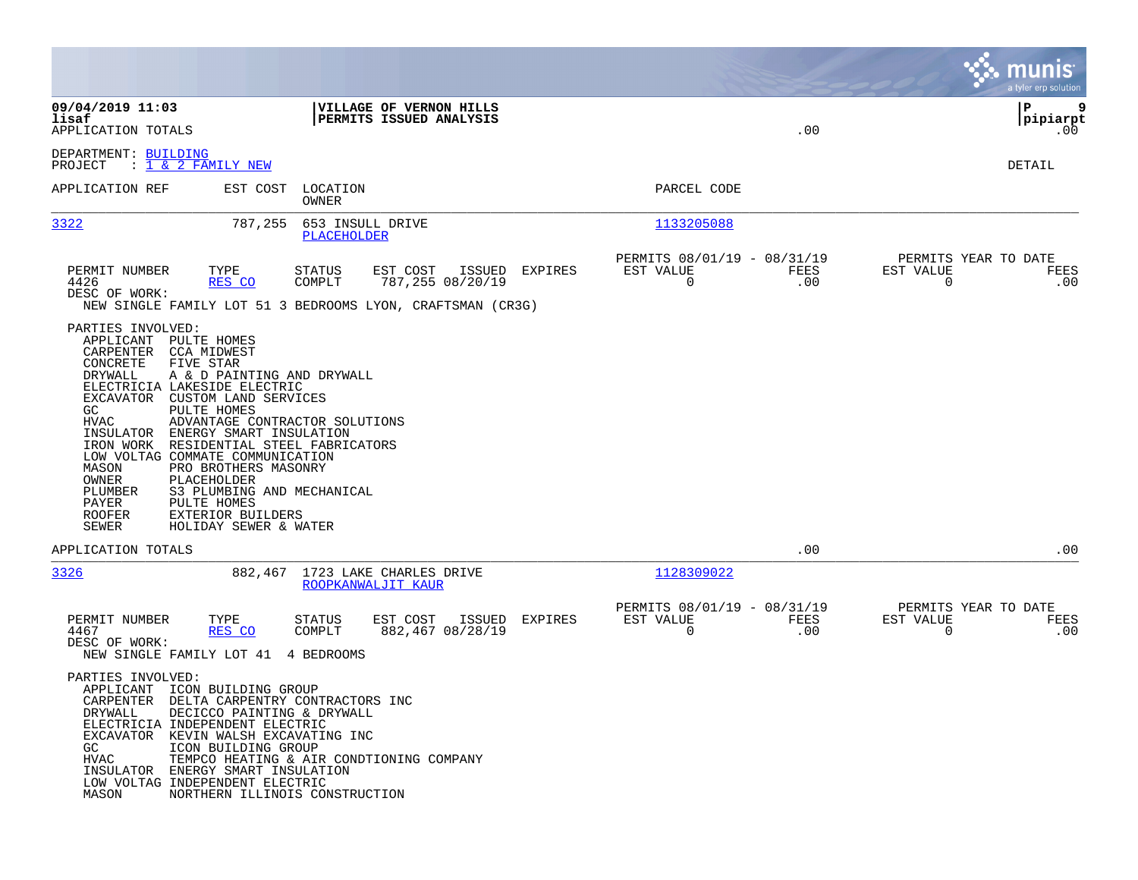|                                                                                                                                                                                                                                                                                                                                                                                                                                                                                                                                                                                                       |                                                                                                                                     |                                                         |             | munis<br>a tyler erp solution                         |
|-------------------------------------------------------------------------------------------------------------------------------------------------------------------------------------------------------------------------------------------------------------------------------------------------------------------------------------------------------------------------------------------------------------------------------------------------------------------------------------------------------------------------------------------------------------------------------------------------------|-------------------------------------------------------------------------------------------------------------------------------------|---------------------------------------------------------|-------------|-------------------------------------------------------|
| 09/04/2019 11:03<br>lisaf<br>APPLICATION TOTALS                                                                                                                                                                                                                                                                                                                                                                                                                                                                                                                                                       | VILLAGE OF VERNON HILLS<br>PERMITS ISSUED ANALYSIS                                                                                  |                                                         | .00         | 9<br>l P<br> pipiarpt<br>.00                          |
| DEPARTMENT: BUILDING<br>PROJECT<br>: 1 & 2 FAMILY NEW                                                                                                                                                                                                                                                                                                                                                                                                                                                                                                                                                 |                                                                                                                                     |                                                         |             | DETAIL                                                |
| EST COST<br>APPLICATION REF                                                                                                                                                                                                                                                                                                                                                                                                                                                                                                                                                                           | LOCATION<br>OWNER                                                                                                                   | PARCEL CODE                                             |             |                                                       |
| 3322<br>787,255                                                                                                                                                                                                                                                                                                                                                                                                                                                                                                                                                                                       | 653 INSULL DRIVE<br>PLACEHOLDER                                                                                                     | 1133205088                                              |             |                                                       |
| PERMIT NUMBER<br>TYPE<br>4426<br>RES CO<br>DESC OF WORK:                                                                                                                                                                                                                                                                                                                                                                                                                                                                                                                                              | EST COST<br>STATUS<br>ISSUED<br>EXPIRES<br>COMPLT<br>787,255 08/20/19<br>NEW SINGLE FAMILY LOT 51 3 BEDROOMS LYON, CRAFTSMAN (CR3G) | PERMITS 08/01/19 - 08/31/19<br>EST VALUE<br>$\mathbf 0$ | FEES<br>.00 | PERMITS YEAR TO DATE<br>EST VALUE<br>FEES<br>0<br>.00 |
| PARTIES INVOLVED:<br>APPLICANT<br>PULTE HOMES<br>CCA MIDWEST<br>CARPENTER<br>CONCRETE<br>FIVE STAR<br>DRYWALL<br>A & D PAINTING AND DRYWALL<br>ELECTRICIA LAKESIDE ELECTRIC<br>EXCAVATOR CUSTOM LAND SERVICES<br>GC<br>PULTE HOMES<br>HVAC<br>ADVANTAGE CONTRACTOR SOLUTIONS<br>INSULATOR<br>ENERGY SMART INSULATION<br>IRON WORK RESIDENTIAL STEEL FABRICATORS<br>LOW VOLTAG COMMATE COMMUNICATION<br>PRO BROTHERS MASONRY<br>MASON<br>PLACEHOLDER<br>OWNER<br>S3 PLUMBING AND MECHANICAL<br>PLUMBER<br>PAYER<br>PULTE HOMES<br><b>ROOFER</b><br>EXTERIOR BUILDERS<br>SEWER<br>HOLIDAY SEWER & WATER |                                                                                                                                     |                                                         |             |                                                       |
| APPLICATION TOTALS                                                                                                                                                                                                                                                                                                                                                                                                                                                                                                                                                                                    |                                                                                                                                     |                                                         | .00         | .00                                                   |
| 3326                                                                                                                                                                                                                                                                                                                                                                                                                                                                                                                                                                                                  | 882,467 1723 LAKE CHARLES DRIVE<br>ROOPKANWALJIT KAUR                                                                               | 1128309022                                              |             |                                                       |
| PERMIT NUMBER<br>TYPE<br>4467<br>RES CO<br>DESC OF WORK:<br>NEW SINGLE FAMILY LOT 41 4 BEDROOMS                                                                                                                                                                                                                                                                                                                                                                                                                                                                                                       | EST COST<br>ISSUED EXPIRES<br>STATUS<br>COMPLT<br>882,467 08/28/19                                                                  | PERMITS 08/01/19 - 08/31/19<br>EST VALUE<br>0           | FEES<br>.00 | PERMITS YEAR TO DATE<br>EST VALUE<br>FEES<br>0<br>.00 |
| PARTIES INVOLVED:<br>APPLICANT ICON BUILDING GROUP<br>CARPENTER DELTA CARPENTRY CONTRACTORS INC<br>DRYWALL<br>DECICCO PAINTING & DRYWALL<br>ELECTRICIA INDEPENDENT ELECTRIC<br>EXCAVATOR KEVIN WALSH EXCAVATING INC<br>GC<br>ICON BUILDING GROUP<br>HVAC<br>INSULATOR ENERGY SMART INSULATION<br>LOW VOLTAG INDEPENDENT ELECTRIC<br>MASON<br>NORTHERN ILLINOIS CONSTRUCTION                                                                                                                                                                                                                           | TEMPCO HEATING & AIR CONDTIONING COMPANY                                                                                            |                                                         |             |                                                       |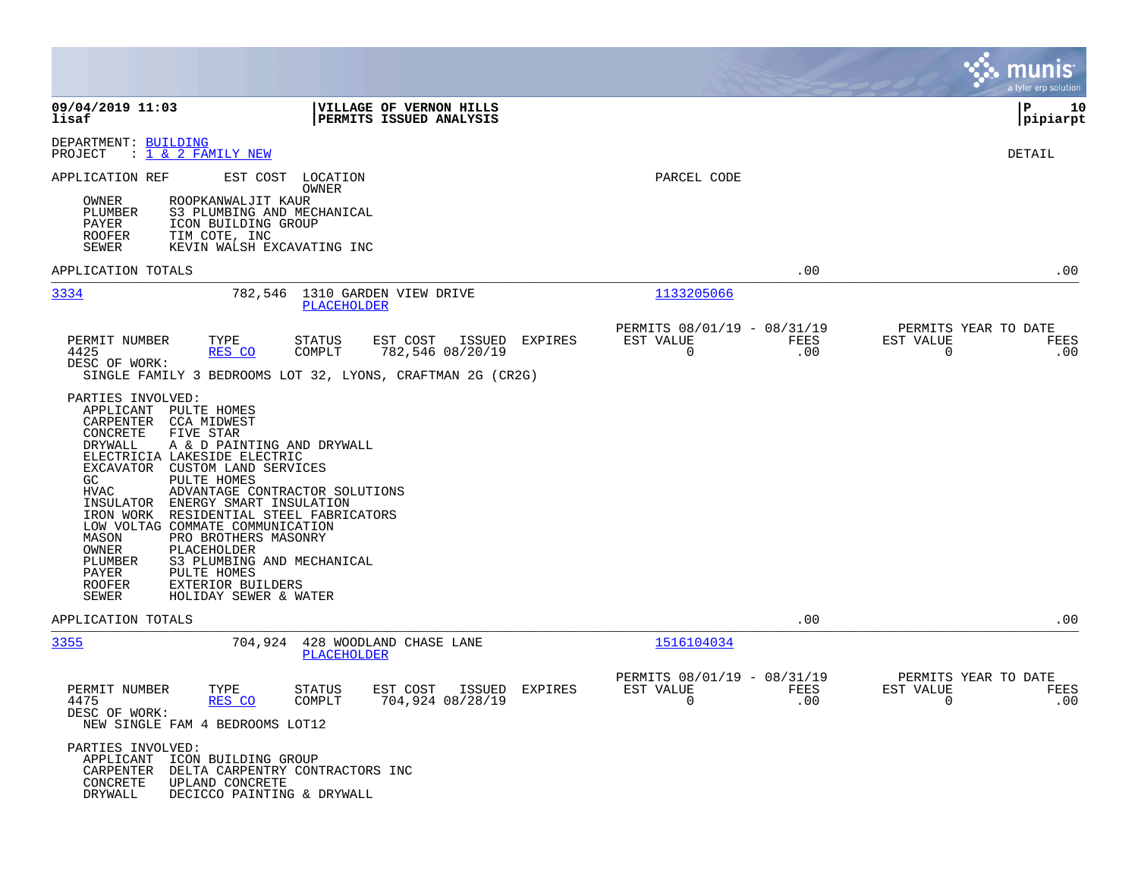|                                                                                                                                                                                                                                                                                                                                                                                                                                                                                                                                   |                                                                                                                                                                                                        |                                                                              | munis<br>a tyler erp solution                                             |
|-----------------------------------------------------------------------------------------------------------------------------------------------------------------------------------------------------------------------------------------------------------------------------------------------------------------------------------------------------------------------------------------------------------------------------------------------------------------------------------------------------------------------------------|--------------------------------------------------------------------------------------------------------------------------------------------------------------------------------------------------------|------------------------------------------------------------------------------|---------------------------------------------------------------------------|
| 09/04/2019 11:03<br>lisaf                                                                                                                                                                                                                                                                                                                                                                                                                                                                                                         | VILLAGE OF VERNON HILLS<br><b>PERMITS ISSUED ANALYSIS</b>                                                                                                                                              |                                                                              | 10<br>ΙP<br> pipiarpt                                                     |
| DEPARTMENT: BUILDING<br>PROJECT<br>: <u>1 &amp; 2 FAMILY NEW</u>                                                                                                                                                                                                                                                                                                                                                                                                                                                                  |                                                                                                                                                                                                        |                                                                              | DETAIL                                                                    |
| APPLICATION REF<br>OWNER<br>ROOPKANWALJIT KAUR<br>PLUMBER<br>S3 PLUMBING AND MECHANICAL<br>PAYER<br>ICON BUILDING GROUP<br><b>ROOFER</b><br>TIM COTE, INC<br><b>SEWER</b><br>KEVIN WALSH EXCAVATING INC                                                                                                                                                                                                                                                                                                                           | EST COST LOCATION<br><b>OWNER</b>                                                                                                                                                                      | PARCEL CODE                                                                  |                                                                           |
| APPLICATION TOTALS                                                                                                                                                                                                                                                                                                                                                                                                                                                                                                                |                                                                                                                                                                                                        |                                                                              | .00<br>$.00 \,$                                                           |
| 3334                                                                                                                                                                                                                                                                                                                                                                                                                                                                                                                              | 782,546 1310 GARDEN VIEW DRIVE<br>PLACEHOLDER                                                                                                                                                          | 1133205066                                                                   |                                                                           |
| TYPE<br>PERMIT NUMBER<br>4425<br>RES CO<br>DESC OF WORK:<br>PARTIES INVOLVED:<br>APPLICANT<br>PULTE HOMES<br>CARPENTER<br><b>CCA MIDWEST</b><br>CONCRETE<br>FIVE STAR<br>DRYWALL<br>A & D PAINTING AND DRYWALL<br>ELECTRICIA LAKESIDE ELECTRIC<br>EXCAVATOR CUSTOM LAND SERVICES<br>GC.<br>PULTE HOMES<br>HVAC<br>INSULATOR<br>ENERGY SMART INSULATION<br>IRON WORK<br>LOW VOLTAG COMMATE COMMUNICATION<br>MASON<br>PRO BROTHERS MASONRY<br>OWNER<br>PLACEHOLDER<br>PLUMBER<br>S3 PLUMBING AND MECHANICAL<br>PAYER<br>PULTE HOMES | EST COST<br>ISSUED<br>EXPIRES<br>STATUS<br>COMPLT<br>782,546 08/20/19<br>SINGLE FAMILY 3 BEDROOMS LOT 32, LYONS, CRAFTMAN 2G (CR2G)<br>ADVANTAGE CONTRACTOR SOLUTIONS<br>RESIDENTIAL STEEL FABRICATORS | PERMITS 08/01/19 - 08/31/19<br>FEES<br>EST VALUE<br>$\mathbf 0$              | PERMITS YEAR TO DATE<br>EST VALUE<br>FEES<br>.00<br>$\mathbf 0$<br>.00    |
| <b>ROOFER</b><br>EXTERIOR BUILDERS<br>SEWER<br>HOLIDAY SEWER & WATER                                                                                                                                                                                                                                                                                                                                                                                                                                                              |                                                                                                                                                                                                        |                                                                              |                                                                           |
| APPLICATION TOTALS                                                                                                                                                                                                                                                                                                                                                                                                                                                                                                                |                                                                                                                                                                                                        |                                                                              | .00<br>.00                                                                |
| 3355<br>704,924                                                                                                                                                                                                                                                                                                                                                                                                                                                                                                                   | 428 WOODLAND CHASE LANE<br>PLACEHOLDER                                                                                                                                                                 | 1516104034                                                                   |                                                                           |
| PERMIT NUMBER<br>TYPE<br>4475<br>RES CO<br>DESC OF WORK:<br>NEW SINGLE FAM 4 BEDROOMS LOT12                                                                                                                                                                                                                                                                                                                                                                                                                                       | <b>STATUS</b><br>EST COST<br>ISSUED<br>EXPIRES<br>COMPLT<br>704,924 08/28/19                                                                                                                           | PERMITS 08/01/19 - 08/31/19<br>EST VALUE<br>FEES<br>$\overline{\phantom{0}}$ | PERMITS YEAR TO DATE<br>EST VALUE<br>FEES<br>.00<br>.00<br>$\overline{0}$ |
| PARTIES INVOLVED:<br>ICON BUILDING GROUP<br>APPLICANT<br>CARPENTER<br>CONCRETE<br>UPLAND CONCRETE<br>DRYWALL<br>DECICCO PAINTING & DRYWALL                                                                                                                                                                                                                                                                                                                                                                                        | DELTA CARPENTRY CONTRACTORS INC                                                                                                                                                                        |                                                                              |                                                                           |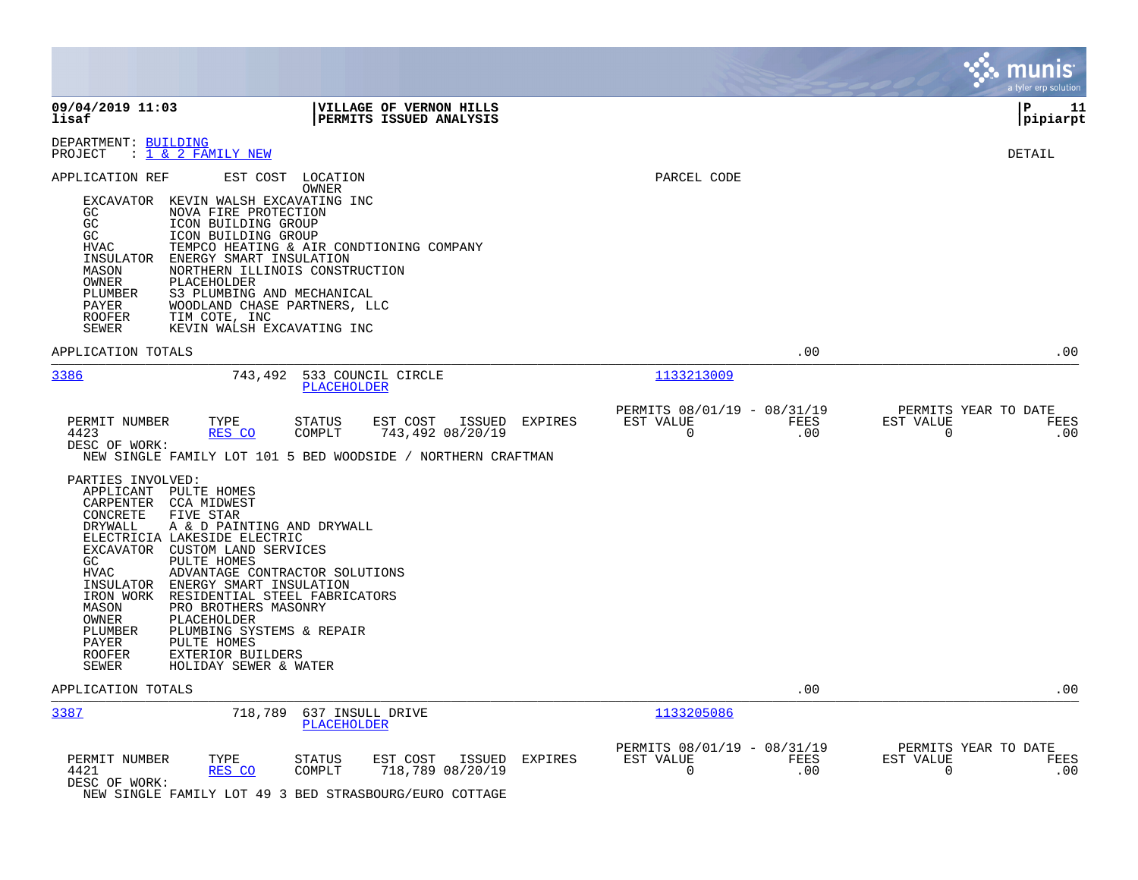|                                                                                                                                                                                                                                                                                                                                                                                                                                                                                                                                                                                                                                                                                                                                                                                  |                                                                        | munis<br>a tyler erp solution                         |
|----------------------------------------------------------------------------------------------------------------------------------------------------------------------------------------------------------------------------------------------------------------------------------------------------------------------------------------------------------------------------------------------------------------------------------------------------------------------------------------------------------------------------------------------------------------------------------------------------------------------------------------------------------------------------------------------------------------------------------------------------------------------------------|------------------------------------------------------------------------|-------------------------------------------------------|
| 09/04/2019 11:03<br><b>VILLAGE OF VERNON HILLS</b><br>PERMITS ISSUED ANALYSIS<br>lisaf                                                                                                                                                                                                                                                                                                                                                                                                                                                                                                                                                                                                                                                                                           |                                                                        | l P<br>11<br>pipiarpt                                 |
| DEPARTMENT: BUILDING<br>: 1 & 2 FAMILY NEW<br>PROJECT                                                                                                                                                                                                                                                                                                                                                                                                                                                                                                                                                                                                                                                                                                                            |                                                                        | DETAIL                                                |
| APPLICATION REF<br>EST COST LOCATION<br>OWNER<br>EXCAVATOR KEVIN WALSH EXCAVATING INC<br>GC<br>NOVA FIRE PROTECTION<br>GC<br>ICON BUILDING GROUP<br>GC<br>ICON BUILDING GROUP<br><b>HVAC</b><br>TEMPCO HEATING & AIR CONDTIONING COMPANY<br>INSULATOR<br>ENERGY SMART INSULATION<br>NORTHERN ILLINOIS CONSTRUCTION<br>MASON<br>OWNER<br>PLACEHOLDER<br>PLUMBER<br>S3 PLUMBING AND MECHANICAL<br>WOODLAND CHASE PARTNERS, LLC<br>PAYER<br><b>ROOFER</b><br>TIM COTE, INC<br>SEWER<br>KEVIN WALSH EXCAVATING INC                                                                                                                                                                                                                                                                   | PARCEL CODE                                                            |                                                       |
| APPLICATION TOTALS                                                                                                                                                                                                                                                                                                                                                                                                                                                                                                                                                                                                                                                                                                                                                               | .00                                                                    | .00                                                   |
| 3386<br>743,492<br>533 COUNCIL CIRCLE<br><b>PLACEHOLDER</b>                                                                                                                                                                                                                                                                                                                                                                                                                                                                                                                                                                                                                                                                                                                      | 1133213009                                                             |                                                       |
| PERMIT NUMBER<br>TYPE<br>EST COST<br>ISSUED<br>EXPIRES<br><b>STATUS</b><br>4423<br>RES CO<br>COMPLT<br>743,492 08/20/19<br>DESC OF WORK:<br>NEW SINGLE FAMILY LOT 101 5 BED WOODSIDE / NORTHERN CRAFTMAN<br>PARTIES INVOLVED:<br>APPLICANT PULTE HOMES<br>CARPENTER CCA MIDWEST<br>CONCRETE<br>FIVE STAR<br>A & D PAINTING AND DRYWALL<br>DRYWALL<br>ELECTRICIA LAKESIDE ELECTRIC<br>EXCAVATOR CUSTOM LAND SERVICES<br>GC<br>PULTE HOMES<br><b>HVAC</b><br>ADVANTAGE CONTRACTOR SOLUTIONS<br>INSULATOR<br>ENERGY SMART INSULATION<br>IRON WORK<br>RESIDENTIAL STEEL FABRICATORS<br>MASON<br>PRO BROTHERS MASONRY<br>OWNER<br>PLACEHOLDER<br>PLUMBING SYSTEMS & REPAIR<br>PLUMBER<br>PAYER<br>PULTE HOMES<br><b>ROOFER</b><br>EXTERIOR BUILDERS<br>HOLIDAY SEWER & WATER<br>SEWER | PERMITS 08/01/19 - 08/31/19<br>EST VALUE<br>FEES<br>0<br>.00           | PERMITS YEAR TO DATE<br>EST VALUE<br>FEES<br>0<br>.00 |
| APPLICATION TOTALS                                                                                                                                                                                                                                                                                                                                                                                                                                                                                                                                                                                                                                                                                                                                                               | .00                                                                    | .00                                                   |
| 3387<br>718,789<br>637 INSULL DRIVE<br><b>PLACEHOLDER</b>                                                                                                                                                                                                                                                                                                                                                                                                                                                                                                                                                                                                                                                                                                                        | 1133205086                                                             |                                                       |
| PERMIT NUMBER<br>TYPE<br>STATUS<br>EST COST<br>ISSUED<br>EXPIRES<br>4421<br>RES CO<br>COMPLT<br>718,789 08/20/19<br>DESC OF WORK:<br>NEW SINGLE FAMILY LOT 49 3 BED STRASBOURG/EURO COTTAGE                                                                                                                                                                                                                                                                                                                                                                                                                                                                                                                                                                                      | PERMITS 08/01/19 - 08/31/19<br>EST VALUE<br>FEES<br>$\mathbf 0$<br>.00 | PERMITS YEAR TO DATE<br>EST VALUE<br>FEES<br>.00<br>0 |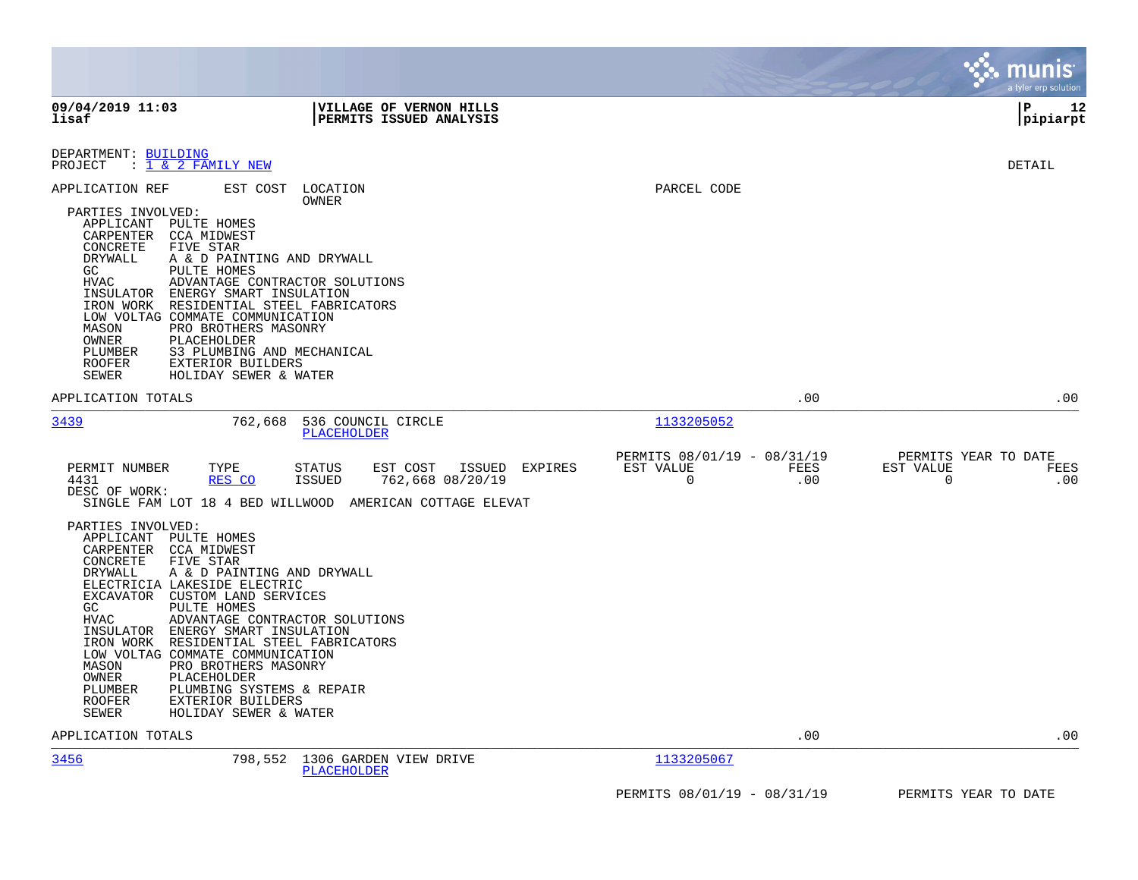|                                                                                                                                                                                                                                                                                                                                                                                                                                                                                                                                                |                                                                                                                                                                                                                                           |                                                                        | munis<br>a tyler erp solution                                   |
|------------------------------------------------------------------------------------------------------------------------------------------------------------------------------------------------------------------------------------------------------------------------------------------------------------------------------------------------------------------------------------------------------------------------------------------------------------------------------------------------------------------------------------------------|-------------------------------------------------------------------------------------------------------------------------------------------------------------------------------------------------------------------------------------------|------------------------------------------------------------------------|-----------------------------------------------------------------|
| 09/04/2019 11:03<br>lisaf                                                                                                                                                                                                                                                                                                                                                                                                                                                                                                                      | VILLAGE OF VERNON HILLS<br>PERMITS ISSUED ANALYSIS                                                                                                                                                                                        |                                                                        | l P<br>12<br> pipiarpt                                          |
| DEPARTMENT: BUILDING<br>$: 1 \& 2$ FAMILY NEW<br>PROJECT                                                                                                                                                                                                                                                                                                                                                                                                                                                                                       |                                                                                                                                                                                                                                           |                                                                        | DETAIL                                                          |
| EST COST<br>APPLICATION REF<br>PARTIES INVOLVED:<br>APPLICANT PULTE HOMES<br>CARPENTER<br><b>CCA MIDWEST</b><br>CONCRETE<br>FIVE STAR<br>DRYWALL<br>GC<br>PULTE HOMES<br>HVAC<br>INSULATOR<br>ENERGY SMART INSULATION<br>IRON WORK<br>LOW VOLTAG COMMATE COMMUNICATION<br>MASON<br>PRO BROTHERS MASONRY<br>OWNER<br>PLACEHOLDER<br>PLUMBER<br>ROOFER<br>EXTERIOR BUILDERS<br>SEWER<br>HOLIDAY SEWER & WATER                                                                                                                                    | LOCATION<br><b>OWNER</b><br>A & D PAINTING AND DRYWALL<br>ADVANTAGE CONTRACTOR SOLUTIONS<br>RESIDENTIAL STEEL FABRICATORS<br>S3 PLUMBING AND MECHANICAL                                                                                   | PARCEL CODE                                                            |                                                                 |
| APPLICATION TOTALS                                                                                                                                                                                                                                                                                                                                                                                                                                                                                                                             |                                                                                                                                                                                                                                           | .00                                                                    | .00                                                             |
| 3439<br>762,668                                                                                                                                                                                                                                                                                                                                                                                                                                                                                                                                | 536 COUNCIL CIRCLE<br><b>PLACEHOLDER</b>                                                                                                                                                                                                  | 1133205052                                                             |                                                                 |
| PERMIT NUMBER<br>TYPE<br>4431<br>RES CO<br>DESC OF WORK:<br>PARTIES INVOLVED:<br>APPLICANT PULTE HOMES<br>CARPENTER<br>CCA MIDWEST<br>CONCRETE<br>FIVE STAR<br>DRYWALL<br>ELECTRICIA LAKESIDE ELECTRIC<br>EXCAVATOR CUSTOM LAND SERVICES<br>GC<br>PULTE HOMES<br><b>HVAC</b><br>INSULATOR<br>ENERGY SMART INSULATION<br>IRON WORK<br>LOW VOLTAG COMMATE COMMUNICATION<br>MASON<br>PRO BROTHERS MASONRY<br>OWNER<br>PLACEHOLDER<br>PLUMBER<br>PLUMBING SYSTEMS & REPAIR<br><b>ROOFER</b><br>EXTERIOR BUILDERS<br>SEWER<br>HOLIDAY SEWER & WATER | STATUS<br>EST COST<br>ISSUED<br>EXPIRES<br><b>ISSUED</b><br>762,668 08/20/19<br>SINGLE FAM LOT 18 4 BED WILLWOOD AMERICAN COTTAGE ELEVAT<br>A & D PAINTING AND DRYWALL<br>ADVANTAGE CONTRACTOR SOLUTIONS<br>RESIDENTIAL STEEL FABRICATORS | PERMITS 08/01/19 - 08/31/19<br>FEES<br>EST VALUE<br>$\mathbf 0$<br>.00 | PERMITS YEAR TO DATE<br>EST VALUE<br>FEES<br>$\mathbf 0$<br>.00 |
| APPLICATION TOTALS                                                                                                                                                                                                                                                                                                                                                                                                                                                                                                                             |                                                                                                                                                                                                                                           | .00                                                                    | .00                                                             |
| 3456<br>798,552                                                                                                                                                                                                                                                                                                                                                                                                                                                                                                                                | 1306 GARDEN VIEW DRIVE<br><b>PLACEHOLDER</b>                                                                                                                                                                                              | 1133205067                                                             |                                                                 |
|                                                                                                                                                                                                                                                                                                                                                                                                                                                                                                                                                |                                                                                                                                                                                                                                           | PERMITS 08/01/19 - 08/31/19                                            | PERMITS YEAR TO DATE                                            |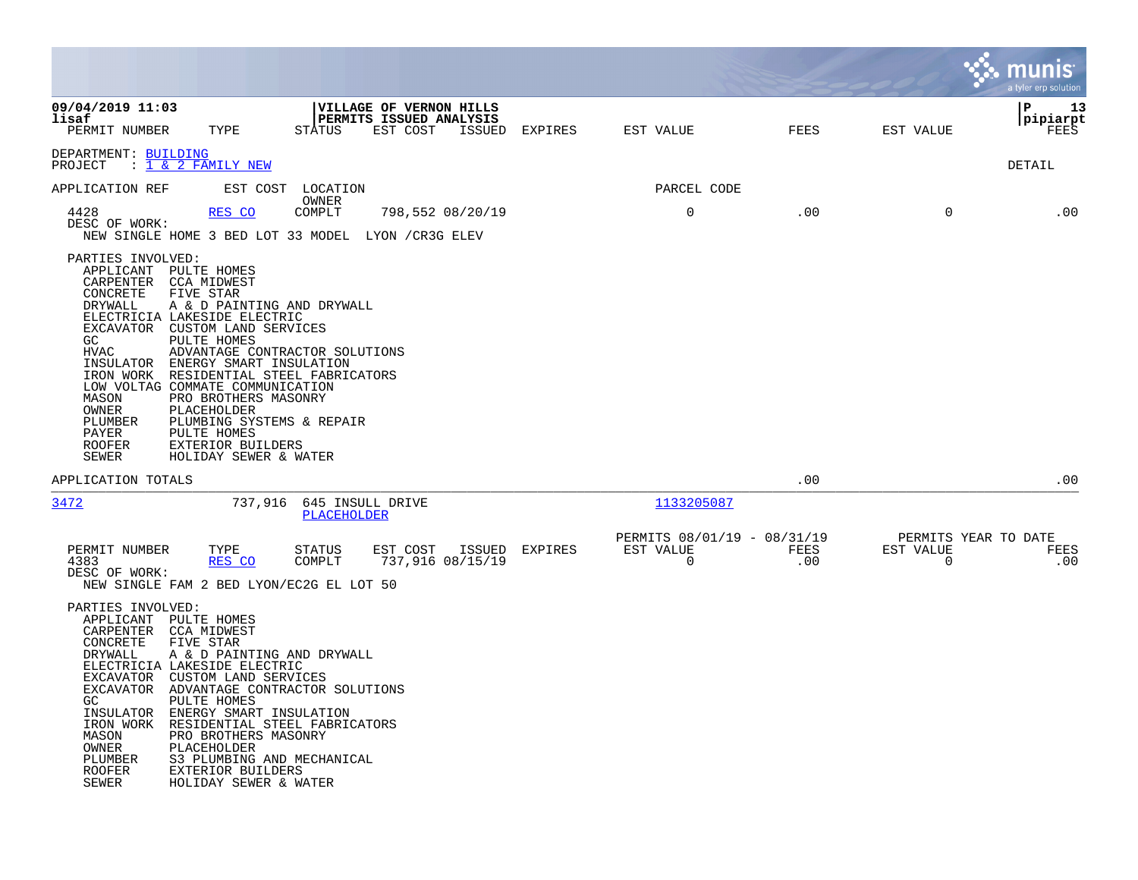|                                                                                                                                                   |                                                                                                                                                                                                                                                                                                                                                                                                                                               |                                        |                                                                       |        |         |                                               |             |                                        | munis <sup>.</sup><br>a tyler erp solution |
|---------------------------------------------------------------------------------------------------------------------------------------------------|-----------------------------------------------------------------------------------------------------------------------------------------------------------------------------------------------------------------------------------------------------------------------------------------------------------------------------------------------------------------------------------------------------------------------------------------------|----------------------------------------|-----------------------------------------------------------------------|--------|---------|-----------------------------------------------|-------------|----------------------------------------|--------------------------------------------|
| 09/04/2019 11:03<br>lisaf<br>PERMIT NUMBER                                                                                                        | TYPE                                                                                                                                                                                                                                                                                                                                                                                                                                          | STATUS                                 | <b>VILLAGE OF VERNON HILLS</b><br>PERMITS ISSUED ANALYSIS<br>EST COST | ISSUED | EXPIRES | EST VALUE                                     | <b>FEES</b> | EST VALUE                              | P<br>13<br>pipiarpt<br>FEES                |
| DEPARTMENT: BUILDING<br>PROJECT                                                                                                                   | : 1 & 2 FAMILY NEW                                                                                                                                                                                                                                                                                                                                                                                                                            |                                        |                                                                       |        |         |                                               |             |                                        | DETAIL                                     |
| APPLICATION REF                                                                                                                                   | EST COST                                                                                                                                                                                                                                                                                                                                                                                                                                      | LOCATION<br>OWNER                      |                                                                       |        |         | PARCEL CODE                                   |             |                                        |                                            |
| 4428<br>DESC OF WORK:                                                                                                                             | RES CO<br>NEW SINGLE HOME 3 BED LOT 33 MODEL LYON / CR3G ELEV                                                                                                                                                                                                                                                                                                                                                                                 | COMPLT                                 | 798,552 08/20/19                                                      |        |         | 0                                             | .00         | 0                                      | .00                                        |
| PARTIES INVOLVED:<br>CARPENTER<br>CONCRETE<br>DRYWALL<br>EXCAVATOR<br>GC.<br>HVAC<br>MASON<br>OWNER<br>PLUMBER<br>PAYER<br><b>ROOFER</b><br>SEWER | APPLICANT PULTE HOMES<br>CCA MIDWEST<br>FIVE STAR<br>A & D PAINTING AND DRYWALL<br>ELECTRICIA LAKESIDE ELECTRIC<br>CUSTOM LAND SERVICES<br>PULTE HOMES<br>ADVANTAGE CONTRACTOR SOLUTIONS<br>INSULATOR ENERGY SMART INSULATION<br>IRON WORK RESIDENTIAL STEEL FABRICATORS<br>LOW VOLTAG COMMATE COMMUNICATION<br>PRO BROTHERS MASONRY<br>PLACEHOLDER<br>PLUMBING SYSTEMS & REPAIR<br>PULTE HOMES<br>EXTERIOR BUILDERS<br>HOLIDAY SEWER & WATER |                                        |                                                                       |        |         |                                               |             |                                        |                                            |
| APPLICATION TOTALS                                                                                                                                |                                                                                                                                                                                                                                                                                                                                                                                                                                               |                                        |                                                                       |        |         |                                               | .00         |                                        | .00                                        |
| 3472                                                                                                                                              | 737,916                                                                                                                                                                                                                                                                                                                                                                                                                                       | 645 INSULL DRIVE<br><b>PLACEHOLDER</b> |                                                                       |        |         | 1133205087                                    |             |                                        |                                            |
| PERMIT NUMBER<br>4383<br>DESC OF WORK:                                                                                                            | TYPE<br>RES CO<br>NEW SINGLE FAM 2 BED LYON/EC2G EL LOT 50                                                                                                                                                                                                                                                                                                                                                                                    | STATUS<br>COMPLT                       | EST COST<br>737,916 08/15/19                                          | ISSUED | EXPIRES | PERMITS 08/01/19 - 08/31/19<br>EST VALUE<br>0 | FEES<br>.00 | PERMITS YEAR TO DATE<br>EST VALUE<br>0 | FEES<br>.00                                |
| PARTIES INVOLVED:<br>APPLICANT<br>CONCRETE<br>DRYWALL<br>EXCAVATOR<br>GC.<br>IRON WORK<br>MASON<br>OWNER<br>PLUMBER<br><b>ROOFER</b><br>SEWER     | PULTE HOMES<br>CARPENTER CCA MIDWEST<br>FIVE STAR<br>A & D PAINTING AND DRYWALL<br>ELECTRICIA LAKESIDE ELECTRIC<br>EXCAVATOR CUSTOM LAND SERVICES<br>ADVANTAGE CONTRACTOR SOLUTIONS<br>PULTE HOMES<br>INSULATOR ENERGY SMART INSULATION<br>RESIDENTIAL STEEL FABRICATORS<br>PRO BROTHERS MASONRY<br>PLACEHOLDER<br>S3 PLUMBING AND MECHANICAL<br>EXTERIOR BUILDERS<br>HOLIDAY SEWER & WATER                                                   |                                        |                                                                       |        |         |                                               |             |                                        |                                            |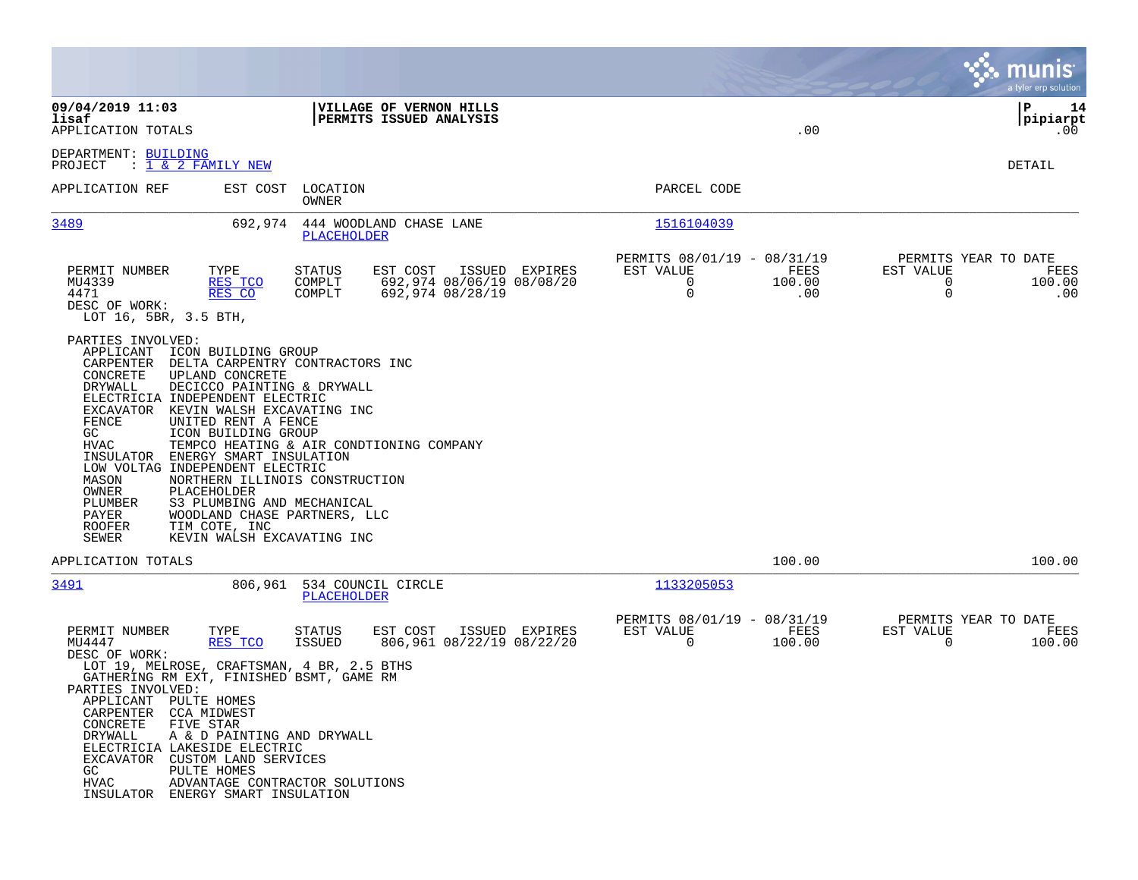|                                                                                                                                                                                                                                                                                                                                                                                                                                                                                                                                                                                                                                                                                         |                                                                                              | munis<br>a tyler erp solution                                        |
|-----------------------------------------------------------------------------------------------------------------------------------------------------------------------------------------------------------------------------------------------------------------------------------------------------------------------------------------------------------------------------------------------------------------------------------------------------------------------------------------------------------------------------------------------------------------------------------------------------------------------------------------------------------------------------------------|----------------------------------------------------------------------------------------------|----------------------------------------------------------------------|
| 09/04/2019 11:03<br>VILLAGE OF VERNON HILLS<br>lisaf<br>PERMITS ISSUED ANALYSIS<br>APPLICATION TOTALS                                                                                                                                                                                                                                                                                                                                                                                                                                                                                                                                                                                   | .00                                                                                          | P<br>14<br>pipiarpt<br>.00                                           |
| DEPARTMENT: BUILDING<br>: 1 & 2 FAMILY NEW<br>PROJECT                                                                                                                                                                                                                                                                                                                                                                                                                                                                                                                                                                                                                                   |                                                                                              | DETAIL                                                               |
| APPLICATION REF<br>EST COST<br>LOCATION<br>OWNER                                                                                                                                                                                                                                                                                                                                                                                                                                                                                                                                                                                                                                        | PARCEL CODE                                                                                  |                                                                      |
| 3489<br>692,974<br>444 WOODLAND CHASE LANE<br><b>PLACEHOLDER</b>                                                                                                                                                                                                                                                                                                                                                                                                                                                                                                                                                                                                                        | 1516104039                                                                                   |                                                                      |
| TYPE<br><b>STATUS</b><br>EST COST<br>ISSUED<br>EXPIRES<br>PERMIT NUMBER<br>MU4339<br>RES TCO<br>COMPLT<br>692,974 08/06/19 08/08/20<br>RES CO<br>4471<br>COMPLT<br>692,974 08/28/19<br>DESC OF WORK:<br>LOT 16, 5BR, 3.5 BTH,                                                                                                                                                                                                                                                                                                                                                                                                                                                           | PERMITS 08/01/19 - 08/31/19<br>EST VALUE<br>FEES<br>$\Omega$<br>100.00<br>$\mathbf 0$<br>.00 | PERMITS YEAR TO DATE<br>EST VALUE<br>FEES<br>0<br>100.00<br>0<br>.00 |
| PARTIES INVOLVED:<br>APPLICANT ICON BUILDING GROUP<br>CARPENTER<br>DELTA CARPENTRY CONTRACTORS INC<br>CONCRETE<br>UPLAND CONCRETE<br>DRYWALL<br>DECICCO PAINTING & DRYWALL<br>ELECTRICIA INDEPENDENT ELECTRIC<br>EXCAVATOR KEVIN WALSH EXCAVATING INC<br>FENCE<br>UNITED RENT A FENCE<br>GC.<br>ICON BUILDING GROUP<br><b>HVAC</b><br>TEMPCO HEATING & AIR CONDTIONING COMPANY<br>ENERGY SMART INSULATION<br>INSULATOR<br>LOW VOLTAG INDEPENDENT ELECTRIC<br>MASON<br>NORTHERN ILLINOIS CONSTRUCTION<br>OWNER<br>PLACEHOLDER<br>PLUMBER<br>S3 PLUMBING AND MECHANICAL<br>WOODLAND CHASE PARTNERS, LLC<br>PAYER<br><b>ROOFER</b><br>TIM COTE, INC<br>SEWER<br>KEVIN WALSH EXCAVATING INC |                                                                                              |                                                                      |
| APPLICATION TOTALS                                                                                                                                                                                                                                                                                                                                                                                                                                                                                                                                                                                                                                                                      | 100.00                                                                                       | 100.00                                                               |
| 3491<br>806,961<br>534 COUNCIL CIRCLE<br><b>PLACEHOLDER</b>                                                                                                                                                                                                                                                                                                                                                                                                                                                                                                                                                                                                                             | 1133205053                                                                                   |                                                                      |
| PERMIT NUMBER<br>TYPE<br>STATUS<br>EST COST<br>ISSUED EXPIRES<br>RES TCO<br><b>ISSUED</b><br>806,961 08/22/19 08/22/20<br>MU4447<br>DESC OF WORK:<br>LOT 19, MELROSE, CRAFTSMAN, 4 BR, 2.5 BTHS<br>GATHERING RM EXT, FINISHED BSMT, GAME RM<br>PARTIES INVOLVED:<br>APPLICANT<br>PULTE HOMES<br>CCA MIDWEST<br>CARPENTER<br>CONCRETE<br>FIVE STAR<br>DRYWALL<br>A & D PAINTING AND DRYWALL<br>ELECTRICIA LAKESIDE ELECTRIC<br>EXCAVATOR CUSTOM LAND SERVICES<br>GC.<br>PULTE HOMES<br>HVAC<br>ADVANTAGE CONTRACTOR SOLUTIONS<br>INSULATOR ENERGY SMART INSULATION                                                                                                                       | PERMITS 08/01/19 - 08/31/19<br>EST VALUE<br>FEES<br>$\mathbf 0$<br>100.00                    | PERMITS YEAR TO DATE<br>EST VALUE<br>FEES<br>$\Omega$<br>100.00      |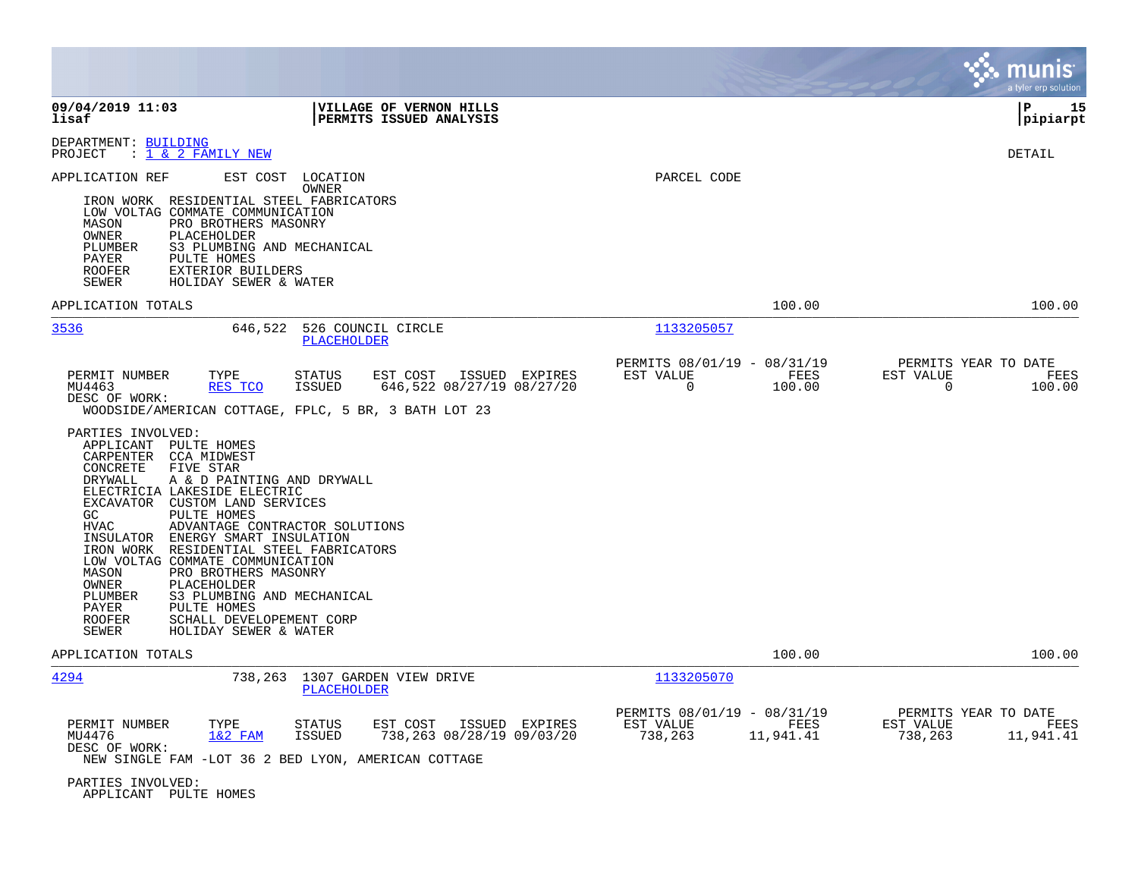|                                                                                                                                                                                                                                                                                                                                                                                                                                                                                                                                                                                                                                                                                                                                                                                                                                         |                                                                            | munis<br>a tyler erp solution                                     |
|-----------------------------------------------------------------------------------------------------------------------------------------------------------------------------------------------------------------------------------------------------------------------------------------------------------------------------------------------------------------------------------------------------------------------------------------------------------------------------------------------------------------------------------------------------------------------------------------------------------------------------------------------------------------------------------------------------------------------------------------------------------------------------------------------------------------------------------------|----------------------------------------------------------------------------|-------------------------------------------------------------------|
| 09/04/2019 11:03<br><b>VILLAGE OF VERNON HILLS</b><br>PERMITS ISSUED ANALYSIS<br>lisaf                                                                                                                                                                                                                                                                                                                                                                                                                                                                                                                                                                                                                                                                                                                                                  |                                                                            | l P<br>15<br> pipiarpt                                            |
| DEPARTMENT: BUILDING<br>$: 1 \& 2$ FAMILY NEW<br>PROJECT                                                                                                                                                                                                                                                                                                                                                                                                                                                                                                                                                                                                                                                                                                                                                                                |                                                                            | DETAIL                                                            |
| EST COST<br>APPLICATION REF<br>LOCATION<br>OWNER<br>IRON WORK RESIDENTIAL STEEL FABRICATORS<br>LOW VOLTAG COMMATE COMMUNICATION<br>PRO BROTHERS MASONRY<br>MASON<br><b>OWNER</b><br><b>PLACEHOLDER</b><br>S3 PLUMBING AND MECHANICAL<br>PLUMBER<br>PAYER<br>PULTE HOMES<br>EXTERIOR BUILDERS<br><b>ROOFER</b><br>HOLIDAY SEWER & WATER<br>SEWER                                                                                                                                                                                                                                                                                                                                                                                                                                                                                         | PARCEL CODE                                                                |                                                                   |
| APPLICATION TOTALS                                                                                                                                                                                                                                                                                                                                                                                                                                                                                                                                                                                                                                                                                                                                                                                                                      | 100.00                                                                     | 100.00                                                            |
| 3536<br>646,522<br>526 COUNCIL CIRCLE<br><b>PLACEHOLDER</b>                                                                                                                                                                                                                                                                                                                                                                                                                                                                                                                                                                                                                                                                                                                                                                             | 1133205057                                                                 |                                                                   |
| TYPE<br><b>STATUS</b><br>EST COST<br>ISSUED EXPIRES<br>PERMIT NUMBER<br>MU4463<br>RES TCO<br><b>ISSUED</b><br>646,522 08/27/19 08/27/20<br>DESC OF WORK:<br>WOODSIDE/AMERICAN COTTAGE, FPLC, 5 BR, 3 BATH LOT 23<br>PARTIES INVOLVED:<br>APPLICANT<br>PULTE HOMES<br>CARPENTER<br>CCA MIDWEST<br>CONCRETE<br>FIVE STAR<br>DRYWALL<br>A & D PAINTING AND DRYWALL<br>ELECTRICIA LAKESIDE ELECTRIC<br>EXCAVATOR<br>CUSTOM LAND SERVICES<br>PULTE HOMES<br>GC<br><b>HVAC</b><br>ADVANTAGE CONTRACTOR SOLUTIONS<br>INSULATOR ENERGY SMART INSULATION<br>IRON WORK RESIDENTIAL STEEL FABRICATORS<br>LOW VOLTAG COMMATE COMMUNICATION<br>PRO BROTHERS MASONRY<br>MASON<br>OWNER<br>PLACEHOLDER<br>S3 PLUMBING AND MECHANICAL<br>PLUMBER<br>PAYER<br>PULTE HOMES<br><b>ROOFER</b><br>SCHALL DEVELOPEMENT CORP<br>HOLIDAY SEWER & WATER<br>SEWER | PERMITS 08/01/19 - 08/31/19<br>EST VALUE<br>FEES<br>$\mathsf{O}$<br>100.00 | PERMITS YEAR TO DATE<br>EST VALUE<br>FEES<br>$\Omega$<br>100.00   |
| APPLICATION TOTALS                                                                                                                                                                                                                                                                                                                                                                                                                                                                                                                                                                                                                                                                                                                                                                                                                      | 100.00                                                                     | 100.00                                                            |
| 4294<br>738,263<br>1307 GARDEN VIEW DRIVE<br><b>PLACEHOLDER</b>                                                                                                                                                                                                                                                                                                                                                                                                                                                                                                                                                                                                                                                                                                                                                                         | 1133205070                                                                 |                                                                   |
| TYPE<br>PERMIT NUMBER<br><b>STATUS</b><br>EST COST<br>ISSUED EXPIRES<br>MU4476<br>$1&2$ FAM<br><b>ISSUED</b><br>738,263 08/28/19 09/03/20<br>DESC OF WORK:<br>NEW SINGLE FAM -LOT 36 2 BED LYON, AMERICAN COTTAGE                                                                                                                                                                                                                                                                                                                                                                                                                                                                                                                                                                                                                       | PERMITS 08/01/19 - 08/31/19<br>EST VALUE<br>FEES<br>738,263<br>11,941.41   | PERMITS YEAR TO DATE<br>EST VALUE<br>FEES<br>738,263<br>11,941.41 |

PARTIES INVOLVED:

APPLICANT PULTE HOMES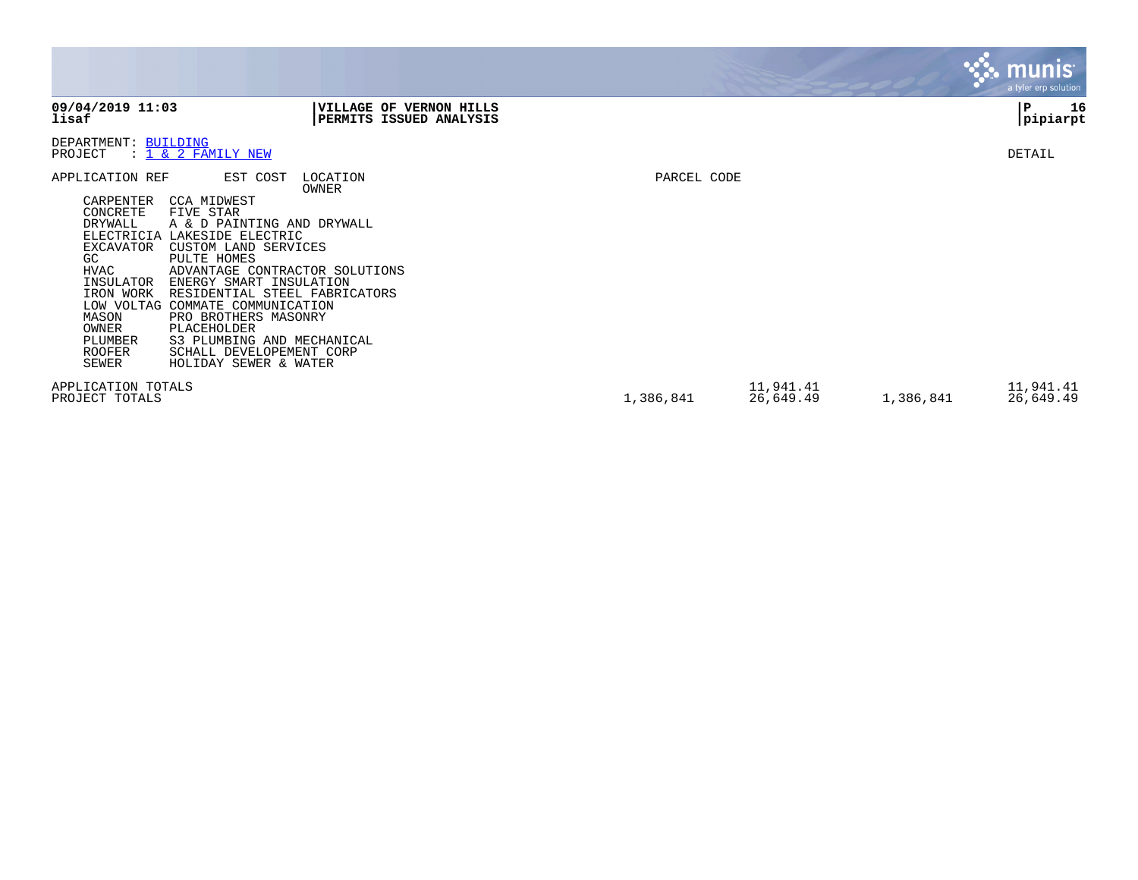|                                                                                                                                                                               |                                                                                                                                                                                                                                                                                                                                                                                                                 |             |                        |           | $\mathbb{C}$ munis<br>a tyler erp solution |
|-------------------------------------------------------------------------------------------------------------------------------------------------------------------------------|-----------------------------------------------------------------------------------------------------------------------------------------------------------------------------------------------------------------------------------------------------------------------------------------------------------------------------------------------------------------------------------------------------------------|-------------|------------------------|-----------|--------------------------------------------|
| 09/04/2019 11:03<br>lisaf                                                                                                                                                     | <b>VILLAGE OF VERNON HILLS</b><br>PERMITS ISSUED ANALYSIS                                                                                                                                                                                                                                                                                                                                                       |             |                        |           | P<br>16<br> pipiarpt                       |
| DEPARTMENT: BUILDING<br>PROJECT                                                                                                                                               | : <u>1 &amp; 2 FAMILY NEW</u>                                                                                                                                                                                                                                                                                                                                                                                   |             |                        |           | DETAIL                                     |
| APPLICATION REF<br>CARPENTER<br>CONCRETE<br>DRYWALL<br>ELECTRICIA<br>EXCAVATOR<br>GC<br><b>HVAC</b><br>INSULATOR<br>IRON WORK<br>MASON<br>OWNER<br>PLUMBER<br>ROOFER<br>SEWER | EST COST<br>LOCATION<br>OWNER<br>CCA MIDWEST<br>FIVE STAR<br>A & D PAINTING AND DRYWALL<br>LAKESIDE ELECTRIC<br>CUSTOM LAND SERVICES<br>PULTE HOMES<br>ADVANTAGE CONTRACTOR SOLUTIONS<br>ENERGY SMART INSULATION<br>RESIDENTIAL STEEL FABRICATORS<br>LOW VOLTAG COMMATE COMMUNICATION<br>PRO BROTHERS MASONRY<br>PLACEHOLDER<br>S3 PLUMBING AND MECHANICAL<br>SCHALL DEVELOPEMENT CORP<br>HOLIDAY SEWER & WATER | PARCEL CODE |                        |           |                                            |
| APPLICATION TOTALS<br>PROJECT TOTALS                                                                                                                                          |                                                                                                                                                                                                                                                                                                                                                                                                                 | 1,386,841   | 11,941.41<br>26,649.49 | 1,386,841 | 11,941.41<br>26,649.49                     |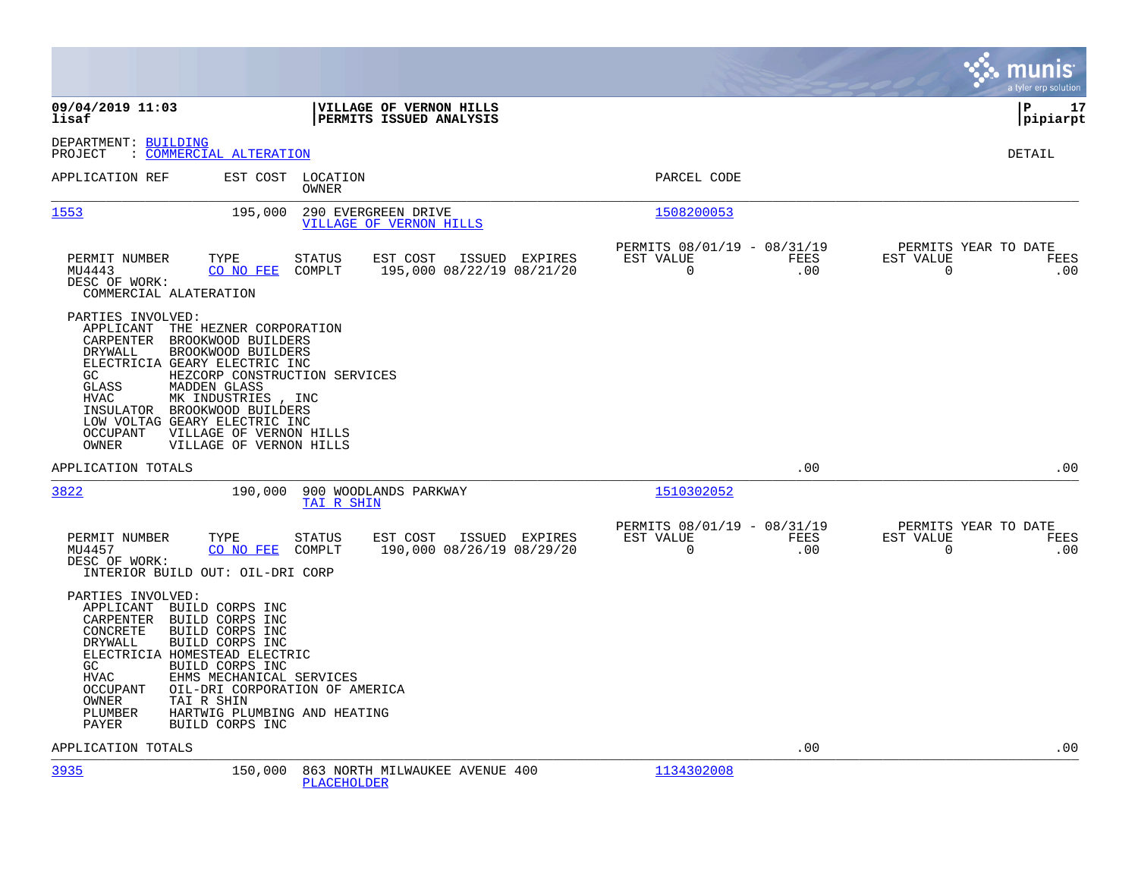|                                                                                                                                                                                                                                              |                                                                                                                                                                                           |                                                         |                                                         |             | munis<br>a tyler erp solution                                   |
|----------------------------------------------------------------------------------------------------------------------------------------------------------------------------------------------------------------------------------------------|-------------------------------------------------------------------------------------------------------------------------------------------------------------------------------------------|---------------------------------------------------------|---------------------------------------------------------|-------------|-----------------------------------------------------------------|
| 09/04/2019 11:03<br>lisaf                                                                                                                                                                                                                    |                                                                                                                                                                                           | VILLAGE OF VERNON HILLS<br>PERMITS ISSUED ANALYSIS      |                                                         |             | P<br>17<br> pipiarpt                                            |
| DEPARTMENT: BUILDING<br>: COMMERCIAL ALTERATION<br>PROJECT                                                                                                                                                                                   |                                                                                                                                                                                           |                                                         |                                                         |             | <b>DETAIL</b>                                                   |
| APPLICATION REF                                                                                                                                                                                                                              | EST COST LOCATION<br>OWNER                                                                                                                                                                |                                                         | PARCEL CODE                                             |             |                                                                 |
| 1553                                                                                                                                                                                                                                         | 195,000<br>290 EVERGREEN DRIVE                                                                                                                                                            | VILLAGE OF VERNON HILLS                                 | 1508200053                                              |             |                                                                 |
| PERMIT NUMBER<br>MU4443<br>DESC OF WORK:<br>COMMERCIAL ALATERATION                                                                                                                                                                           | TYPE<br><b>STATUS</b><br>COMPLT<br>CO NO FEE                                                                                                                                              | EST COST<br>ISSUED EXPIRES<br>195,000 08/22/19 08/21/20 | PERMITS 08/01/19 - 08/31/19<br>EST VALUE<br>$\mathbf 0$ | FEES<br>.00 | PERMITS YEAR TO DATE<br>FEES<br>EST VALUE<br>$\mathbf 0$<br>.00 |
| PARTIES INVOLVED:<br>APPLICANT THE HEZNER CORPORATION<br>CARPENTER BROOKWOOD BUILDERS<br>DRYWALL<br>ELECTRICIA GEARY ELECTRIC INC<br>GC.<br>GLASS<br>MADDEN GLASS<br>HVAC<br>INSULATOR<br>LOW VOLTAG GEARY ELECTRIC INC<br>OCCUPANT<br>OWNER | BROOKWOOD BUILDERS<br>HEZCORP CONSTRUCTION SERVICES<br>MK INDUSTRIES, INC<br>BROOKWOOD BUILDERS<br>VILLAGE OF VERNON HILLS<br>VILLAGE OF VERNON HILLS                                     |                                                         |                                                         |             |                                                                 |
| APPLICATION TOTALS                                                                                                                                                                                                                           |                                                                                                                                                                                           |                                                         |                                                         | .00         | .00                                                             |
| 3822                                                                                                                                                                                                                                         | 190,000<br>TAI R SHIN                                                                                                                                                                     | 900 WOODLANDS PARKWAY                                   | 1510302052                                              |             |                                                                 |
| PERMIT NUMBER<br>MU4457<br>DESC OF WORK:<br>INTERIOR BUILD OUT: OIL-DRI CORP                                                                                                                                                                 | <b>STATUS</b><br>TYPE<br>COMPLT<br>CO NO FEE                                                                                                                                              | EST COST<br>ISSUED EXPIRES<br>190,000 08/26/19 08/29/20 | PERMITS 08/01/19 - 08/31/19<br>EST VALUE<br>0           | FEES<br>.00 | PERMITS YEAR TO DATE<br>EST VALUE<br>FEES<br>$\mathbf 0$<br>.00 |
| PARTIES INVOLVED:<br>APPLICANT BUILD CORPS INC<br>CARPENTER<br>CONCRETE<br>DRYWALL<br>ELECTRICIA HOMESTEAD ELECTRIC<br>GC.<br>HVAC<br><b>OCCUPANT</b><br>OWNER<br>TAI R SHIN<br>PLUMBER<br>PAYER                                             | BUILD CORPS INC<br>BUILD CORPS INC<br>BUILD CORPS INC<br>BUILD CORPS INC<br>EHMS MECHANICAL SERVICES<br>OIL-DRI CORPORATION OF AMERICA<br>HARTWIG PLUMBING AND HEATING<br>BUILD CORPS INC |                                                         |                                                         |             |                                                                 |
| APPLICATION TOTALS                                                                                                                                                                                                                           |                                                                                                                                                                                           |                                                         |                                                         | .00         | .00                                                             |
| 3935                                                                                                                                                                                                                                         | 150,000<br>PLACEHOLDER                                                                                                                                                                    | 863 NORTH MILWAUKEE AVENUE 400                          | 1134302008                                              |             |                                                                 |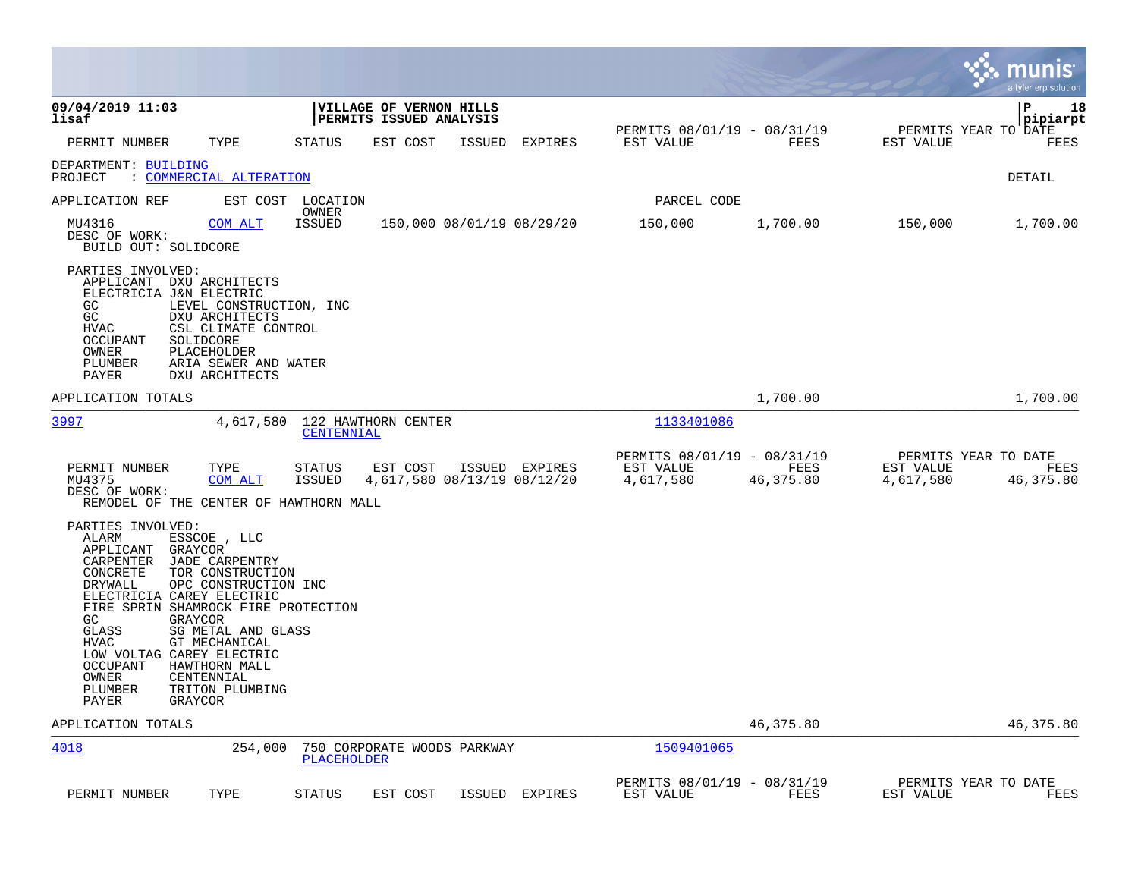|                                                                                                                                                                                                                                                                                      |                                                                                                                                                                           |                                |                                                    |        |                           |                                                       |                   |                        | munis<br>a tyler erp solution             |
|--------------------------------------------------------------------------------------------------------------------------------------------------------------------------------------------------------------------------------------------------------------------------------------|---------------------------------------------------------------------------------------------------------------------------------------------------------------------------|--------------------------------|----------------------------------------------------|--------|---------------------------|-------------------------------------------------------|-------------------|------------------------|-------------------------------------------|
| 09/04/2019 11:03<br>lisaf                                                                                                                                                                                                                                                            |                                                                                                                                                                           |                                | VILLAGE OF VERNON HILLS<br>PERMITS ISSUED ANALYSIS |        |                           |                                                       |                   |                        | P<br>18<br>pipiarpt                       |
| PERMIT NUMBER                                                                                                                                                                                                                                                                        | TYPE                                                                                                                                                                      | <b>STATUS</b>                  | EST COST                                           | ISSUED | EXPIRES                   | PERMITS 08/01/19 - 08/31/19<br>EST VALUE              | FEES              | EST VALUE              | PERMITS YEAR TO DATE<br>FEES              |
| DEPARTMENT: BUILDING<br>PROJECT                                                                                                                                                                                                                                                      | : COMMERCIAL ALTERATION                                                                                                                                                   |                                |                                                    |        |                           |                                                       |                   |                        | DETAIL                                    |
| APPLICATION REF                                                                                                                                                                                                                                                                      | EST COST                                                                                                                                                                  | LOCATION                       |                                                    |        |                           | PARCEL CODE                                           |                   |                        |                                           |
| MU4316<br>DESC OF WORK:<br>BUILD OUT: SOLIDCORE                                                                                                                                                                                                                                      | COM ALT                                                                                                                                                                   | OWNER<br>ISSUED                |                                                    |        | 150,000 08/01/19 08/29/20 | 150,000                                               | 1,700.00          | 150,000                | 1,700.00                                  |
| PARTIES INVOLVED:<br>APPLICANT DXU ARCHITECTS<br>ELECTRICIA J&N ELECTRIC<br>GC<br>GC<br><b>HVAC</b><br>OCCUPANT<br>OWNER<br>PLUMBER<br>PAYER                                                                                                                                         | LEVEL CONSTRUCTION, INC<br>DXU ARCHITECTS<br>CSL CLIMATE CONTROL<br>SOLIDCORE<br>PLACEHOLDER<br>ARIA SEWER AND WATER<br>DXU ARCHITECTS                                    |                                |                                                    |        |                           |                                                       |                   |                        |                                           |
| APPLICATION TOTALS                                                                                                                                                                                                                                                                   |                                                                                                                                                                           |                                |                                                    |        |                           |                                                       | 1,700.00          |                        | 1,700.00                                  |
| 3997                                                                                                                                                                                                                                                                                 | 4,617,580                                                                                                                                                                 | CENTENNIAL                     | 122 HAWTHORN CENTER                                |        |                           | 1133401086                                            |                   |                        |                                           |
| PERMIT NUMBER<br>MU4375<br>DESC OF WORK:<br>REMODEL OF THE CENTER OF HAWTHORN MALL                                                                                                                                                                                                   | TYPE<br>COM ALT                                                                                                                                                           | <b>STATUS</b><br><b>ISSUED</b> | EST COST<br>4,617,580 08/13/19 08/12/20            |        | ISSUED EXPIRES            | PERMITS 08/01/19 - 08/31/19<br>EST VALUE<br>4,617,580 | FEES<br>46,375.80 | EST VALUE<br>4,617,580 | PERMITS YEAR TO DATE<br>FEES<br>46,375.80 |
| PARTIES INVOLVED:<br>ALARM<br>APPLICANT<br>GRAYCOR<br>CARPENTER<br>CONCRETE<br>DRYWALL<br>ELECTRICIA CAREY ELECTRIC<br>FIRE SPRIN SHAMROCK FIRE PROTECTION<br>GC<br>GRAYCOR<br>GLASS<br>HVAC<br>LOW VOLTAG CAREY ELECTRIC<br><b>OCCUPANT</b><br>OWNER<br>PLUMBER<br>PAYER<br>GRAYCOR | ESSCOE, LLC<br><b>JADE CARPENTRY</b><br>TOR CONSTRUCTION<br>OPC CONSTRUCTION INC<br>SG METAL AND GLASS<br>GT MECHANICAL<br>HAWTHORN MALL<br>CENTENNIAL<br>TRITON PLUMBING |                                |                                                    |        |                           |                                                       |                   |                        |                                           |
| APPLICATION TOTALS                                                                                                                                                                                                                                                                   |                                                                                                                                                                           |                                |                                                    |        |                           |                                                       | 46,375.80         |                        | 46,375.80                                 |
| 4018                                                                                                                                                                                                                                                                                 | 254,000                                                                                                                                                                   | PLACEHOLDER                    | 750 CORPORATE WOODS PARKWAY                        |        |                           | 1509401065                                            |                   |                        |                                           |
| PERMIT NUMBER                                                                                                                                                                                                                                                                        | TYPE                                                                                                                                                                      | STATUS                         | EST COST                                           |        | ISSUED EXPIRES            | PERMITS 08/01/19 - 08/31/19<br>EST VALUE              | FEES              | EST VALUE              | PERMITS YEAR TO DATE<br>FEES              |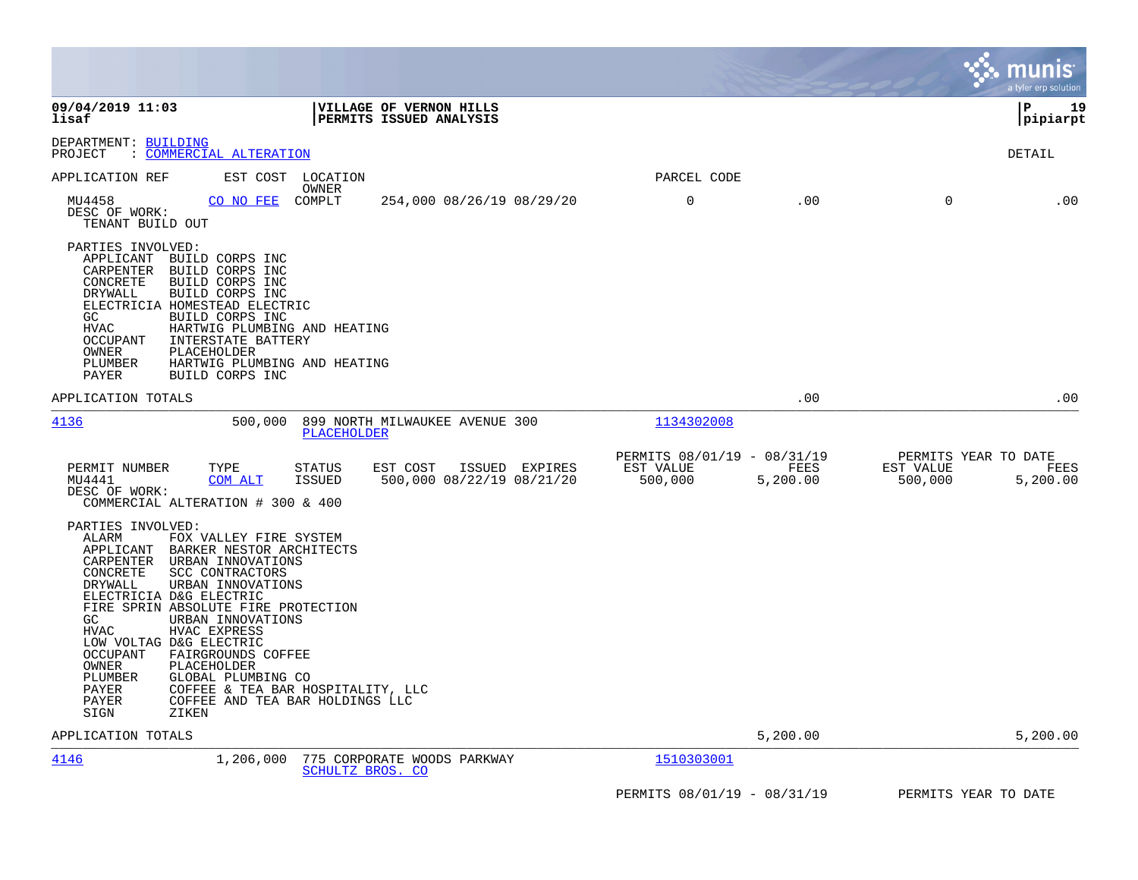|                                                                                                                                                                                                                                                                                                                                                                                                                                                                                                                                                             |                                  | munis<br>a tyler erp solution                    |
|-------------------------------------------------------------------------------------------------------------------------------------------------------------------------------------------------------------------------------------------------------------------------------------------------------------------------------------------------------------------------------------------------------------------------------------------------------------------------------------------------------------------------------------------------------------|----------------------------------|--------------------------------------------------|
| 09/04/2019 11:03<br>VILLAGE OF VERNON HILLS<br><b>PERMITS ISSUED ANALYSIS</b><br>lisaf                                                                                                                                                                                                                                                                                                                                                                                                                                                                      |                                  | l P<br>19<br> pipiarpt                           |
| DEPARTMENT: BUILDING<br>: COMMERCIAL ALTERATION<br>PROJECT                                                                                                                                                                                                                                                                                                                                                                                                                                                                                                  |                                  | DETAIL                                           |
| EST COST<br>APPLICATION REF<br>LOCATION                                                                                                                                                                                                                                                                                                                                                                                                                                                                                                                     | PARCEL CODE                      |                                                  |
| OWNER<br>MU4458<br>COMPLT<br>254,000 08/26/19 08/29/20<br>CO NO FEE<br>DESC OF WORK:<br>TENANT BUILD OUT                                                                                                                                                                                                                                                                                                                                                                                                                                                    | $\mathbf 0$                      | .00<br>$\mathbf 0$<br>.00                        |
| PARTIES INVOLVED:<br>APPLICANT<br>BUILD CORPS INC<br>BUILD CORPS INC<br>CARPENTER<br>CONCRETE<br>BUILD CORPS INC<br>DRYWALL<br>BUILD CORPS INC<br>ELECTRICIA HOMESTEAD ELECTRIC<br>GC<br>BUILD CORPS INC<br>HVAC<br>HARTWIG PLUMBING AND HEATING<br>INTERSTATE BATTERY<br>OCCUPANT<br>OWNER<br>PLACEHOLDER<br>PLUMBER<br>HARTWIG PLUMBING AND HEATING<br>BUILD CORPS INC<br>PAYER                                                                                                                                                                           |                                  |                                                  |
| APPLICATION TOTALS                                                                                                                                                                                                                                                                                                                                                                                                                                                                                                                                          |                                  | .00<br>.00                                       |
| 4136<br>500,000<br>899 NORTH MILWAUKEE AVENUE 300<br>PLACEHOLDER                                                                                                                                                                                                                                                                                                                                                                                                                                                                                            | 1134302008                       |                                                  |
|                                                                                                                                                                                                                                                                                                                                                                                                                                                                                                                                                             | PERMITS 08/01/19 - 08/31/19      | PERMITS YEAR TO DATE                             |
| PERMIT NUMBER<br>TYPE<br>STATUS<br>EST COST<br>ISSUED EXPIRES<br><b>ISSUED</b><br>500,000 08/22/19 08/21/20<br>MU4441<br>COM ALT<br>DESC OF WORK:<br>COMMERCIAL ALTERATION # 300 & 400                                                                                                                                                                                                                                                                                                                                                                      | EST VALUE<br>500,000<br>5,200.00 | FEES<br>EST VALUE<br>FEES<br>500,000<br>5,200.00 |
| PARTIES INVOLVED:<br>ALARM<br>FOX VALLEY FIRE SYSTEM<br>APPLICANT<br>BARKER NESTOR ARCHITECTS<br>CARPENTER<br>URBAN INNOVATIONS<br>CONCRETE<br>SCC CONTRACTORS<br>DRYWALL<br>URBAN INNOVATIONS<br>ELECTRICIA D&G ELECTRIC<br>FIRE SPRIN ABSOLUTE FIRE PROTECTION<br>GC<br>URBAN INNOVATIONS<br>HVAC EXPRESS<br>HVAC<br>LOW VOLTAG D&G ELECTRIC<br><b>OCCUPANT</b><br>FAIRGROUNDS COFFEE<br>OWNER<br>PLACEHOLDER<br>PLUMBER<br>GLOBAL PLUMBING CO<br>PAYER<br>COFFEE & TEA BAR HOSPITALITY, LLC<br>COFFEE AND TEA BAR HOLDINGS LLC<br>PAYER<br>SIGN<br>ZIKEN |                                  |                                                  |
| APPLICATION TOTALS                                                                                                                                                                                                                                                                                                                                                                                                                                                                                                                                          | 5,200.00                         | 5,200.00                                         |
| 4146<br>775 CORPORATE WOODS PARKWAY<br>1,206,000<br>SCHULTZ BROS. CO                                                                                                                                                                                                                                                                                                                                                                                                                                                                                        | 1510303001                       |                                                  |
|                                                                                                                                                                                                                                                                                                                                                                                                                                                                                                                                                             | PERMITS 08/01/19 - 08/31/19      | PERMITS YEAR TO DATE                             |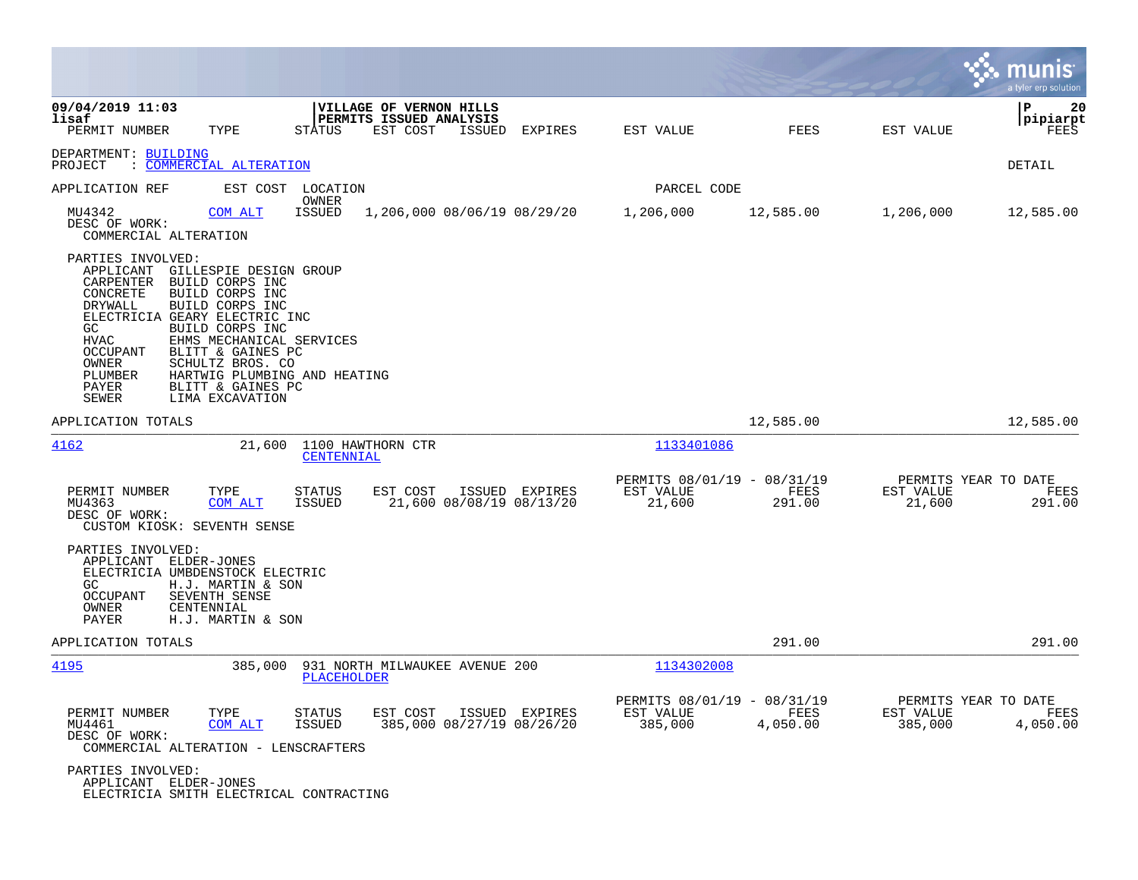|                                                                                                                                      |                                                                                                                                                                                                                                                                                            |                                |                                                                          |                |                                                     |                  |                                              | a tyler erp solution                  |
|--------------------------------------------------------------------------------------------------------------------------------------|--------------------------------------------------------------------------------------------------------------------------------------------------------------------------------------------------------------------------------------------------------------------------------------------|--------------------------------|--------------------------------------------------------------------------|----------------|-----------------------------------------------------|------------------|----------------------------------------------|---------------------------------------|
| 09/04/2019 11:03<br>lisaf<br>PERMIT NUMBER                                                                                           | TYPE                                                                                                                                                                                                                                                                                       | <b>STATUS</b>                  | VILLAGE OF VERNON HILLS<br>PERMITS ISSUED ANALYSIS<br>EST COST<br>ISSUED | EXPIRES        | EST VALUE                                           | FEES             | EST VALUE                                    | l P<br>20<br> pipiarpt<br><b>FEES</b> |
| DEPARTMENT: BUILDING<br>PROJECT                                                                                                      | : COMMERCIAL ALTERATION                                                                                                                                                                                                                                                                    |                                |                                                                          |                |                                                     |                  |                                              | DETAIL                                |
| APPLICATION REF                                                                                                                      | EST COST                                                                                                                                                                                                                                                                                   | LOCATION                       |                                                                          |                | PARCEL CODE                                         |                  |                                              |                                       |
| MU4342<br>DESC OF WORK:<br>COMMERCIAL ALTERATION                                                                                     | <u>COM ALT</u>                                                                                                                                                                                                                                                                             | OWNER<br>ISSUED                | 1,206,000 08/06/19 08/29/20                                              |                | 1,206,000                                           | 12,585.00        | 1,206,000                                    | 12,585.00                             |
| PARTIES INVOLVED:<br>CARPENTER<br>CONCRETE<br>DRYWALL<br>GC.<br><b>HVAC</b><br><b>OCCUPANT</b><br>OWNER<br>PLUMBER<br>PAYER<br>SEWER | APPLICANT GILLESPIE DESIGN GROUP<br>BUILD CORPS INC<br>BUILD CORPS INC<br>BUILD CORPS INC<br>ELECTRICIA GEARY ELECTRIC INC<br>BUILD CORPS INC<br>EHMS MECHANICAL SERVICES<br>BLITT & GAINES PC<br>SCHULTZ BROS. CO<br>HARTWIG PLUMBING AND HEATING<br>BLITT & GAINES PC<br>LIMA EXCAVATION |                                |                                                                          |                |                                                     |                  |                                              |                                       |
| APPLICATION TOTALS                                                                                                                   |                                                                                                                                                                                                                                                                                            |                                |                                                                          |                |                                                     | 12,585.00        |                                              | 12,585.00                             |
| 4162                                                                                                                                 | 21,600                                                                                                                                                                                                                                                                                     | CENTENNIAL                     | 1100 HAWTHORN CTR                                                        |                | 1133401086                                          |                  |                                              |                                       |
| PERMIT NUMBER<br>MU4363<br>DESC OF WORK:                                                                                             | TYPE<br><b>COM ALT</b><br>CUSTOM KIOSK: SEVENTH SENSE                                                                                                                                                                                                                                      | <b>STATUS</b><br><b>ISSUED</b> | EST COST<br>21,600 08/08/19 08/13/20                                     | ISSUED EXPIRES | PERMITS 08/01/19 - 08/31/19<br>EST VALUE<br>21,600  | FEES<br>291.00   | PERMITS YEAR TO DATE<br>EST VALUE<br>21,600  | FEES<br>291.00                        |
| PARTIES INVOLVED:<br>APPLICANT ELDER-JONES<br>GC.<br>OCCUPANT<br>OWNER<br>PAYER                                                      | ELECTRICIA UMBDENSTOCK ELECTRIC<br>H.J. MARTIN & SON<br>SEVENTH SENSE<br>CENTENNIAL<br>H.J. MARTIN & SON                                                                                                                                                                                   |                                |                                                                          |                |                                                     |                  |                                              |                                       |
| APPLICATION TOTALS                                                                                                                   |                                                                                                                                                                                                                                                                                            |                                |                                                                          |                |                                                     | 291.00           |                                              | 291.00                                |
| 4195                                                                                                                                 | 385,000                                                                                                                                                                                                                                                                                    | <b>PLACEHOLDER</b>             | 931 NORTH MILWAUKEE AVENUE 200                                           |                | 1134302008                                          |                  |                                              |                                       |
| PERMIT NUMBER<br>MU4461<br>DESC OF WORK:                                                                                             | TYPE<br>COM ALT<br>COMMERCIAL ALTERATION - LENSCRAFTERS                                                                                                                                                                                                                                    | <b>STATUS</b><br><b>ISSUED</b> | EST COST<br>385,000 08/27/19 08/26/20                                    | ISSUED EXPIRES | PERMITS 08/01/19 - 08/31/19<br>EST VALUE<br>385,000 | FEES<br>4,050.00 | PERMITS YEAR TO DATE<br>EST VALUE<br>385,000 | FEES<br>4,050.00                      |
| PARTIES INVOLVED:<br>APPLICANT ELDER-JONES                                                                                           | ELECTRICIA SMITH ELECTRICAL CONTRACTING                                                                                                                                                                                                                                                    |                                |                                                                          |                |                                                     |                  |                                              |                                       |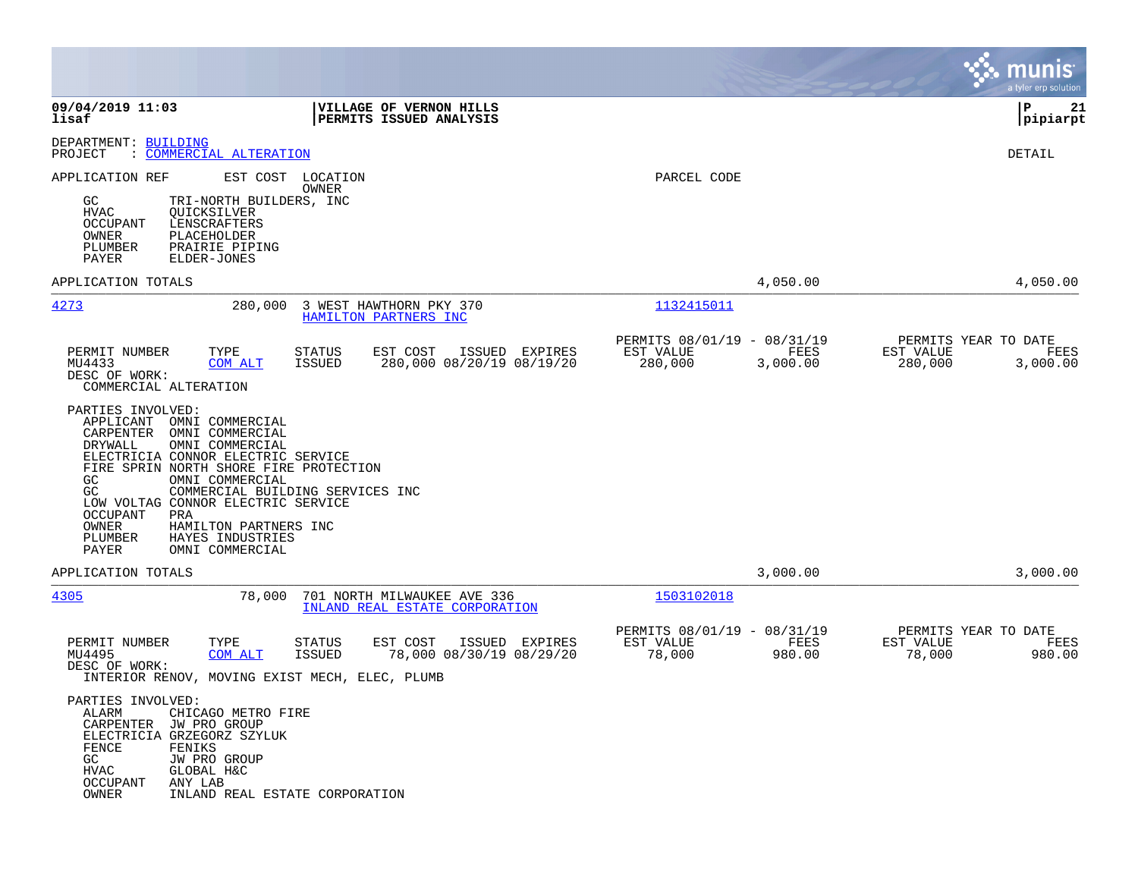|                                                                                                                                                                                                                                                                                                                                                                                                                                                                  |                                                                         | munis<br>a tyler erp solution                                    |
|------------------------------------------------------------------------------------------------------------------------------------------------------------------------------------------------------------------------------------------------------------------------------------------------------------------------------------------------------------------------------------------------------------------------------------------------------------------|-------------------------------------------------------------------------|------------------------------------------------------------------|
| 09/04/2019 11:03<br><b>VILLAGE OF VERNON HILLS</b><br>lisaf<br><b>PERMITS ISSUED ANALYSIS</b>                                                                                                                                                                                                                                                                                                                                                                    |                                                                         | ∣P<br>21<br> pipiarpt                                            |
| DEPARTMENT: BUILDING<br>PROJECT<br>: COMMERCIAL ALTERATION                                                                                                                                                                                                                                                                                                                                                                                                       |                                                                         | DETAIL                                                           |
| APPLICATION REF<br>EST COST<br>LOCATION<br>OWNER<br>GC<br>TRI-NORTH BUILDERS, INC<br>HVAC<br>OUICKSILVER<br>OCCUPANT<br>LENSCRAFTERS<br>OWNER<br>PLACEHOLDER<br>PLUMBER<br>PRAIRIE PIPING<br>PAYER<br>ELDER-JONES                                                                                                                                                                                                                                                | PARCEL CODE                                                             |                                                                  |
| APPLICATION TOTALS                                                                                                                                                                                                                                                                                                                                                                                                                                               | 4,050.00                                                                | 4,050.00                                                         |
| 4273<br>3 WEST HAWTHORN PKY 370<br>280,000<br>HAMILTON PARTNERS INC                                                                                                                                                                                                                                                                                                                                                                                              | 1132415011                                                              |                                                                  |
| PERMIT NUMBER<br>TYPE<br><b>STATUS</b><br>EST COST<br>ISSUED EXPIRES<br>280,000 08/20/19 08/19/20<br>MU4433<br>COM ALT<br><b>ISSUED</b><br>DESC OF WORK:<br>COMMERCIAL ALTERATION                                                                                                                                                                                                                                                                                | PERMITS 08/01/19 - 08/31/19<br>EST VALUE<br>FEES<br>280,000<br>3,000.00 | PERMITS YEAR TO DATE<br>EST VALUE<br>FEES<br>280,000<br>3,000.00 |
| PARTIES INVOLVED:<br>APPLICANT<br>OMNI COMMERCIAL<br>CARPENTER<br>OMNI COMMERCIAL<br>OMNI COMMERCIAL<br>DRYWALL<br>ELECTRICIA CONNOR ELECTRIC SERVICE<br>FIRE SPRIN NORTH SHORE FIRE PROTECTION<br>OMNI COMMERCIAL<br><b>GC</b><br>GC<br>COMMERCIAL BUILDING SERVICES INC<br>LOW VOLTAG CONNOR ELECTRIC SERVICE<br>OCCUPANT<br>PRA<br>OWNER<br>HAMILTON PARTNERS INC<br>HAYES INDUSTRIES<br>PLUMBER<br>PAYER<br>OMNI COMMERCIAL                                  |                                                                         |                                                                  |
| APPLICATION TOTALS                                                                                                                                                                                                                                                                                                                                                                                                                                               | 3,000.00                                                                | 3,000.00                                                         |
| 4305<br>78,000<br>701 NORTH MILWAUKEE AVE 336<br>INLAND REAL ESTATE CORPORATION                                                                                                                                                                                                                                                                                                                                                                                  | 1503102018<br>PERMITS 08/01/19 - 08/31/19                               | PERMITS YEAR TO DATE                                             |
| PERMIT NUMBER<br><b>STATUS</b><br>EST COST<br>ISSUED EXPIRES<br>TYPE<br>MU4495<br>COM ALT<br><b>ISSUED</b><br>78,000 08/30/19 08/29/20<br>DESC OF WORK:<br>INTERIOR RENOV, MOVING EXIST MECH, ELEC, PLUMB<br>PARTIES INVOLVED:<br>ALARM<br>CHICAGO METRO FIRE<br>CARPENTER<br>JW PRO GROUP<br>ELECTRICIA GRZEGORZ SZYLUK<br>FENCE<br>FENIKS<br>GC<br>JW PRO GROUP<br><b>HVAC</b><br>GLOBAL H&C<br>OCCUPANT<br>ANY LAB<br>OWNER<br>INLAND REAL ESTATE CORPORATION | EST VALUE<br>FEES<br>78,000<br>980.00                                   | EST VALUE<br>FEES<br>78,000<br>980.00                            |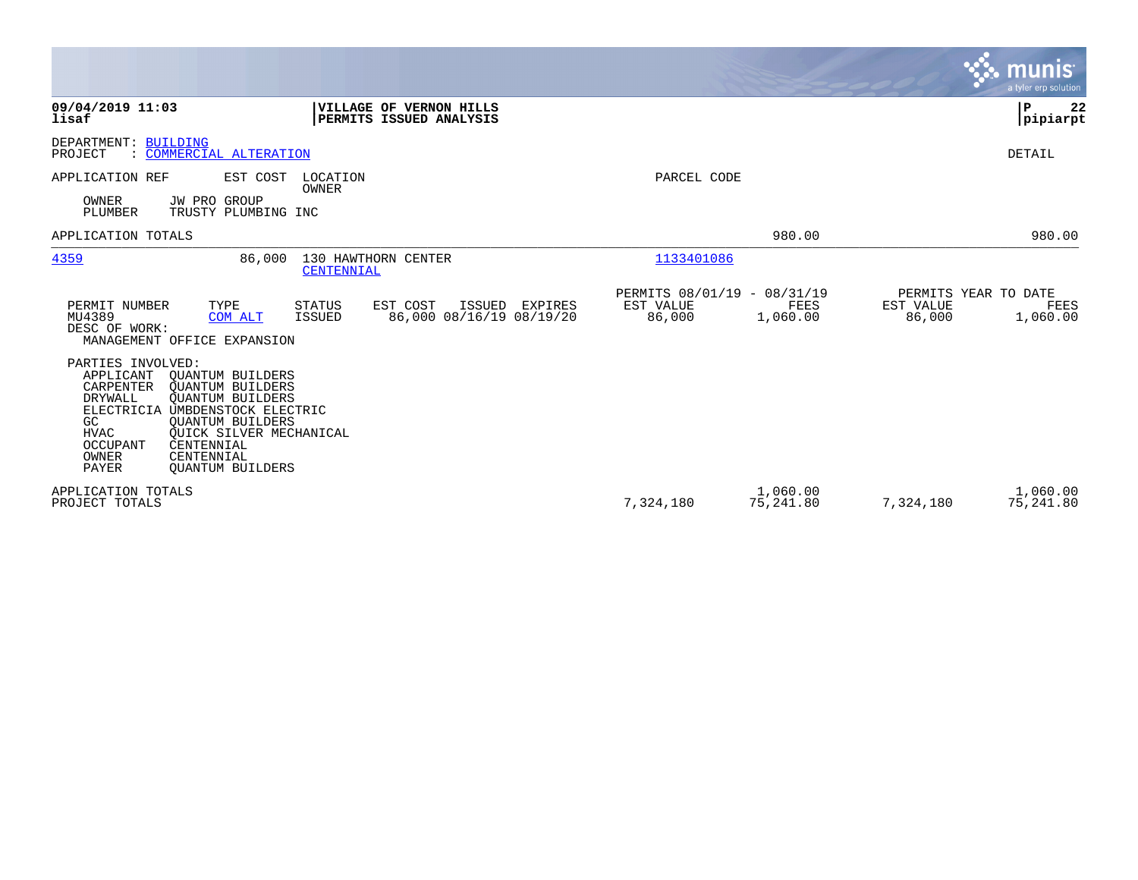|                                                                                                                                                                                                                                                                                                                                                                    |                                                    |                       | munis<br>a tyler erp solution                                   |
|--------------------------------------------------------------------------------------------------------------------------------------------------------------------------------------------------------------------------------------------------------------------------------------------------------------------------------------------------------------------|----------------------------------------------------|-----------------------|-----------------------------------------------------------------|
| 09/04/2019 11:03<br>VILLAGE OF VERNON HILLS<br>PERMITS ISSUED ANALYSIS<br>lisaf                                                                                                                                                                                                                                                                                    |                                                    |                       | ∣P<br>22<br> pipiarpt                                           |
| DEPARTMENT: BUILDING<br>: COMMERCIAL ALTERATION<br>PROJECT                                                                                                                                                                                                                                                                                                         |                                                    |                       | DETAIL                                                          |
| APPLICATION REF<br>EST COST<br>LOCATION<br>OWNER<br><b>OWNER</b><br>JW PRO GROUP<br>PLUMBER<br>TRUSTY PLUMBING INC                                                                                                                                                                                                                                                 | PARCEL CODE                                        |                       |                                                                 |
| APPLICATION TOTALS                                                                                                                                                                                                                                                                                                                                                 |                                                    | 980.00                | 980.00                                                          |
| 4359<br>130 HAWTHORN CENTER<br>86,000<br>CENTENNIAL                                                                                                                                                                                                                                                                                                                | 1133401086                                         |                       |                                                                 |
| EST COST<br>PERMIT NUMBER<br>TYPE<br><b>STATUS</b><br>ISSUED<br>EXPIRES<br>MU4389<br>86,000 08/16/19 08/19/20<br>ISSUED<br>COM ALT<br>DESC OF WORK:<br>MANAGEMENT OFFICE EXPANSION                                                                                                                                                                                 | PERMITS 08/01/19 - 08/31/19<br>EST VALUE<br>86,000 | FEES<br>1,060.00      | PERMITS YEAR TO DATE<br>EST VALUE<br>FEES<br>86,000<br>1,060.00 |
| PARTIES INVOLVED:<br>APPLICANT<br><b>OUANTUM BUILDERS</b><br>CARPENTER<br><b>OUANTUM BUILDERS</b><br><b>DRYWALL</b><br><b>OUANTUM BUILDERS</b><br><b>ELECTRICIA</b><br>UMBDENSTOCK ELECTRIC<br><b>OUANTUM BUILDERS</b><br>GC<br><b>HVAC</b><br>QUICK SILVER MECHANICAL<br>OCCUPANT<br>CENTENNIAL<br>OWNER<br>CENTENNIAL<br><b>PAYER</b><br><b>OUANTUM BUILDERS</b> |                                                    |                       |                                                                 |
| APPLICATION TOTALS<br>PROJECT TOTALS                                                                                                                                                                                                                                                                                                                               | 7,324,180                                          | 1,060.00<br>75,241.80 | 1,060.00<br>7,324,180<br>75,241.80                              |

 $\mathcal{L}^{\text{max}}$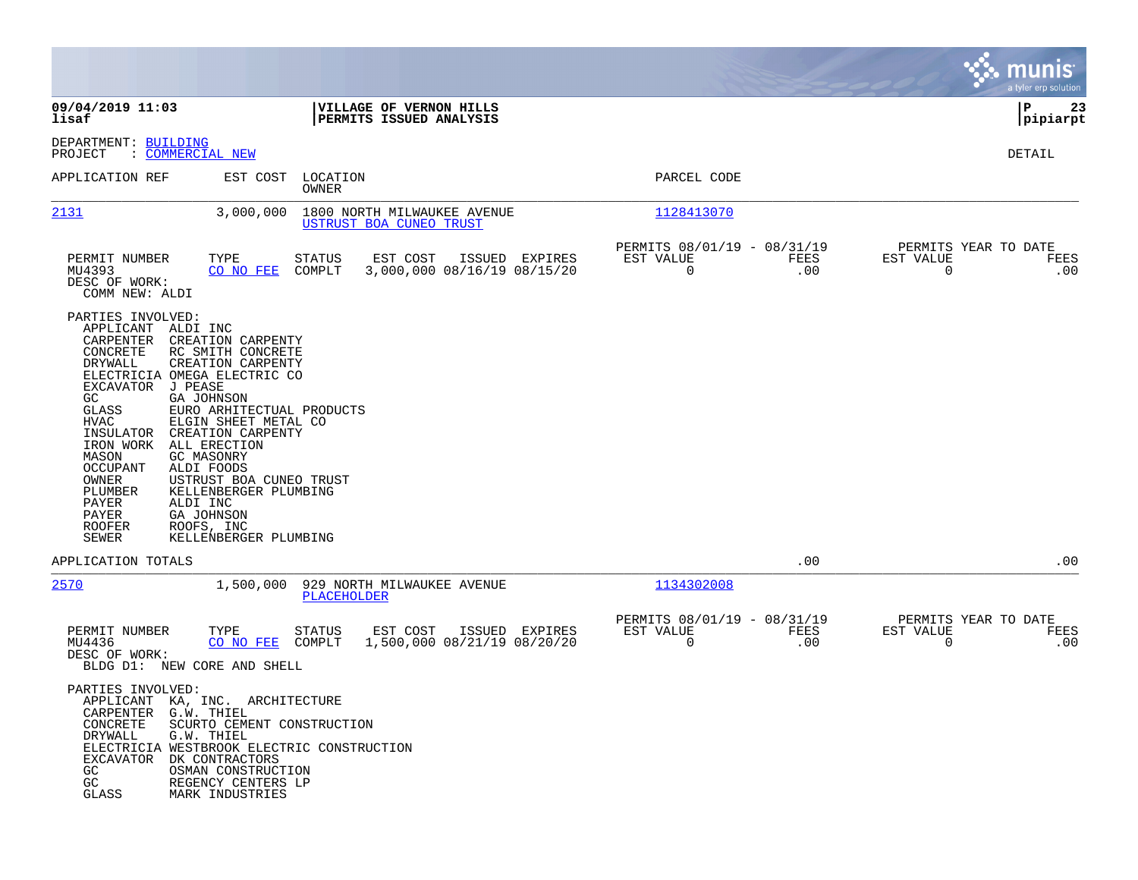|                                                                                                                                                                                                                                                                               |                                                                                                                                                                                                                                                                                                                             |                                                                    |                |                                                         |             |                                                  | munis<br>a tyler erp solution |
|-------------------------------------------------------------------------------------------------------------------------------------------------------------------------------------------------------------------------------------------------------------------------------|-----------------------------------------------------------------------------------------------------------------------------------------------------------------------------------------------------------------------------------------------------------------------------------------------------------------------------|--------------------------------------------------------------------|----------------|---------------------------------------------------------|-------------|--------------------------------------------------|-------------------------------|
| 09/04/2019 11:03<br>lisaf                                                                                                                                                                                                                                                     |                                                                                                                                                                                                                                                                                                                             | VILLAGE OF VERNON HILLS<br>PERMITS ISSUED ANALYSIS                 |                |                                                         |             |                                                  | ∣P<br>23<br>pipiarpt          |
| DEPARTMENT: BUILDING<br>: COMMERCIAL NEW<br>PROJECT                                                                                                                                                                                                                           |                                                                                                                                                                                                                                                                                                                             |                                                                    |                |                                                         |             |                                                  | <b>DETAIL</b>                 |
| APPLICATION REF                                                                                                                                                                                                                                                               | EST COST                                                                                                                                                                                                                                                                                                                    | LOCATION<br>OWNER                                                  |                | PARCEL CODE                                             |             |                                                  |                               |
| 2131                                                                                                                                                                                                                                                                          | 3,000,000                                                                                                                                                                                                                                                                                                                   | 1800 NORTH MILWAUKEE AVENUE<br>USTRUST BOA CUNEO TRUST             |                | 1128413070                                              |             |                                                  |                               |
| PERMIT NUMBER<br>MU4393<br>DESC OF WORK:<br>COMM NEW: ALDI                                                                                                                                                                                                                    | TYPE<br>CO NO FEE                                                                                                                                                                                                                                                                                                           | STATUS<br>EST COST<br>COMPLT<br>3,000,000 08/16/19 08/15/20        | ISSUED EXPIRES | PERMITS 08/01/19 - 08/31/19<br>EST VALUE<br>$\mathbf 0$ | FEES<br>.00 | PERMITS YEAR TO DATE<br>EST VALUE<br>$\mathbf 0$ | FEES<br>.00                   |
| PARTIES INVOLVED:<br>APPLICANT ALDI INC<br>CARPENTER<br>CONCRETE<br>DRYWALL<br>ELECTRICIA OMEGA ELECTRIC CO<br>EXCAVATOR J PEASE<br>GC<br>GLASS<br>HVAC<br>INSULATOR<br>IRON WORK<br>MASON<br><b>OCCUPANT</b><br>OWNER<br>PLUMBER<br>PAYER<br>PAYER<br><b>ROOFER</b><br>SEWER | CREATION CARPENTY<br>RC SMITH CONCRETE<br>CREATION CARPENTY<br>GA JOHNSON<br>EURO ARHITECTUAL PRODUCTS<br>ELGIN SHEET METAL CO<br>CREATION CARPENTY<br>ALL ERECTION<br>GC MASONRY<br>ALDI FOODS<br>USTRUST BOA CUNEO TRUST<br>KELLENBERGER PLUMBING<br>ALDI INC<br><b>GA JOHNSON</b><br>ROOFS, INC<br>KELLENBERGER PLUMBING |                                                                    |                |                                                         |             |                                                  |                               |
| APPLICATION TOTALS                                                                                                                                                                                                                                                            |                                                                                                                                                                                                                                                                                                                             |                                                                    |                |                                                         | .00         |                                                  | .00                           |
| 2570                                                                                                                                                                                                                                                                          | 1,500,000                                                                                                                                                                                                                                                                                                                   | 929 NORTH MILWAUKEE AVENUE<br>PLACEHOLDER                          |                | 1134302008                                              |             |                                                  |                               |
| PERMIT NUMBER<br>MU4436<br>DESC OF WORK:<br>BLDG D1: NEW CORE AND SHELL                                                                                                                                                                                                       | TYPE<br>CO NO FEE                                                                                                                                                                                                                                                                                                           | <b>STATUS</b><br>EST COST<br>COMPLT<br>1,500,000 08/21/19 08/20/20 | ISSUED EXPIRES | PERMITS 08/01/19 - 08/31/19<br>EST VALUE<br>0           | FEES<br>.00 | PERMITS YEAR TO DATE<br>EST VALUE<br>0           | FEES<br>.00                   |
| PARTIES INVOLVED:<br>APPLICANT KA, INC. ARCHITECTURE<br>CARPENTER<br>CONCRETE<br>DRYWALL<br>ELECTRICIA WESTBROOK ELECTRIC CONSTRUCTION<br>EXCAVATOR DK CONTRACTORS<br>GC<br>GC<br>GLASS                                                                                       | G.W. THIEL<br>SCURTO CEMENT CONSTRUCTION<br>G.W. THIEL<br>OSMAN CONSTRUCTION<br>REGENCY CENTERS LP<br>MARK INDUSTRIES                                                                                                                                                                                                       |                                                                    |                |                                                         |             |                                                  |                               |

**Tara**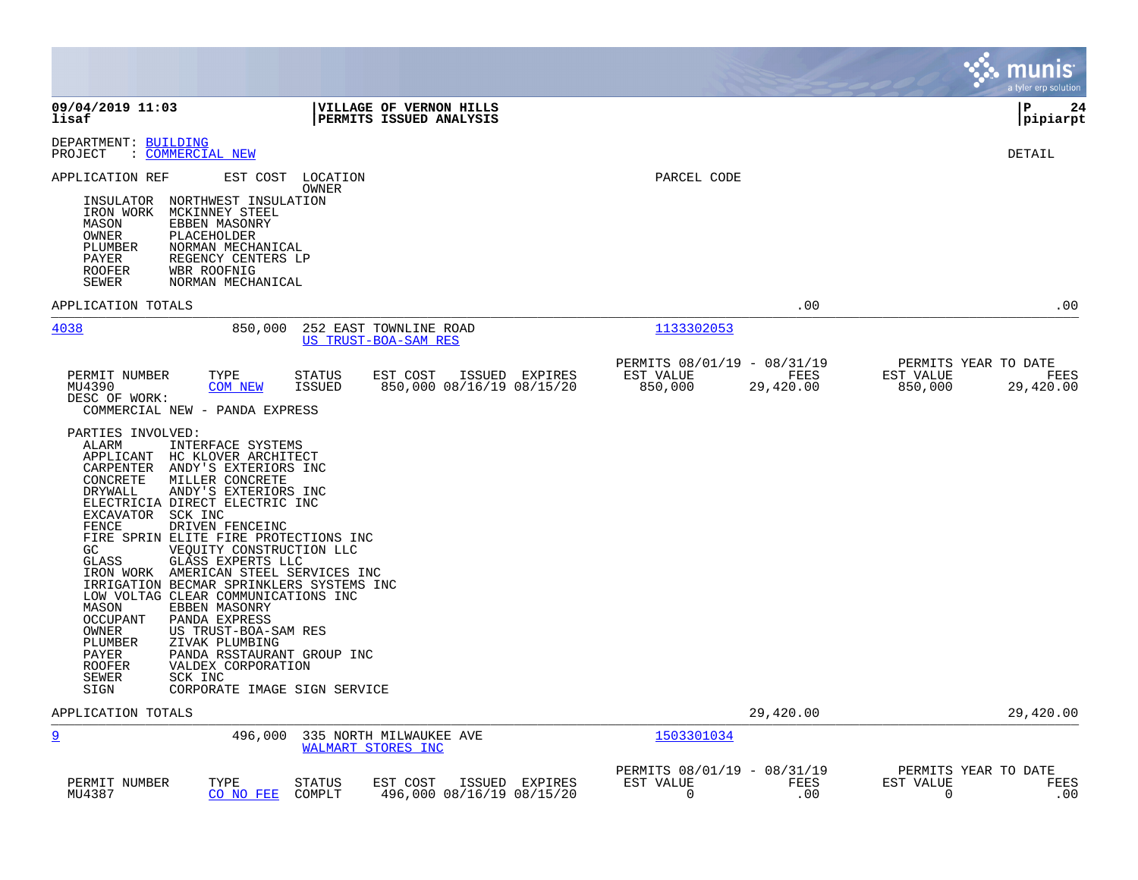|                                                                                                                                                                                                                                                                                                                                                                                                                                                                                                                                                                                                                                                                                                                                                                                                                                                                                                                                        |                                                                  |                                                     |                   | munis<br>a tyler erp solution                                     |
|----------------------------------------------------------------------------------------------------------------------------------------------------------------------------------------------------------------------------------------------------------------------------------------------------------------------------------------------------------------------------------------------------------------------------------------------------------------------------------------------------------------------------------------------------------------------------------------------------------------------------------------------------------------------------------------------------------------------------------------------------------------------------------------------------------------------------------------------------------------------------------------------------------------------------------------|------------------------------------------------------------------|-----------------------------------------------------|-------------------|-------------------------------------------------------------------|
| 09/04/2019 11:03<br>lisaf                                                                                                                                                                                                                                                                                                                                                                                                                                                                                                                                                                                                                                                                                                                                                                                                                                                                                                              | <b>VILLAGE OF VERNON HILLS</b><br><b>PERMITS ISSUED ANALYSIS</b> |                                                     |                   | ∣P<br>24<br> pipiarpt                                             |
| DEPARTMENT: BUILDING<br>: COMMERCIAL NEW<br>PROJECT                                                                                                                                                                                                                                                                                                                                                                                                                                                                                                                                                                                                                                                                                                                                                                                                                                                                                    |                                                                  |                                                     |                   | DETAIL                                                            |
| APPLICATION REF<br>EST COST<br>LOCATION<br>OWNER<br>INSULATOR NORTHWEST INSULATION<br>IRON WORK MCKINNEY STEEL<br>MASON<br>EBBEN MASONRY<br>OWNER<br>PLACEHOLDER<br>PLUMBER<br>NORMAN MECHANICAL<br>PAYER<br>REGENCY CENTERS LP<br><b>ROOFER</b><br>WBR ROOFNIG<br>SEWER<br>NORMAN MECHANICAL                                                                                                                                                                                                                                                                                                                                                                                                                                                                                                                                                                                                                                          |                                                                  | PARCEL CODE                                         |                   |                                                                   |
| APPLICATION TOTALS                                                                                                                                                                                                                                                                                                                                                                                                                                                                                                                                                                                                                                                                                                                                                                                                                                                                                                                     |                                                                  |                                                     | .00               | .00                                                               |
| 4038<br>850,000                                                                                                                                                                                                                                                                                                                                                                                                                                                                                                                                                                                                                                                                                                                                                                                                                                                                                                                        | 252 EAST TOWNLINE ROAD<br>US TRUST-BOA-SAM RES                   | 1133302053                                          |                   |                                                                   |
| PERMIT NUMBER<br>TYPE<br><b>STATUS</b><br>MU4390<br><b>COM NEW</b><br><b>ISSUED</b><br>DESC OF WORK:<br>COMMERCIAL NEW - PANDA EXPRESS<br>PARTIES INVOLVED:<br>ALARM<br>INTERFACE SYSTEMS<br>APPLICANT<br>HC KLOVER ARCHITECT<br>CARPENTER ANDY'S EXTERIORS INC<br>MILLER CONCRETE<br>CONCRETE<br>ANDY'S EXTERIORS INC<br>DRYWALL<br>ELECTRICIA DIRECT ELECTRIC INC<br>EXCAVATOR SCK INC<br>FENCE<br>DRIVEN FENCEINC<br>FIRE SPRIN ELITE FIRE PROTECTIONS INC<br>GC<br>VEQUITY CONSTRUCTION LLC<br>GLASS EXPERTS LLC<br>GLASS<br>IRON WORK AMERICAN STEEL SERVICES INC<br>IRRIGATION BECMAR SPRINKLERS SYSTEMS INC<br>LOW VOLTAG CLEAR COMMUNICATIONS INC<br>MASON<br><b>EBBEN MASONRY</b><br><b>OCCUPANT</b><br>PANDA EXPRESS<br>US TRUST-BOA-SAM RES<br>OWNER<br>PLUMBER<br>ZIVAK PLUMBING<br>PAYER<br>PANDA RSSTAURANT GROUP INC<br><b>ROOFER</b><br>VALDEX CORPORATION<br>SEWER<br>SCK INC<br>CORPORATE IMAGE SIGN SERVICE<br>SIGN | EST COST<br>ISSUED EXPIRES<br>850,000 08/16/19 08/15/20          | PERMITS 08/01/19 - 08/31/19<br>EST VALUE<br>850,000 | FEES<br>29,420.00 | PERMITS YEAR TO DATE<br>EST VALUE<br>FEES<br>850,000<br>29,420.00 |
| APPLICATION TOTALS                                                                                                                                                                                                                                                                                                                                                                                                                                                                                                                                                                                                                                                                                                                                                                                                                                                                                                                     |                                                                  |                                                     | 29,420.00         | 29,420.00                                                         |
| $\overline{9}$<br>496,000                                                                                                                                                                                                                                                                                                                                                                                                                                                                                                                                                                                                                                                                                                                                                                                                                                                                                                              | 335 NORTH MILWAUKEE AVE<br>WALMART STORES INC                    | 1503301034                                          |                   |                                                                   |
| PERMIT NUMBER<br>TYPE<br><b>STATUS</b><br>MU4387<br>CO NO FEE<br>COMPLT                                                                                                                                                                                                                                                                                                                                                                                                                                                                                                                                                                                                                                                                                                                                                                                                                                                                | EST COST<br>ISSUED EXPIRES<br>496,000 08/16/19 08/15/20          | PERMITS 08/01/19 - 08/31/19<br>EST VALUE<br>0       | FEES<br>.00       | PERMITS YEAR TO DATE<br>EST VALUE<br>FEES<br>0<br>.00             |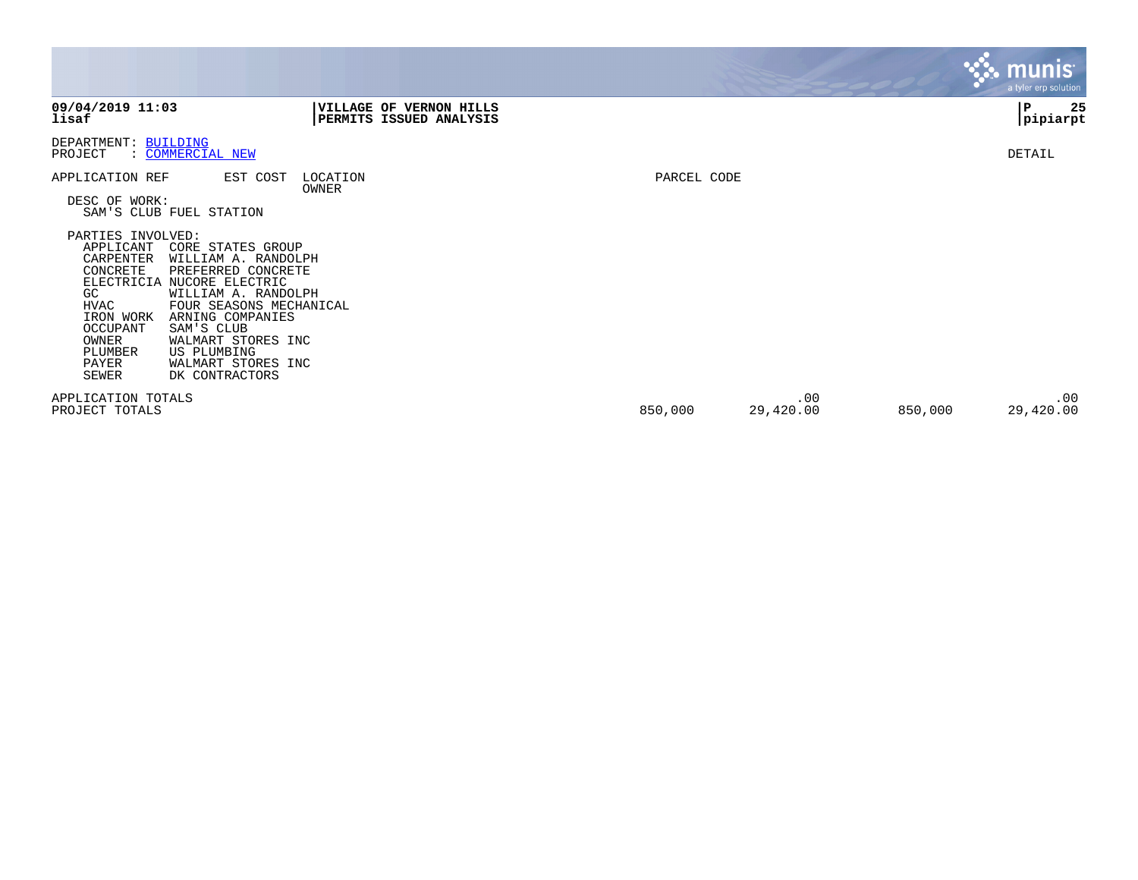|                                                                                                                                                                                                                                                                                                                                                                                                                                                                                             |                                                    |             |                  |         | munis <sup>®</sup><br>a tyler erp solution |
|---------------------------------------------------------------------------------------------------------------------------------------------------------------------------------------------------------------------------------------------------------------------------------------------------------------------------------------------------------------------------------------------------------------------------------------------------------------------------------------------|----------------------------------------------------|-------------|------------------|---------|--------------------------------------------|
| 09/04/2019 11:03<br>lisaf                                                                                                                                                                                                                                                                                                                                                                                                                                                                   | VILLAGE OF VERNON HILLS<br>PERMITS ISSUED ANALYSIS |             |                  |         | 25<br>P<br>pipiarpt                        |
| DEPARTMENT: BUILDING<br>PROJECT<br>: COMMERCIAL NEW                                                                                                                                                                                                                                                                                                                                                                                                                                         |                                                    |             |                  |         | DETAIL                                     |
| APPLICATION REF<br>EST COST<br>DESC OF WORK:<br>SAM'S CLUB FUEL STATION<br>PARTIES INVOLVED:<br>APPLICANT<br>CORE STATES GROUP<br>CARPENTER<br>WILLIAM A. RANDOLPH<br>CONCRETE<br>PREFERRED CONCRETE<br><b>ELECTRICIA</b><br>NUCORE ELECTRIC<br>WILLIAM A. RANDOLPH<br>GC.<br>FOUR SEASONS MECHANICAL<br>HVAC<br>IRON WORK<br>ARNING COMPANIES<br>OCCUPANT<br>SAM'S CLUB<br>OWNER<br>WALMART STORES INC<br>PLUMBER<br>US PLUMBING<br>PAYER<br>WALMART STORES INC<br>SEWER<br>DK CONTRACTORS | LOCATION<br>OWNER                                  | PARCEL CODE |                  |         |                                            |
| APPLICATION TOTALS<br>PROJECT TOTALS                                                                                                                                                                                                                                                                                                                                                                                                                                                        |                                                    | 850,000     | .00<br>29,420.00 | 850,000 | .00<br>29,420.00                           |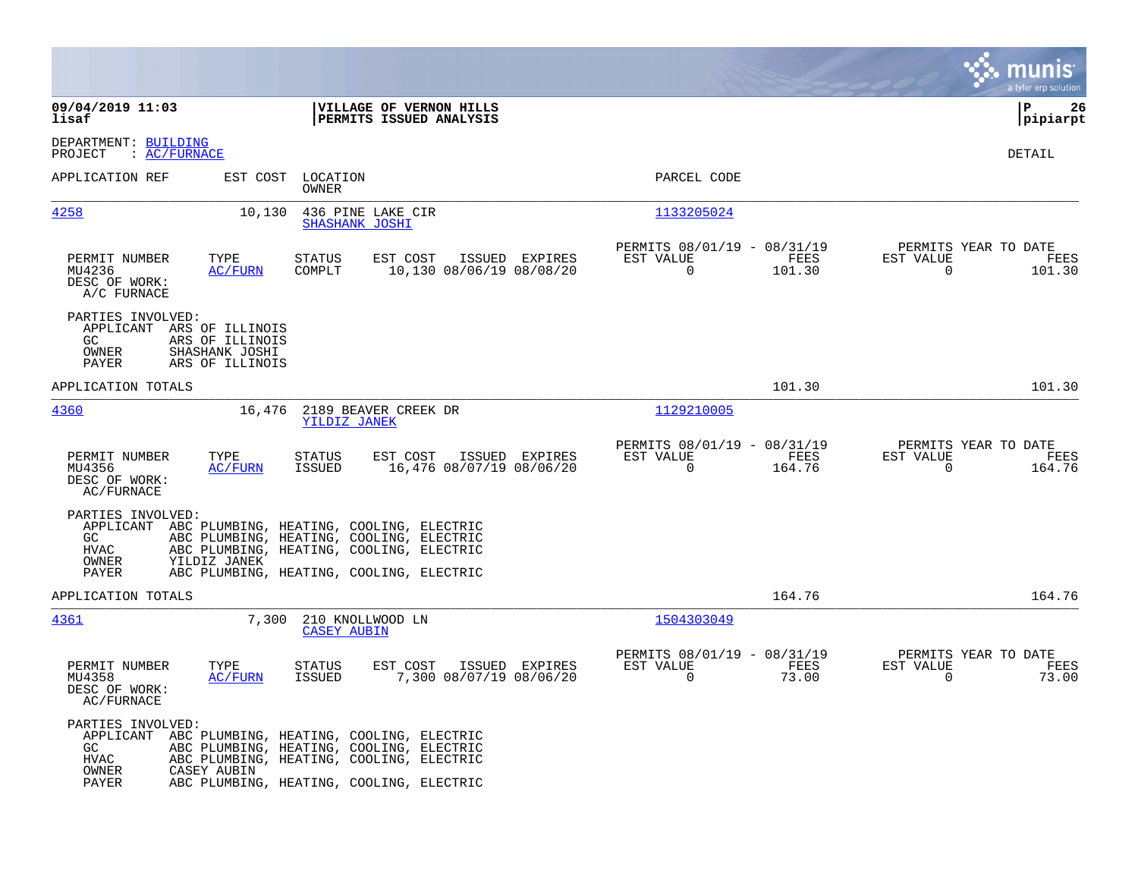|                                                                                                                                |                                                                                                                                                                                        |                                                                           | munis<br>a tyler erp solution                                         |
|--------------------------------------------------------------------------------------------------------------------------------|----------------------------------------------------------------------------------------------------------------------------------------------------------------------------------------|---------------------------------------------------------------------------|-----------------------------------------------------------------------|
| 09/04/2019 11:03<br>lisaf                                                                                                      | VILLAGE OF VERNON HILLS<br>PERMITS ISSUED ANALYSIS                                                                                                                                     |                                                                           | 26<br>P<br> pipiarpt                                                  |
| DEPARTMENT: BUILDING<br>PROJECT<br>$\colon$ AC/FURNACE                                                                         |                                                                                                                                                                                        |                                                                           | DETAIL                                                                |
| APPLICATION REF                                                                                                                | EST COST LOCATION<br>OWNER                                                                                                                                                             | PARCEL CODE                                                               |                                                                       |
| 4258<br>10,130                                                                                                                 | 436 PINE LAKE CIR<br>SHASHANK JOSHI                                                                                                                                                    | 1133205024                                                                |                                                                       |
| PERMIT NUMBER<br>TYPE<br>MU4236<br><b>AC/FURN</b><br>DESC OF WORK:<br>A/C FURNACE                                              | EST COST<br><b>STATUS</b><br>ISSUED EXPIRES<br>COMPLT<br>10,130 08/06/19 08/08/20                                                                                                      | PERMITS 08/01/19 - 08/31/19<br>FEES<br>EST VALUE<br>$\mathbf 0$<br>101.30 | PERMITS YEAR TO DATE<br>EST VALUE<br>FEES<br>$\overline{0}$<br>101.30 |
| PARTIES INVOLVED:<br>APPLICANT ARS OF ILLINOIS<br>GC<br>ARS OF ILLINOIS<br>OWNER<br>SHASHANK JOSHI<br>PAYER<br>ARS OF ILLINOIS |                                                                                                                                                                                        |                                                                           |                                                                       |
| APPLICATION TOTALS                                                                                                             |                                                                                                                                                                                        | 101.30                                                                    | 101.30                                                                |
| 4360<br>16,476                                                                                                                 | 2189 BEAVER CREEK DR<br><b>YILDIZ JANEK</b>                                                                                                                                            | 1129210005                                                                |                                                                       |
| PERMIT NUMBER<br>TYPE<br>MU4356<br>AC/FURN<br>DESC OF WORK:<br>AC/FURNACE                                                      | EST COST<br>STATUS<br>ISSUED EXPIRES<br><b>ISSUED</b><br>16,476 08/07/19 08/06/20                                                                                                      | PERMITS 08/01/19 - 08/31/19<br>EST VALUE<br>FEES<br>$\mathbf 0$<br>164.76 | PERMITS YEAR TO DATE<br>EST VALUE<br>FEES<br>$\Omega$<br>164.76       |
| PARTIES INVOLVED:<br>GC<br><b>HVAC</b><br>OWNER<br>YILDIZ JANEK<br>PAYER                                                       | APPLICANT ABC PLUMBING, HEATING, COOLING, ELECTRIC<br>ABC PLUMBING, HEATING, COOLING, ELECTRIC<br>ABC PLUMBING, HEATING, COOLING, ELECTRIC<br>ABC PLUMBING, HEATING, COOLING, ELECTRIC |                                                                           |                                                                       |
| APPLICATION TOTALS                                                                                                             |                                                                                                                                                                                        | 164.76                                                                    | 164.76                                                                |
| 4361<br>7,300                                                                                                                  | 210 KNOLLWOOD LN<br><b>CASEY AUBIN</b>                                                                                                                                                 | 1504303049                                                                |                                                                       |
| PERMIT NUMBER<br>TYPE<br>MU4358<br><u>AC/FURN</u><br>DESC OF WORK:<br>AC/FURNACE                                               | <b>STATUS</b><br>EST COST<br>ISSUED EXPIRES<br>7,300 08/07/19 08/06/20<br>ISSUED                                                                                                       | PERMITS 08/01/19 - 08/31/19<br>EST VALUE<br>FEES<br>$\Omega$<br>73.00     | PERMITS YEAR TO DATE<br>EST VALUE<br>FEES<br>$\Omega$<br>73.00        |
| PARTIES INVOLVED:<br>APPLICANT<br>GC<br><b>HVAC</b><br>OWNER<br>CASEY AUBIN<br>PAYER                                           | ABC PLUMBING, HEATING, COOLING, ELECTRIC<br>ABC PLUMBING, HEATING, COOLING, ELECTRIC<br>ABC PLUMBING, HEATING, COOLING, ELECTRIC<br>ABC PLUMBING, HEATING, COOLING, ELECTRIC           |                                                                           |                                                                       |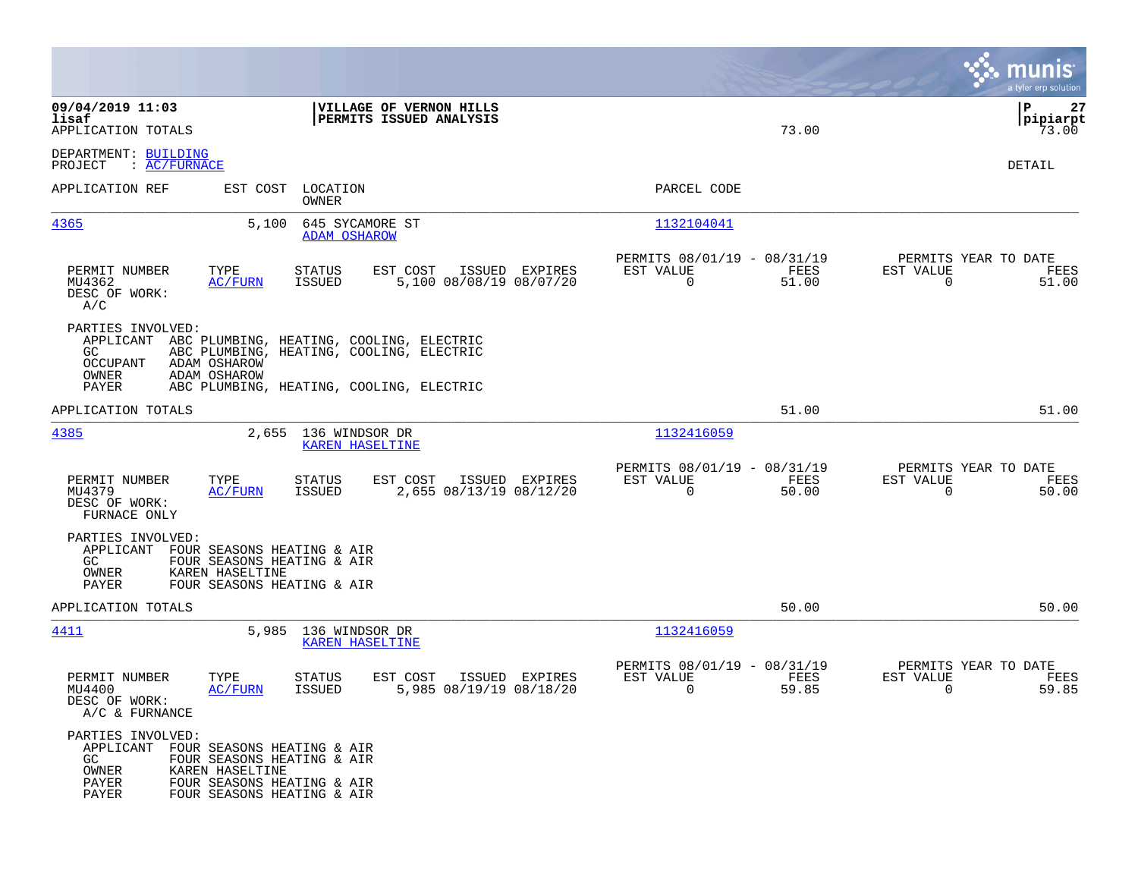|                                                                                                                                                                                                                                                |                                                                          | munis<br>a tyler erp solution                                     |
|------------------------------------------------------------------------------------------------------------------------------------------------------------------------------------------------------------------------------------------------|--------------------------------------------------------------------------|-------------------------------------------------------------------|
| 09/04/2019 11:03<br>VILLAGE OF VERNON HILLS<br>lisaf<br>PERMITS ISSUED ANALYSIS<br>APPLICATION TOTALS                                                                                                                                          | 73.00                                                                    | 27<br>l P<br> pipiarpt<br>73.00                                   |
| DEPARTMENT: BUILDING<br>: AC/FURNACE<br>PROJECT                                                                                                                                                                                                |                                                                          | DETAIL                                                            |
| APPLICATION REF<br>EST COST<br>LOCATION<br>OWNER                                                                                                                                                                                               | PARCEL CODE                                                              |                                                                   |
| 4365<br>5,100<br>645 SYCAMORE ST<br><b>ADAM OSHAROW</b>                                                                                                                                                                                        | 1132104041                                                               |                                                                   |
| EST COST<br>ISSUED EXPIRES<br>PERMIT NUMBER<br>TYPE<br>STATUS<br>5,100 08/08/19 08/07/20<br>MU4362<br>AC/FURN<br>ISSUED<br>DESC OF WORK:<br>A/C                                                                                                | PERMITS 08/01/19 - 08/31/19<br>EST VALUE<br>FEES<br>$\mathbf 0$<br>51.00 | PERMITS YEAR TO DATE<br>EST VALUE<br>FEES<br>$\mathbf 0$<br>51.00 |
| PARTIES INVOLVED:<br>APPLICANT<br>ABC PLUMBING, HEATING, COOLING, ELECTRIC<br>ABC PLUMBING, HEATING, COOLING, ELECTRIC<br>GC.<br><b>OCCUPANT</b><br>ADAM OSHAROW<br>ADAM OSHAROW<br>OWNER<br>PAYER<br>ABC PLUMBING, HEATING, COOLING, ELECTRIC |                                                                          |                                                                   |
| APPLICATION TOTALS                                                                                                                                                                                                                             | 51.00                                                                    | 51.00                                                             |
| 4385<br>2,655 136 WINDSOR DR<br><b>KAREN HASELTINE</b>                                                                                                                                                                                         | 1132416059                                                               |                                                                   |
| PERMIT NUMBER<br>TYPE<br>STATUS<br>EST COST<br>ISSUED EXPIRES<br>2,655 08/13/19 08/12/20<br>MU4379<br>ISSUED<br>AC/FURN<br>DESC OF WORK:<br>FURNACE ONLY                                                                                       | PERMITS 08/01/19 - 08/31/19<br>EST VALUE<br>FEES<br>$\Omega$<br>50.00    | PERMITS YEAR TO DATE<br>EST VALUE<br>FEES<br>$\mathbf 0$<br>50.00 |
| PARTIES INVOLVED:<br>APPLICANT FOUR SEASONS HEATING & AIR<br>GC.<br>FOUR SEASONS HEATING & AIR<br>OWNER<br>KAREN HASELTINE<br>PAYER<br>FOUR SEASONS HEATING & AIR                                                                              |                                                                          |                                                                   |
| APPLICATION TOTALS                                                                                                                                                                                                                             | 50.00                                                                    | 50.00                                                             |
| 4411<br>5,985<br>136 WINDSOR DR<br><b>KAREN HASELTINE</b>                                                                                                                                                                                      | 1132416059                                                               |                                                                   |
| PERMIT NUMBER<br>ISSUED EXPIRES<br>TYPE<br>STATUS<br>EST COST<br>5,985 08/19/19 08/18/20<br>MU4400<br><b>AC/FURN</b><br><b>ISSUED</b><br>DESC OF WORK:<br>A/C & FURNANCE                                                                       | PERMITS 08/01/19 - 08/31/19<br>EST VALUE<br>FEES<br>0<br>59.85           | PERMITS YEAR TO DATE<br>EST VALUE<br>FEES<br>59.85<br>0           |
| PARTIES INVOLVED:<br>APPLICANT FOUR SEASONS HEATING & AIR<br>GC<br>FOUR SEASONS HEATING & AIR<br>$\sqrt{\text{OWNER}}$<br>KAREN HASELTINE<br>FOUR SEASONS HEATING & AIR<br>PAYER<br>PAYER<br>FOUR SEASONS HEATING & AIR                        |                                                                          |                                                                   |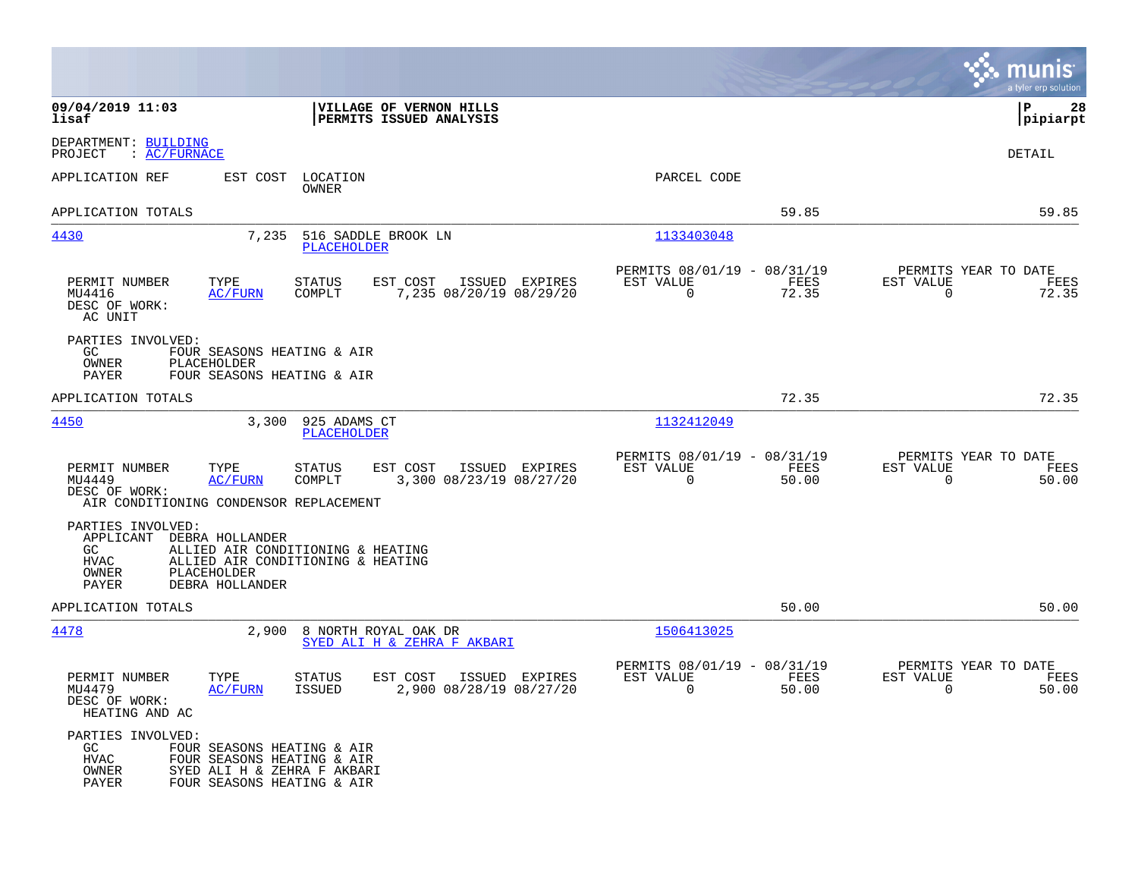|                                                                                                                                                                                                      |                                                                          | munis<br>a tyler erp solution                                     |
|------------------------------------------------------------------------------------------------------------------------------------------------------------------------------------------------------|--------------------------------------------------------------------------|-------------------------------------------------------------------|
| 09/04/2019 11:03<br>VILLAGE OF VERNON HILLS<br>lisaf<br>PERMITS ISSUED ANALYSIS                                                                                                                      |                                                                          | l P<br>28<br> pipiarpt                                            |
| DEPARTMENT: BUILDING<br>: AC/FURNACE<br>PROJECT                                                                                                                                                      |                                                                          | <b>DETAIL</b>                                                     |
| APPLICATION REF<br>EST COST LOCATION<br>OWNER                                                                                                                                                        | PARCEL CODE                                                              |                                                                   |
| APPLICATION TOTALS                                                                                                                                                                                   | 59.85                                                                    | 59.85                                                             |
| 4430<br>7,235<br>516 SADDLE BROOK LN<br><b>PLACEHOLDER</b>                                                                                                                                           | 1133403048                                                               |                                                                   |
| PERMIT NUMBER<br>TYPE<br>EST COST<br>ISSUED EXPIRES<br><b>STATUS</b><br>COMPLT<br>7,235 08/20/19 08/29/20<br>MU4416<br><b>AC/FURN</b><br>DESC OF WORK:<br>AC UNIT                                    | PERMITS 08/01/19 - 08/31/19<br>EST VALUE<br>FEES<br>0<br>72.35           | PERMITS YEAR TO DATE<br>EST VALUE<br>FEES<br>$\mathbf 0$<br>72.35 |
| PARTIES INVOLVED:<br>GC.<br>FOUR SEASONS HEATING & AIR<br>OWNER<br><b>PLACEHOLDER</b><br>FOUR SEASONS HEATING & AIR<br>PAYER                                                                         |                                                                          |                                                                   |
| APPLICATION TOTALS                                                                                                                                                                                   | 72.35                                                                    | 72.35                                                             |
| 4450<br>3,300<br>925 ADAMS CT<br><b>PLACEHOLDER</b>                                                                                                                                                  | 1132412049                                                               |                                                                   |
| PERMIT NUMBER<br>TYPE<br>EST COST<br>ISSUED EXPIRES<br>STATUS<br>MU4449<br>AC/FURN<br>COMPLT<br>3,300 08/23/19 08/27/20<br>DESC OF WORK:<br>AIR CONDITIONING CONDENSOR REPLACEMENT                   | PERMITS 08/01/19 - 08/31/19<br>EST VALUE<br>FEES<br>$\Omega$<br>50.00    | PERMITS YEAR TO DATE<br>EST VALUE<br>FEES<br>$\Omega$<br>50.00    |
| PARTIES INVOLVED:<br>APPLICANT<br>DEBRA HOLLANDER<br>GC<br>ALLIED AIR CONDITIONING & HEATING<br><b>HVAC</b><br>ALLIED AIR CONDITIONING & HEATING<br>OWNER<br>PLACEHOLDER<br>PAYER<br>DEBRA HOLLANDER |                                                                          |                                                                   |
| APPLICATION TOTALS                                                                                                                                                                                   | 50.00                                                                    | 50.00                                                             |
| 4478<br>2,900<br>8 NORTH ROYAL OAK DR<br>SYED ALI H & ZEHRA F AKBARI                                                                                                                                 | 1506413025                                                               |                                                                   |
| TYPE<br>EST COST<br>PERMIT NUMBER<br><b>STATUS</b><br>ISSUED EXPIRES<br>2,900 08/28/19 08/27/20<br>MU4479<br>AC/FURN<br><b>ISSUED</b><br>DESC OF WORK:<br>HEATING AND AC                             | PERMITS 08/01/19 - 08/31/19<br>EST VALUE<br>FEES<br>$\mathbf 0$<br>50.00 | PERMITS YEAR TO DATE<br>EST VALUE<br>FEES<br>$\mathbf 0$<br>50.00 |
| PARTIES INVOLVED:<br>GC<br>FOUR SEASONS HEATING & AIR<br><b>HVAC</b><br>FOUR SEASONS HEATING & AIR<br>SYED ALI H & ZEHRA F AKBARI<br>OWNER<br>FOUR SEASONS HEATING & AIR<br>PAYER                    |                                                                          |                                                                   |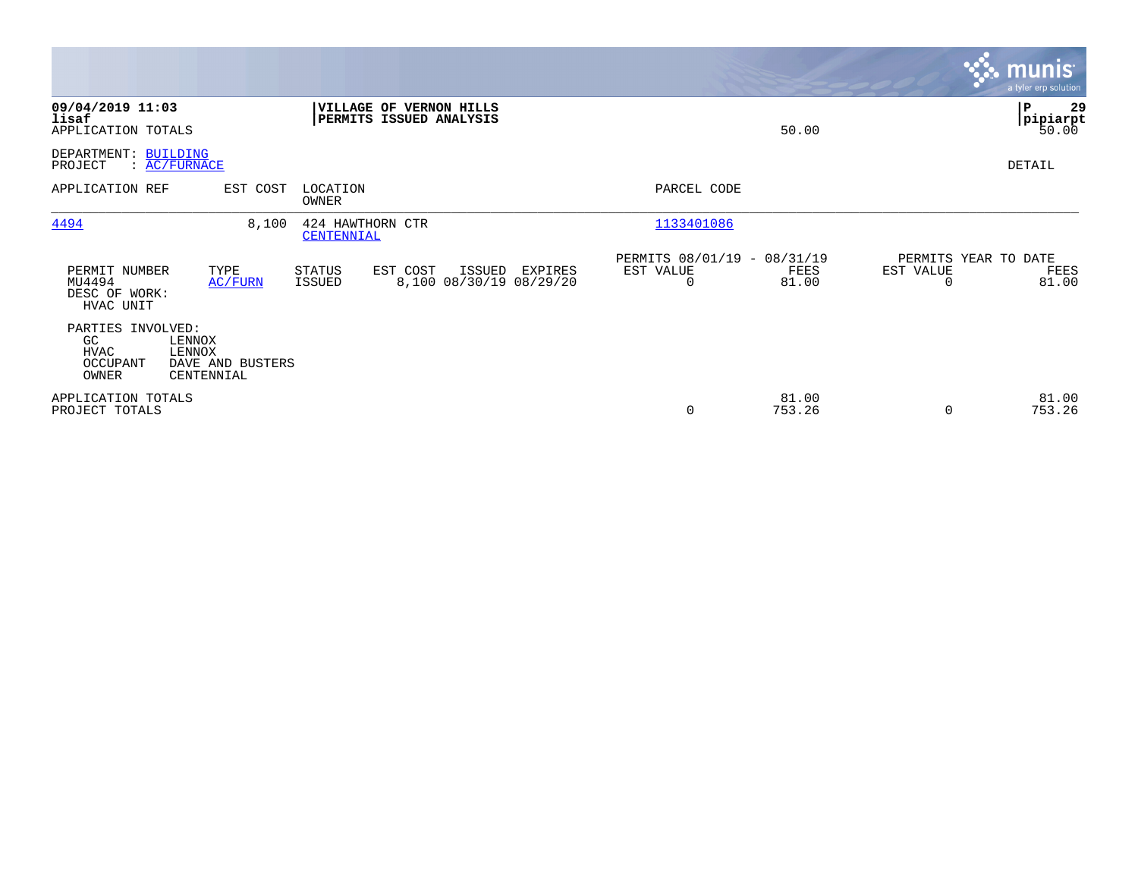|                                                                                                                          |                                                                                     |                                                                | <b>munis</b><br>a tyler erp solution                           |
|--------------------------------------------------------------------------------------------------------------------------|-------------------------------------------------------------------------------------|----------------------------------------------------------------|----------------------------------------------------------------|
| 09/04/2019 11:03<br>lisaf<br>APPLICATION TOTALS                                                                          | VILLAGE OF VERNON HILLS<br>PERMITS ISSUED ANALYSIS                                  | 50.00                                                          | P<br>29<br>pipiarpt <br>50.00                                  |
| DEPARTMENT: BUILDING<br>: AC/FURNACE<br>PROJECT                                                                          |                                                                                     |                                                                | DETAIL                                                         |
| APPLICATION REF<br>EST COST                                                                                              | LOCATION<br>OWNER                                                                   | PARCEL CODE                                                    |                                                                |
| 4494<br>8,100                                                                                                            | 424 HAWTHORN CTR<br>CENTENNIAL                                                      | 1133401086                                                     |                                                                |
| PERMIT NUMBER<br>TYPE<br>MU4494<br>AC/FURN<br>DESC OF WORK:<br>HVAC UNIT                                                 | STATUS<br>EST COST<br>ISSUED<br>EXPIRES<br>8,100 08/30/19 08/29/20<br><b>ISSUED</b> | PERMITS 08/01/19 - 08/31/19<br>EST VALUE<br>FEES<br>0<br>81.00 | PERMITS YEAR TO DATE<br>EST VALUE<br>FEES<br>81.00<br>$\Omega$ |
| PARTIES INVOLVED:<br><b>GC</b><br>LENNOX<br><b>HVAC</b><br>LENNOX<br>OCCUPANT<br>DAVE AND BUSTERS<br>OWNER<br>CENTENNIAL |                                                                                     |                                                                |                                                                |
| APPLICATION TOTALS<br>PROJECT TOTALS                                                                                     |                                                                                     | 81.00<br>0<br>753.26                                           | 81.00<br>753.26<br>$\Omega$                                    |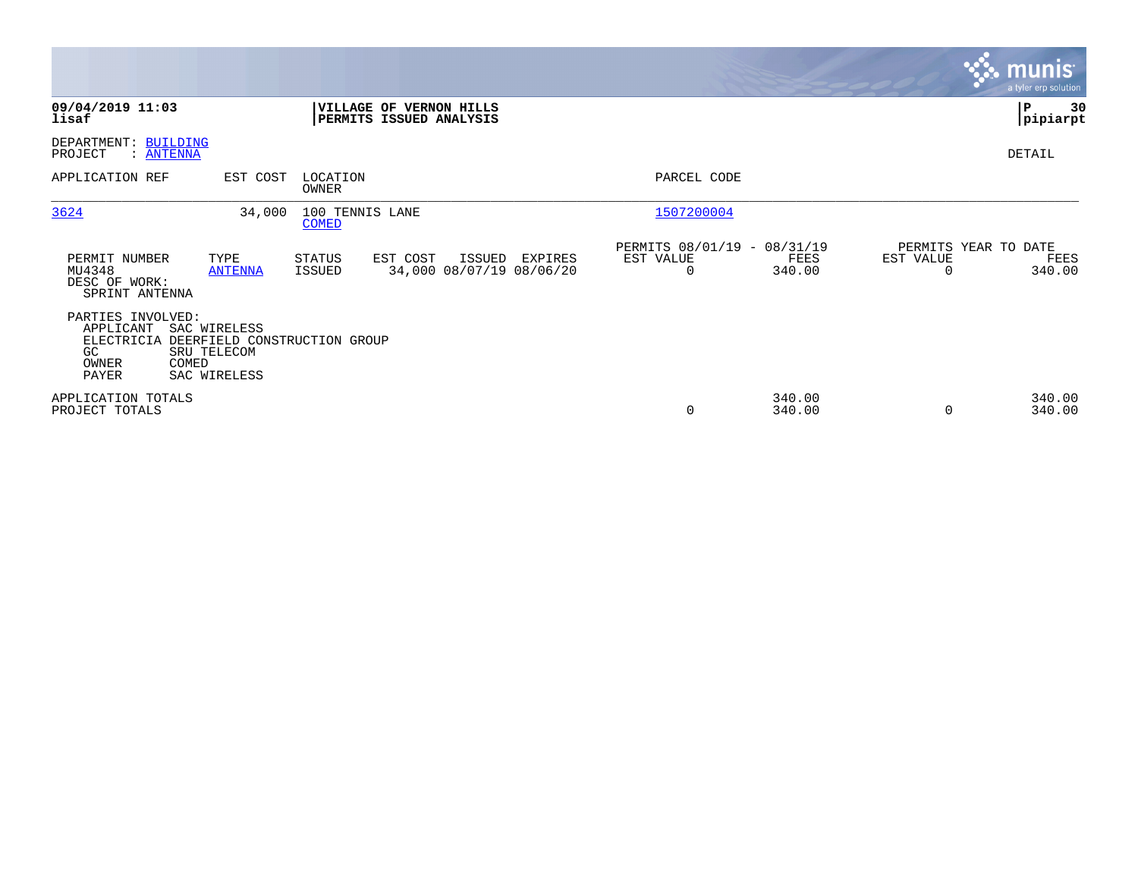|                                                                               |                                                                             |                                 |                                                    |         |                                               |                  |                                               | munis<br>a tyler erp solution |
|-------------------------------------------------------------------------------|-----------------------------------------------------------------------------|---------------------------------|----------------------------------------------------|---------|-----------------------------------------------|------------------|-----------------------------------------------|-------------------------------|
| 09/04/2019 11:03<br>lisaf                                                     |                                                                             |                                 | VILLAGE OF VERNON HILLS<br>PERMITS ISSUED ANALYSIS |         |                                               |                  |                                               | P<br>30<br> pipiarpt          |
| DEPARTMENT: BUILDING<br>PROJECT<br>: <u>ANTENNA</u>                           |                                                                             |                                 |                                                    |         |                                               |                  |                                               | DETAIL                        |
| APPLICATION REF                                                               | EST COST                                                                    | LOCATION<br>OWNER               |                                                    |         | PARCEL CODE                                   |                  |                                               |                               |
| 3624                                                                          | 34,000                                                                      | 100 TENNIS LANE<br><b>COMED</b> |                                                    |         | 1507200004                                    |                  |                                               |                               |
| PERMIT NUMBER<br>MU4348<br>DESC OF WORK:<br>SPRINT ANTENNA                    | TYPE<br><b>ANTENNA</b>                                                      | STATUS<br>ISSUED                | EST COST<br>ISSUED<br>34,000 08/07/19 08/06/20     | EXPIRES | PERMITS 08/01/19 - 08/31/19<br>EST VALUE<br>0 | FEES<br>340.00   | PERMITS YEAR TO DATE<br>EST VALUE<br>$\Omega$ | FEES<br>340.00                |
| PARTIES INVOLVED:<br>APPLICANT<br>ELECTRICIA<br>GC<br>COMED<br>OWNER<br>PAYER | SAC WIRELESS<br>DEERFIELD CONSTRUCTION GROUP<br>SRU TELECOM<br>SAC WIRELESS |                                 |                                                    |         |                                               |                  |                                               |                               |
| APPLICATION TOTALS<br>PROJECT TOTALS                                          |                                                                             |                                 |                                                    |         | 0                                             | 340.00<br>340.00 | $\Omega$                                      | 340.00<br>340.00              |

 $\mathcal{L}^{\text{max}}$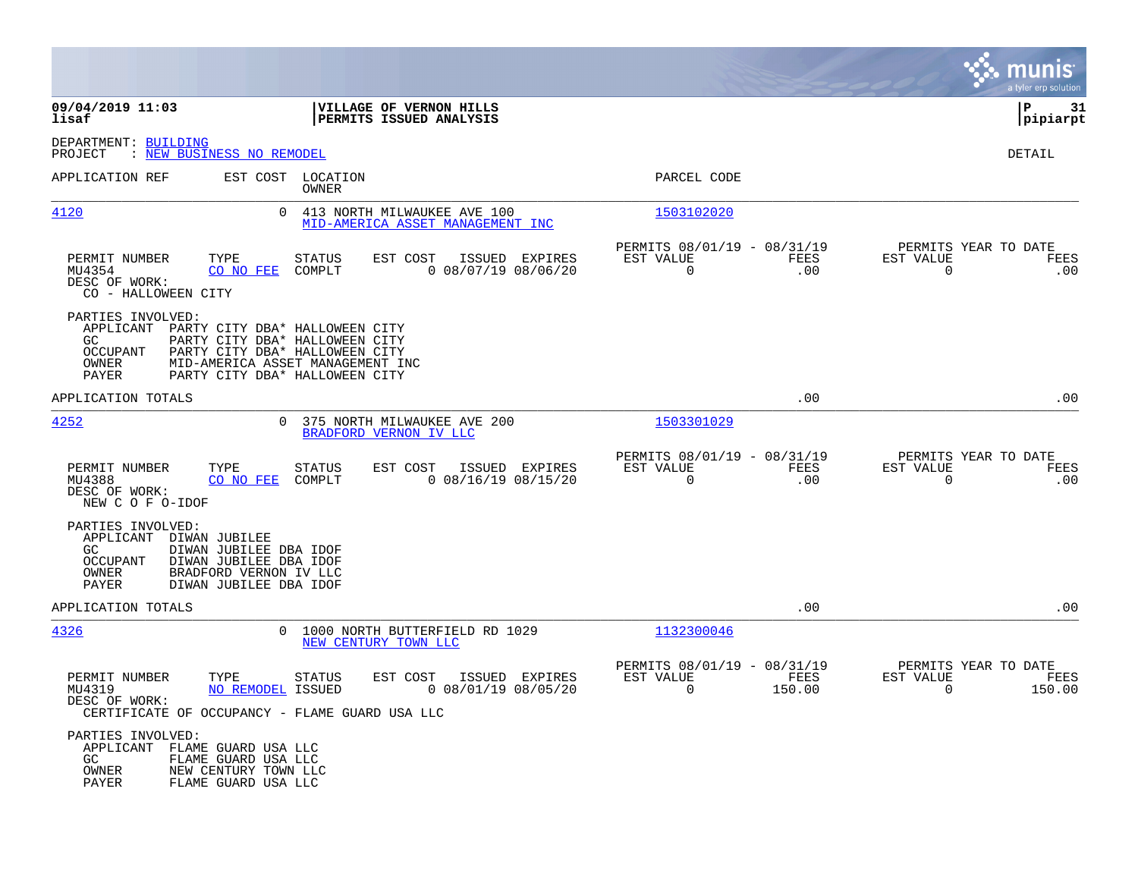|                                                                                                                                                                                           |                                                                                                                                                                          |                                                                           | munis<br>a tyler erp solution                                      |
|-------------------------------------------------------------------------------------------------------------------------------------------------------------------------------------------|--------------------------------------------------------------------------------------------------------------------------------------------------------------------------|---------------------------------------------------------------------------|--------------------------------------------------------------------|
| 09/04/2019 11:03<br>lisaf                                                                                                                                                                 | VILLAGE OF VERNON HILLS<br>PERMITS ISSUED ANALYSIS                                                                                                                       |                                                                           | lР<br>31<br> pipiarpt                                              |
| DEPARTMENT: BUILDING<br>: NEW BUSINESS NO REMODEL<br>PROJECT                                                                                                                              |                                                                                                                                                                          |                                                                           | DETAIL                                                             |
| APPLICATION REF                                                                                                                                                                           | EST COST LOCATION<br>OWNER                                                                                                                                               | PARCEL CODE                                                               |                                                                    |
| 4120                                                                                                                                                                                      | $\Omega$<br>413 NORTH MILWAUKEE AVE 100<br>MID-AMERICA ASSET MANAGEMENT INC                                                                                              | 1503102020                                                                |                                                                    |
| PERMIT NUMBER<br>TYPE<br>MU4354<br>CO NO FEE<br>DESC OF WORK:<br>CO - HALLOWEEN CITY                                                                                                      | EST COST<br>ISSUED EXPIRES<br>STATUS<br>COMPLT<br>$0$ 08/07/19 08/06/20                                                                                                  | PERMITS 08/01/19 - 08/31/19<br>EST VALUE<br>FEES<br>$\mathbf 0$<br>.00    | PERMITS YEAR TO DATE<br>EST VALUE<br>FEES<br>$\mathbf 0$<br>.00    |
| PARTIES INVOLVED:<br>APPLICANT<br>GC.<br><b>OCCUPANT</b><br>OWNER<br>PAYER                                                                                                                | PARTY CITY DBA* HALLOWEEN CITY<br>PARTY CITY DBA* HALLOWEEN CITY<br>PARTY CITY DBA* HALLOWEEN CITY<br>MID-AMERICA ASSET MANAGEMENT INC<br>PARTY CITY DBA* HALLOWEEN CITY |                                                                           |                                                                    |
| APPLICATION TOTALS                                                                                                                                                                        |                                                                                                                                                                          | .00                                                                       | .00                                                                |
| 4252                                                                                                                                                                                      | 0<br>375 NORTH MILWAUKEE AVE 200<br>BRADFORD VERNON IV LLC                                                                                                               | 1503301029                                                                |                                                                    |
| TYPE<br>PERMIT NUMBER<br>MU4388<br>CO NO FEE<br>DESC OF WORK:<br>NEW C O F O-IDOF                                                                                                         | EST COST<br>ISSUED EXPIRES<br>STATUS<br>$0$ 08/16/19 08/15/20<br>COMPLT                                                                                                  | PERMITS 08/01/19 - 08/31/19<br>EST VALUE<br>FEES<br>$\mathbf 0$<br>.00    | PERMITS YEAR TO DATE<br>EST VALUE<br>FEES<br>$\mathbf 0$<br>.00    |
| PARTIES INVOLVED:<br>APPLICANT DIWAN JUBILEE<br>GC.<br>DIWAN JUBILEE DBA IDOF<br>OCCUPANT<br>DIWAN JUBILEE DBA IDOF<br>OWNER<br>BRADFORD VERNON IV LLC<br>PAYER<br>DIWAN JUBILEE DBA IDOF |                                                                                                                                                                          |                                                                           |                                                                    |
| APPLICATION TOTALS                                                                                                                                                                        |                                                                                                                                                                          | .00                                                                       | .00                                                                |
| 4326                                                                                                                                                                                      | 0<br>1000 NORTH BUTTERFIELD RD 1029<br>NEW CENTURY TOWN LLC                                                                                                              | 1132300046                                                                |                                                                    |
| PERMIT NUMBER<br>TYPE<br>MU4319<br>DESC OF WORK:<br>CERTIFICATE OF OCCUPANCY - FLAME GUARD USA LLC                                                                                        | EST COST<br>STATUS<br>ISSUED EXPIRES<br>$0$ 08/01/19 08/05/20<br>NO REMODEL ISSUED                                                                                       | PERMITS 08/01/19 - 08/31/19<br>EST VALUE<br>FEES<br>$\mathbf 0$<br>150.00 | PERMITS YEAR TO DATE<br>EST VALUE<br>FEES<br>$\mathbf 0$<br>150.00 |
| PARTIES INVOLVED:<br>APPLICANT FLAME GUARD USA LLC<br>GC.<br>FLAME GUARD USA LLC<br>OWNER<br>NEW CENTURY TOWN LLC<br>FLAME GUARD USA LLC<br>PAYER                                         |                                                                                                                                                                          |                                                                           |                                                                    |

 $\mathcal{L}^{\text{max}}$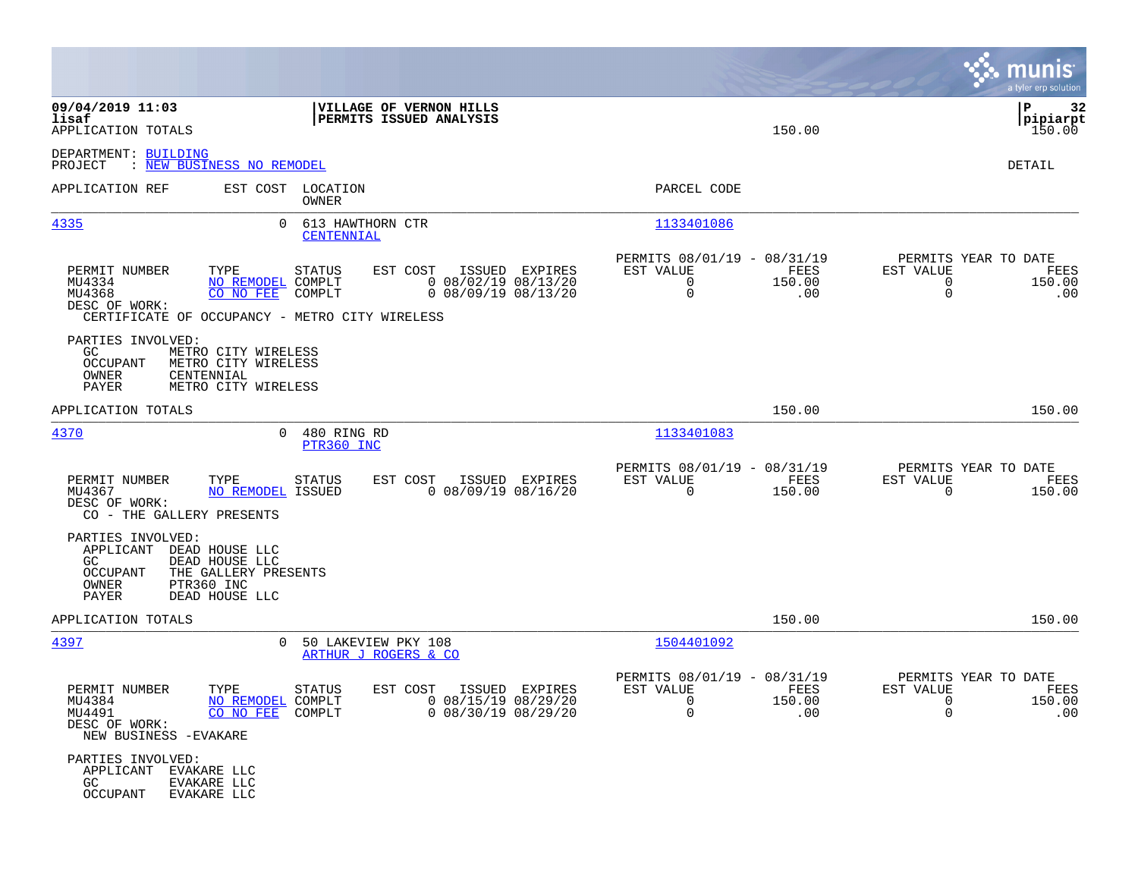|                                                                                                                                                                                                                                                                                                                        |                                                                                                  |                                                                                           | munis<br>a tyler erp solution                                                               |
|------------------------------------------------------------------------------------------------------------------------------------------------------------------------------------------------------------------------------------------------------------------------------------------------------------------------|--------------------------------------------------------------------------------------------------|-------------------------------------------------------------------------------------------|---------------------------------------------------------------------------------------------|
| 09/04/2019 11:03<br>lisaf<br>APPLICATION TOTALS                                                                                                                                                                                                                                                                        | VILLAGE OF VERNON HILLS<br>PERMITS ISSUED ANALYSIS                                               | 150.00                                                                                    | l P<br>32<br> pipiarpt<br>150.00                                                            |
| DEPARTMENT: BUILDING<br>: NEW BUSINESS NO REMODEL<br>PROJECT                                                                                                                                                                                                                                                           |                                                                                                  |                                                                                           | DETAIL                                                                                      |
| APPLICATION REF                                                                                                                                                                                                                                                                                                        | EST COST LOCATION<br>OWNER                                                                       | PARCEL CODE                                                                               |                                                                                             |
| 4335<br>$\Omega$                                                                                                                                                                                                                                                                                                       | 613 HAWTHORN CTR<br>CENTENNIAL                                                                   | 1133401086                                                                                |                                                                                             |
| PERMIT NUMBER<br>TYPE<br>MU4334<br>NO REMODEL COMPLT<br>MU4368<br>CO NO FEE<br>DESC OF WORK:<br>CERTIFICATE OF OCCUPANCY - METRO CITY WIRELESS                                                                                                                                                                         | ISSUED EXPIRES<br>STATUS<br>EST COST<br>$0$ 08/02/19 08/13/20<br>$0$ 08/09/19 08/13/20<br>COMPLT | PERMITS 08/01/19 - 08/31/19<br>EST VALUE<br>FEES<br>0<br>150.00<br>0<br>.00               | PERMITS YEAR TO DATE<br>EST VALUE<br>FEES<br>0<br>150.00<br>$\mathbf 0$<br>.00              |
| PARTIES INVOLVED:<br>GC.<br>METRO CITY WIRELESS<br><b>OCCUPANT</b><br>METRO CITY WIRELESS<br>OWNER<br>CENTENNIAL<br>PAYER<br>METRO CITY WIRELESS                                                                                                                                                                       |                                                                                                  |                                                                                           |                                                                                             |
| APPLICATION TOTALS                                                                                                                                                                                                                                                                                                     |                                                                                                  | 150.00                                                                                    | 150.00                                                                                      |
| 4370                                                                                                                                                                                                                                                                                                                   | 0 480 RING RD<br>PTR360 INC                                                                      | 1133401083                                                                                |                                                                                             |
| PERMIT NUMBER<br>TYPE<br>MU4367<br>NO REMODEL ISSUED<br>DESC OF WORK:<br>CO - THE GALLERY PRESENTS                                                                                                                                                                                                                     | <b>STATUS</b><br>EST COST<br>ISSUED EXPIRES<br>$0$ 08/09/19 08/16/20                             | PERMITS 08/01/19 - 08/31/19<br>EST VALUE<br>FEES<br>0<br>150.00                           | PERMITS YEAR TO DATE<br>EST VALUE<br>FEES<br>0<br>150.00                                    |
| PARTIES INVOLVED:<br>APPLICANT<br>DEAD HOUSE LLC<br>DEAD HOUSE LLC<br>GC.<br><b>OCCUPANT</b><br>THE GALLERY PRESENTS<br>OWNER<br>PTR360 INC<br>PAYER<br>DEAD HOUSE LLC                                                                                                                                                 |                                                                                                  |                                                                                           |                                                                                             |
| APPLICATION TOTALS                                                                                                                                                                                                                                                                                                     |                                                                                                  | 150.00                                                                                    | 150.00                                                                                      |
| 4397<br>$\Omega$                                                                                                                                                                                                                                                                                                       | 50 LAKEVIEW PKY 108<br>ARTHUR J ROGERS & CO                                                      | 1504401092                                                                                |                                                                                             |
| PERMIT NUMBER<br>TYPE STATUS<br>MU4384<br>NO REMODEL COMPLT<br>MU4491<br>CO NO FEE COMPLT<br>DESC OF WORK:<br>NEW BUSINESS -EVAKARE                                                                                                                                                                                    | EST COST<br>ISSUED EXPIRES<br>0 08/15/19 08/29/20<br>0 08/30/19 08/29/20                         | PERMITS 08/01/19 - 08/31/19<br>EST VALUE<br>FEES<br>$\sim$ 0<br>150.00<br>$\Omega$<br>.00 | PERMITS YEAR TO DATE<br>EST VALUE<br>FEES<br>150.00<br>$\overline{\phantom{0}}$<br>0<br>.00 |
| PARTIES INVOLVED:<br>APPLICANT EVAKARE LLC<br>GC and the set of the set of the set of the set of the set of the set of the set of the set of the set of the set of the set of the set of the set of the set of the set of the set of the set of the set of the set of the se<br>EVAKARE LLC<br>OCCUPANT<br>EVAKARE LLC |                                                                                                  |                                                                                           |                                                                                             |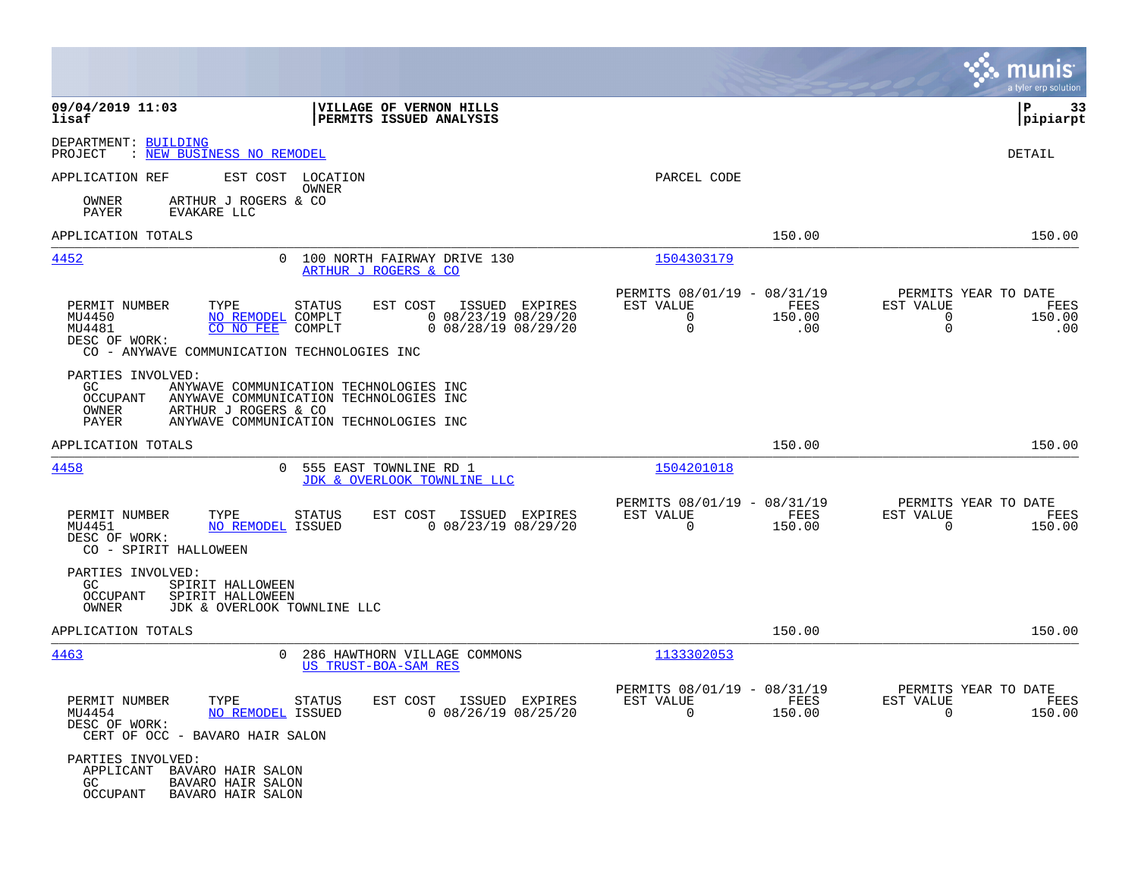|                                                                                                                                             |                                                                                                                            |                                                                                       | munis<br>a tyler erp solution                                        |
|---------------------------------------------------------------------------------------------------------------------------------------------|----------------------------------------------------------------------------------------------------------------------------|---------------------------------------------------------------------------------------|----------------------------------------------------------------------|
| 09/04/2019 11:03<br>lisaf                                                                                                                   | VILLAGE OF VERNON HILLS<br>PERMITS ISSUED ANALYSIS                                                                         |                                                                                       | l P<br>33<br> pipiarpt                                               |
| DEPARTMENT: BUILDING<br>PROJECT<br>: NEW BUSINESS NO REMODEL                                                                                |                                                                                                                            |                                                                                       | DETAIL                                                               |
| APPLICATION REF                                                                                                                             | EST COST LOCATION<br>OWNER                                                                                                 | PARCEL CODE                                                                           |                                                                      |
| ARTHUR J ROGERS & CO<br>OWNER<br>PAYER<br>EVAKARE LLC                                                                                       |                                                                                                                            |                                                                                       |                                                                      |
| APPLICATION TOTALS                                                                                                                          |                                                                                                                            | 150.00                                                                                | 150.00                                                               |
| 4452                                                                                                                                        | 0 100 NORTH FAIRWAY DRIVE 130<br>ARTHUR J ROGERS & CO                                                                      | 1504303179                                                                            |                                                                      |
| PERMIT NUMBER<br>TYPE<br>MU4450<br>NO REMODEL COMPLT<br>MU4481<br>CO NO FEE<br>DESC OF WORK:<br>CO - ANYWAVE COMMUNICATION TECHNOLOGIES INC | EST COST<br>ISSUED EXPIRES<br>STATUS<br>$0$ 08/23/19 08/29/20<br>$0$ 08/28/19 08/29/20<br>COMPLT                           | PERMITS 08/01/19 - 08/31/19<br>EST VALUE<br>FEES<br>0<br>150.00<br>$\mathbf 0$<br>.00 | PERMITS YEAR TO DATE<br>EST VALUE<br>FEES<br>150.00<br>0<br>0<br>.00 |
| PARTIES INVOLVED:<br>GC<br><b>OCCUPANT</b><br>OWNER<br>ARTHUR J ROGERS & CO<br>PAYER                                                        | ANYWAVE COMMUNICATION TECHNOLOGIES INC<br>ANYWAVE COMMUNICATION TECHNOLOGIES INC<br>ANYWAVE COMMUNICATION TECHNOLOGIES INC |                                                                                       |                                                                      |
| APPLICATION TOTALS                                                                                                                          |                                                                                                                            | 150.00                                                                                | 150.00                                                               |
| 4458                                                                                                                                        | 555 EAST TOWNLINE RD 1<br>$\Omega$<br>JDK & OVERLOOK TOWNLINE LLC                                                          | 1504201018                                                                            |                                                                      |
| PERMIT NUMBER<br>TYPE<br>MU4451<br>NO REMODEL ISSUED<br>DESC OF WORK:<br>CO - SPIRIT HALLOWEEN                                              | STATUS<br>EST COST<br>ISSUED EXPIRES<br>$0$ 08/23/19 08/29/20                                                              | PERMITS 08/01/19 - 08/31/19<br>EST VALUE<br>FEES<br>$\Omega$<br>150.00                | PERMITS YEAR TO DATE<br>EST VALUE<br>FEES<br>$\Omega$<br>150.00      |
| PARTIES INVOLVED:<br>GC.<br>SPIRIT HALLOWEEN<br><b>OCCUPANT</b><br>SPIRIT HALLOWEEN<br>OWNER<br>JDK & OVERLOOK TOWNLINE LLC                 |                                                                                                                            |                                                                                       |                                                                      |
| APPLICATION TOTALS                                                                                                                          |                                                                                                                            | 150.00                                                                                | 150.00                                                               |
| 4463                                                                                                                                        | $\Omega$<br>286 HAWTHORN VILLAGE COMMONS<br>US TRUST-BOA-SAM RES                                                           | 1133302053                                                                            |                                                                      |
| PERMIT NUMBER<br>TYPE<br>MU4454<br><b>NO REMODEL ISSUED</b><br>DESC OF WORK:<br>CERT OF OCC - BAVARO HAIR SALON                             | EST COST<br>ISSUED EXPIRES<br><b>STATUS</b><br>$0$ 08/26/19 08/25/20                                                       | PERMITS 08/01/19 - 08/31/19<br>EST VALUE<br>FEES<br>$\mathbf 0$<br>150.00             | PERMITS YEAR TO DATE<br>EST VALUE<br>FEES<br>$\Omega$<br>150.00      |
| PARTIES INVOLVED:<br>APPLICANT<br>BAVARO HAIR SALON<br>BAVARO HAIR SALON<br>GC.<br><b>OCCUPANT</b><br>BAVARO HAIR SALON                     |                                                                                                                            |                                                                                       |                                                                      |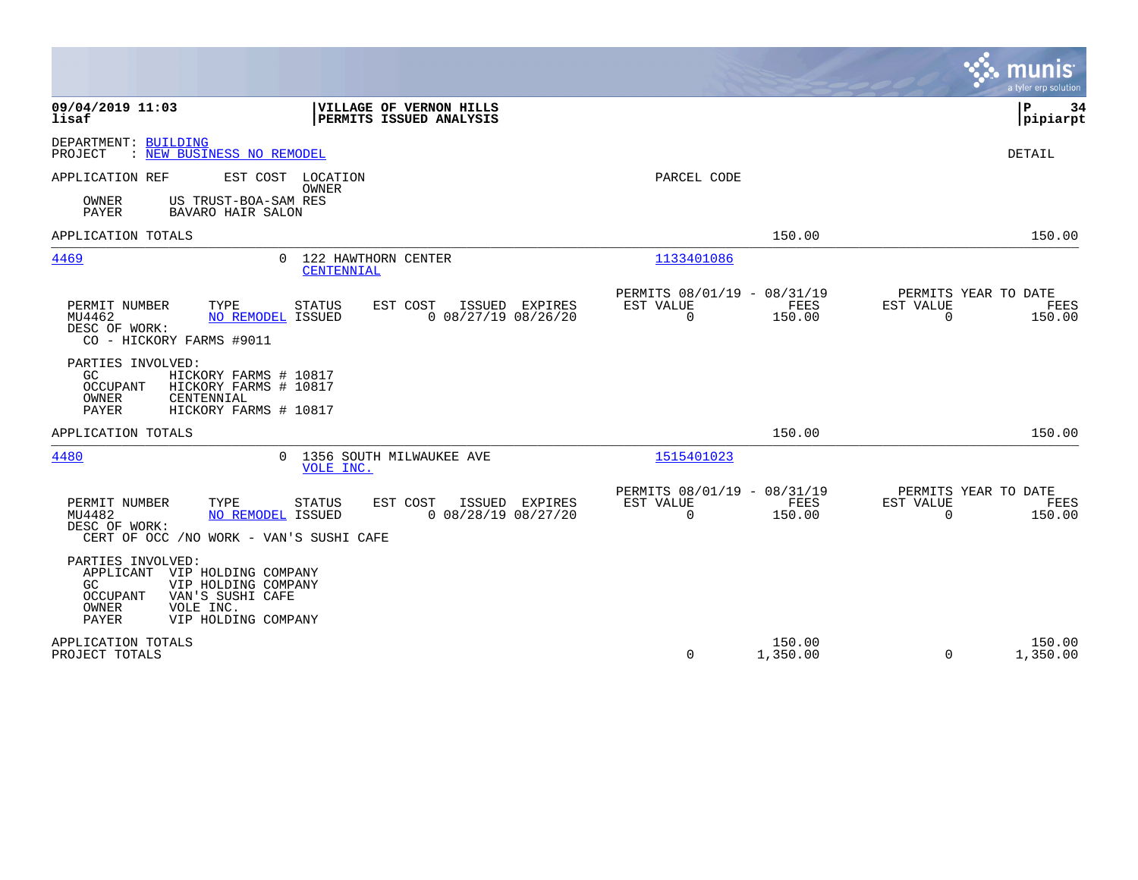|                                                                                                                                                                                           |                                                                                 | munis<br>a tyler erp solution                                         |
|-------------------------------------------------------------------------------------------------------------------------------------------------------------------------------------------|---------------------------------------------------------------------------------|-----------------------------------------------------------------------|
| 09/04/2019 11:03<br>VILLAGE OF VERNON HILLS<br>PERMITS ISSUED ANALYSIS<br>lisaf                                                                                                           |                                                                                 | P<br>34<br> pipiarpt                                                  |
| DEPARTMENT: BUILDING<br>: NEW BUSINESS NO REMODEL<br>PROJECT                                                                                                                              |                                                                                 | <b>DETAIL</b>                                                         |
| APPLICATION REF<br>EST COST LOCATION<br><b>OWNER</b>                                                                                                                                      | PARCEL CODE                                                                     |                                                                       |
| US TRUST-BOA-SAM RES<br>OWNER<br><b>PAYER</b><br>BAVARO HAIR SALON                                                                                                                        |                                                                                 |                                                                       |
| APPLICATION TOTALS                                                                                                                                                                        | 150.00                                                                          | 150.00                                                                |
| 4469<br>0 122 HAWTHORN CENTER<br>CENTENNIAL                                                                                                                                               | 1133401086                                                                      |                                                                       |
| TYPE<br>EST COST<br>PERMIT NUMBER<br><b>STATUS</b><br>ISSUED EXPIRES<br>MU4462<br><b>NO REMODEL ISSUED</b><br>$0$ 08/27/19 08/26/20<br>DESC OF WORK:<br>CO - HICKORY FARMS #9011          | PERMITS 08/01/19 - 08/31/19<br>EST VALUE<br>FEES<br>$\mathbf 0$<br>150.00       | PERMITS YEAR TO DATE<br>EST VALUE<br>FEES<br>$\mathbf 0$<br>150.00    |
| PARTIES INVOLVED:<br>HICKORY FARMS # 10817<br>GC<br><b>OCCUPANT</b><br>HICKORY FARMS # 10817<br>OWNER<br>CENTENNIAL<br><b>PAYER</b><br>HICKORY FARMS # 10817                              |                                                                                 |                                                                       |
| APPLICATION TOTALS                                                                                                                                                                        | 150.00                                                                          | 150.00                                                                |
| 4480<br>0 1356 SOUTH MILWAUKEE AVE<br>VOLE INC.                                                                                                                                           | 1515401023                                                                      |                                                                       |
| PERMIT NUMBER<br>TYPE<br>EST COST<br>ISSUED EXPIRES<br><b>STATUS</b><br>MU4482<br>$0$ 08/28/19 08/27/20<br>NO REMODEL ISSUED<br>DESC OF WORK:<br>CERT OF OCC / NO WORK - VAN'S SUSHI CAFE | PERMITS 08/01/19 -<br>08/31/19<br>FEES<br>EST VALUE<br>$\overline{0}$<br>150.00 | PERMITS YEAR TO DATE<br>EST VALUE<br>FEES<br>$\overline{0}$<br>150.00 |
| PARTIES INVOLVED:<br>APPLICANT VIP HOLDING COMPANY<br>GC<br>VIP HOLDING COMPANY<br>VAN'S SUSHI CAFE<br>OCCUPANT<br><b>OWNER</b><br>VOLE INC.<br><b>PAYER</b><br>VIP HOLDING COMPANY       |                                                                                 |                                                                       |
| APPLICATION TOTALS<br>PROJECT TOTALS                                                                                                                                                      | 150.00<br>$\Omega$<br>1,350.00                                                  | 150.00<br>$\Omega$<br>1,350.00                                        |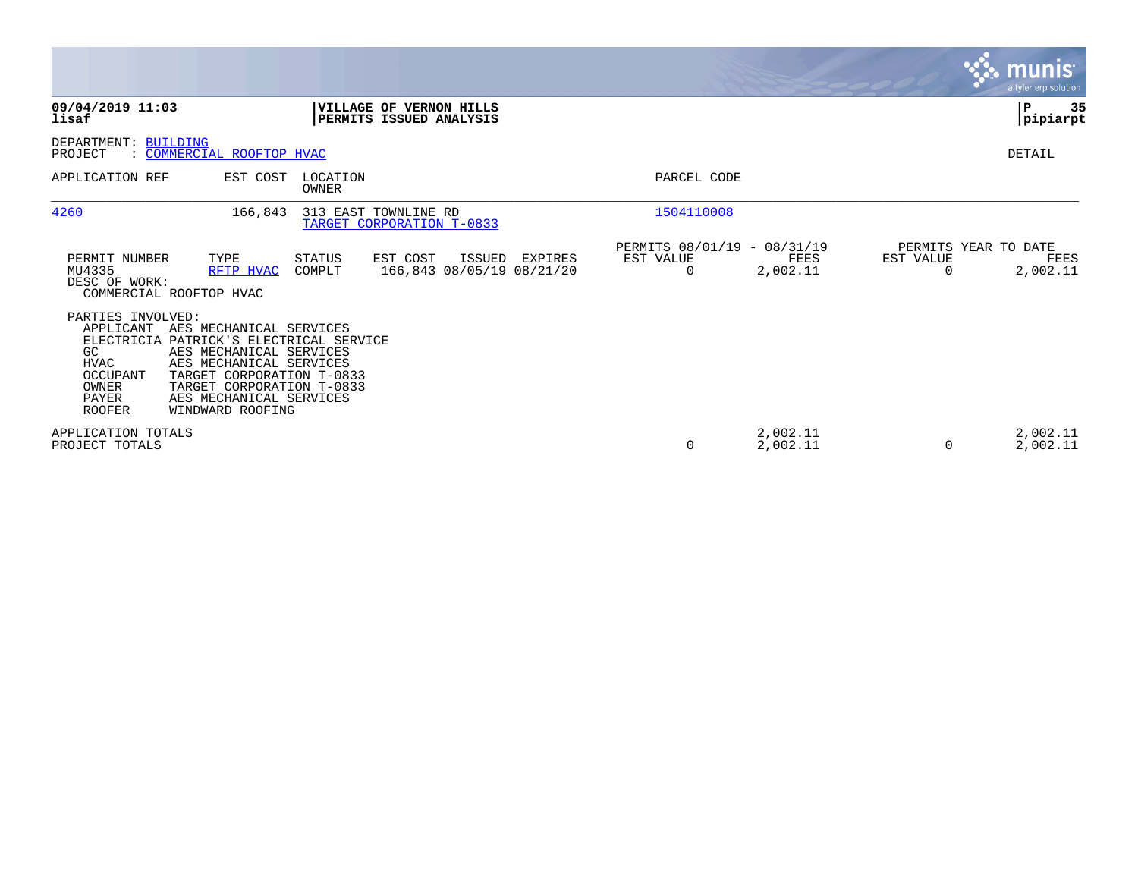|                                                                                                                  |                                                                                                                                                                                                                        |                   |                                                    |         |                                                      |                      |                | $\mathbf{C}$ . munis $\mathbf{C}$<br>a tyler erp solution |
|------------------------------------------------------------------------------------------------------------------|------------------------------------------------------------------------------------------------------------------------------------------------------------------------------------------------------------------------|-------------------|----------------------------------------------------|---------|------------------------------------------------------|----------------------|----------------|-----------------------------------------------------------|
| 09/04/2019 11:03<br>lisaf                                                                                        |                                                                                                                                                                                                                        |                   | VILLAGE OF VERNON HILLS<br>PERMITS ISSUED ANALYSIS |         |                                                      |                      |                | 35<br>P<br> pipiarpt                                      |
| DEPARTMENT: BUILDING<br>PROJECT                                                                                  | : COMMERCIAL ROOFTOP HVAC                                                                                                                                                                                              |                   |                                                    |         |                                                      |                      |                | DETAIL                                                    |
| APPLICATION REF                                                                                                  | EST COST                                                                                                                                                                                                               | LOCATION<br>OWNER |                                                    |         | PARCEL CODE                                          |                      |                |                                                           |
| 4260                                                                                                             | 166,843                                                                                                                                                                                                                |                   | 313 EAST TOWNLINE RD<br>TARGET CORPORATION T-0833  |         | 1504110008                                           |                      |                |                                                           |
| PERMIT NUMBER<br>MU4335<br>DESC OF WORK:                                                                         | TYPE<br>RFTP HVAC<br>COMMERCIAL ROOFTOP HVAC                                                                                                                                                                           | STATUS<br>COMPLT  | EST COST<br>ISSUED<br>166,843 08/05/19 08/21/20    | EXPIRES | PERMITS 08/01/19 - 08/31/19<br>EST VALUE<br>$\Omega$ | FEES<br>2,002.11     | EST VALUE<br>O | PERMITS YEAR TO DATE<br>FEES<br>2,002.11                  |
| PARTIES INVOLVED:<br>APPLICANT<br>ELECTRICIA<br>GC<br><b>HVAC</b><br>OCCUPANT<br>OWNER<br>PAYER<br><b>ROOFER</b> | AES MECHANICAL SERVICES<br>PATRICK'S ELECTRICAL SERVICE<br>AES MECHANICAL SERVICES<br>AES MECHANICAL SERVICES<br>TARGET CORPORATION T-0833<br>TARGET CORPORATION T-0833<br>AES MECHANICAL SERVICES<br>WINDWARD ROOFING |                   |                                                    |         |                                                      |                      |                |                                                           |
| APPLICATION TOTALS<br>PROJECT TOTALS                                                                             |                                                                                                                                                                                                                        |                   |                                                    |         | $\mathbf 0$                                          | 2,002.11<br>2,002.11 | 0              | 2,002.11<br>2,002.11                                      |

**Tara**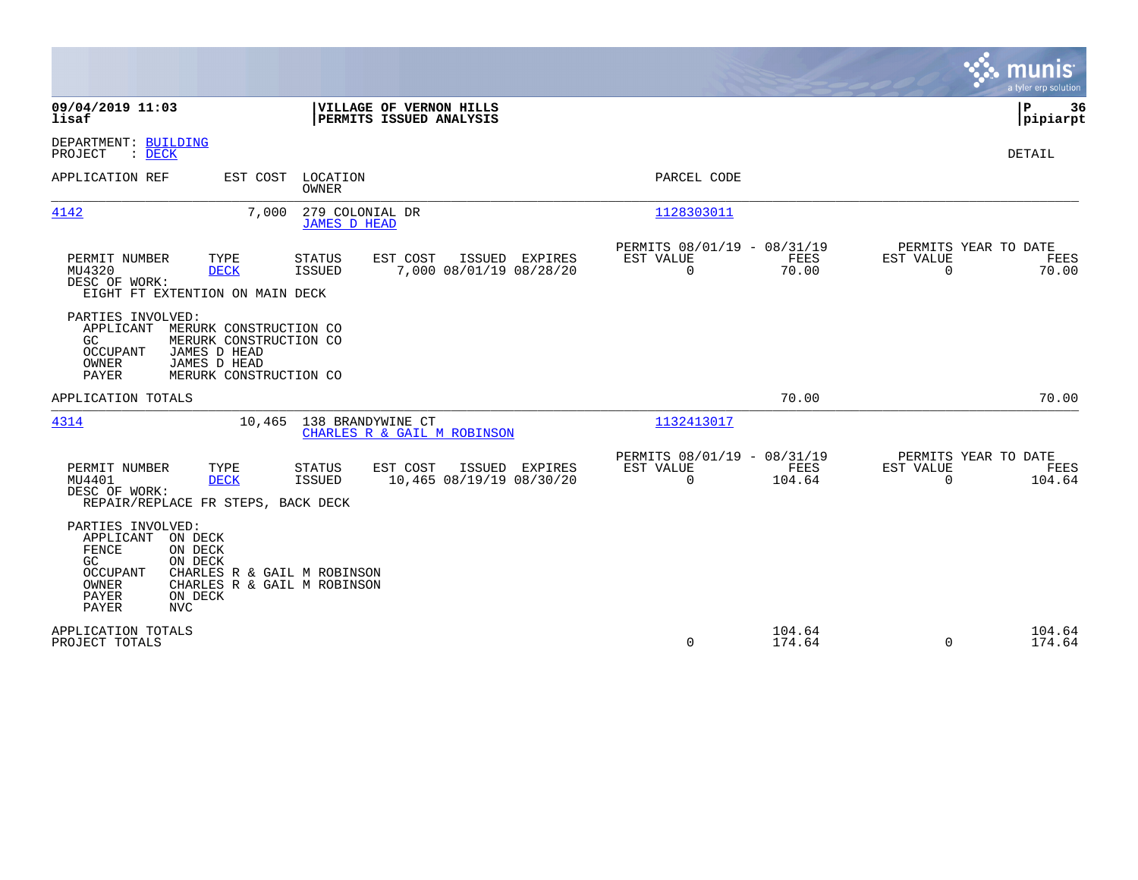|                                                                                                                                                                                                                             |                                                                           | munis<br>a tyler erp solution                                   |
|-----------------------------------------------------------------------------------------------------------------------------------------------------------------------------------------------------------------------------|---------------------------------------------------------------------------|-----------------------------------------------------------------|
| 09/04/2019 11:03<br>VILLAGE OF VERNON HILLS<br>PERMITS ISSUED ANALYSIS<br>lisaf                                                                                                                                             |                                                                           | P<br>36<br> pipiarpt                                            |
| DEPARTMENT: BUILDING<br>$\therefore$ DECK<br>PROJECT                                                                                                                                                                        |                                                                           | DETAIL                                                          |
| APPLICATION REF<br>EST COST<br>LOCATION<br>OWNER                                                                                                                                                                            | PARCEL CODE                                                               |                                                                 |
| 4142<br>7,000<br>279 COLONIAL DR<br><b>JAMES D HEAD</b>                                                                                                                                                                     | 1128303011                                                                |                                                                 |
| PERMIT NUMBER<br>TYPE<br>EST COST<br>ISSUED EXPIRES<br>STATUS<br>7,000 08/01/19 08/28/20<br>MU4320<br><b>DECK</b><br><b>ISSUED</b><br>DESC OF WORK:<br>EIGHT FT EXTENTION ON MAIN DECK                                      | PERMITS 08/01/19 - 08/31/19<br>EST VALUE<br>FEES<br>70.00<br>$\mathbf 0$  | PERMITS YEAR TO DATE<br>EST VALUE<br>FEES<br>70.00<br>$\Omega$  |
| PARTIES INVOLVED:<br>APPLICANT<br>MERURK CONSTRUCTION CO<br>MERURK CONSTRUCTION CO<br>GC.<br>JAMES D HEAD<br><b>OCCUPANT</b><br>JAMES D HEAD<br>OWNER<br><b>PAYER</b><br>MERURK CONSTRUCTION CO                             |                                                                           |                                                                 |
| APPLICATION TOTALS                                                                                                                                                                                                          | 70.00                                                                     | 70.00                                                           |
| 4314<br>138 BRANDYWINE CT<br>10,465<br>CHARLES R & GAIL M ROBINSON                                                                                                                                                          | 1132413017                                                                |                                                                 |
| PERMIT NUMBER<br>TYPE<br>STATUS<br>EST COST<br>ISSUED EXPIRES<br>10,465 08/19/19 08/30/20<br>MU4401<br><b>DECK</b><br><b>ISSUED</b><br>DESC OF WORK:<br>REPAIR/REPLACE FR STEPS, BACK DECK                                  | PERMITS 08/01/19 - 08/31/19<br>EST VALUE<br>FEES<br>$\mathbf 0$<br>104.64 | PERMITS YEAR TO DATE<br>EST VALUE<br>FEES<br>104.64<br>$\Omega$ |
| PARTIES INVOLVED:<br>ON DECK<br>APPLICANT<br><b>FENCE</b><br>ON DECK<br>ON DECK<br>GC.<br><b>OCCUPANT</b><br>CHARLES R & GAIL M ROBINSON<br>OWNER<br>CHARLES R & GAIL M ROBINSON<br><b>PAYER</b><br>ON DECK<br>PAYER<br>NVC |                                                                           |                                                                 |
| APPLICATION TOTALS<br>PROJECT TOTALS                                                                                                                                                                                        | 104.64<br>0<br>174.64                                                     | 104.64<br>174.64<br>$\mathbf 0$                                 |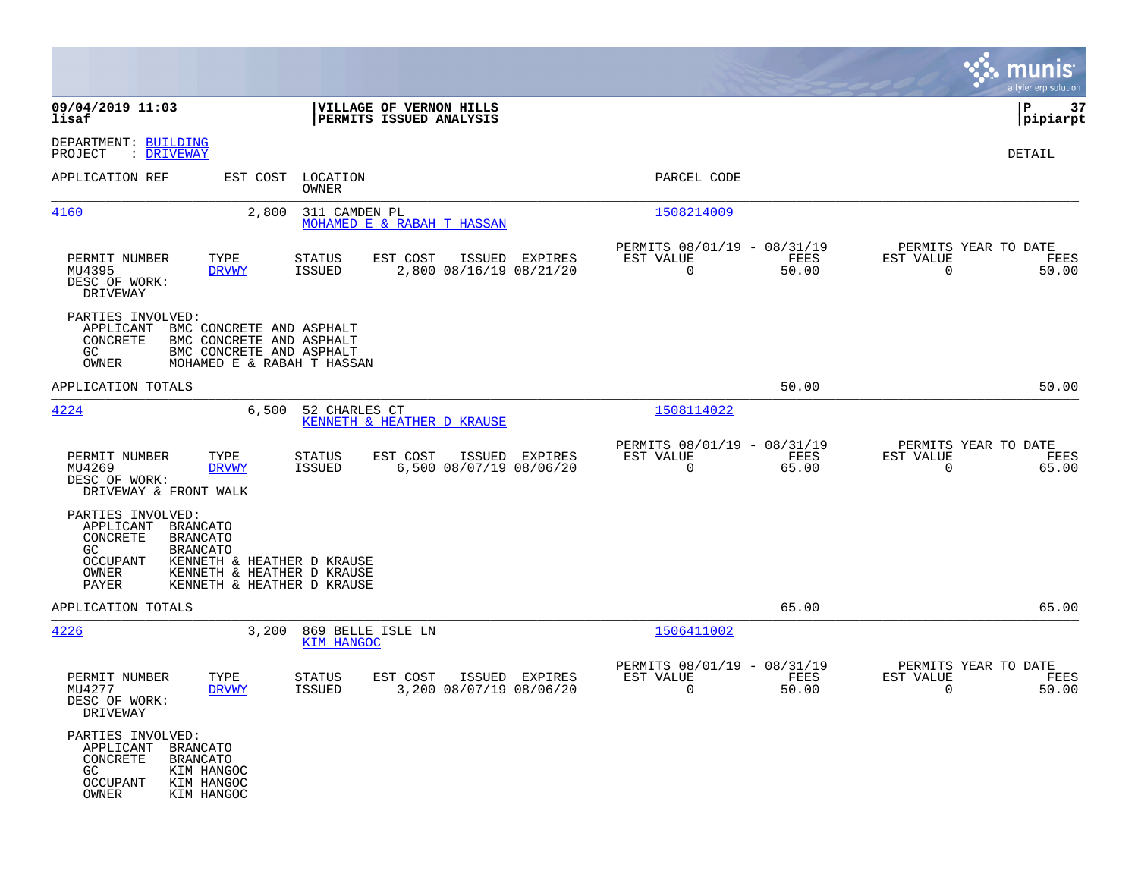|                                                                                                                                                                                                                                   |                                                       |                                                                          | munis<br>a tyler erp solution                                     |
|-----------------------------------------------------------------------------------------------------------------------------------------------------------------------------------------------------------------------------------|-------------------------------------------------------|--------------------------------------------------------------------------|-------------------------------------------------------------------|
| 09/04/2019 11:03<br>lisaf                                                                                                                                                                                                         | VILLAGE OF VERNON HILLS<br>PERMITS ISSUED ANALYSIS    |                                                                          | 37<br>l P<br> pipiarpt                                            |
| DEPARTMENT: BUILDING<br>PROJECT<br>: <u>DRIVEWAY</u>                                                                                                                                                                              |                                                       |                                                                          | DETAIL                                                            |
| APPLICATION REF<br>LOCATION<br>EST COST<br>OWNER                                                                                                                                                                                  |                                                       | PARCEL CODE                                                              |                                                                   |
| 4160<br>2,800                                                                                                                                                                                                                     | 311 CAMDEN PL<br>MOHAMED E & RABAH T HASSAN           | 1508214009                                                               |                                                                   |
| PERMIT NUMBER<br>TYPE<br>STATUS<br>MU4395<br><b>DRVWY</b><br><b>ISSUED</b><br>DESC OF WORK:<br>DRIVEWAY                                                                                                                           | EST COST<br>ISSUED EXPIRES<br>2,800 08/16/19 08/21/20 | PERMITS 08/01/19 - 08/31/19<br>EST VALUE<br>FEES<br>$\mathbf 0$<br>50.00 | PERMITS YEAR TO DATE<br>EST VALUE<br>FEES<br>50.00<br>$\mathbf 0$ |
| PARTIES INVOLVED:<br>APPLICANT<br>BMC CONCRETE AND ASPHALT<br>CONCRETE<br>BMC CONCRETE AND ASPHALT<br>BMC CONCRETE AND ASPHALT<br>GC.<br>OWNER<br>MOHAMED E & RABAH T HASSAN                                                      |                                                       |                                                                          |                                                                   |
| APPLICATION TOTALS                                                                                                                                                                                                                |                                                       | 50.00                                                                    | 50.00                                                             |
| 4224<br>6,500                                                                                                                                                                                                                     | 52 CHARLES CT<br>KENNETH & HEATHER D KRAUSE           | 1508114022                                                               |                                                                   |
| PERMIT NUMBER<br>TYPE<br><b>STATUS</b><br><b>ISSUED</b><br>MU4269<br><b>DRVWY</b><br>DESC OF WORK:<br>DRIVEWAY & FRONT WALK                                                                                                       | EST COST<br>ISSUED EXPIRES<br>6,500 08/07/19 08/06/20 | PERMITS 08/01/19 - 08/31/19<br>EST VALUE<br>FEES<br>$\mathbf 0$<br>65.00 | PERMITS YEAR TO DATE<br>EST VALUE<br>FEES<br>$\mathbf 0$<br>65.00 |
| PARTIES INVOLVED:<br>APPLICANT<br>BRANCATO<br>CONCRETE<br><b>BRANCATO</b><br>GC<br><b>BRANCATO</b><br><b>OCCUPANT</b><br>KENNETH & HEATHER D KRAUSE<br>KENNETH & HEATHER D KRAUSE<br>OWNER<br>PAYER<br>KENNETH & HEATHER D KRAUSE |                                                       |                                                                          |                                                                   |
| APPLICATION TOTALS                                                                                                                                                                                                                |                                                       | 65.00                                                                    | 65.00                                                             |
| 4226<br>3,200<br>KIM HANGOC                                                                                                                                                                                                       | 869 BELLE ISLE LN                                     | 1506411002                                                               |                                                                   |
| PERMIT NUMBER<br>STATUS<br>TYPE<br>MU4277<br><b>DRVWY</b><br><b>ISSUED</b><br>DESC OF WORK:<br><b>DRIVEWAY</b>                                                                                                                    | EST COST<br>ISSUED EXPIRES<br>3,200 08/07/19 08/06/20 | PERMITS 08/01/19 - 08/31/19<br>EST VALUE<br>FEES<br>0<br>50.00           | PERMITS YEAR TO DATE<br>EST VALUE<br>FEES<br>50.00<br>0           |
| PARTIES INVOLVED:<br>APPLICANT<br><b>BRANCATO</b><br>CONCRETE<br><b>BRANCATO</b><br>GC<br>KIM HANGOC<br>OCCUPANT<br>KIM HANGOC<br>OWNER<br>KIM HANGOC                                                                             |                                                       |                                                                          |                                                                   |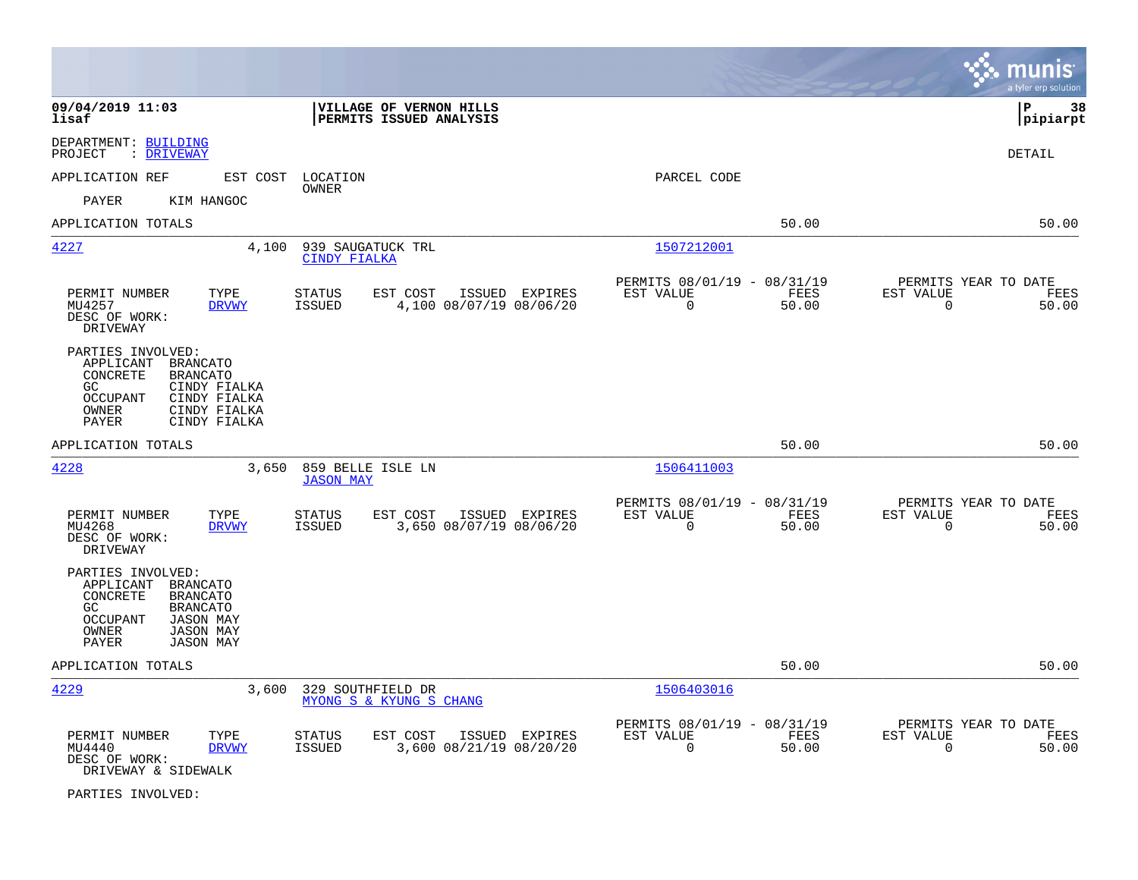|                                                                                                                                                                                                     |                                                                                         |                                                                          | munis<br>a tyler erp solution                                     |
|-----------------------------------------------------------------------------------------------------------------------------------------------------------------------------------------------------|-----------------------------------------------------------------------------------------|--------------------------------------------------------------------------|-------------------------------------------------------------------|
| 09/04/2019 11:03<br>lisaf                                                                                                                                                                           | VILLAGE OF VERNON HILLS<br>PERMITS ISSUED ANALYSIS                                      |                                                                          | l P<br>-38<br> pipiarpt                                           |
| DEPARTMENT: BUILDING<br>PROJECT<br>: <u>DRIVEWAY</u>                                                                                                                                                |                                                                                         |                                                                          | <b>DETAIL</b>                                                     |
| APPLICATION REF<br>EST COST                                                                                                                                                                         | LOCATION<br>OWNER                                                                       | PARCEL CODE                                                              |                                                                   |
| PAYER<br>KIM HANGOC                                                                                                                                                                                 |                                                                                         |                                                                          |                                                                   |
| APPLICATION TOTALS                                                                                                                                                                                  |                                                                                         | 50.00                                                                    | 50.00                                                             |
| 4227<br>4,100                                                                                                                                                                                       | 939 SAUGATUCK TRL<br>CINDY FIALKA                                                       | 1507212001                                                               |                                                                   |
| PERMIT NUMBER<br>TYPE<br>MU4257<br><b>DRVWY</b><br>DESC OF WORK:<br>DRIVEWAY                                                                                                                        | <b>STATUS</b><br>EST COST<br>ISSUED EXPIRES<br><b>ISSUED</b><br>4,100 08/07/19 08/06/20 | PERMITS 08/01/19 - 08/31/19<br>EST VALUE<br>FEES<br>$\Omega$<br>50.00    | PERMITS YEAR TO DATE<br>EST VALUE<br>FEES<br>$\mathbf 0$<br>50.00 |
| PARTIES INVOLVED:<br>APPLICANT<br><b>BRANCATO</b><br>CONCRETE<br><b>BRANCATO</b><br>GC<br>CINDY FIALKA<br>OCCUPANT<br>CINDY FIALKA<br>OWNER<br>CINDY FIALKA<br>PAYER<br>CINDY FIALKA                |                                                                                         |                                                                          |                                                                   |
| APPLICATION TOTALS                                                                                                                                                                                  |                                                                                         | 50.00                                                                    | 50.00                                                             |
| 4228<br>3,650                                                                                                                                                                                       | 859 BELLE ISLE LN<br><b>JASON MAY</b>                                                   | 1506411003                                                               |                                                                   |
| PERMIT NUMBER<br>TYPE<br>MU4268<br><b>DRVWY</b><br>DESC OF WORK:<br>DRIVEWAY                                                                                                                        | EST COST<br><b>STATUS</b><br>ISSUED EXPIRES<br>3,650 08/07/19 08/06/20<br><b>ISSUED</b> | PERMITS 08/01/19 - 08/31/19<br>EST VALUE<br>FEES<br>$\mathbf 0$<br>50.00 | PERMITS YEAR TO DATE<br>EST VALUE<br>FEES<br>$\mathbf 0$<br>50.00 |
| PARTIES INVOLVED:<br>APPLICANT<br><b>BRANCATO</b><br>CONCRETE<br><b>BRANCATO</b><br><b>BRANCATO</b><br>GC<br>OCCUPANT<br><b>JASON MAY</b><br>OWNER<br><b>JASON MAY</b><br>PAYER<br><b>JASON MAY</b> |                                                                                         |                                                                          |                                                                   |
| APPLICATION TOTALS                                                                                                                                                                                  |                                                                                         | 50.00                                                                    | 50.00                                                             |
| 4229<br>3,600                                                                                                                                                                                       | 329 SOUTHFIELD DR<br>MYONG S & KYUNG S CHANG                                            | 1506403016                                                               |                                                                   |
| PERMIT NUMBER<br>TYPE<br>MU4440<br><b>DRVWY</b><br>DESC OF WORK:<br>DRIVEWAY & SIDEWALK                                                                                                             | <b>STATUS</b><br>EST COST<br>ISSUED EXPIRES<br>3,600 08/21/19 08/20/20<br><b>ISSUED</b> | PERMITS 08/01/19 - 08/31/19<br>EST VALUE<br>FEES<br>$\Omega$<br>50.00    | PERMITS YEAR TO DATE<br>EST VALUE<br>FEES<br>$\Omega$<br>50.00    |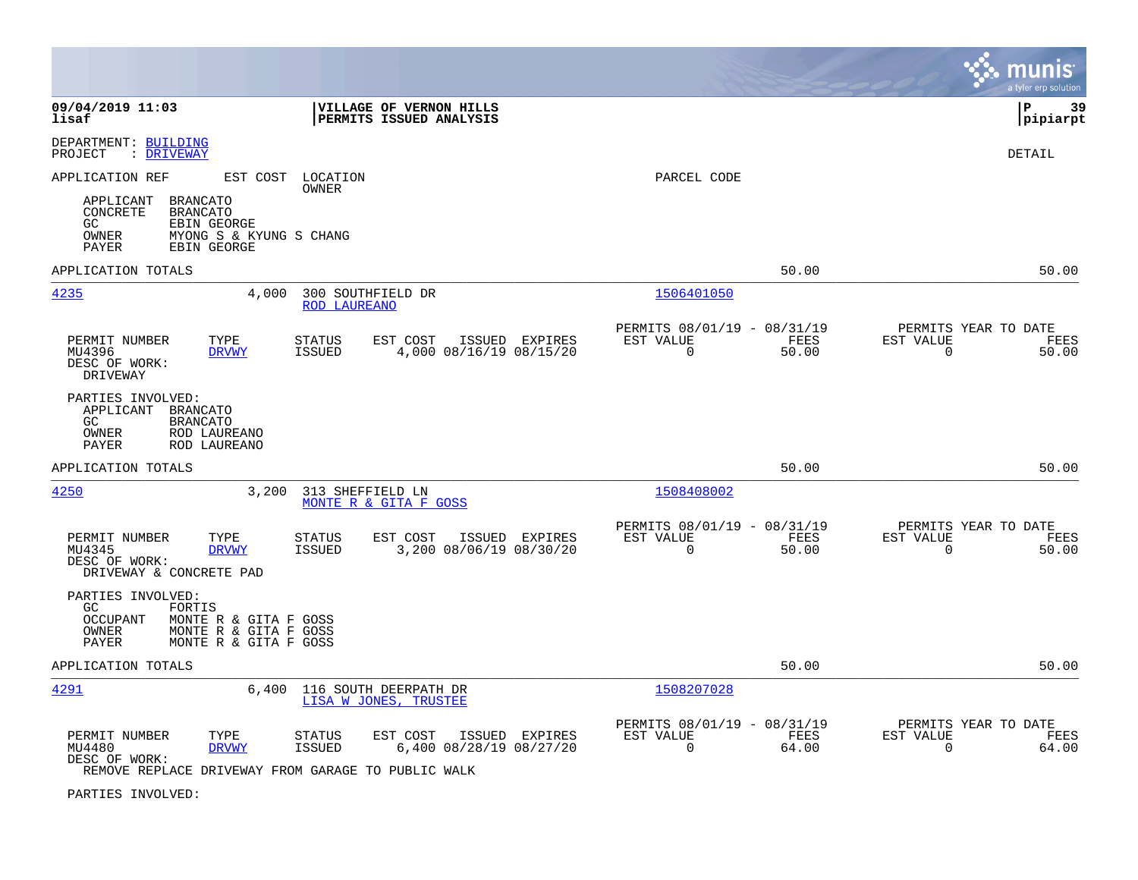|                                                                                                                                                               |                                              |                                                         |               |                                                  | munis<br>a tyler erp solution |
|---------------------------------------------------------------------------------------------------------------------------------------------------------------|----------------------------------------------|---------------------------------------------------------|---------------|--------------------------------------------------|-------------------------------|
| 09/04/2019 11:03<br>VILLAGE OF VERNON HILLS<br>PERMITS ISSUED ANALYSIS<br>lisaf                                                                               |                                              |                                                         |               |                                                  | l P<br>39<br> pipiarpt        |
| DEPARTMENT: BUILDING<br>PROJECT<br>: DRIVEWAY                                                                                                                 |                                              |                                                         |               |                                                  | <b>DETAIL</b>                 |
| APPLICATION REF<br>EST COST<br>LOCATION<br>OWNER                                                                                                              |                                              | PARCEL CODE                                             |               |                                                  |                               |
| APPLICANT<br><b>BRANCATO</b><br>CONCRETE<br><b>BRANCATO</b><br>GC.<br>EBIN GEORGE<br>MYONG S & KYUNG S CHANG<br>OWNER<br><b>PAYER</b><br><b>EBIN GEORGE</b>   |                                              |                                                         |               |                                                  |                               |
| APPLICATION TOTALS                                                                                                                                            |                                              |                                                         | 50.00         |                                                  | 50.00                         |
| 4235<br>4,000<br>300 SOUTHFIELD DR<br><b>ROD LAUREANO</b>                                                                                                     |                                              | 1506401050                                              |               |                                                  |                               |
| TYPE<br><b>STATUS</b><br>EST COST<br>PERMIT NUMBER<br>MU4396<br><b>DRVWY</b><br><b>ISSUED</b><br>DESC OF WORK:<br>DRIVEWAY                                    | ISSUED<br>EXPIRES<br>4,000 08/16/19 08/15/20 | PERMITS 08/01/19 - 08/31/19<br>EST VALUE<br>$\Omega$    | FEES<br>50.00 | PERMITS YEAR TO DATE<br>EST VALUE<br>$\mathbf 0$ | FEES<br>50.00                 |
| PARTIES INVOLVED:<br>APPLICANT<br><b>BRANCATO</b><br>GC<br><b>BRANCATO</b><br>OWNER<br>ROD LAUREANO<br><b>PAYER</b><br>ROD LAUREANO                           |                                              |                                                         |               |                                                  |                               |
| APPLICATION TOTALS                                                                                                                                            |                                              |                                                         | 50.00         |                                                  | 50.00                         |
| 4250<br>3,200<br>313 SHEFFIELD LN<br>MONTE R & GITA F GOSS                                                                                                    |                                              | 1508408002                                              |               |                                                  |                               |
| PERMIT NUMBER<br>TYPE<br><b>STATUS</b><br>EST COST<br>MU4345<br><b>DRVWY</b><br><b>ISSUED</b><br>DESC OF WORK:<br>DRIVEWAY & CONCRETE PAD                     | ISSUED EXPIRES<br>3,200 08/06/19 08/30/20    | PERMITS 08/01/19 - 08/31/19<br>EST VALUE<br>$\Omega$    | FEES<br>50.00 | PERMITS YEAR TO DATE<br>EST VALUE<br>0           | FEES<br>50.00                 |
| PARTIES INVOLVED:<br>GC.<br>FORTIS<br><b>OCCUPANT</b><br>MONTE R & GITA F GOSS<br>MONTE R & GITA F GOSS<br>OWNER<br><b>PAYER</b><br>MONTE R & GITA F GOSS     |                                              |                                                         |               |                                                  |                               |
| APPLICATION TOTALS                                                                                                                                            |                                              |                                                         | 50.00         |                                                  | 50.00                         |
| 4291<br>6,400<br>116 SOUTH DEERPATH DR<br>LISA W JONES, TRUSTEE                                                                                               |                                              | 1508207028                                              |               |                                                  |                               |
| PERMIT NUMBER<br>TYPE<br>STATUS<br>EST COST<br>MU4480<br><b>DRVWY</b><br><b>ISSUED</b><br>DESC OF WORK:<br>REMOVE REPLACE DRIVEWAY FROM GARAGE TO PUBLIC WALK | ISSUED EXPIRES<br>6,400 08/28/19 08/27/20    | PERMITS 08/01/19 - 08/31/19<br>EST VALUE<br>$\mathbf 0$ | FEES<br>64.00 | PERMITS YEAR TO DATE<br>EST VALUE<br>$\mathbf 0$ | FEES<br>64.00                 |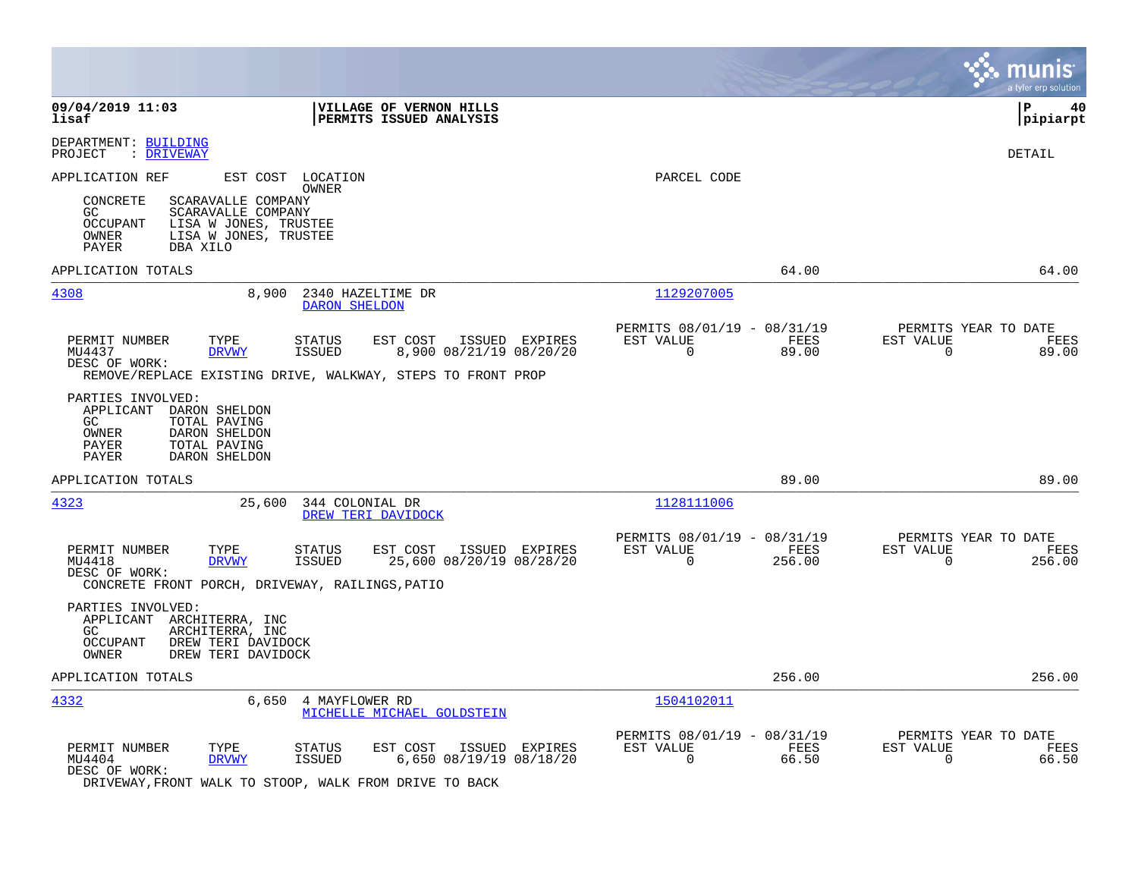|                                                                                                                                                                                                                            |                                                                           | munis<br>a tyler erp solution                                      |
|----------------------------------------------------------------------------------------------------------------------------------------------------------------------------------------------------------------------------|---------------------------------------------------------------------------|--------------------------------------------------------------------|
| 09/04/2019 11:03<br>VILLAGE OF VERNON HILLS<br>lisaf<br>PERMITS ISSUED ANALYSIS                                                                                                                                            |                                                                           | l P<br>40<br> pipiarpt                                             |
| DEPARTMENT: BUILDING<br>PROJECT<br>: DRIVEWAY                                                                                                                                                                              |                                                                           | <b>DETAIL</b>                                                      |
| APPLICATION REF<br>EST COST LOCATION                                                                                                                                                                                       | PARCEL CODE                                                               |                                                                    |
| OWNER<br>CONCRETE<br>SCARAVALLE COMPANY<br>SCARAVALLE COMPANY<br>GC.<br>LISA W JONES, TRUSTEE<br><b>OCCUPANT</b><br>OWNER<br>LISA W JONES, TRUSTEE<br>PAYER<br>DBA XILO                                                    |                                                                           |                                                                    |
| APPLICATION TOTALS                                                                                                                                                                                                         | 64.00                                                                     | 64.00                                                              |
| 4308<br>8,900<br>2340 HAZELTIME DR<br><b>DARON SHELDON</b>                                                                                                                                                                 | 1129207005                                                                |                                                                    |
| PERMIT NUMBER<br>TYPE<br><b>STATUS</b><br>EST COST<br>ISSUED EXPIRES<br>MU4437<br><b>DRVWY</b><br><b>ISSUED</b><br>8,900 08/21/19 08/20/20<br>DESC OF WORK:<br>REMOVE/REPLACE EXISTING DRIVE, WALKWAY, STEPS TO FRONT PROP | PERMITS 08/01/19 - 08/31/19<br>EST VALUE<br>FEES<br>$\Omega$<br>89.00     | PERMITS YEAR TO DATE<br>EST VALUE<br>FEES<br>$\Omega$<br>89.00     |
| PARTIES INVOLVED:<br>APPLICANT DARON SHELDON<br>GC<br>TOTAL PAVING<br>OWNER<br>DARON SHELDON<br>TOTAL PAVING<br>PAYER<br>DARON SHELDON<br>PAYER                                                                            |                                                                           |                                                                    |
| APPLICATION TOTALS                                                                                                                                                                                                         | 89.00                                                                     | 89.00                                                              |
| 4323<br>25,600<br>344 COLONIAL DR<br>DREW TERI DAVIDOCK                                                                                                                                                                    | 1128111006                                                                |                                                                    |
| PERMIT NUMBER<br>TYPE<br><b>STATUS</b><br>EST COST<br>ISSUED EXPIRES<br>25,600 08/20/19 08/28/20<br>MU4418<br><b>DRVWY</b><br><b>ISSUED</b><br>DESC OF WORK:<br>CONCRETE FRONT PORCH, DRIVEWAY, RAILINGS, PATIO            | PERMITS 08/01/19 - 08/31/19<br>EST VALUE<br>FEES<br>$\mathbf 0$<br>256.00 | PERMITS YEAR TO DATE<br>EST VALUE<br>FEES<br>$\mathbf 0$<br>256.00 |
| PARTIES INVOLVED:<br>APPLICANT<br>ARCHITERRA, INC<br>ARCHITERRA, INC<br>GC.<br><b>OCCUPANT</b><br>DREW TERI DAVIDOCK<br>OWNER<br>DREW TERI DAVIDOCK                                                                        |                                                                           |                                                                    |
| APPLICATION TOTALS                                                                                                                                                                                                         | 256.00                                                                    | 256.00                                                             |
| 4332<br>6,650 4 MAYFLOWER RD<br>MICHELLE MICHAEL GOLDSTEIN                                                                                                                                                                 | 1504102011                                                                |                                                                    |
| PERMIT NUMBER<br>TYPE<br>STATUS<br>EST COST<br>ISSUED EXPIRES<br>6,650 08/19/19 08/18/20<br>MU4404<br><b>ISSUED</b><br><b>DRVWY</b><br>DESC OF WORK:<br>DRIVEWAY, FRONT WALK TO STOOP, WALK FROM DRIVE TO BACK             | PERMITS 08/01/19 - 08/31/19<br>EST VALUE<br>FEES<br>66.50<br>$\Omega$     | PERMITS YEAR TO DATE<br>EST VALUE<br>FEES<br>66.50<br>0            |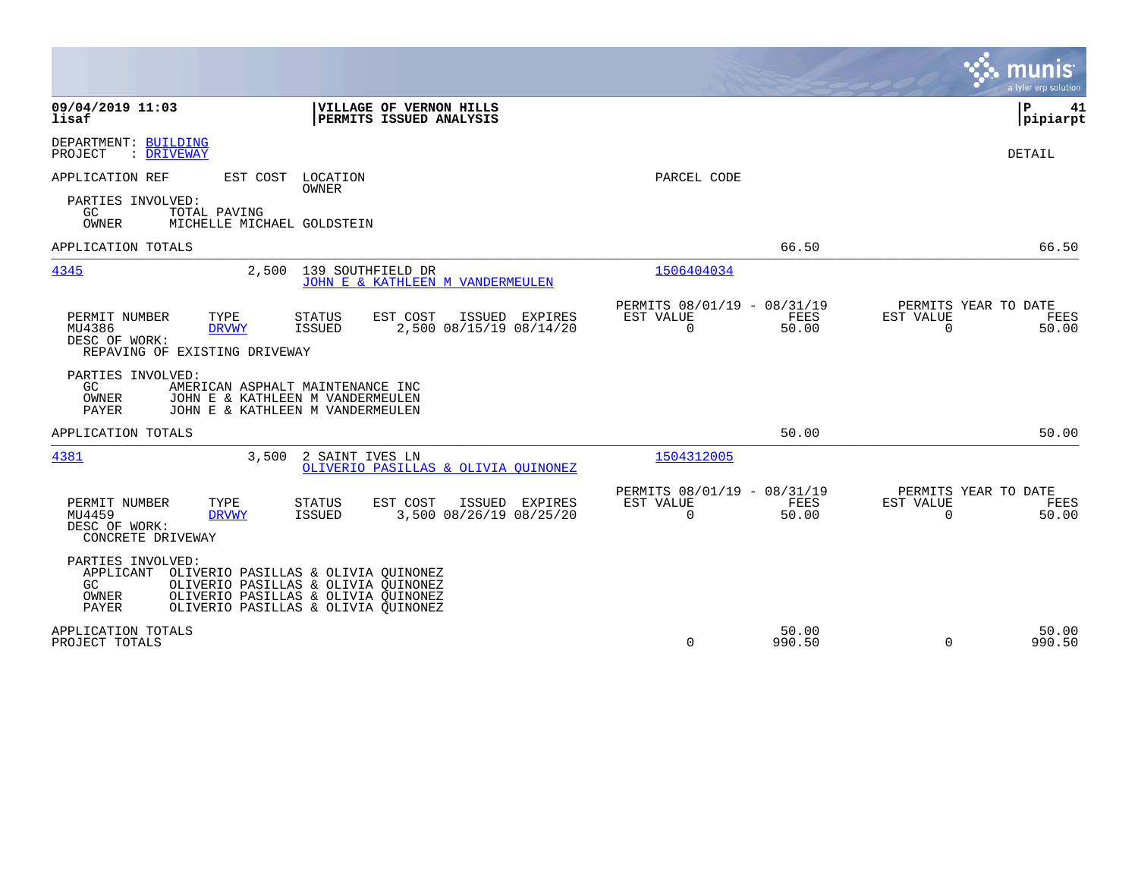|                                                                                                                                                                                                                           |                                                                       | munis<br>a tyler erp solution                                  |
|---------------------------------------------------------------------------------------------------------------------------------------------------------------------------------------------------------------------------|-----------------------------------------------------------------------|----------------------------------------------------------------|
| 09/04/2019 11:03<br>VILLAGE OF VERNON HILLS<br>lisaf<br><b>PERMITS ISSUED ANALYSIS</b>                                                                                                                                    |                                                                       | l P<br>41<br> pipiarpt                                         |
| DEPARTMENT: BUILDING<br>: DRIVEWAY<br>PROJECT                                                                                                                                                                             |                                                                       | DETAIL                                                         |
| APPLICATION REF<br>EST COST<br>LOCATION<br>OWNER<br>PARTIES INVOLVED:<br>GC.<br>TOTAL PAVING<br>OWNER<br>MICHELLE MICHAEL GOLDSTEIN                                                                                       | PARCEL CODE                                                           |                                                                |
| APPLICATION TOTALS                                                                                                                                                                                                        | 66.50                                                                 | 66.50                                                          |
| 4345<br>2,500<br>139 SOUTHFIELD DR<br>JOHN E & KATHLEEN M VANDERMEULEN                                                                                                                                                    | 1506404034                                                            |                                                                |
| EST COST<br>PERMIT NUMBER<br>TYPE<br>STATUS<br>ISSUED EXPIRES<br>2,500 08/15/19 08/14/20<br>MU4386<br><b>ISSUED</b><br><b>DRVWY</b><br>DESC OF WORK:<br>REPAVING OF EXISTING DRIVEWAY                                     | PERMITS 08/01/19 - 08/31/19<br>EST VALUE<br>FEES<br>$\Omega$<br>50.00 | PERMITS YEAR TO DATE<br>EST VALUE<br>FEES<br>$\Omega$<br>50.00 |
| PARTIES INVOLVED:<br>GC.<br>AMERICAN ASPHALT MAINTENANCE INC<br>OWNER<br>JOHN E & KATHLEEN M VANDERMEULEN<br><b>PAYER</b><br>JOHN E & KATHLEEN M VANDERMEULEN                                                             |                                                                       |                                                                |
| APPLICATION TOTALS                                                                                                                                                                                                        | 50.00                                                                 | 50.00                                                          |
| 4381<br>3.500<br>2 SAINT IVES LN<br>OLIVERIO PASILLAS & OLIVIA OUINONEZ                                                                                                                                                   | 1504312005                                                            |                                                                |
| PERMIT NUMBER<br>ISSUED EXPIRES<br>TYPE<br>STATUS<br>EST COST<br>3,500 08/26/19 08/25/20<br>MU4459<br>ISSUED<br><b>DRVWY</b><br>DESC OF WORK:<br>CONCRETE DRIVEWAY                                                        | PERMITS 08/01/19 - 08/31/19<br>EST VALUE<br>FEES<br>0<br>50.00        | PERMITS YEAR TO DATE<br>EST VALUE<br>FEES<br>$\Omega$<br>50.00 |
| PARTIES INVOLVED:<br>APPLICANT<br>OLIVERIO PASILLAS & OLIVIA QUINONEZ<br>GC<br>OLIVERIO PASILLAS & OLIVIA QUINONEZ<br>OWNER<br>OLIVERIO PASILLAS & OLIVIA QUINONEZ<br>OLIVERIO PASILLAS & OLIVIA QUINONEZ<br><b>PAYER</b> |                                                                       |                                                                |
| APPLICATION TOTALS<br>PROJECT TOTALS                                                                                                                                                                                      | 50.00<br>$\mathbf 0$<br>990.50                                        | 50.00<br>$\Omega$<br>990.50                                    |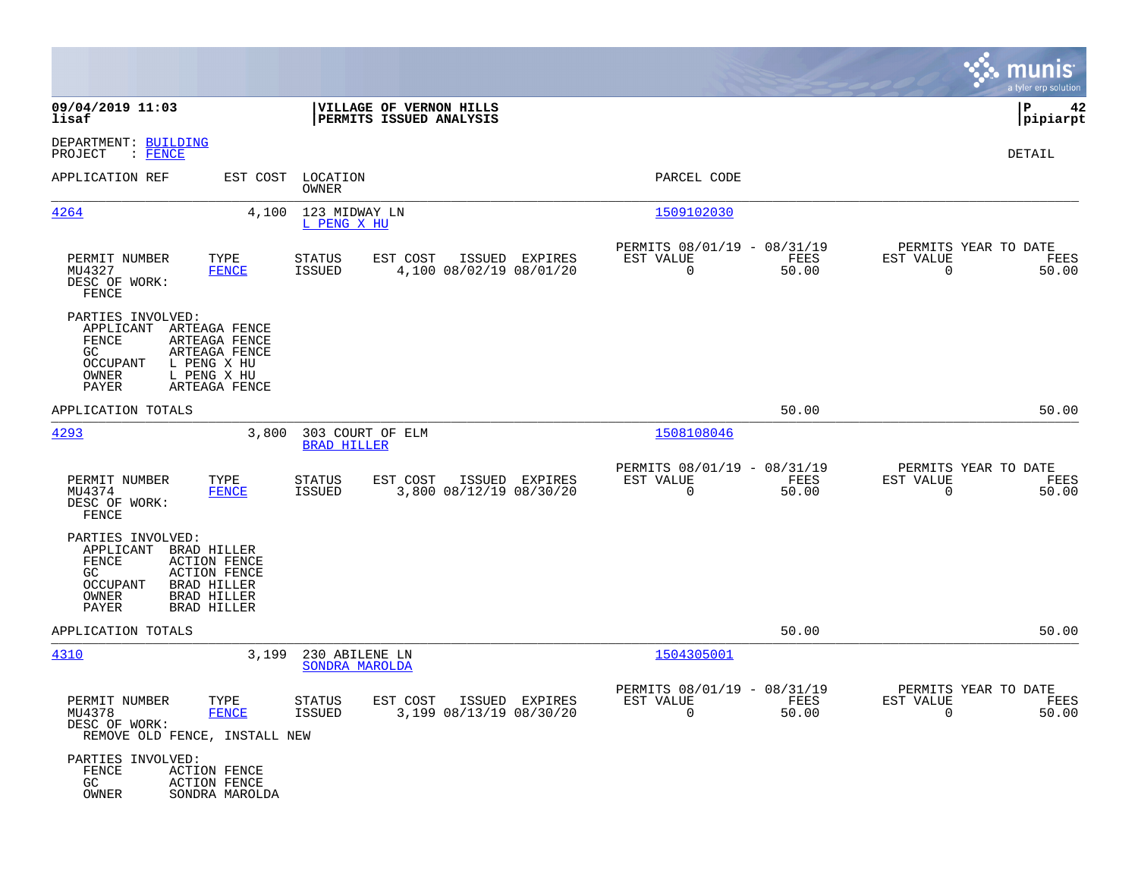|                                                                                                  |                                                                                                              |                                        |                                                    |                |                                                         |               |                                                  | munis<br>a tyler erp solution |
|--------------------------------------------------------------------------------------------------|--------------------------------------------------------------------------------------------------------------|----------------------------------------|----------------------------------------------------|----------------|---------------------------------------------------------|---------------|--------------------------------------------------|-------------------------------|
| 09/04/2019 11:03<br>lisaf                                                                        |                                                                                                              |                                        | VILLAGE OF VERNON HILLS<br>PERMITS ISSUED ANALYSIS |                |                                                         |               |                                                  | P<br>42<br> pipiarpt          |
| DEPARTMENT: BUILDING<br>PROJECT<br>$\blacksquare$ $\blacksquare$ $\blacksquare$ $\blacksquare$   |                                                                                                              |                                        |                                                    |                |                                                         |               |                                                  | DETAIL                        |
| APPLICATION REF                                                                                  |                                                                                                              | EST COST LOCATION<br>OWNER             |                                                    |                | PARCEL CODE                                             |               |                                                  |                               |
| 4264                                                                                             | 4,100                                                                                                        | 123 MIDWAY LN<br>L PENG X HU           |                                                    |                | 1509102030                                              |               |                                                  |                               |
| PERMIT NUMBER<br>MU4327<br>DESC OF WORK:<br>FENCE                                                | TYPE<br><b>FENCE</b>                                                                                         | <b>STATUS</b><br><b>ISSUED</b>         | EST COST<br>4,100 08/02/19 08/01/20                | ISSUED EXPIRES | PERMITS 08/01/19 - 08/31/19<br>EST VALUE<br>0           | FEES<br>50.00 | PERMITS YEAR TO DATE<br>EST VALUE<br>$\mathbf 0$ | FEES<br>50.00                 |
| PARTIES INVOLVED:<br>APPLICANT ARTEAGA FENCE<br>FENCE<br>GC<br><b>OCCUPANT</b><br>OWNER<br>PAYER | ARTEAGA FENCE<br>ARTEAGA FENCE<br>L PENG X HU<br>L PENG X HU<br>ARTEAGA FENCE                                |                                        |                                                    |                |                                                         |               |                                                  |                               |
| APPLICATION TOTALS                                                                               |                                                                                                              |                                        |                                                    |                |                                                         | 50.00         |                                                  | 50.00                         |
| 4293                                                                                             | 3,800                                                                                                        | 303 COURT OF ELM<br><b>BRAD HILLER</b> |                                                    |                | 1508108046                                              |               |                                                  |                               |
| PERMIT NUMBER<br>MU4374<br>DESC OF WORK:<br>FENCE                                                | TYPE<br><b>FENCE</b>                                                                                         | <b>STATUS</b><br><b>ISSUED</b>         | EST COST<br>3,800 08/12/19 08/30/20                | ISSUED EXPIRES | PERMITS 08/01/19 - 08/31/19<br>EST VALUE<br>$\Omega$    | FEES<br>50.00 | PERMITS YEAR TO DATE<br>EST VALUE<br>$\mathbf 0$ | FEES<br>50.00                 |
| PARTIES INVOLVED:<br>APPLICANT BRAD HILLER<br><b>FENCE</b><br>GC<br>OCCUPANT<br>OWNER<br>PAYER   | <b>ACTION FENCE</b><br><b>ACTION FENCE</b><br><b>BRAD HILLER</b><br><b>BRAD HILLER</b><br><b>BRAD HILLER</b> |                                        |                                                    |                |                                                         |               |                                                  |                               |
| APPLICATION TOTALS                                                                               |                                                                                                              |                                        |                                                    |                |                                                         | 50.00         |                                                  | 50.00                         |
| 4310                                                                                             | 3,199                                                                                                        | 230 ABILENE LN<br>SONDRA MAROLDA       |                                                    |                | 1504305001                                              |               |                                                  |                               |
| PERMIT NUMBER<br>MU4378<br>DESC OF WORK:<br>REMOVE OLD FENCE, INSTALL NEW                        | TYPE<br><b>FENCE</b>                                                                                         | STATUS<br><b>ISSUED</b>                | EST COST<br>3,199 08/13/19 08/30/20                | ISSUED EXPIRES | PERMITS 08/01/19 - 08/31/19<br>EST VALUE<br>$\mathbf 0$ | FEES<br>50.00 | PERMITS YEAR TO DATE<br>EST VALUE<br>0           | FEES<br>50.00                 |
| PARTIES INVOLVED:<br>FENCE<br>GC<br>OWNER                                                        | <b>ACTION FENCE</b><br><b>ACTION FENCE</b><br>SONDRA MAROLDA                                                 |                                        |                                                    |                |                                                         |               |                                                  |                               |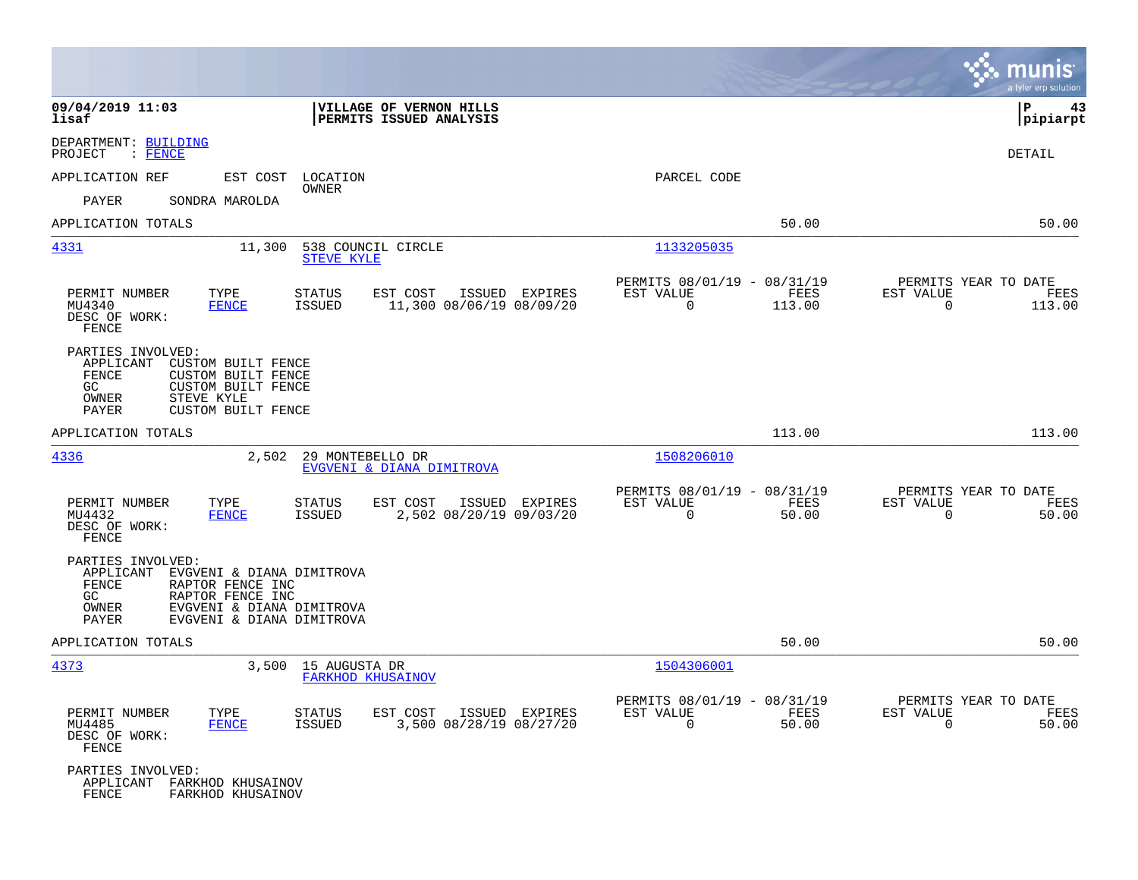|                                                                                                                                                                                                       |                                                                                          |                                                                          | munis<br>a tyler erp solution                                         |
|-------------------------------------------------------------------------------------------------------------------------------------------------------------------------------------------------------|------------------------------------------------------------------------------------------|--------------------------------------------------------------------------|-----------------------------------------------------------------------|
| 09/04/2019 11:03<br>lisaf                                                                                                                                                                             | VILLAGE OF VERNON HILLS<br>PERMITS ISSUED ANALYSIS                                       |                                                                          | l P<br>43<br> pipiarpt                                                |
| DEPARTMENT: BUILDING<br>: FENCE<br>PROJECT                                                                                                                                                            |                                                                                          |                                                                          | DETAIL                                                                |
| EST COST<br>APPLICATION REF                                                                                                                                                                           | LOCATION                                                                                 | PARCEL CODE                                                              |                                                                       |
| <b>PAYER</b><br>SONDRA MAROLDA                                                                                                                                                                        | OWNER                                                                                    |                                                                          |                                                                       |
| APPLICATION TOTALS                                                                                                                                                                                    |                                                                                          | 50.00                                                                    | 50.00                                                                 |
| 4331<br>11,300                                                                                                                                                                                        | 538 COUNCIL CIRCLE<br><b>STEVE KYLE</b>                                                  | 1133205035                                                               |                                                                       |
| PERMIT NUMBER<br>TYPE<br>MU4340<br><b>FENCE</b><br>DESC OF WORK:<br><b>FENCE</b>                                                                                                                      | <b>STATUS</b><br>EST COST<br>ISSUED EXPIRES<br><b>ISSUED</b><br>11,300 08/06/19 08/09/20 | PERMITS 08/01/19 - 08/31/19<br>FEES<br>EST VALUE<br>$\Omega$<br>113.00   | PERMITS YEAR TO DATE<br>EST VALUE<br>FEES<br>$\overline{0}$<br>113.00 |
| PARTIES INVOLVED:<br>APPLICANT<br>CUSTOM BUILT FENCE<br>FENCE<br>CUSTOM BUILT FENCE<br>GC<br>CUSTOM BUILT FENCE<br>STEVE KYLE<br>OWNER<br><b>PAYER</b><br>CUSTOM BUILT FENCE                          |                                                                                          |                                                                          |                                                                       |
| APPLICATION TOTALS                                                                                                                                                                                    |                                                                                          | 113.00                                                                   | 113.00                                                                |
| 4336<br>2,502                                                                                                                                                                                         | 29 MONTEBELLO DR<br>EVGVENI & DIANA DIMITROVA                                            | 1508206010                                                               |                                                                       |
| PERMIT NUMBER<br>TYPE<br>MU4432<br><b>FENCE</b><br>DESC OF WORK:<br>FENCE                                                                                                                             | <b>STATUS</b><br>EST COST<br>ISSUED EXPIRES<br>2,502 08/20/19 09/03/20<br><b>ISSUED</b>  | PERMITS 08/01/19 - 08/31/19<br>EST VALUE<br>FEES<br>$\Omega$<br>50.00    | PERMITS YEAR TO DATE<br>EST VALUE<br>FEES<br>$\mathbf 0$<br>50.00     |
| PARTIES INVOLVED:<br>APPLICANT<br>EVGVENI & DIANA DIMITROVA<br><b>FENCE</b><br>RAPTOR FENCE INC<br>GC<br>RAPTOR FENCE INC<br>EVGVENI & DIANA DIMITROVA<br>OWNER<br>EVGVENI & DIANA DIMITROVA<br>PAYER |                                                                                          |                                                                          |                                                                       |
| APPLICATION TOTALS                                                                                                                                                                                    |                                                                                          | 50.00                                                                    | 50.00                                                                 |
| 4373                                                                                                                                                                                                  | 3,500 15 AUGUSTA DR<br>FARKHOD KHUSAINOV                                                 | 1504306001                                                               |                                                                       |
| PERMIT NUMBER<br>TYPE<br>MU4485<br><b>FENCE</b><br>DESC OF WORK:<br>FENCE                                                                                                                             | STATUS<br>EST COST<br>ISSUED EXPIRES<br><b>ISSUED</b><br>3,500 08/28/19 08/27/20         | PERMITS 08/01/19 - 08/31/19<br>EST VALUE<br>FEES<br>$\mathbf 0$<br>50.00 | PERMITS YEAR TO DATE<br>EST VALUE<br>FEES<br>$\mathbf 0$<br>50.00     |
| PARTIES INVOLVED:<br>APPLICANT FARKHOD KHUSAINOV<br>FENCE<br>FARKHOD KHUSAINOV                                                                                                                        |                                                                                          |                                                                          |                                                                       |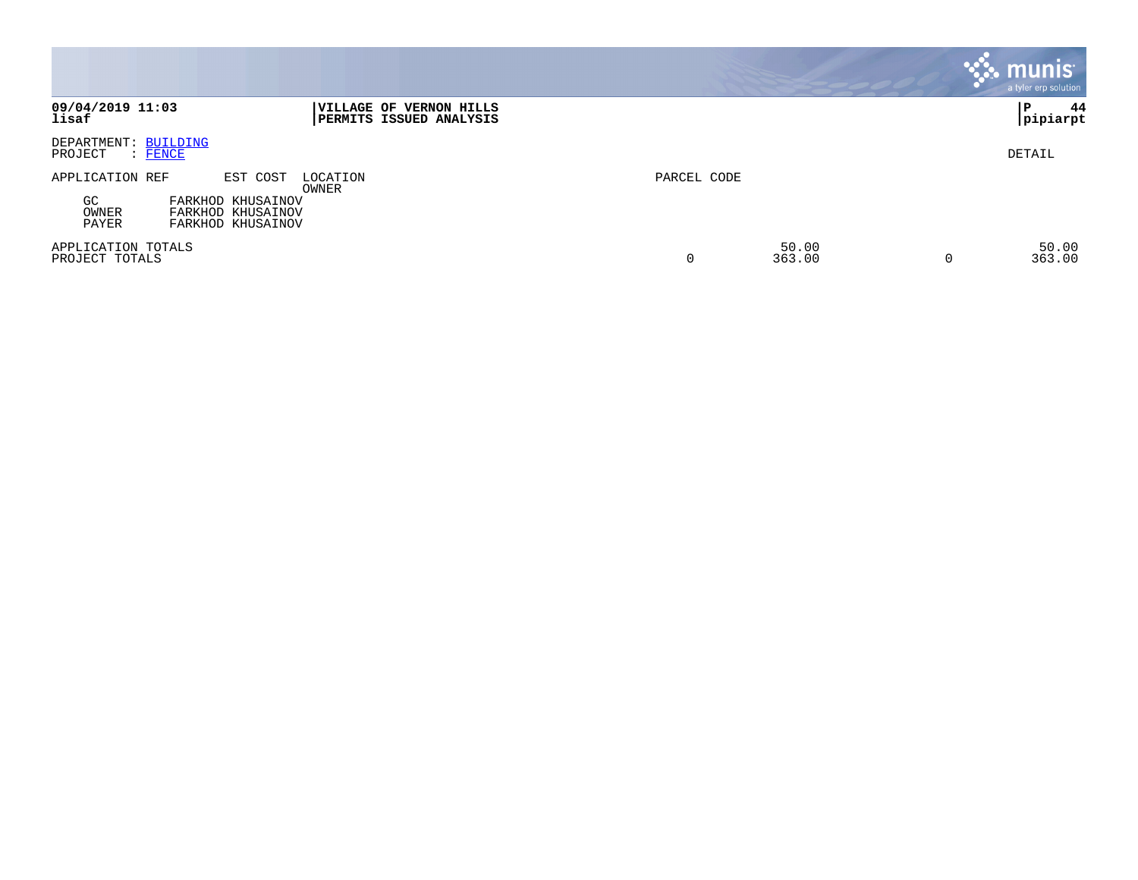|                                                                                                                                         |                             | <b>munis</b><br>a tyler erp solution |
|-----------------------------------------------------------------------------------------------------------------------------------------|-----------------------------|--------------------------------------|
| 09/04/2019 11:03<br>VILLAGE OF VERNON HILLS<br>lisaf<br>PERMITS ISSUED ANALYSIS                                                         |                             | 44<br>ΙP<br> pipiarpt                |
| DEPARTMENT: BUILDING<br>PROJECT<br>$:$ FENCE                                                                                            |                             | DETAIL                               |
| APPLICATION REF<br>EST COST<br>LOCATION<br>OWNER<br>GC<br>FARKHOD KHUSAINOV<br>OWNER<br>FARKHOD KHUSAINOV<br>PAYER<br>FARKHOD KHUSAINOV | PARCEL CODE                 |                                      |
| APPLICATION TOTALS<br>PROJECT TOTALS                                                                                                    | 50.00<br>363.00<br>$\Omega$ | 50.00<br>363.00<br>0                 |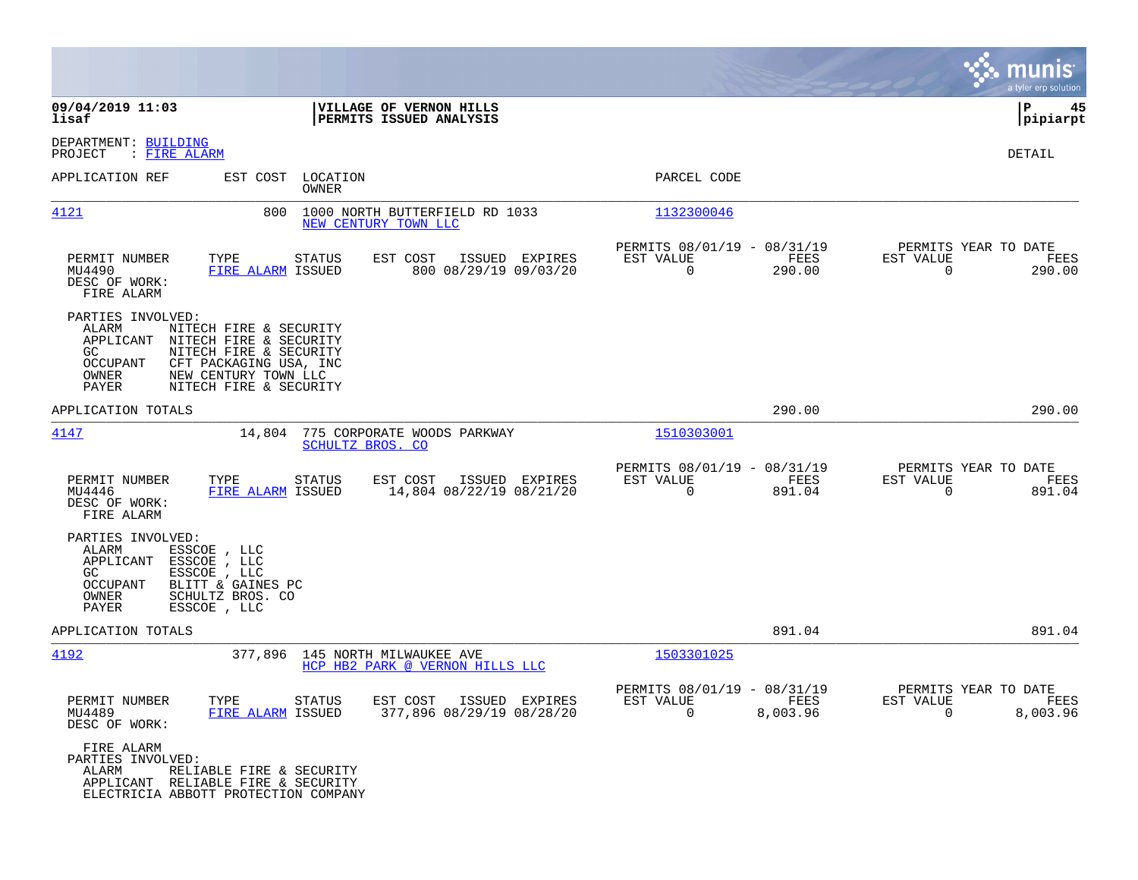|                                                                                                                                                                                                                                            |                                                                           | a tyler erp solution                                               |
|--------------------------------------------------------------------------------------------------------------------------------------------------------------------------------------------------------------------------------------------|---------------------------------------------------------------------------|--------------------------------------------------------------------|
| 09/04/2019 11:03<br>VILLAGE OF VERNON HILLS<br>lisaf<br>PERMITS ISSUED ANALYSIS                                                                                                                                                            |                                                                           | l P<br>45<br> pipiarpt                                             |
| DEPARTMENT: BUILDING<br>: <u>FIRE ALARM</u><br>PROJECT                                                                                                                                                                                     |                                                                           | DETAIL                                                             |
| LOCATION<br>APPLICATION REF<br>EST COST<br>OWNER                                                                                                                                                                                           | PARCEL CODE                                                               |                                                                    |
| 4121<br>800<br>1000 NORTH BUTTERFIELD RD 1033<br>NEW CENTURY TOWN LLC                                                                                                                                                                      | 1132300046                                                                |                                                                    |
| PERMIT NUMBER<br>TYPE<br>STATUS<br>EST COST<br>ISSUED EXPIRES<br>800 08/29/19 09/03/20<br>MU4490<br>FIRE ALARM ISSUED<br>DESC OF WORK:<br>FIRE ALARM                                                                                       | PERMITS 08/01/19 - 08/31/19<br>FEES<br>EST VALUE<br>$\mathbf 0$<br>290.00 | PERMITS YEAR TO DATE<br>EST VALUE<br>FEES<br>$\mathbf 0$<br>290.00 |
| PARTIES INVOLVED:<br>ALARM<br>NITECH FIRE & SECURITY<br>APPLICANT NITECH FIRE & SECURITY<br>GC.<br>NITECH FIRE & SECURITY<br><b>OCCUPANT</b><br>CFT PACKAGING USA, INC<br>OWNER<br>NEW CENTURY TOWN LLC<br>PAYER<br>NITECH FIRE & SECURITY |                                                                           |                                                                    |
| APPLICATION TOTALS                                                                                                                                                                                                                         | 290.00                                                                    | 290.00                                                             |
| 4147<br>14,804<br>775 CORPORATE WOODS PARKWAY<br>SCHULTZ BROS. CO                                                                                                                                                                          | 1510303001                                                                |                                                                    |
| PERMIT NUMBER<br>TYPE<br>STATUS<br>EST COST<br>ISSUED EXPIRES<br>14,804 08/22/19 08/21/20<br>MU4446<br>FIRE ALARM ISSUED<br>DESC OF WORK:<br>FIRE ALARM                                                                                    | PERMITS 08/01/19 - 08/31/19<br>EST VALUE<br>FEES<br>891.04<br>0           | PERMITS YEAR TO DATE<br>EST VALUE<br>FEES<br>891.04<br>0           |
| PARTIES INVOLVED:<br>ALARM<br>ESSCOE , LLC<br>APPLICANT<br>ESSCOE, LLC<br>GC.<br>ESSCOE , LLC<br><b>OCCUPANT</b><br>BLITT & GAINES PC<br>OWNER<br>SCHULTZ BROS. CO<br>PAYER<br>ESSCOE , LLC                                                |                                                                           |                                                                    |
| APPLICATION TOTALS                                                                                                                                                                                                                         | 891.04                                                                    | 891.04                                                             |
| 4192<br>377,896<br>145 NORTH MILWAUKEE AVE<br>HCP HB2 PARK @ VERNON HILLS LLC                                                                                                                                                              | 1503301025                                                                |                                                                    |
| EST COST<br>PERMIT NUMBER<br>TYPE<br>STATUS<br>ISSUED EXPIRES<br>MU4489<br>FIRE ALARM ISSUED<br>377,896 08/29/19 08/28/20<br>DESC OF WORK:                                                                                                 | PERMITS 08/01/19 - 08/31/19<br>EST VALUE<br>FEES<br>$\Omega$<br>8,003.96  | PERMITS YEAR TO DATE<br>EST VALUE<br>FEES<br>$\Omega$<br>8,003.96  |
| FIRE ALARM<br>PARTIES INVOLVED:<br>ALARM<br>RELIABLE FIRE & SECURITY<br>APPLICANT RELIABLE FIRE & SECURITY<br>ELECTRICIA ABBOTT PROTECTION COMPANY                                                                                         |                                                                           |                                                                    |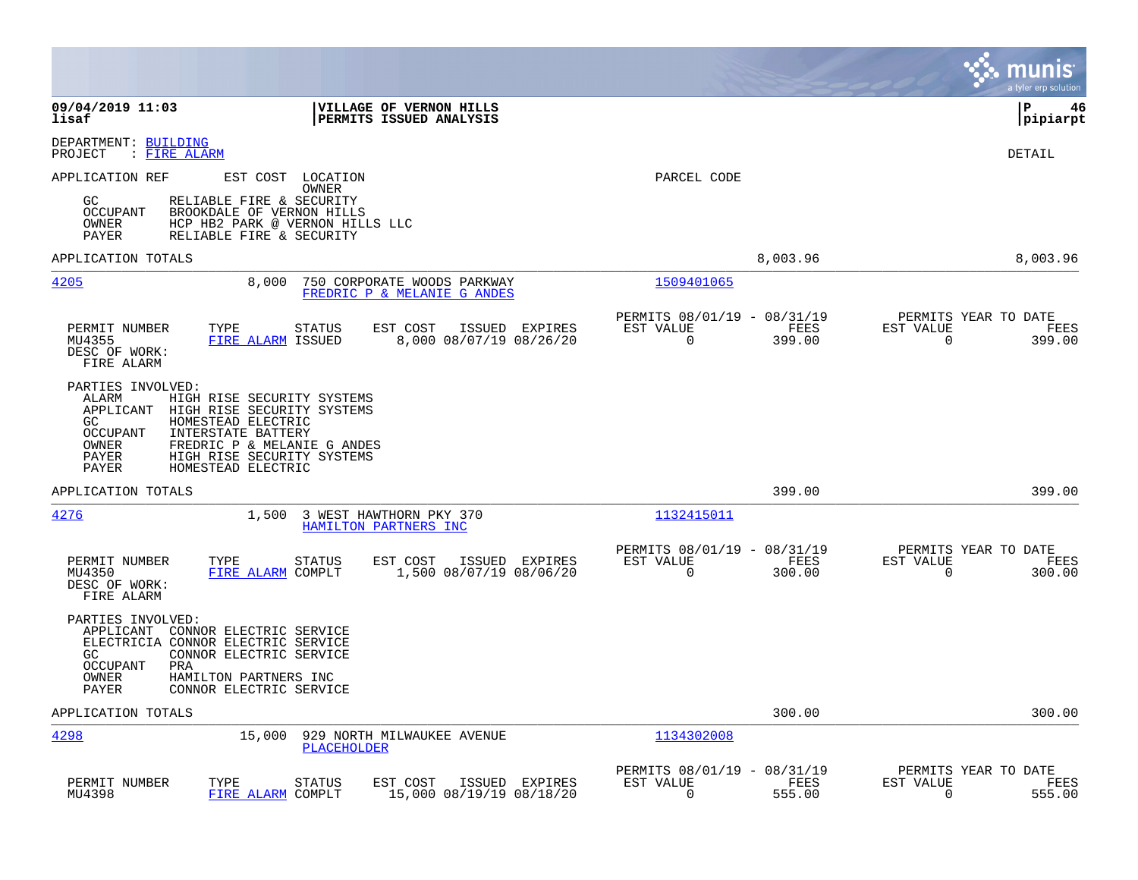|                                                                                                                                                                                                                                                                                  |                                                                        | munis<br>a tyler erp solution                                      |
|----------------------------------------------------------------------------------------------------------------------------------------------------------------------------------------------------------------------------------------------------------------------------------|------------------------------------------------------------------------|--------------------------------------------------------------------|
| 09/04/2019 11:03<br>VILLAGE OF VERNON HILLS<br>lisaf<br>PERMITS ISSUED ANALYSIS                                                                                                                                                                                                  |                                                                        | P<br>46<br>pipiarpt                                                |
| DEPARTMENT: BUILDING<br>PROJECT<br>: FIRE ALARM                                                                                                                                                                                                                                  |                                                                        | DETAIL                                                             |
| APPLICATION REF<br>EST COST<br>LOCATION<br>OWNER<br>GC.<br>RELIABLE FIRE & SECURITY<br>OCCUPANT<br>BROOKDALE OF VERNON HILLS<br>OWNER<br>HCP HB2 PARK @ VERNON HILLS LLC<br><b>PAYER</b><br>RELIABLE FIRE & SECURITY                                                             | PARCEL CODE                                                            |                                                                    |
| APPLICATION TOTALS                                                                                                                                                                                                                                                               | 8,003.96                                                               | 8,003.96                                                           |
| 4205<br>750 CORPORATE WOODS PARKWAY<br>8,000<br>FREDRIC P & MELANIE G ANDES                                                                                                                                                                                                      | 1509401065                                                             |                                                                    |
| PERMIT NUMBER<br>ISSUED EXPIRES<br>TYPE<br>STATUS<br>EST COST<br>8,000 08/07/19 08/26/20<br>MU4355<br>FIRE ALARM ISSUED<br>DESC OF WORK:<br>FIRE ALARM                                                                                                                           | PERMITS 08/01/19 - 08/31/19<br>EST VALUE<br>FEES<br>0<br>399.00        | PERMITS YEAR TO DATE<br>EST VALUE<br>FEES<br>0<br>399.00           |
| PARTIES INVOLVED:<br>ALARM<br>HIGH RISE SECURITY SYSTEMS<br>APPLICANT<br>HIGH RISE SECURITY SYSTEMS<br>HOMESTEAD ELECTRIC<br>GC.<br>OCCUPANT<br>INTERSTATE BATTERY<br>OWNER<br>FREDRIC P & MELANIE G ANDES<br>PAYER<br>HIGH RISE SECURITY SYSTEMS<br>PAYER<br>HOMESTEAD ELECTRIC |                                                                        |                                                                    |
| APPLICATION TOTALS                                                                                                                                                                                                                                                               | 399.00                                                                 | 399.00                                                             |
| 4276<br>1,500<br>3 WEST HAWTHORN PKY 370<br>HAMILTON PARTNERS INC                                                                                                                                                                                                                | 1132415011                                                             |                                                                    |
| PERMIT NUMBER<br>TYPE<br>EST COST<br>ISSUED EXPIRES<br>STATUS<br>1,500 08/07/19 08/06/20<br>MU4350<br>FIRE ALARM COMPLT<br>DESC OF WORK:<br>FIRE ALARM                                                                                                                           | PERMITS 08/01/19 - 08/31/19<br>EST VALUE<br>FEES<br>$\Omega$<br>300.00 | PERMITS YEAR TO DATE<br>EST VALUE<br>FEES<br>$\Omega$<br>300.00    |
| PARTIES INVOLVED:<br>APPLICANT<br>CONNOR ELECTRIC SERVICE<br>ELECTRICIA CONNOR ELECTRIC SERVICE<br>CONNOR ELECTRIC SERVICE<br>GC.<br>OCCUPANT<br>PRA<br>OWNER<br>HAMILTON PARTNERS INC<br>PAYER<br>CONNOR ELECTRIC SERVICE                                                       |                                                                        |                                                                    |
| APPLICATION TOTALS                                                                                                                                                                                                                                                               | 300.00                                                                 | 300.00                                                             |
| 4298<br>15,000<br>929 NORTH MILWAUKEE AVENUE<br>PLACEHOLDER                                                                                                                                                                                                                      | 1134302008                                                             |                                                                    |
| <b>STATUS</b><br>PERMIT NUMBER<br>TYPE<br>EST COST<br>ISSUED EXPIRES<br>MU4398<br>FIRE ALARM COMPLT<br>15,000 08/19/19 08/18/20                                                                                                                                                  | PERMITS 08/01/19 - 08/31/19<br>EST VALUE<br>FEES<br>0<br>555.00        | PERMITS YEAR TO DATE<br>EST VALUE<br>FEES<br>$\mathbf 0$<br>555.00 |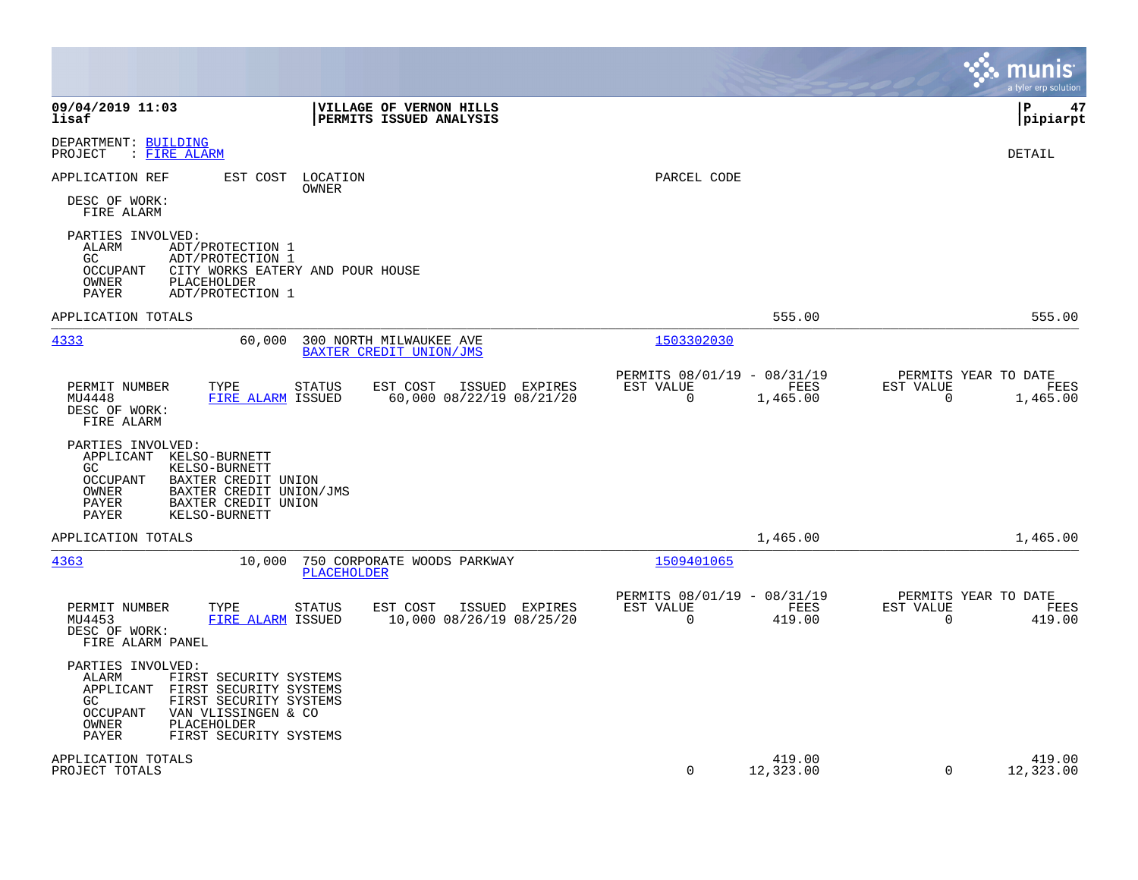|                                                                                                                                                                                                                                  |                                                                         |                                                                              | munis<br>a tyler erp solution                                      |
|----------------------------------------------------------------------------------------------------------------------------------------------------------------------------------------------------------------------------------|-------------------------------------------------------------------------|------------------------------------------------------------------------------|--------------------------------------------------------------------|
| 09/04/2019 11:03<br>lisaf                                                                                                                                                                                                        | VILLAGE OF VERNON HILLS<br><b>PERMITS ISSUED ANALYSIS</b>               |                                                                              | 47<br>l P<br> pipiarpt                                             |
| DEPARTMENT: BUILDING<br>PROJECT<br>: FIRE ALARM                                                                                                                                                                                  |                                                                         |                                                                              | DETAIL                                                             |
| APPLICATION REF<br>EST COST<br>DESC OF WORK:<br>FIRE ALARM                                                                                                                                                                       | LOCATION<br>OWNER                                                       | PARCEL CODE                                                                  |                                                                    |
| PARTIES INVOLVED:<br>ALARM<br>ADT/PROTECTION 1<br>GC<br>ADT/PROTECTION 1<br><b>OCCUPANT</b><br>OWNER<br>PLACEHOLDER<br><b>PAYER</b><br>ADT/PROTECTION 1                                                                          | CITY WORKS EATERY AND POUR HOUSE                                        |                                                                              |                                                                    |
| APPLICATION TOTALS                                                                                                                                                                                                               |                                                                         | 555.00                                                                       | 555.00                                                             |
| 4333<br>60,000                                                                                                                                                                                                                   | 300 NORTH MILWAUKEE AVE<br>BAXTER CREDIT UNION/JMS                      | 1503302030                                                                   |                                                                    |
| PERMIT NUMBER<br>TYPE<br>MU4448<br>FIRE ALARM ISSUED<br>DESC OF WORK:<br>FIRE ALARM                                                                                                                                              | EST COST<br>ISSUED EXPIRES<br>STATUS<br>60,000 08/22/19 08/21/20        | PERMITS 08/01/19 - 08/31/19<br>EST VALUE<br>FEES<br>$\Omega$<br>1,465.00     | PERMITS YEAR TO DATE<br>EST VALUE<br>FEES<br>$\Omega$<br>1,465.00  |
| PARTIES INVOLVED:<br>APPLICANT KELSO-BURNETT<br>GC<br>KELSO-BURNETT<br><b>OCCUPANT</b><br>BAXTER CREDIT UNION<br>BAXTER CREDIT UNION/JMS<br>OWNER<br>PAYER<br>BAXTER CREDIT UNION<br>PAYER<br>KELSO-BURNETT                      |                                                                         |                                                                              |                                                                    |
| APPLICATION TOTALS                                                                                                                                                                                                               |                                                                         | 1,465.00                                                                     | 1,465.00                                                           |
| 4363<br>10,000                                                                                                                                                                                                                   | 750 CORPORATE WOODS PARKWAY<br><b>PLACEHOLDER</b>                       | 1509401065                                                                   |                                                                    |
| PERMIT NUMBER<br>TYPE<br>MU4453<br>FIRE ALARM ISSUED<br>DESC OF WORK:<br>FIRE ALARM PANEL                                                                                                                                        | <b>STATUS</b><br>EST COST<br>ISSUED EXPIRES<br>10,000 08/26/19 08/25/20 | PERMITS 08/01/19 - 08/31/19<br>EST VALUE<br>FEES<br>$\overline{0}$<br>419.00 | PERMITS YEAR TO DATE<br>EST VALUE<br>FEES<br>$\mathbf 0$<br>419.00 |
| PARTIES INVOLVED:<br>ALARM<br>FIRST SECURITY SYSTEMS<br>APPLICANT<br>FIRST SECURITY SYSTEMS<br>GC<br>FIRST SECURITY SYSTEMS<br>VAN VLISSINGEN & CO<br><b>OCCUPANT</b><br>OWNER<br>PLACEHOLDER<br>PAYER<br>FIRST SECURITY SYSTEMS |                                                                         |                                                                              |                                                                    |
| APPLICATION TOTALS<br>PROJECT TOTALS                                                                                                                                                                                             |                                                                         | 419.00<br>$\Omega$<br>12,323.00                                              | 419.00<br>$\Omega$<br>12,323.00                                    |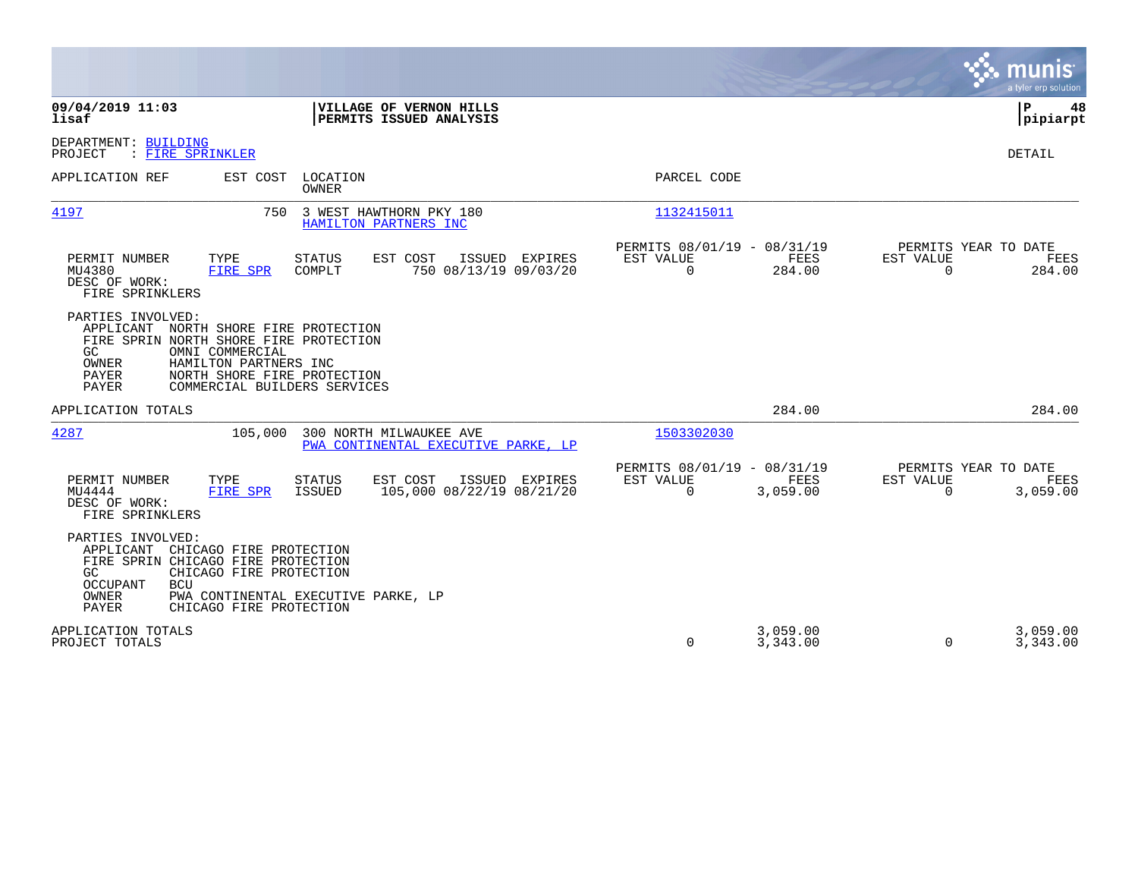|                                                                                                                                                                                                                                                            |                                                         |                                                         |                      |                                               | munis<br>a tyler erp solution |
|------------------------------------------------------------------------------------------------------------------------------------------------------------------------------------------------------------------------------------------------------------|---------------------------------------------------------|---------------------------------------------------------|----------------------|-----------------------------------------------|-------------------------------|
| 09/04/2019 11:03<br>lisaf                                                                                                                                                                                                                                  | VILLAGE OF VERNON HILLS<br>PERMITS ISSUED ANALYSIS      |                                                         |                      |                                               | ∣P<br>48<br> pipiarpt         |
| DEPARTMENT: BUILDING<br>PROJECT<br>: FIRE SPRINKLER                                                                                                                                                                                                        |                                                         |                                                         |                      |                                               | DETAIL                        |
| APPLICATION REF<br>EST COST<br>LOCATION<br>OWNER                                                                                                                                                                                                           |                                                         | PARCEL CODE                                             |                      |                                               |                               |
| 4197<br>750<br>3 WEST HAWTHORN PKY 180<br>HAMILTON PARTNERS INC                                                                                                                                                                                            |                                                         | 1132415011                                              |                      |                                               |                               |
| PERMIT NUMBER<br>TYPE<br><b>STATUS</b><br>MU4380<br>COMPLT<br><b>FIRE SPR</b><br>DESC OF WORK:<br>FIRE SPRINKLERS                                                                                                                                          | EST COST<br>ISSUED EXPIRES<br>750 08/13/19 09/03/20     | PERMITS 08/01/19 - 08/31/19<br>EST VALUE<br>$\mathbf 0$ | FEES<br>284.00       | PERMITS YEAR TO DATE<br>EST VALUE<br>$\Omega$ | FEES<br>284.00                |
| PARTIES INVOLVED:<br>APPLICANT<br>NORTH SHORE FIRE PROTECTION<br>FIRE SPRIN NORTH SHORE FIRE PROTECTION<br>GC<br>OMNI COMMERCIAL<br>HAMILTON PARTNERS INC<br>OWNER<br><b>PAYER</b><br>NORTH SHORE FIRE PROTECTION<br>PAYER<br>COMMERCIAL BUILDERS SERVICES |                                                         |                                                         |                      |                                               |                               |
| APPLICATION TOTALS                                                                                                                                                                                                                                         |                                                         |                                                         | 284.00               |                                               | 284.00                        |
| 4287<br>105,000<br>300 NORTH MILWAUKEE AVE                                                                                                                                                                                                                 | PWA CONTINENTAL EXECUTIVE PARKE, LP                     | 1503302030                                              |                      |                                               |                               |
| PERMIT NUMBER<br>TYPE<br>STATUS<br>MU4444<br>FIRE SPR<br>ISSUED<br>DESC OF WORK:<br>FIRE SPRINKLERS                                                                                                                                                        | EST COST<br>ISSUED EXPIRES<br>105,000 08/22/19 08/21/20 | PERMITS 08/01/19 - 08/31/19<br>EST VALUE<br>$\Omega$    | FEES<br>3,059.00     | PERMITS YEAR TO DATE<br>EST VALUE<br>$\Omega$ | FEES<br>3,059.00              |
| PARTIES INVOLVED:<br>APPLICANT<br>CHICAGO FIRE PROTECTION<br>FIRE SPRIN CHICAGO FIRE PROTECTION<br>CHICAGO FIRE PROTECTION<br>GC.<br><b>BCU</b><br>OCCUPANT<br><b>OWNER</b><br>PWA CONTINENTAL EXECUTIVE PARKE, LP<br>PAYER<br>CHICAGO FIRE PROTECTION     |                                                         |                                                         |                      |                                               |                               |
| APPLICATION TOTALS<br>PROJECT TOTALS                                                                                                                                                                                                                       |                                                         | $\Omega$                                                | 3,059.00<br>3,343.00 | $\Omega$                                      | 3.059.00<br>3,343.00          |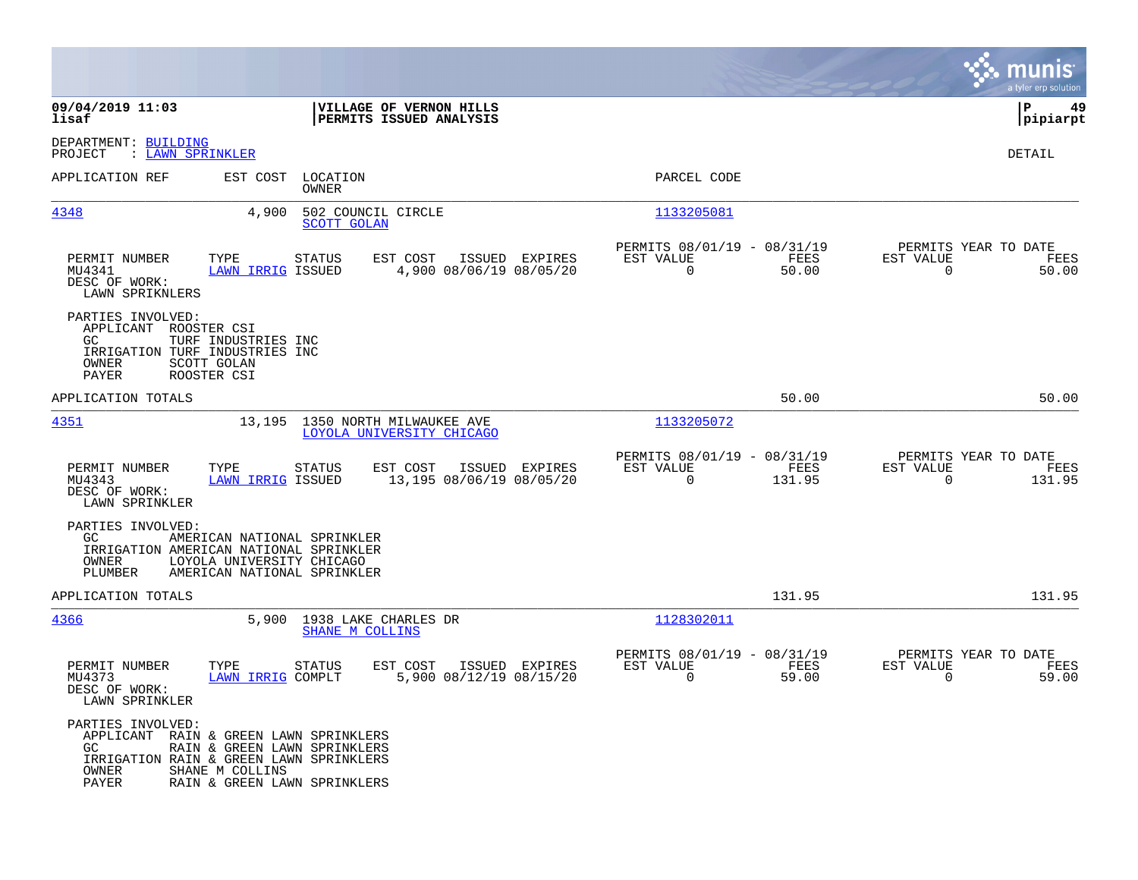|                                                                                                                                                           |                                                                                                     |                                                                        | munis<br>a tyler erp solution                                   |
|-----------------------------------------------------------------------------------------------------------------------------------------------------------|-----------------------------------------------------------------------------------------------------|------------------------------------------------------------------------|-----------------------------------------------------------------|
| 09/04/2019 11:03<br>lisaf                                                                                                                                 | VILLAGE OF VERNON HILLS<br>PERMITS ISSUED ANALYSIS                                                  |                                                                        | ΙP<br>49<br> pipiarpt                                           |
| DEPARTMENT: BUILDING<br>: LAWN SPRINKLER<br>PROJECT                                                                                                       |                                                                                                     |                                                                        | <b>DETAIL</b>                                                   |
| APPLICATION REF<br>EST COST                                                                                                                               | LOCATION<br><b>OWNER</b>                                                                            | PARCEL CODE                                                            |                                                                 |
| 4348<br>4,900                                                                                                                                             | 502 COUNCIL CIRCLE<br><b>SCOTT GOLAN</b>                                                            | 1133205081                                                             |                                                                 |
| PERMIT NUMBER<br>TYPE<br>MU4341<br>DESC OF WORK:<br>LAWN SPRIKNLERS                                                                                       | <b>STATUS</b><br>EST COST<br>ISSUED EXPIRES<br>4,900 08/06/19 08/05/20<br><b>LAWN IRRIG ISSUED</b>  | PERMITS 08/01/19 - 08/31/19<br>EST VALUE<br>FEES<br>$\Omega$<br>50.00  | PERMITS YEAR TO DATE<br>EST VALUE<br>FEES<br>$\Omega$<br>50.00  |
| PARTIES INVOLVED:<br>APPLICANT ROOSTER CSI<br>GC<br>TURF INDUSTRIES INC<br>IRRIGATION TURF INDUSTRIES INC<br>OWNER<br>SCOTT GOLAN<br>ROOSTER CSI<br>PAYER |                                                                                                     |                                                                        |                                                                 |
| APPLICATION TOTALS                                                                                                                                        |                                                                                                     | 50.00                                                                  | 50.00                                                           |
| 4351<br>13,195                                                                                                                                            | 1350 NORTH MILWAUKEE AVE<br>LOYOLA UNIVERSITY CHICAGO                                               | 1133205072                                                             |                                                                 |
| PERMIT NUMBER<br>TYPE<br>MU4343<br>DESC OF WORK:<br>LAWN SPRINKLER                                                                                        | EST COST<br>ISSUED EXPIRES<br><b>STATUS</b><br><b>LAWN IRRIG ISSUED</b><br>13,195 08/06/19 08/05/20 | PERMITS 08/01/19 - 08/31/19<br>EST VALUE<br>FEES<br>$\Omega$<br>131.95 | PERMITS YEAR TO DATE<br>EST VALUE<br>FEES<br>$\Omega$<br>131.95 |
| PARTIES INVOLVED:<br>GC<br>IRRIGATION AMERICAN NATIONAL SPRINKLER<br>OWNER<br>LOYOLA UNIVERSITY CHICAGO<br><b>PLUMBER</b>                                 | AMERICAN NATIONAL SPRINKLER<br>AMERICAN NATIONAL SPRINKLER                                          |                                                                        |                                                                 |
| APPLICATION TOTALS                                                                                                                                        |                                                                                                     | 131.95                                                                 | 131.95                                                          |
| 4366<br>5,900                                                                                                                                             | 1938 LAKE CHARLES DR<br>SHANE M COLLINS                                                             | 1128302011                                                             |                                                                 |
| PERMIT NUMBER<br>TYPE<br>MU4373<br>DESC OF WORK:<br>LAWN SPRINKLER                                                                                        | EST COST<br>ISSUED EXPIRES<br><b>STATUS</b><br>LAWN IRRIG COMPLT<br>5,900 08/12/19 08/15/20         | PERMITS 08/01/19 - 08/31/19<br>EST VALUE<br>FEES<br>$\Omega$<br>59.00  | PERMITS YEAR TO DATE<br>EST VALUE<br>FEES<br>$\Omega$<br>59.00  |
| PARTIES INVOLVED:<br>APPLICANT RAIN & GREEN LAWN SPRINKLERS<br>GC<br>IRRIGATION RAIN & GREEN LAWN SPRINKLERS<br>OWNER<br>SHANE M COLLINS<br>PAYER         | RAIN & GREEN LAWN SPRINKLERS<br>RAIN & GREEN LAWN SPRINKLERS                                        |                                                                        |                                                                 |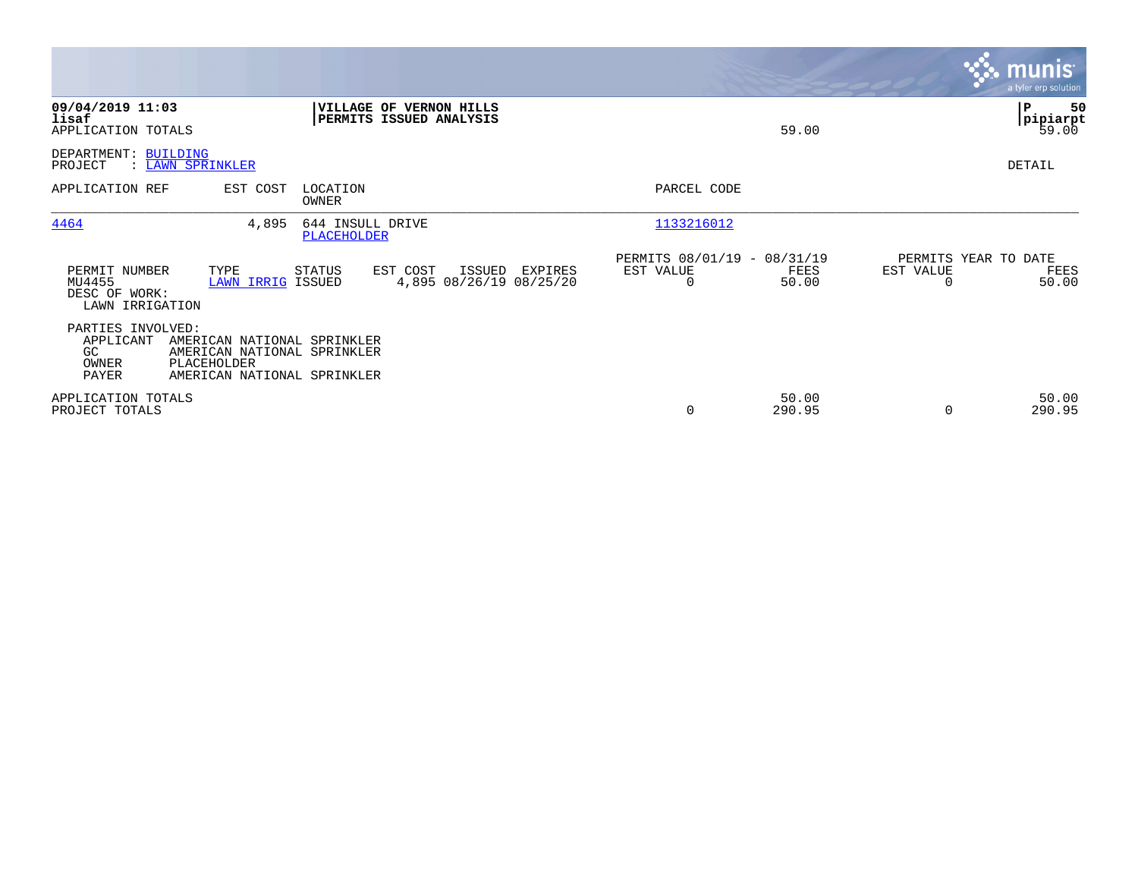|                                                             |                                                                                                          |                                 |                                                    |         |                                                      |                 |                                   | <b>munis</b><br>a tyler erp solution     |
|-------------------------------------------------------------|----------------------------------------------------------------------------------------------------------|---------------------------------|----------------------------------------------------|---------|------------------------------------------------------|-----------------|-----------------------------------|------------------------------------------|
| 09/04/2019 11:03<br>lisaf<br>APPLICATION TOTALS             |                                                                                                          |                                 | VILLAGE OF VERNON HILLS<br>PERMITS ISSUED ANALYSIS |         |                                                      | 59.00           |                                   | $\mathbf{P}$<br>50<br>pipiarpt <br>59.00 |
| DEPARTMENT: BUILDING<br>PROJECT                             | : LAWN SPRINKLER                                                                                         |                                 |                                                    |         |                                                      |                 |                                   | DETAIL                                   |
| APPLICATION REF                                             | EST COST                                                                                                 | LOCATION<br>OWNER               |                                                    |         | PARCEL CODE                                          |                 |                                   |                                          |
| 4464                                                        | 4,895                                                                                                    | 644 INSULL DRIVE<br>PLACEHOLDER |                                                    |         | 1133216012                                           |                 |                                   |                                          |
| PERMIT NUMBER<br>MU4455<br>DESC OF WORK:<br>LAWN IRRIGATION | TYPE<br>LAWN IRRIG ISSUED                                                                                | STATUS                          | EST COST<br>ISSUED<br>4,895 08/26/19 08/25/20      | EXPIRES | PERMITS 08/01/19 - 08/31/19<br>EST VALUE<br>$\Omega$ | FEES<br>50.00   | PERMITS YEAR TO DATE<br>EST VALUE | FEES<br>50.00                            |
| PARTIES INVOLVED:<br>APPLICANT<br>GC<br>OWNER<br>PAYER      | AMERICAN NATIONAL SPRINKLER<br>AMERICAN NATIONAL SPRINKLER<br>PLACEHOLDER<br>AMERICAN NATIONAL SPRINKLER |                                 |                                                    |         |                                                      |                 |                                   |                                          |
| APPLICATION TOTALS<br>PROJECT TOTALS                        |                                                                                                          |                                 |                                                    |         | 0                                                    | 50.00<br>290.95 |                                   | 50.00<br>290.95                          |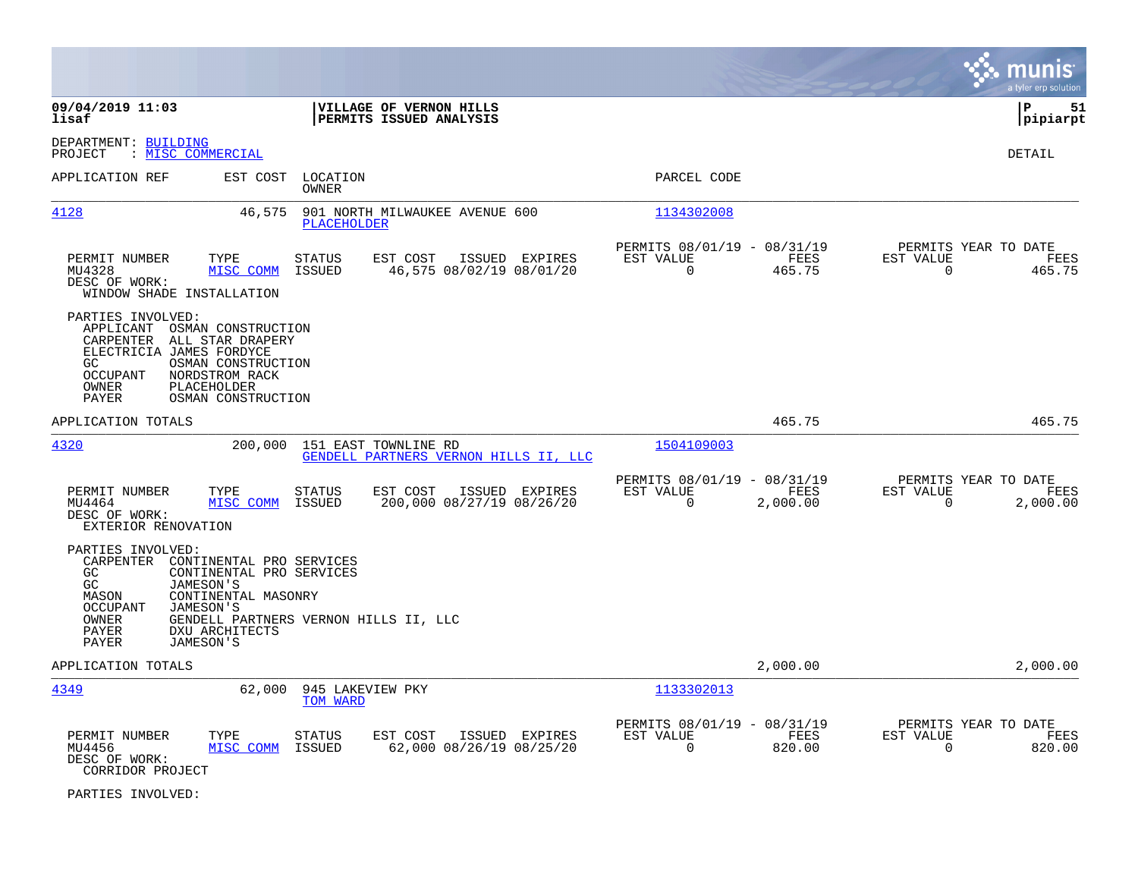|                                                                                                                                                                                                                                                         |                                                                                          |                                                                             | munis<br>a tyler erp solution                                        |
|---------------------------------------------------------------------------------------------------------------------------------------------------------------------------------------------------------------------------------------------------------|------------------------------------------------------------------------------------------|-----------------------------------------------------------------------------|----------------------------------------------------------------------|
| 09/04/2019 11:03<br>lisaf                                                                                                                                                                                                                               | VILLAGE OF VERNON HILLS<br>PERMITS ISSUED ANALYSIS                                       |                                                                             | l P<br>51<br> pipiarpt                                               |
| DEPARTMENT: BUILDING<br>: MISC COMMERCIAL<br>PROJECT                                                                                                                                                                                                    |                                                                                          |                                                                             | DETAIL                                                               |
| APPLICATION REF<br>EST COST                                                                                                                                                                                                                             | LOCATION<br>OWNER                                                                        | PARCEL CODE                                                                 |                                                                      |
| 4128<br>46,575                                                                                                                                                                                                                                          | 901 NORTH MILWAUKEE AVENUE 600<br><b>PLACEHOLDER</b>                                     | 1134302008                                                                  |                                                                      |
| PERMIT NUMBER<br>TYPE<br>MU4328<br>MISC COMM<br>DESC OF WORK:<br>WINDOW SHADE INSTALLATION                                                                                                                                                              | <b>STATUS</b><br>EST COST<br>ISSUED EXPIRES<br><b>ISSUED</b><br>46,575 08/02/19 08/01/20 | PERMITS 08/01/19 - 08/31/19<br>FEES<br>EST VALUE<br>$\Omega$<br>465.75      | PERMITS YEAR TO DATE<br>EST VALUE<br>FEES<br>$\mathbf 0$<br>465.75   |
| PARTIES INVOLVED:<br>APPLICANT OSMAN CONSTRUCTION<br>CARPENTER ALL STAR DRAPERY<br>ELECTRICIA JAMES FORDYCE<br>OSMAN CONSTRUCTION<br>GC.<br><b>OCCUPANT</b><br>NORDSTROM RACK<br>PLACEHOLDER<br>OWNER<br><b>PAYER</b><br>OSMAN CONSTRUCTION             |                                                                                          |                                                                             |                                                                      |
| APPLICATION TOTALS                                                                                                                                                                                                                                      |                                                                                          | 465.75                                                                      | 465.75                                                               |
| 4320<br>200,000                                                                                                                                                                                                                                         | 151 EAST TOWNLINE RD<br>GENDELL PARTNERS VERNON HILLS II, LLC                            | 1504109003                                                                  |                                                                      |
| PERMIT NUMBER<br>TYPE<br>MU4464<br>MISC COMM<br>DESC OF WORK:<br>EXTERIOR RENOVATION                                                                                                                                                                    | EST COST<br>ISSUED EXPIRES<br><b>STATUS</b><br>ISSUED<br>200,000 08/27/19 08/26/20       | PERMITS 08/01/19 - 08/31/19<br>EST VALUE<br>FEES<br>$\mathbf 0$<br>2,000.00 | PERMITS YEAR TO DATE<br>EST VALUE<br>FEES<br>$\mathbf 0$<br>2,000.00 |
| PARTIES INVOLVED:<br>CARPENTER<br>CONTINENTAL PRO SERVICES<br>CONTINENTAL PRO SERVICES<br>GC<br>GC<br>JAMESON'S<br>CONTINENTAL MASONRY<br>MASON<br><b>OCCUPANT</b><br>JAMESON'S<br>OWNER<br>PAYER<br>DXU ARCHITECTS<br><b>PAYER</b><br><b>JAMESON'S</b> | GENDELL PARTNERS VERNON HILLS II, LLC                                                    |                                                                             |                                                                      |
| APPLICATION TOTALS                                                                                                                                                                                                                                      |                                                                                          | 2,000.00                                                                    | 2,000.00                                                             |
| 4349<br>62,000                                                                                                                                                                                                                                          | 945 LAKEVIEW PKY<br>TOM WARD                                                             | 1133302013                                                                  |                                                                      |
| PERMIT NUMBER<br>TYPE<br>MISC COMM<br>MU4456<br>DESC OF WORK:<br>CORRIDOR PROJECT                                                                                                                                                                       | EST COST<br>ISSUED EXPIRES<br>STATUS<br>62,000 08/26/19 08/25/20<br>ISSUED               | PERMITS 08/01/19 - 08/31/19<br>EST VALUE<br>FEES<br>$\mathbf 0$<br>820.00   | PERMITS YEAR TO DATE<br>EST VALUE<br>FEES<br>$\mathbf 0$<br>820.00   |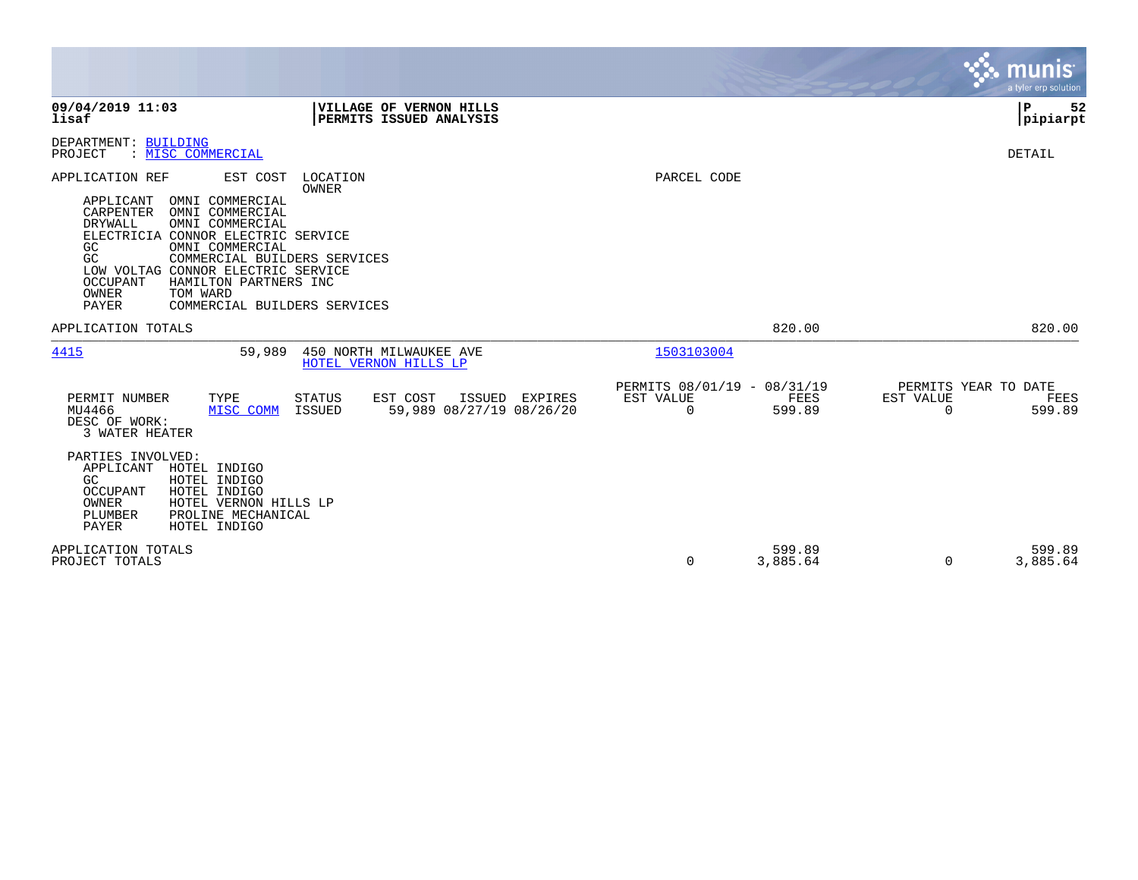|                                                                                                                                                                                                                                                                                                                                                                                                                   |                                                           |                                               |                       | munis <sup>®</sup><br>a tyler erp solution                             |
|-------------------------------------------------------------------------------------------------------------------------------------------------------------------------------------------------------------------------------------------------------------------------------------------------------------------------------------------------------------------------------------------------------------------|-----------------------------------------------------------|-----------------------------------------------|-----------------------|------------------------------------------------------------------------|
| 09/04/2019 11:03<br>lisaf                                                                                                                                                                                                                                                                                                                                                                                         | <b>VILLAGE OF VERNON HILLS</b><br>PERMITS ISSUED ANALYSIS |                                               |                       | 52<br>P<br> pipiarpt                                                   |
| DEPARTMENT: BUILDING<br>: MISC COMMERCIAL<br>PROJECT                                                                                                                                                                                                                                                                                                                                                              |                                                           |                                               |                       | DETAIL                                                                 |
| APPLICATION REF<br>EST COST<br>LOCATION<br>OWNER<br>OMNI COMMERCIAL<br>APPLICANT<br>CARPENTER<br>OMNI COMMERCIAL<br>DRYWALL<br>OMNI COMMERCIAL<br>ELECTRICIA CONNOR ELECTRIC SERVICE<br>GC<br>OMNI COMMERCIAL<br>GC<br>COMMERCIAL BUILDERS SERVICES<br>LOW VOLTAG CONNOR ELECTRIC SERVICE<br><b>OCCUPANT</b><br>HAMILTON PARTNERS INC<br><b>OWNER</b><br>TOM WARD<br><b>PAYER</b><br>COMMERCIAL BUILDERS SERVICES |                                                           | PARCEL CODE                                   |                       |                                                                        |
| APPLICATION TOTALS                                                                                                                                                                                                                                                                                                                                                                                                |                                                           |                                               | 820.00                | 820.00                                                                 |
| 4415<br>59,989                                                                                                                                                                                                                                                                                                                                                                                                    | 450 NORTH MILWAUKEE AVE<br>HOTEL VERNON HILLS LP          | 1503103004                                    |                       |                                                                        |
| PERMIT NUMBER<br>TYPE<br><b>STATUS</b><br>MU4466<br>MISC COMM<br>ISSUED<br>DESC OF WORK:<br>3 WATER HEATER                                                                                                                                                                                                                                                                                                        | EST COST<br>ISSUED EXPIRES<br>59,989 08/27/19 08/26/20    | PERMITS 08/01/19 - 08/31/19<br>EST VALUE<br>0 | <b>FEES</b><br>599.89 | PERMITS YEAR TO DATE<br><b>EST VALUE</b><br>FEES<br>599.89<br>$\Omega$ |
| PARTIES INVOLVED:<br>APPLICANT<br>HOTEL INDIGO<br>GC<br>HOTEL INDIGO<br><b>OCCUPANT</b><br>HOTEL INDIGO<br><b>OWNER</b><br>HOTEL VERNON HILLS LP<br>PLUMBER<br>PROLINE MECHANICAL<br><b>PAYER</b><br>HOTEL INDIGO                                                                                                                                                                                                 |                                                           |                                               |                       |                                                                        |
| APPLICATION TOTALS<br>PROJECT TOTALS                                                                                                                                                                                                                                                                                                                                                                              |                                                           | $\Omega$                                      | 599.89<br>3,885.64    | 599.89<br>3,885.64<br>$\Omega$                                         |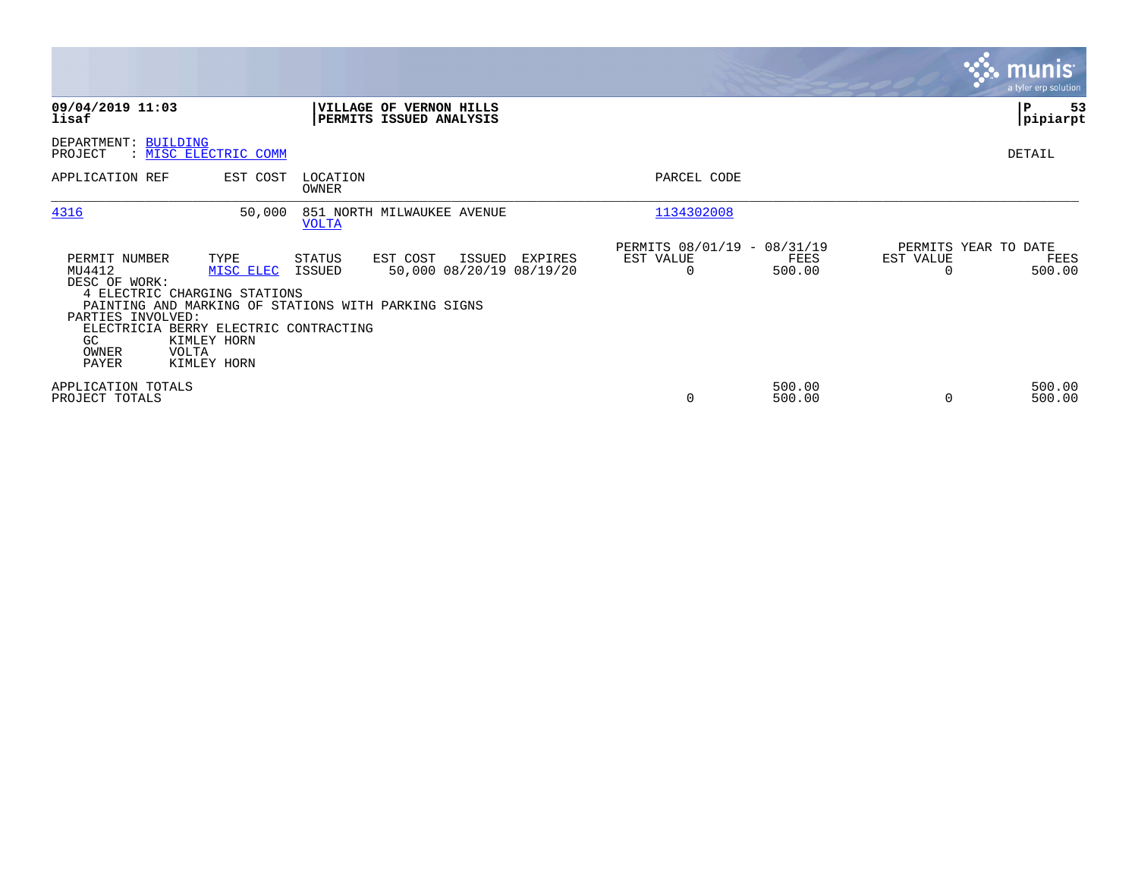|                                                                                                                                                                                                                                 |                                                 |                   |                                                    |         |                                               |                  |           | <b>W. munis</b><br>a tyler erp solution |
|---------------------------------------------------------------------------------------------------------------------------------------------------------------------------------------------------------------------------------|-------------------------------------------------|-------------------|----------------------------------------------------|---------|-----------------------------------------------|------------------|-----------|-----------------------------------------|
| 09/04/2019 11:03<br>lisaf                                                                                                                                                                                                       |                                                 |                   | VILLAGE OF VERNON HILLS<br>PERMITS ISSUED ANALYSIS |         |                                               |                  |           | IΡ<br>53<br> pipiarpt                   |
| DEPARTMENT: BUILDING<br>PROJECT                                                                                                                                                                                                 | : MISC ELECTRIC COMM                            |                   |                                                    |         |                                               |                  |           | DETAIL                                  |
| APPLICATION REF                                                                                                                                                                                                                 | EST COST                                        | LOCATION<br>OWNER |                                                    |         | PARCEL CODE                                   |                  |           |                                         |
| 4316                                                                                                                                                                                                                            | 50,000                                          | <b>VOLTA</b>      | 851 NORTH MILWAUKEE AVENUE                         |         | 1134302008                                    |                  |           |                                         |
| PERMIT NUMBER<br>MU4412<br>DESC OF WORK:<br>4 ELECTRIC CHARGING STATIONS<br>PAINTING AND MARKING OF STATIONS WITH PARKING SIGNS<br>PARTIES INVOLVED:<br>ELECTRICIA BERRY ELECTRIC CONTRACTING<br>GC.<br>OWNER<br>VOLTA<br>PAYER | TYPE<br>MISC ELEC<br>KIMLEY HORN<br>KIMLEY HORN | STATUS<br>ISSUED  | EST COST<br>ISSUED<br>50,000 08/20/19 08/19/20     | EXPIRES | PERMITS 08/01/19 - 08/31/19<br>EST VALUE<br>0 | FEES<br>500.00   | EST VALUE | PERMITS YEAR TO DATE<br>FEES<br>500.00  |
| APPLICATION TOTALS<br>PROJECT TOTALS                                                                                                                                                                                            |                                                 |                   |                                                    |         | 0                                             | 500.00<br>500.00 |           | 500.00<br>500.00                        |

the contract of the contract of

and the contract of the contract of the contract of the contract of the contract of the contract of the contract of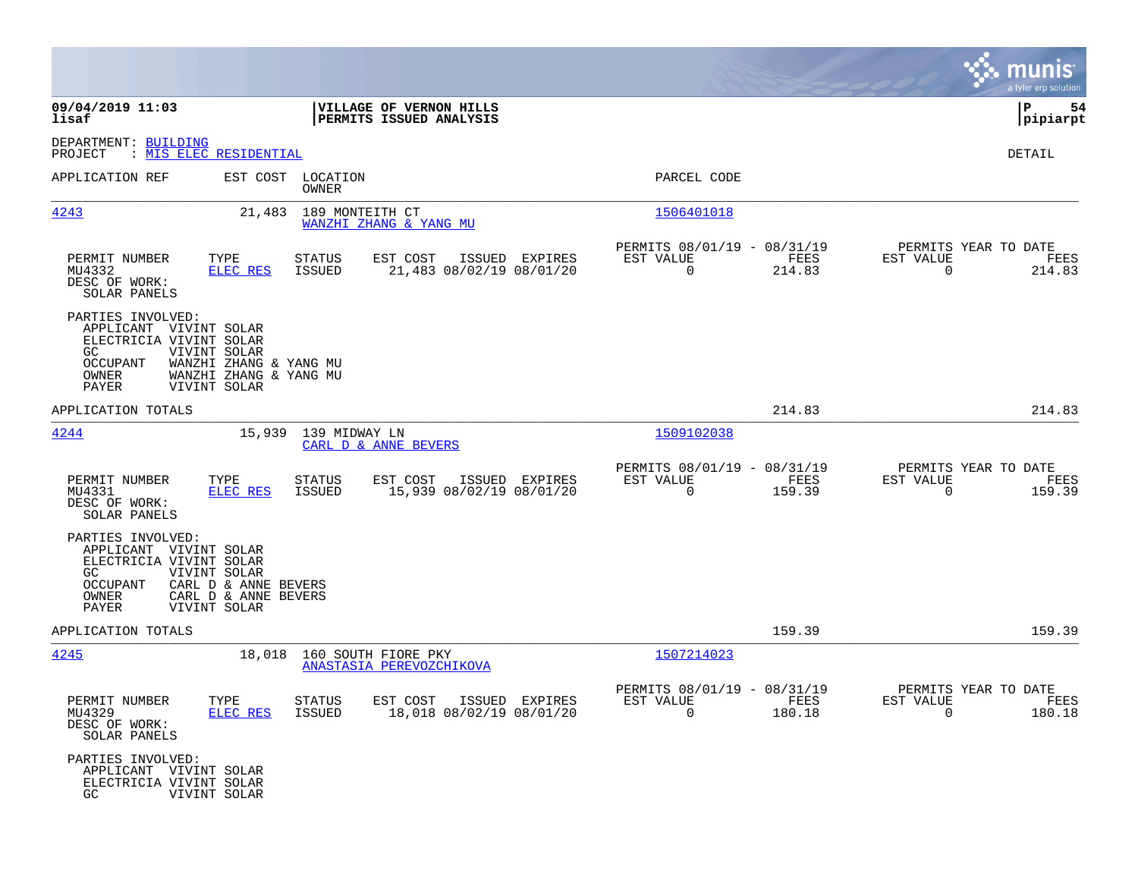|                                                                                                                                            |                                                    |                                                        |                                                         |                |                                                     | munis<br>a tyler erp solution |
|--------------------------------------------------------------------------------------------------------------------------------------------|----------------------------------------------------|--------------------------------------------------------|---------------------------------------------------------|----------------|-----------------------------------------------------|-------------------------------|
| 09/04/2019 11:03<br>lisaf                                                                                                                  |                                                    | VILLAGE OF VERNON HILLS<br>PERMITS ISSUED ANALYSIS     |                                                         |                |                                                     | l P<br>54<br> pipiarpt        |
| DEPARTMENT: BUILDING<br>PROJECT : MIS ELEC RESIDENTIAL                                                                                     |                                                    |                                                        |                                                         |                |                                                     | DETAIL                        |
| APPLICATION REF                                                                                                                            | EST COST LOCATION<br>OWNER                         |                                                        | PARCEL CODE                                             |                |                                                     |                               |
| 4243                                                                                                                                       | 21,483                                             | 189 MONTEITH CT<br>WANZHI ZHANG & YANG MU              | 1506401018                                              |                |                                                     |                               |
| PERMIT NUMBER<br>MU4332<br>DESC OF WORK:<br>SOLAR PANELS                                                                                   | TYPE<br>STATUS<br>ELEC RES<br>ISSUED               | EST COST<br>ISSUED EXPIRES<br>21,483 08/02/19 08/01/20 | PERMITS 08/01/19 - 08/31/19<br>EST VALUE<br>$\mathbf 0$ | FEES<br>214.83 | PERMITS YEAR TO DATE<br>EST VALUE<br>$\overline{0}$ | FEES<br>214.83                |
| PARTIES INVOLVED:<br>APPLICANT VIVINT SOLAR<br>ELECTRICIA VIVINT SOLAR<br>VIVINT SOLAR<br>GC<br>OCCUPANT<br>OWNER<br>PAYER<br>VIVINT SOLAR | WANZHI ZHANG & YANG MU<br>WANZHI ZHANG & YANG MU   |                                                        |                                                         |                |                                                     |                               |
| APPLICATION TOTALS                                                                                                                         |                                                    |                                                        |                                                         | 214.83         |                                                     | 214.83                        |
| 4244                                                                                                                                       | 15,939                                             | 139 MIDWAY LN<br>CARL D & ANNE BEVERS                  | 1509102038                                              |                |                                                     |                               |
| PERMIT NUMBER<br>MU4331<br>DESC OF WORK:<br>SOLAR PANELS                                                                                   | TYPE<br><b>STATUS</b><br><b>ELEC RES</b><br>ISSUED | EST COST<br>ISSUED EXPIRES<br>15,939 08/02/19 08/01/20 | PERMITS 08/01/19 - 08/31/19<br>EST VALUE<br>0           | FEES<br>159.39 | PERMITS YEAR TO DATE<br>EST VALUE<br>$\mathbf 0$    | FEES<br>159.39                |
| PARTIES INVOLVED:<br>APPLICANT VIVINT SOLAR<br>ELECTRICIA VIVINT SOLAR<br>GC<br>VIVINT SOLAR<br>OCCUPANT<br>OWNER<br>VIVINT SOLAR<br>PAYER | CARL D & ANNE BEVERS<br>CARL D & ANNE BEVERS       |                                                        |                                                         |                |                                                     |                               |
| APPLICATION TOTALS                                                                                                                         |                                                    |                                                        |                                                         | 159.39         |                                                     | 159.39                        |
| 4245                                                                                                                                       | 18,018                                             | 160 SOUTH FIORE PKY<br>ANASTASIA PEREVOZCHIKOVA        | 1507214023                                              |                |                                                     |                               |
| PERMIT NUMBER<br>MU4329<br>DESC OF WORK:<br>SOLAR PANELS                                                                                   | TYPE<br>STATUS<br><b>ELEC RES</b><br>ISSUED        | EST COST<br>ISSUED EXPIRES<br>18,018 08/02/19 08/01/20 | PERMITS 08/01/19 - 08/31/19<br>EST VALUE<br>$\mathbf 0$ | FEES<br>180.18 | PERMITS YEAR TO DATE<br>EST VALUE<br>$\mathbf 0$    | FEES<br>180.18                |
| PARTIES INVOLVED:<br>APPLICANT VIVINT SOLAR<br>ELECTRICIA VIVINT SOLAR<br>GC.<br>VIVINT SOLAR                                              |                                                    |                                                        |                                                         |                |                                                     |                               |

and the contract of the contract of the contract of the contract of the contract of the contract of the contract of

the contract of the contract of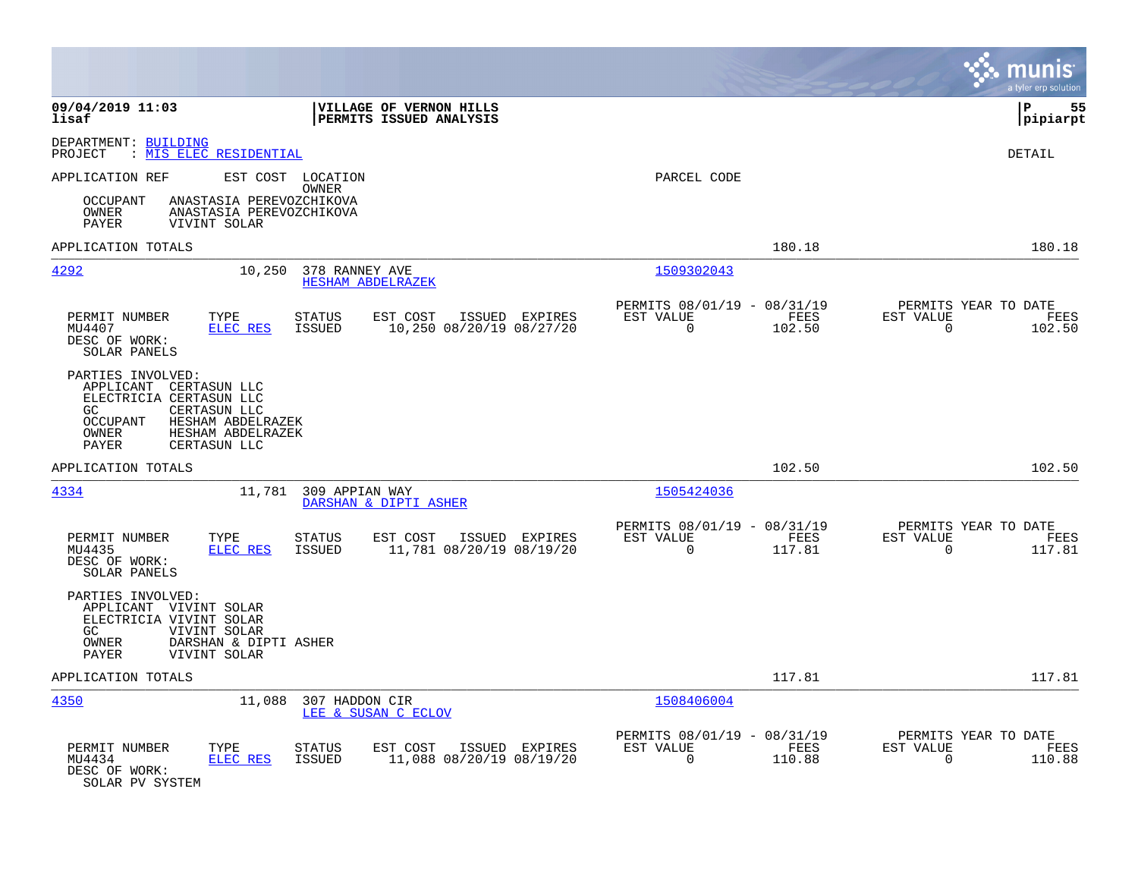|                                                                                                                                                                                                |                                                                           | munis<br>a tyler erp solution                                   |
|------------------------------------------------------------------------------------------------------------------------------------------------------------------------------------------------|---------------------------------------------------------------------------|-----------------------------------------------------------------|
| 09/04/2019 11:03<br>VILLAGE OF VERNON HILLS<br>lisaf<br>PERMITS ISSUED ANALYSIS                                                                                                                |                                                                           | l P<br>55<br> pipiarpt                                          |
| DEPARTMENT: BUILDING<br>: <u>MIS ELEC RESIDENTIAL</u><br>PROJECT                                                                                                                               |                                                                           | <b>DETAIL</b>                                                   |
| APPLICATION REF<br>EST COST LOCATION                                                                                                                                                           | PARCEL CODE                                                               |                                                                 |
| OWNER<br><b>OCCUPANT</b><br>ANASTASIA PEREVOZCHIKOVA<br>ANASTASIA PEREVOZCHIKOVA<br>OWNER<br><b>PAYER</b><br>VIVINT SOLAR                                                                      |                                                                           |                                                                 |
| APPLICATION TOTALS                                                                                                                                                                             | 180.18                                                                    | 180.18                                                          |
| 4292<br>10,250<br>378 RANNEY AVE<br>HESHAM ABDELRAZEK                                                                                                                                          | 1509302043                                                                |                                                                 |
| PERMIT NUMBER<br>TYPE<br><b>STATUS</b><br>EST COST<br>ISSUED EXPIRES<br>10,250 08/20/19 08/27/20<br><b>ELEC RES</b><br><b>ISSUED</b><br>MU4407<br>DESC OF WORK:<br>SOLAR PANELS                | PERMITS 08/01/19 - 08/31/19<br>FEES<br>EST VALUE<br>$\Omega$<br>102.50    | PERMITS YEAR TO DATE<br>EST VALUE<br>FEES<br>$\Omega$<br>102.50 |
| PARTIES INVOLVED:<br>APPLICANT<br>CERTASUN LLC<br>ELECTRICIA CERTASUN LLC<br>GC<br>CERTASUN LLC<br><b>OCCUPANT</b><br>HESHAM ABDELRAZEK<br>OWNER<br>HESHAM ABDELRAZEK<br>PAYER<br>CERTASUN LLC |                                                                           |                                                                 |
| APPLICATION TOTALS                                                                                                                                                                             | 102.50                                                                    | 102.50                                                          |
| 4334<br>309 APPIAN WAY<br>11,781<br>DARSHAN & DIPTI ASHER                                                                                                                                      | 1505424036                                                                |                                                                 |
| <b>STATUS</b><br>PERMIT NUMBER<br>TYPE<br>EST COST<br>ISSUED EXPIRES<br>11,781 08/20/19 08/19/20<br>MU4435<br>ELEC RES<br>ISSUED<br>DESC OF WORK:<br>SOLAR PANELS                              | PERMITS 08/01/19 - 08/31/19<br>EST VALUE<br>FEES<br>$\Omega$<br>117.81    | PERMITS YEAR TO DATE<br>EST VALUE<br>FEES<br>$\Omega$<br>117.81 |
| PARTIES INVOLVED:<br>APPLICANT VIVINT SOLAR<br>ELECTRICIA VIVINT SOLAR<br>GC<br>VIVINT SOLAR<br>OWNER<br>DARSHAN & DIPTI ASHER<br><b>PAYER</b><br>VIVINT SOLAR                                 |                                                                           |                                                                 |
| APPLICATION TOTALS                                                                                                                                                                             | 117.81                                                                    | 117.81                                                          |
| 4350<br>11,088<br>307 HADDON CIR<br>LEE & SUSAN C ECLOV                                                                                                                                        | 1508406004                                                                |                                                                 |
| PERMIT NUMBER<br>TYPE<br><b>STATUS</b><br>EST COST<br>ISSUED EXPIRES<br>11,088 08/20/19 08/19/20<br>MU4434<br><b>ELEC RES</b><br><b>ISSUED</b><br>DESC OF WORK:<br>SOLAR PV SYSTEM             | PERMITS 08/01/19 -<br>08/31/19<br>EST VALUE<br>FEES<br>$\Omega$<br>110.88 | PERMITS YEAR TO DATE<br>EST VALUE<br>FEES<br>110.88<br>0        |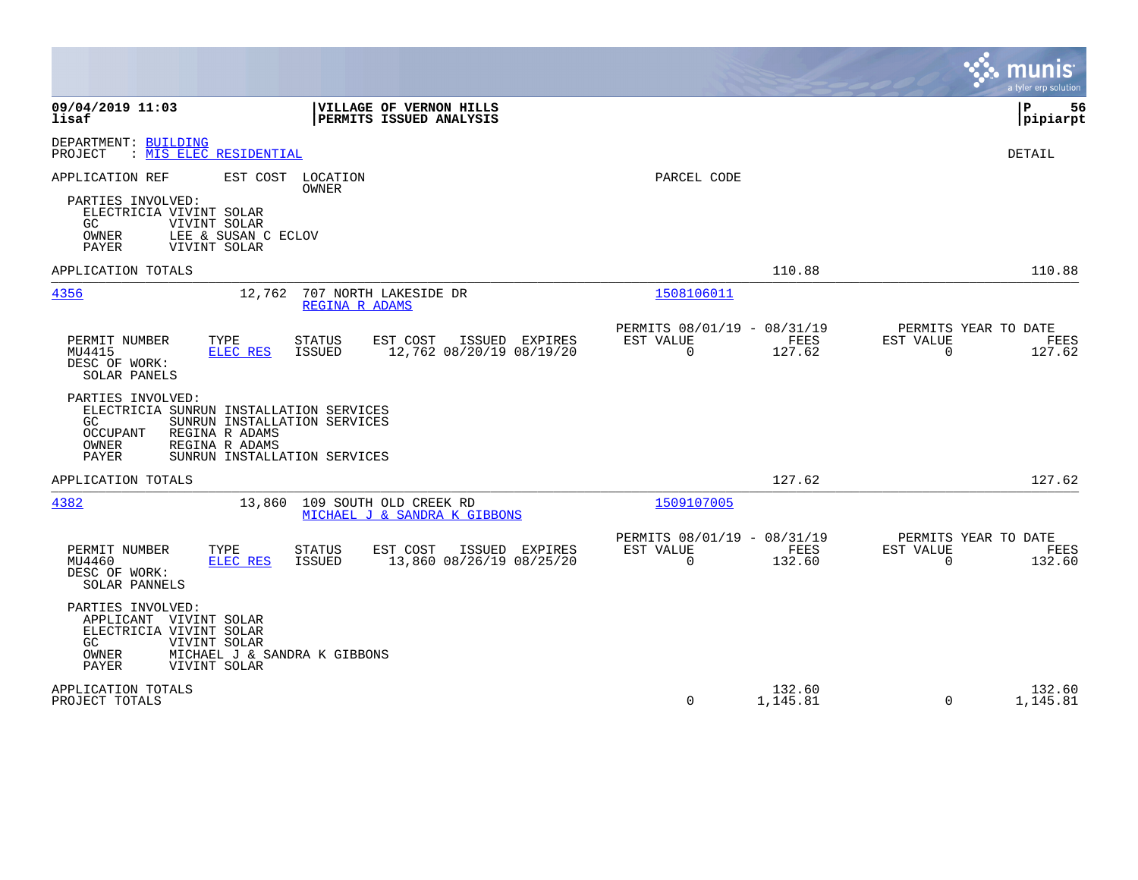|                                                                                                                                                                                                             |                                                                           | munis<br>a tyler erp solution                                      |
|-------------------------------------------------------------------------------------------------------------------------------------------------------------------------------------------------------------|---------------------------------------------------------------------------|--------------------------------------------------------------------|
| 09/04/2019 11:03<br>VILLAGE OF VERNON HILLS<br>lisaf<br>PERMITS ISSUED ANALYSIS                                                                                                                             |                                                                           | l P<br>56<br> pipiarpt                                             |
| DEPARTMENT: BUILDING<br>: MIS ELEC RESIDENTIAL<br>PROJECT                                                                                                                                                   |                                                                           | <b>DETAIL</b>                                                      |
| APPLICATION REF<br>EST COST LOCATION<br><b>OWNER</b><br>PARTIES INVOLVED:<br>ELECTRICIA VIVINT SOLAR<br>VIVINT SOLAR<br>GC.<br>LEE & SUSAN C ECLOV<br>OWNER                                                 | PARCEL CODE                                                               |                                                                    |
| <b>PAYER</b><br>VIVINT SOLAR                                                                                                                                                                                |                                                                           |                                                                    |
| APPLICATION TOTALS                                                                                                                                                                                          | 110.88                                                                    | 110.88                                                             |
| 4356<br>707 NORTH LAKESIDE DR<br>12,762<br>REGINA R ADAMS                                                                                                                                                   | 1508106011                                                                |                                                                    |
| TYPE<br>EST COST<br>PERMIT NUMBER<br><b>STATUS</b><br>ISSUED EXPIRES<br>MU4415<br>ELEC RES<br>ISSUED<br>12,762 08/20/19 08/19/20<br>DESC OF WORK:<br>SOLAR PANELS                                           | PERMITS 08/01/19 - 08/31/19<br>FEES<br>EST VALUE<br>$\mathbf 0$<br>127.62 | PERMITS YEAR TO DATE<br>EST VALUE<br>FEES<br>$\mathbf 0$<br>127.62 |
| PARTIES INVOLVED:<br>ELECTRICIA SUNRUN INSTALLATION SERVICES<br>GC<br>SUNRUN INSTALLATION SERVICES<br><b>OCCUPANT</b><br>REGINA R ADAMS<br>OWNER<br>REGINA R ADAMS<br>PAYER<br>SUNRUN INSTALLATION SERVICES |                                                                           |                                                                    |
| APPLICATION TOTALS                                                                                                                                                                                          | 127.62                                                                    | 127.62                                                             |
| 4382<br>109 SOUTH OLD CREEK RD<br>13,860<br>MICHAEL J & SANDRA K GIBBONS                                                                                                                                    | 1509107005                                                                |                                                                    |
| PERMIT NUMBER<br>TYPE<br><b>STATUS</b><br>EST COST<br>ISSUED EXPIRES<br>13,860 08/26/19 08/25/20<br>MU4460<br><b>ELEC RES</b><br>ISSUED<br>DESC OF WORK:<br>SOLAR PANNELS                                   | PERMITS 08/01/19 - 08/31/19<br>EST VALUE<br>FEES<br>$\mathbf 0$<br>132.60 | PERMITS YEAR TO DATE<br>EST VALUE<br>FEES<br>132.60<br>$\mathbf 0$ |
| PARTIES INVOLVED:<br>APPLICANT<br>VIVINT SOLAR<br>ELECTRICIA VIVINT SOLAR<br>GC.<br>VIVINT SOLAR<br>OWNER<br>MICHAEL J & SANDRA K GIBBONS<br>PAYER<br>VIVINT SOLAR                                          |                                                                           |                                                                    |
| APPLICATION TOTALS<br>PROJECT TOTALS                                                                                                                                                                        | 132.60<br>$\Omega$<br>1,145.81                                            | 132.60<br>$\Omega$<br>1,145.81                                     |

**Contract**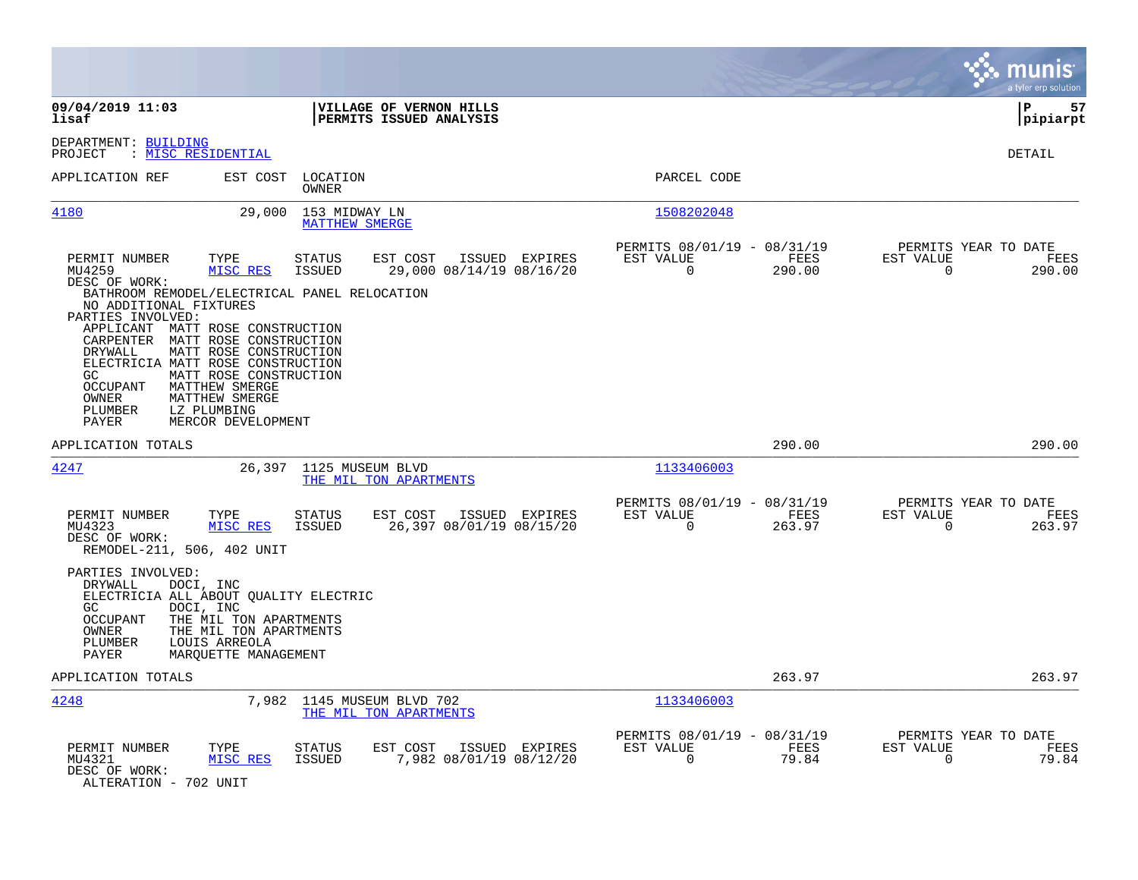|                                                                                                                                                                                                                                                                                                                                                                                                                                                                                                                      |                                            |                                                         |                       |                                                  | munis<br>a tyler erp solution |
|----------------------------------------------------------------------------------------------------------------------------------------------------------------------------------------------------------------------------------------------------------------------------------------------------------------------------------------------------------------------------------------------------------------------------------------------------------------------------------------------------------------------|--------------------------------------------|---------------------------------------------------------|-----------------------|--------------------------------------------------|-------------------------------|
| 09/04/2019 11:03<br><b>VILLAGE OF VERNON HILLS</b><br>lisaf<br>PERMITS ISSUED ANALYSIS                                                                                                                                                                                                                                                                                                                                                                                                                               |                                            |                                                         |                       |                                                  | lР<br>57<br> pipiarpt         |
| DEPARTMENT: BUILDING<br>: MISC RESIDENTIAL<br>PROJECT                                                                                                                                                                                                                                                                                                                                                                                                                                                                |                                            |                                                         |                       |                                                  | DETAIL                        |
| APPLICATION REF<br>EST COST LOCATION<br>OWNER                                                                                                                                                                                                                                                                                                                                                                                                                                                                        |                                            | PARCEL CODE                                             |                       |                                                  |                               |
| 4180<br>29,000<br>153 MIDWAY LN<br><b>MATTHEW SMERGE</b>                                                                                                                                                                                                                                                                                                                                                                                                                                                             |                                            | 1508202048                                              |                       |                                                  |                               |
| PERMIT NUMBER<br>TYPE<br>EST COST<br>STATUS<br>MU4259<br>MISC RES<br>ISSUED<br>DESC OF WORK:<br>BATHROOM REMODEL/ELECTRICAL PANEL RELOCATION<br>NO ADDITIONAL FIXTURES<br>PARTIES INVOLVED:<br>APPLICANT MATT ROSE CONSTRUCTION<br>CARPENTER MATT ROSE CONSTRUCTION<br><b>DRYWALL</b><br>MATT ROSE CONSTRUCTION<br>ELECTRICIA MATT ROSE CONSTRUCTION<br>GC<br>MATT ROSE CONSTRUCTION<br>MATTHEW SMERGE<br><b>OCCUPANT</b><br>MATTHEW SMERGE<br>OWNER<br>PLUMBER<br>LZ PLUMBING<br><b>PAYER</b><br>MERCOR DEVELOPMENT | ISSUED EXPIRES<br>29,000 08/14/19 08/16/20 | PERMITS 08/01/19 - 08/31/19<br>EST VALUE<br>$\Omega$    | FEES<br>290.00        | PERMITS YEAR TO DATE<br>EST VALUE<br>$\Omega$    | FEES<br>290.00                |
| APPLICATION TOTALS                                                                                                                                                                                                                                                                                                                                                                                                                                                                                                   |                                            |                                                         | 290.00                |                                                  | 290.00                        |
| 4247<br>26,397 1125 MUSEUM BLVD<br>THE MIL TON APARTMENTS                                                                                                                                                                                                                                                                                                                                                                                                                                                            |                                            | 1133406003                                              |                       |                                                  |                               |
| PERMIT NUMBER<br>TYPE<br>EST COST<br>STATUS<br>MISC RES<br><b>ISSUED</b><br>MU4323<br>DESC OF WORK:<br>REMODEL-211, 506, 402 UNIT                                                                                                                                                                                                                                                                                                                                                                                    | ISSUED EXPIRES<br>26,397 08/01/19 08/15/20 | PERMITS 08/01/19 - 08/31/19<br>EST VALUE<br>$\mathbf 0$ | <b>FEES</b><br>263.97 | PERMITS YEAR TO DATE<br>EST VALUE<br>$\mathbf 0$ | FEES<br>263.97                |
| PARTIES INVOLVED:<br>DRYWALL<br>DOCI, INC<br>ELECTRICIA ALL ABOUT QUALITY ELECTRIC<br>GC<br>DOCI, INC<br><b>OCCUPANT</b><br>THE MIL TON APARTMENTS<br>THE MIL TON APARTMENTS<br>OWNER<br>PLUMBER<br>LOUIS ARREOLA<br>PAYER<br>MARQUETTE MANAGEMENT                                                                                                                                                                                                                                                                   |                                            |                                                         |                       |                                                  |                               |
| APPLICATION TOTALS                                                                                                                                                                                                                                                                                                                                                                                                                                                                                                   |                                            |                                                         | 263.97                |                                                  | 263.97                        |
| 4248<br>7,982 1145 MUSEUM BLVD 702<br>THE MIL TON APARTMENTS                                                                                                                                                                                                                                                                                                                                                                                                                                                         |                                            | 1133406003                                              |                       |                                                  |                               |
| PERMIT NUMBER<br>EST COST<br>TYPE<br><b>STATUS</b><br>MU4321<br>MISC RES<br><b>ISSUED</b><br>DESC OF WORK:<br>ALTERATION - 702 UNIT                                                                                                                                                                                                                                                                                                                                                                                  | ISSUED EXPIRES<br>7,982 08/01/19 08/12/20  | PERMITS 08/01/19 - 08/31/19<br>EST VALUE<br>0           | FEES<br>79.84         | PERMITS YEAR TO DATE<br>EST VALUE<br>0           | FEES<br>79.84                 |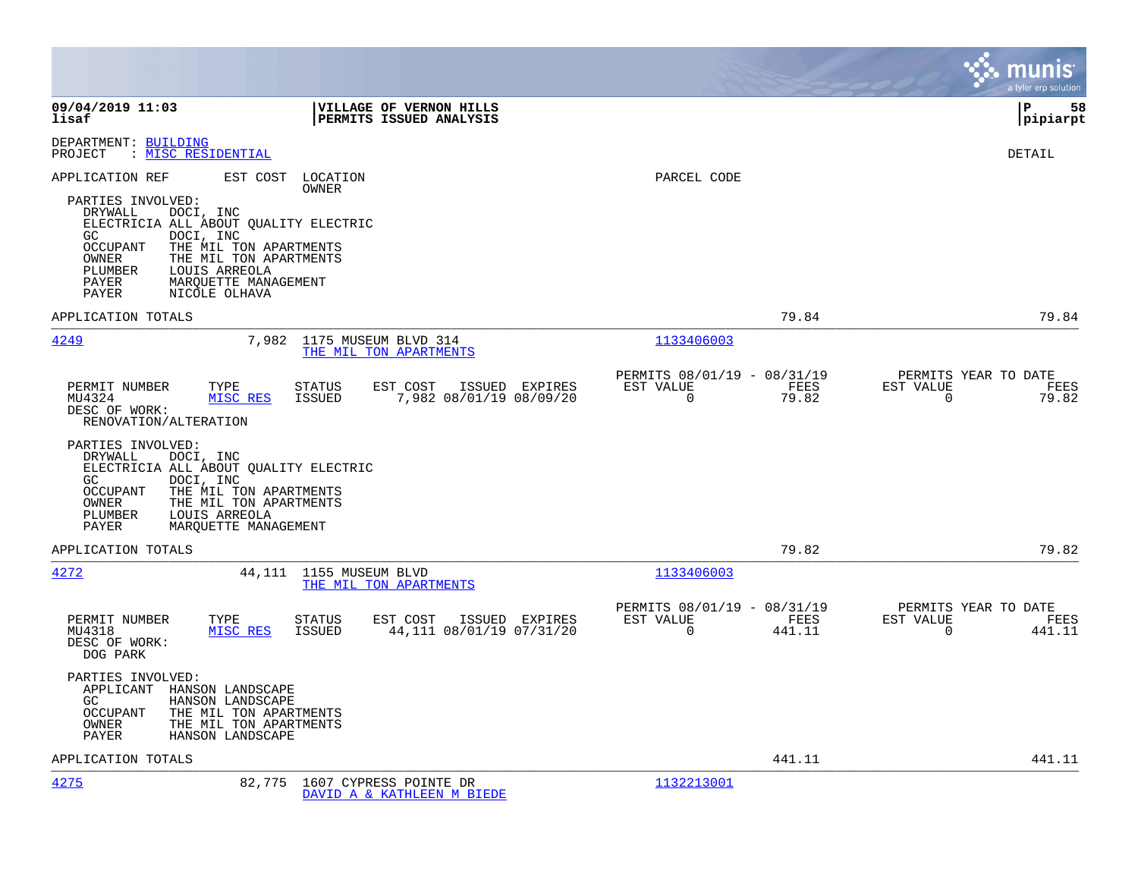|                                                                                                                                                                                                                                                                                                                                                                                                                                         |                                                                        | munis<br>a tyler erp solution                                   |
|-----------------------------------------------------------------------------------------------------------------------------------------------------------------------------------------------------------------------------------------------------------------------------------------------------------------------------------------------------------------------------------------------------------------------------------------|------------------------------------------------------------------------|-----------------------------------------------------------------|
| 09/04/2019 11:03<br>VILLAGE OF VERNON HILLS<br>PERMITS ISSUED ANALYSIS<br>lisaf                                                                                                                                                                                                                                                                                                                                                         |                                                                        | l P<br>58<br> pipiarpt                                          |
| DEPARTMENT: BUILDING<br>: <u>MISC RESIDENTIAL</u><br>PROJECT                                                                                                                                                                                                                                                                                                                                                                            |                                                                        | DETAIL                                                          |
| APPLICATION REF<br>EST COST<br>LOCATION<br><b>OWNER</b><br>PARTIES INVOLVED:<br>DRYWALL<br>DOCI, INC<br>ELECTRICIA ALL ABOUT QUALITY ELECTRIC<br>GC.<br>DOCI, INC<br><b>OCCUPANT</b><br>THE MIL TON APARTMENTS<br>THE MIL TON APARTMENTS<br>OWNER<br>PLUMBER<br>LOUIS ARREOLA<br>PAYER<br>MARQUETTE MANAGEMENT<br><b>PAYER</b><br>NICOLE OLHAVA                                                                                         | PARCEL CODE                                                            |                                                                 |
| APPLICATION TOTALS                                                                                                                                                                                                                                                                                                                                                                                                                      | 79.84                                                                  | 79.84                                                           |
| 4249<br>7,982<br>1175 MUSEUM BLVD 314<br>THE MIL TON APARTMENTS                                                                                                                                                                                                                                                                                                                                                                         | 1133406003<br>PERMITS 08/01/19 - 08/31/19                              | PERMITS YEAR TO DATE                                            |
| PERMIT NUMBER<br>TYPE<br><b>STATUS</b><br>EST COST<br>ISSUED EXPIRES<br>MU4324<br>MISC RES<br><b>ISSUED</b><br>7,982 08/01/19 08/09/20<br>DESC OF WORK:<br>RENOVATION/ALTERATION<br>PARTIES INVOLVED:<br>DRYWALL<br>DOCI, INC<br>ELECTRICIA ALL ABOUT QUALITY ELECTRIC<br>DOCI, INC<br>GC.<br><b>OCCUPANT</b><br>THE MIL TON APARTMENTS<br>OWNER<br>THE MIL TON APARTMENTS<br>PLUMBER<br>LOUIS ARREOLA<br>PAYER<br>MARQUETTE MANAGEMENT | EST VALUE<br>FEES<br>$\mathbf 0$<br>79.82                              | EST VALUE<br>FEES<br>0<br>79.82                                 |
| APPLICATION TOTALS                                                                                                                                                                                                                                                                                                                                                                                                                      | 79.82                                                                  | 79.82                                                           |
| 4272<br>44,111 1155 MUSEUM BLVD<br>THE MIL TON APARTMENTS                                                                                                                                                                                                                                                                                                                                                                               | 1133406003                                                             |                                                                 |
| PERMIT NUMBER<br>TYPE<br><b>STATUS</b><br>EST COST<br>ISSUED EXPIRES<br>44,111 08/01/19 07/31/20<br>MU4318<br>MISC RES<br>ISSUED<br>DESC OF WORK:<br>DOG PARK                                                                                                                                                                                                                                                                           | PERMITS 08/01/19 - 08/31/19<br>EST VALUE<br>FEES<br>$\Omega$<br>441.11 | PERMITS YEAR TO DATE<br>EST VALUE<br>FEES<br>$\Omega$<br>441.11 |
| PARTIES INVOLVED:<br>APPLICANT HANSON LANDSCAPE<br>HANSON LANDSCAPE<br>GC.<br><b>OCCUPANT</b><br>THE MIL TON APARTMENTS<br>OWNER<br>THE MIL TON APARTMENTS<br>PAYER<br>HANSON LANDSCAPE                                                                                                                                                                                                                                                 |                                                                        |                                                                 |
| APPLICATION TOTALS                                                                                                                                                                                                                                                                                                                                                                                                                      | 441.11                                                                 | 441.11                                                          |
| 4275<br>82,775 1607 CYPRESS POINTE DR<br>DAVID A & KATHLEEN M BIEDE                                                                                                                                                                                                                                                                                                                                                                     | 1132213001                                                             |                                                                 |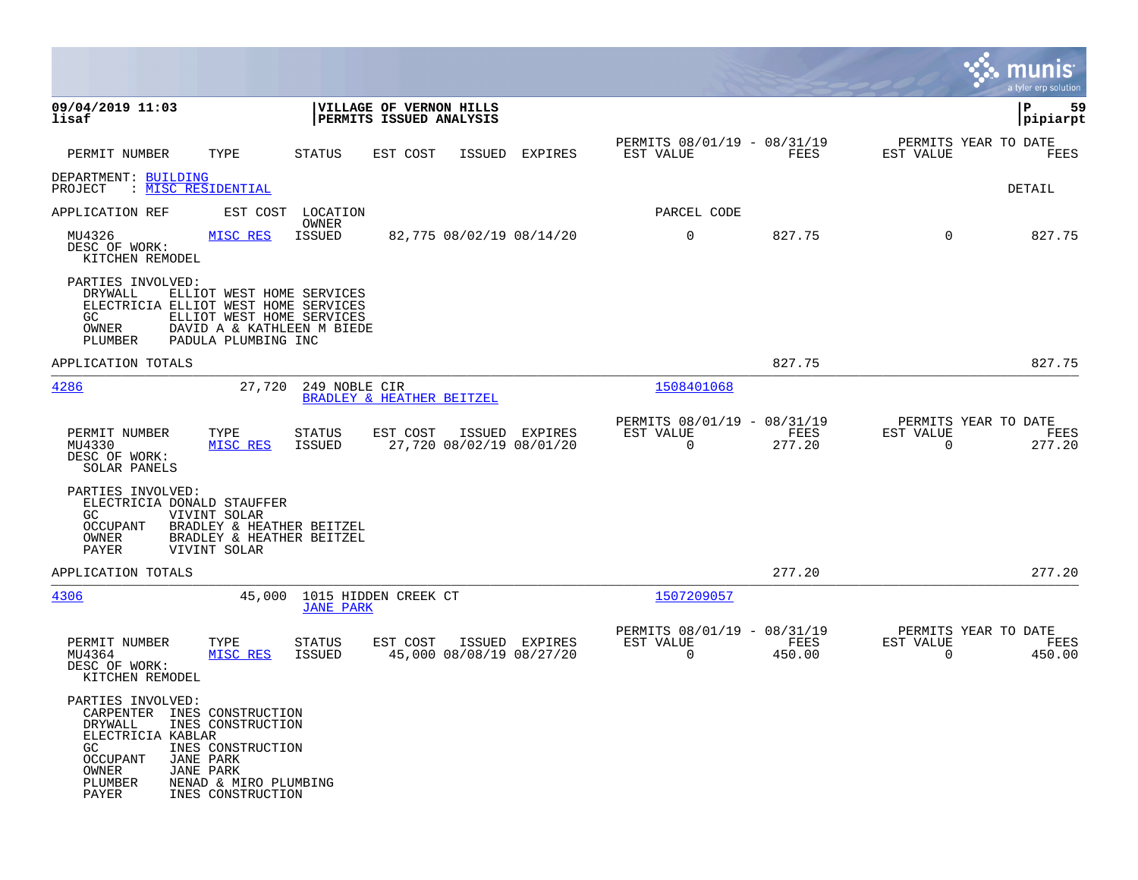|                                                                                                                                                                                                                                                                        |                                                                            |                                                         |                |                                                  | munis<br>a tyler erp solution |
|------------------------------------------------------------------------------------------------------------------------------------------------------------------------------------------------------------------------------------------------------------------------|----------------------------------------------------------------------------|---------------------------------------------------------|----------------|--------------------------------------------------|-------------------------------|
| 09/04/2019 11:03<br>lisaf                                                                                                                                                                                                                                              | <b>VILLAGE OF VERNON HILLS</b><br>PERMITS ISSUED ANALYSIS                  |                                                         |                | ΙP                                               | 59<br> pipiarpt               |
| TYPE<br>PERMIT NUMBER                                                                                                                                                                                                                                                  | <b>STATUS</b><br>EST COST<br>ISSUED EXPIRES                                | PERMITS 08/01/19 - 08/31/19<br>EST VALUE                | FEES           | PERMITS YEAR TO DATE<br>EST VALUE                | FEES                          |
| DEPARTMENT: BUILDING<br>PROJECT : MISC RESIDENTIAL                                                                                                                                                                                                                     |                                                                            |                                                         |                | <b>DETAIL</b>                                    |                               |
| APPLICATION REF                                                                                                                                                                                                                                                        | EST COST LOCATION<br>OWNER                                                 | PARCEL CODE                                             |                |                                                  |                               |
| MU4326<br>MISC RES<br>DESC OF WORK:<br>KITCHEN REMODEL                                                                                                                                                                                                                 | ISSUED<br>82,775 08/02/19 08/14/20                                         | $\mathbf 0$                                             | 827.75         | $\Omega$                                         | 827.75                        |
| PARTIES INVOLVED:<br>DRYWALL<br>ELLIOT WEST HOME SERVICES<br>ELECTRICIA ELLIOT WEST HOME SERVICES<br>GC<br>ELLIOT WEST HOME SERVICES<br>OWNER<br>DAVID A & KATHLEEN M BIEDE<br>PLUMBER<br>PADULA PLUMBING INC                                                          |                                                                            |                                                         |                |                                                  |                               |
| APPLICATION TOTALS                                                                                                                                                                                                                                                     |                                                                            |                                                         | 827.75         |                                                  | 827.75                        |
| 4286                                                                                                                                                                                                                                                                   | 27,720 249 NOBLE CIR<br>BRADLEY & HEATHER BEITZEL                          | 1508401068                                              |                |                                                  |                               |
| PERMIT NUMBER<br>TYPE<br>MU4330<br>MISC RES<br>DESC OF WORK:<br>SOLAR PANELS                                                                                                                                                                                           | STATUS<br>EST COST<br>ISSUED EXPIRES<br>27,720 08/02/19 08/01/20<br>ISSUED | PERMITS 08/01/19 - 08/31/19<br>EST VALUE<br>$\Omega$    | FEES<br>277.20 | PERMITS YEAR TO DATE<br>EST VALUE<br>$\Omega$    | FEES<br>277.20                |
| PARTIES INVOLVED:<br>ELECTRICIA DONALD STAUFFER<br>VIVINT SOLAR<br>GC.<br>BRADLEY & HEATHER BEITZEL<br>OCCUPANT<br>BRADLEY & HEATHER BEITZEL<br>OWNER<br>VIVINT SOLAR<br>PAYER                                                                                         |                                                                            |                                                         |                |                                                  |                               |
| APPLICATION TOTALS                                                                                                                                                                                                                                                     |                                                                            |                                                         | 277.20         |                                                  | 277.20                        |
| 4306                                                                                                                                                                                                                                                                   | 45,000 1015 HIDDEN CREEK CT<br><b>JANE PARK</b>                            | 1507209057                                              |                |                                                  |                               |
| PERMIT NUMBER<br>TYPE<br>MISC RES<br>MU4364<br>DESC OF WORK:<br>KITCHEN REMODEL                                                                                                                                                                                        | STATUS<br>EST COST ISSUED EXPIRES<br>45,000 08/08/19 08/27/20<br>ISSUED    | PERMITS 08/01/19 - 08/31/19<br>EST VALUE<br>$\mathbf 0$ | FEES<br>450.00 | PERMITS YEAR TO DATE<br>EST VALUE<br>$\mathbf 0$ | FEES<br>450.00                |
| PARTIES INVOLVED:<br>CARPENTER INES CONSTRUCTION<br>INES CONSTRUCTION<br>DRYWALL<br>ELECTRICIA KABLAR<br>GC<br>INES CONSTRUCTION<br><b>JANE PARK</b><br><b>OCCUPANT</b><br>OWNER<br><b>JANE PARK</b><br>PLUMBER<br>NENAD & MIRO PLUMBING<br>INES CONSTRUCTION<br>PAYER |                                                                            |                                                         |                |                                                  |                               |

**The State**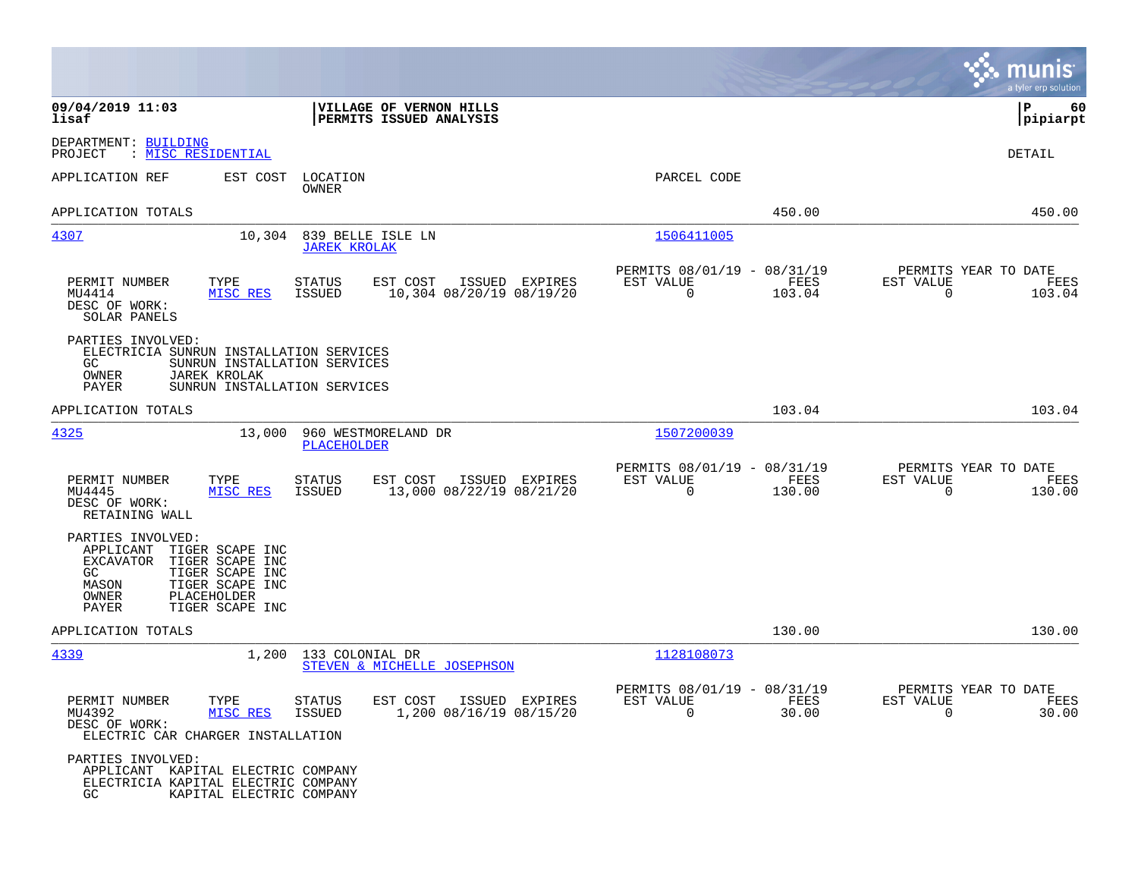|                                                                                                             |                                                                                             |                                                 |                                                    |                |                                                         |                |                                               | munis<br>a tyler erp solution |
|-------------------------------------------------------------------------------------------------------------|---------------------------------------------------------------------------------------------|-------------------------------------------------|----------------------------------------------------|----------------|---------------------------------------------------------|----------------|-----------------------------------------------|-------------------------------|
| 09/04/2019 11:03<br>lisaf                                                                                   |                                                                                             |                                                 | VILLAGE OF VERNON HILLS<br>PERMITS ISSUED ANALYSIS |                |                                                         |                |                                               | ΙP<br>60<br> pipiarpt         |
| DEPARTMENT: BUILDING<br>PROJECT<br>: <u>MISC RESIDENTIAL</u>                                                |                                                                                             |                                                 |                                                    |                |                                                         |                |                                               | DETAIL                        |
| APPLICATION REF                                                                                             | EST COST                                                                                    | LOCATION<br>OWNER                               |                                                    |                | PARCEL CODE                                             |                |                                               |                               |
| APPLICATION TOTALS                                                                                          |                                                                                             |                                                 |                                                    |                |                                                         | 450.00         |                                               | 450.00                        |
| 4307                                                                                                        |                                                                                             | 10,304 839 BELLE ISLE LN<br><b>JAREK KROLAK</b> |                                                    |                | 1506411005                                              |                |                                               |                               |
| PERMIT NUMBER<br>MU4414<br>DESC OF WORK:<br>SOLAR PANELS                                                    | TYPE<br>MISC RES                                                                            | STATUS<br>ISSUED                                | EST COST<br>10,304 08/20/19 08/19/20               | ISSUED EXPIRES | PERMITS 08/01/19 - 08/31/19<br>EST VALUE<br>0           | FEES<br>103.04 | PERMITS YEAR TO DATE<br>EST VALUE<br>0        | FEES<br>103.04                |
| PARTIES INVOLVED:<br>ELECTRICIA SUNRUN INSTALLATION SERVICES<br>GC<br>OWNER<br><b>JAREK KROLAK</b><br>PAYER | SUNRUN INSTALLATION SERVICES<br>SUNRUN INSTALLATION SERVICES                                |                                                 |                                                    |                |                                                         |                |                                               |                               |
| APPLICATION TOTALS                                                                                          |                                                                                             |                                                 |                                                    |                |                                                         | 103.04         |                                               | 103.04                        |
| 4325                                                                                                        | 13,000                                                                                      | PLACEHOLDER                                     | 960 WESTMORELAND DR                                |                | 1507200039                                              |                |                                               |                               |
| PERMIT NUMBER<br>MU4445<br>DESC OF WORK:<br>RETAINING WALL                                                  | TYPE<br>MISC RES                                                                            | STATUS<br>ISSUED                                | EST COST<br>13,000 08/22/19 08/21/20               | ISSUED EXPIRES | PERMITS 08/01/19 - 08/31/19<br>EST VALUE<br>$\mathbf 0$ | FEES<br>130.00 | PERMITS YEAR TO DATE<br>EST VALUE<br>$\Omega$ | FEES<br>130.00                |
| PARTIES INVOLVED:<br>APPLICANT<br>EXCAVATOR<br>GC.<br>MASON<br>OWNER<br>PLACEHOLDER<br>PAYER                | TIGER SCAPE INC<br>TIGER SCAPE INC<br>TIGER SCAPE INC<br>TIGER SCAPE INC<br>TIGER SCAPE INC |                                                 |                                                    |                |                                                         |                |                                               |                               |
| APPLICATION TOTALS                                                                                          |                                                                                             |                                                 |                                                    |                |                                                         | 130.00         |                                               | 130.00                        |
| 4339                                                                                                        | 1,200                                                                                       | 133 COLONIAL DR                                 | STEVEN & MICHELLE JOSEPHSON                        |                | 1128108073                                              |                |                                               |                               |
| PERMIT NUMBER<br>MU4392<br>DESC OF WORK:<br>ELECTRIC CAR CHARGER INSTALLATION                               | TYPE<br>MISC RES                                                                            | <b>STATUS</b><br>ISSUED                         | EST COST ISSUED EXPIRES<br>1,200 08/16/19 08/15/20 |                | PERMITS 08/01/19 - 08/31/19<br>EST VALUE<br>$\Omega$    | FEES<br>30.00  | PERMITS YEAR TO DATE<br>EST VALUE<br>$\Omega$ | FEES<br>30.00                 |
| PARTIES INVOLVED:<br>APPLICANT KAPITAL ELECTRIC COMPANY<br>ELECTRICIA KAPITAL ELECTRIC COMPANY<br>GC.       | KAPITAL ELECTRIC COMPANY                                                                    |                                                 |                                                    |                |                                                         |                |                                               |                               |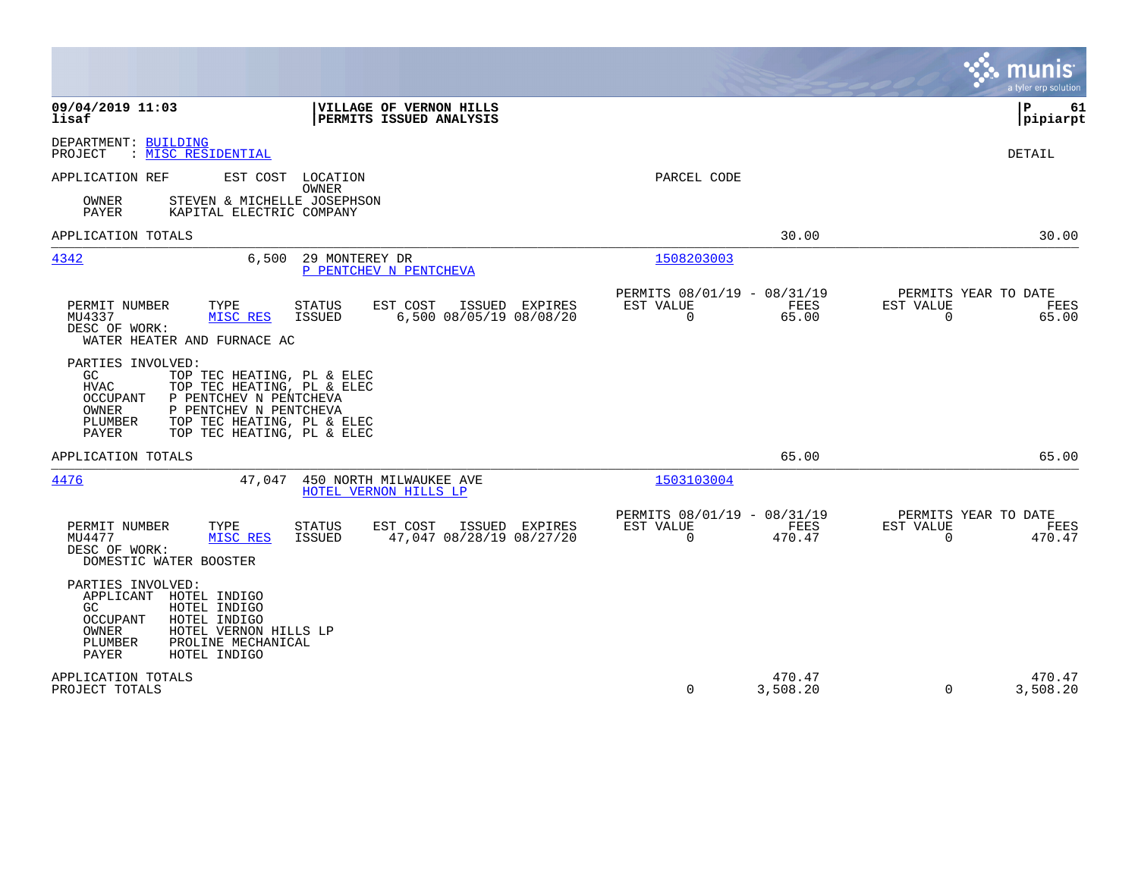|                                                                                                                                                                                                                                                                            |                                                                               | munis<br>a tyler erp solution                                     |
|----------------------------------------------------------------------------------------------------------------------------------------------------------------------------------------------------------------------------------------------------------------------------|-------------------------------------------------------------------------------|-------------------------------------------------------------------|
| 09/04/2019 11:03<br>VILLAGE OF VERNON HILLS<br>lisaf<br>PERMITS ISSUED ANALYSIS                                                                                                                                                                                            |                                                                               | ΙP<br>61<br> pipiarpt                                             |
| DEPARTMENT: BUILDING<br>: MISC RESIDENTIAL<br>PROJECT                                                                                                                                                                                                                      |                                                                               | <b>DETAIL</b>                                                     |
| APPLICATION REF<br>EST COST<br>LOCATION<br><b>OWNER</b>                                                                                                                                                                                                                    | PARCEL CODE                                                                   |                                                                   |
| OWNER<br>STEVEN & MICHELLE JOSEPHSON<br><b>PAYER</b><br>KAPITAL ELECTRIC COMPANY                                                                                                                                                                                           |                                                                               |                                                                   |
| APPLICATION TOTALS                                                                                                                                                                                                                                                         | 30.00                                                                         | 30.00                                                             |
| 4342<br>6,500<br>29 MONTEREY DR<br>P PENTCHEV N PENTCHEVA                                                                                                                                                                                                                  | 1508203003                                                                    |                                                                   |
| EST COST<br>PERMIT NUMBER<br>TYPE<br>STATUS<br>ISSUED EXPIRES<br>6,500 08/05/19 08/08/20<br>MU4337<br>MISC RES<br>ISSUED<br>DESC OF WORK:<br>WATER HEATER AND FURNACE AC                                                                                                   | PERMITS 08/01/19 - 08/31/19<br>EST VALUE<br>FEES<br>$\Omega$<br>65.00         | PERMITS YEAR TO DATE<br>EST VALUE<br>FEES<br>$\mathbf 0$<br>65.00 |
| PARTIES INVOLVED:<br>TOP TEC HEATING, PL & ELEC<br>GC.<br><b>HVAC</b><br>TOP TEC HEATING, PL & ELEC<br><b>OCCUPANT</b><br>P PENTCHEV N PENTCHEVA<br>OWNER<br>P PENTCHEV N PENTCHEVA<br>TOP TEC HEATING, PL & ELEC<br>PLUMBER<br><b>PAYER</b><br>TOP TEC HEATING, PL & ELEC |                                                                               |                                                                   |
| APPLICATION TOTALS                                                                                                                                                                                                                                                         | 65.00                                                                         | 65.00                                                             |
| 4476<br>47.047<br>450 NORTH MILWAUKEE AVE<br>HOTEL VERNON HILLS LP                                                                                                                                                                                                         | 1503103004                                                                    |                                                                   |
| PERMIT NUMBER<br>TYPE<br><b>STATUS</b><br>EST COST<br>ISSUED<br>EXPIRES<br>MISC RES<br>47,047 08/28/19 08/27/20<br>MU4477<br><b>ISSUED</b><br>DESC OF WORK:<br>DOMESTIC WATER BOOSTER                                                                                      | PERMITS 08/01/19 - 08/31/19<br>EST VALUE<br><b>FEES</b><br>$\Omega$<br>470.47 | PERMITS YEAR TO DATE<br>EST VALUE<br>FEES<br>$\Omega$<br>470.47   |
| PARTIES INVOLVED:<br>HOTEL INDIGO<br>APPLICANT<br>GC.<br>HOTEL INDIGO<br>HOTEL INDIGO<br><b>OCCUPANT</b><br>OWNER<br>HOTEL VERNON HILLS LP<br>PLUMBER<br>PROLINE MECHANICAL<br>PAYER<br>HOTEL INDIGO                                                                       |                                                                               |                                                                   |
| APPLICATION TOTALS<br>PROJECT TOTALS                                                                                                                                                                                                                                       | 470.47<br>$\Omega$<br>3,508.20                                                | 470.47<br>$\Omega$<br>3,508.20                                    |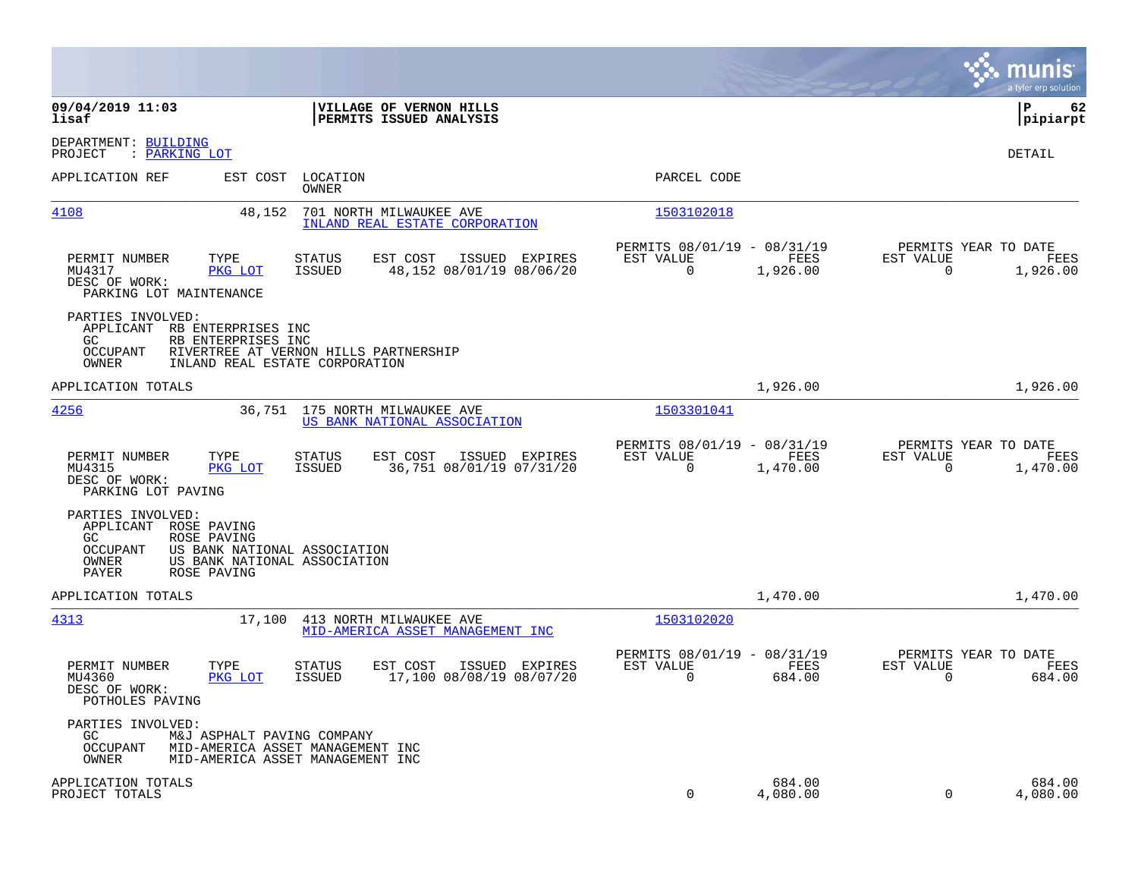|                                                                                                                                                                                  |                                                                                   |                                               |                            | munis<br>a tyler erp solution                                        |
|----------------------------------------------------------------------------------------------------------------------------------------------------------------------------------|-----------------------------------------------------------------------------------|-----------------------------------------------|----------------------------|----------------------------------------------------------------------|
| 09/04/2019 11:03<br>lisaf                                                                                                                                                        | VILLAGE OF VERNON HILLS<br>PERMITS ISSUED ANALYSIS                                |                                               |                            | 62<br>  P<br> pipiarpt                                               |
| DEPARTMENT: BUILDING<br>: PARKING LOT<br>PROJECT                                                                                                                                 |                                                                                   |                                               |                            | DETAIL                                                               |
| APPLICATION REF<br>EST COST                                                                                                                                                      | LOCATION<br><b>OWNER</b>                                                          | PARCEL CODE                                   |                            |                                                                      |
| 4108<br>48,152                                                                                                                                                                   | 701 NORTH MILWAUKEE AVE<br>INLAND REAL ESTATE CORPORATION                         | 1503102018                                    |                            |                                                                      |
| PERMIT NUMBER<br>TYPE<br>MU4317<br>PKG LOT<br>DESC OF WORK:<br>PARKING LOT MAINTENANCE                                                                                           | EST COST<br>STATUS<br>ISSUED EXPIRES<br>48,152 08/01/19 08/06/20<br>ISSUED        | PERMITS 08/01/19 - 08/31/19<br>EST VALUE<br>0 | FEES<br>1,926.00           | PERMITS YEAR TO DATE<br>EST VALUE<br>FEES<br>$\mathbf 0$<br>1,926.00 |
| PARTIES INVOLVED:<br>APPLICANT RB ENTERPRISES INC<br>RB ENTERPRISES INC<br>GC.<br><b>OCCUPANT</b><br>OWNER                                                                       | RIVERTREE AT VERNON HILLS PARTNERSHIP<br>INLAND REAL ESTATE CORPORATION           |                                               |                            |                                                                      |
| APPLICATION TOTALS                                                                                                                                                               |                                                                                   |                                               | 1,926.00                   | 1,926.00                                                             |
| 4256<br>36,751                                                                                                                                                                   | 175 NORTH MILWAUKEE AVE<br>US BANK NATIONAL ASSOCIATION                           | 1503301041                                    |                            |                                                                      |
| PERMIT NUMBER<br>TYPE<br>MU4315<br>PKG LOT<br>DESC OF WORK:<br>PARKING LOT PAVING                                                                                                | <b>STATUS</b><br>EST COST<br>ISSUED EXPIRES<br>ISSUED<br>36,751 08/01/19 07/31/20 | PERMITS 08/01/19 - 08/31/19<br>EST VALUE<br>0 | FEES<br>1,470.00           | PERMITS YEAR TO DATE<br>EST VALUE<br>FEES<br>1,470.00<br>0           |
| PARTIES INVOLVED:<br>APPLICANT<br>ROSE PAVING<br>GC.<br>ROSE PAVING<br>OCCUPANT<br>US BANK NATIONAL ASSOCIATION<br>OWNER<br>US BANK NATIONAL ASSOCIATION<br>PAYER<br>ROSE PAVING |                                                                                   |                                               |                            |                                                                      |
| APPLICATION TOTALS                                                                                                                                                               |                                                                                   |                                               | 1,470.00                   | 1,470.00                                                             |
| 4313<br>17,100                                                                                                                                                                   | 413 NORTH MILWAUKEE AVE<br>MID-AMERICA ASSET MANAGEMENT INC                       | 1503102020                                    |                            |                                                                      |
| TYPE<br>PERMIT NUMBER<br>MU4360<br>PKG LOT<br>DESC OF WORK:<br>POTHOLES PAVING                                                                                                   | EST COST<br>ISSUED EXPIRES<br>STATUS<br>17,100 08/08/19 08/07/20<br>ISSUED        | PERMITS 08/01/19 -<br>EST VALUE<br>$\Omega$   | 08/31/19<br>FEES<br>684.00 | PERMITS YEAR TO DATE<br>EST VALUE<br>FEES<br>$\Omega$<br>684.00      |
| PARTIES INVOLVED:<br>M&J ASPHALT PAVING COMPANY<br>GC.<br><b>OCCUPANT</b><br>OWNER                                                                                               | MID-AMERICA ASSET MANAGEMENT INC<br>MID-AMERICA ASSET MANAGEMENT INC              |                                               |                            |                                                                      |
| APPLICATION TOTALS<br>PROJECT TOTALS                                                                                                                                             |                                                                                   | 0                                             | 684.00<br>4,080.00         | 684.00<br>$\mathbf 0$<br>4,080.00                                    |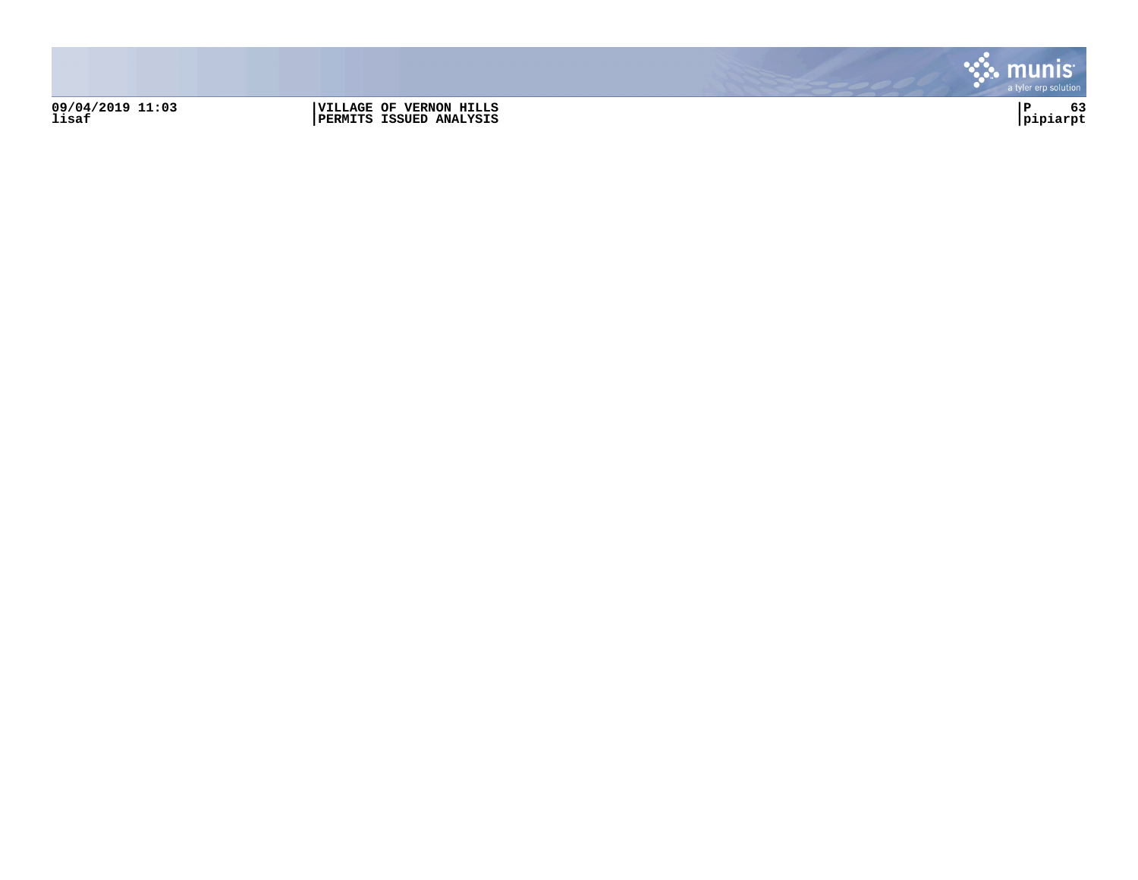**09/04/2019 11:03 |VILLAGE OF VERNON HILLS |P 63 lisaf |PERMITS ISSUED ANALYSIS |pipiarpt**

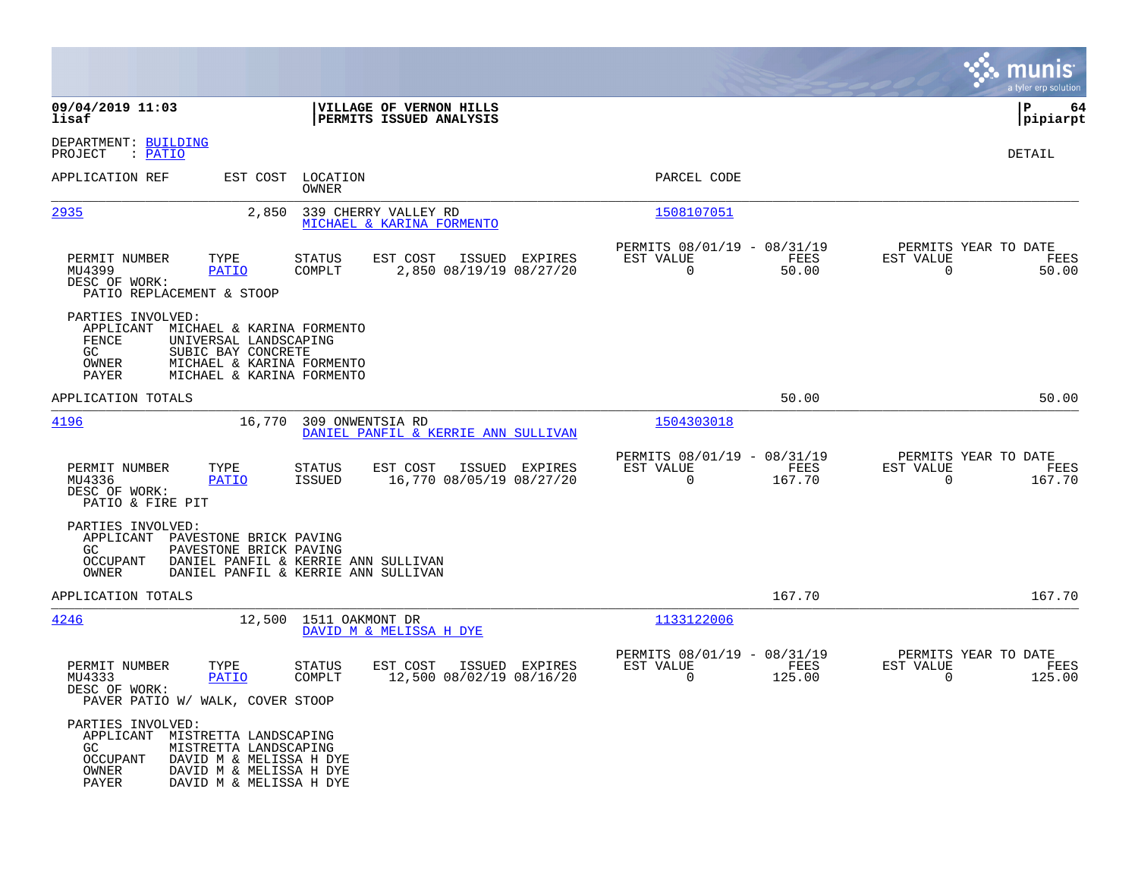|                                                                                                                                                                                                              |                                                                                   |                                                                           | munis<br>a tyler erp solution                                      |
|--------------------------------------------------------------------------------------------------------------------------------------------------------------------------------------------------------------|-----------------------------------------------------------------------------------|---------------------------------------------------------------------------|--------------------------------------------------------------------|
| 09/04/2019 11:03<br>lisaf                                                                                                                                                                                    | VILLAGE OF VERNON HILLS<br>PERMITS ISSUED ANALYSIS                                |                                                                           | l P<br>64<br> pipiarpt                                             |
| DEPARTMENT: BUILDING<br>PROJECT<br>: PATIO                                                                                                                                                                   |                                                                                   |                                                                           | DETAIL                                                             |
| APPLICATION REF<br>EST COST                                                                                                                                                                                  | LOCATION<br>OWNER                                                                 | PARCEL CODE                                                               |                                                                    |
| 2935<br>2,850                                                                                                                                                                                                | 339 CHERRY VALLEY RD<br>MICHAEL & KARINA FORMENTO                                 | 1508107051                                                                |                                                                    |
| PERMIT NUMBER<br>TYPE<br>MU4399<br>PATIO<br>DESC OF WORK:<br>PATIO REPLACEMENT & STOOP                                                                                                                       | EST COST<br><b>STATUS</b><br>ISSUED EXPIRES<br>COMPLT<br>2,850 08/19/19 08/27/20  | PERMITS 08/01/19 - 08/31/19<br>EST VALUE<br>FEES<br>0<br>50.00            | PERMITS YEAR TO DATE<br>EST VALUE<br>FEES<br>$\mathbf 0$<br>50.00  |
| PARTIES INVOLVED:<br>APPLICANT<br>MICHAEL & KARINA FORMENTO<br><b>FENCE</b><br>UNIVERSAL LANDSCAPING<br>GC<br>SUBIC BAY CONCRETE<br>OWNER<br>MICHAEL & KARINA FORMENTO<br>MICHAEL & KARINA FORMENTO<br>PAYER |                                                                                   |                                                                           |                                                                    |
| APPLICATION TOTALS                                                                                                                                                                                           |                                                                                   | 50.00                                                                     | 50.00                                                              |
| 4196<br>16,770                                                                                                                                                                                               | 309 ONWENTSIA RD<br>DANIEL PANFIL & KERRIE ANN SULLIVAN                           | 1504303018                                                                |                                                                    |
| PERMIT NUMBER<br>TYPE<br>MU4336<br><b>PATIO</b><br>DESC OF WORK:<br>PATIO & FIRE PIT                                                                                                                         | EST COST<br>ISSUED EXPIRES<br>STATUS<br><b>ISSUED</b><br>16,770 08/05/19 08/27/20 | PERMITS 08/01/19 - 08/31/19<br>EST VALUE<br>FEES<br>0<br>167.70           | PERMITS YEAR TO DATE<br>EST VALUE<br>FEES<br>$\mathbf 0$<br>167.70 |
| PARTIES INVOLVED:<br>APPLICANT<br>PAVESTONE BRICK PAVING<br>GC.<br>PAVESTONE BRICK PAVING<br>OCCUPANT<br>OWNER                                                                                               | DANIEL PANFIL & KERRIE ANN SULLIVAN<br>DANIEL PANFIL & KERRIE ANN SULLIVAN        |                                                                           |                                                                    |
| APPLICATION TOTALS                                                                                                                                                                                           |                                                                                   | 167.70                                                                    | 167.70                                                             |
| 4246<br>12,500                                                                                                                                                                                               | 1511 OAKMONT DR<br>DAVID M & MELISSA H DYE                                        | 1133122006                                                                |                                                                    |
| PERMIT NUMBER<br>TYPE<br>MU4333<br><b>PATIO</b><br>DESC OF WORK:<br>PAVER PATIO W/ WALK, COVER STOOP                                                                                                         | <b>STATUS</b><br>EST COST<br>ISSUED EXPIRES<br>COMPLT<br>12,500 08/02/19 08/16/20 | PERMITS 08/01/19 - 08/31/19<br>EST VALUE<br>FEES<br>$\mathbf 0$<br>125.00 | PERMITS YEAR TO DATE<br>EST VALUE<br>FEES<br>$\mathbf 0$<br>125.00 |
| PARTIES INVOLVED:<br>APPLICANT<br>MISTRETTA LANDSCAPING<br>GC<br>MISTRETTA LANDSCAPING<br>DAVID M & MELISSA H DYE<br>OCCUPANT<br>DAVID M & MELISSA H DYE<br><b>OWNER</b><br>DAVID M & MELISSA H DYE<br>PAYER |                                                                                   |                                                                           |                                                                    |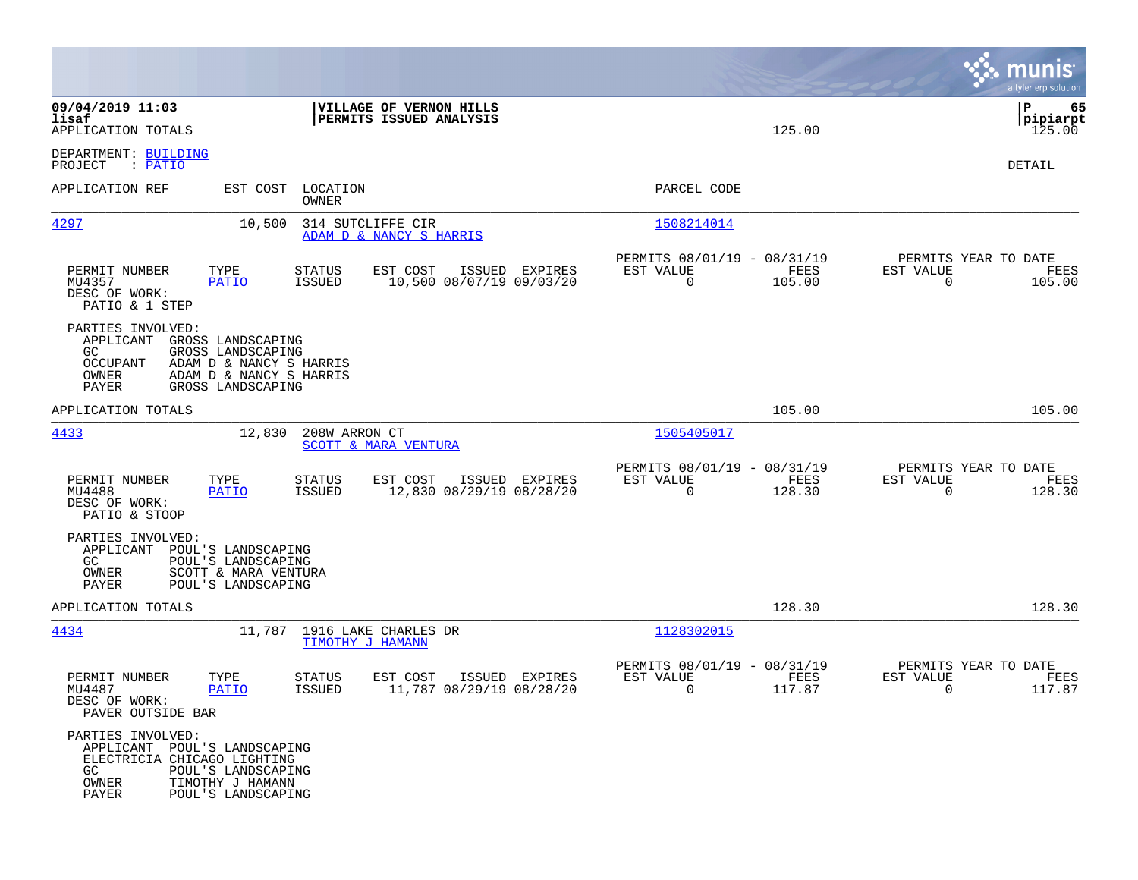|                                                                                                          |                                                                                                                   |                                                        |                                                         |                |                                                  | munis<br>a tyler erp solution |
|----------------------------------------------------------------------------------------------------------|-------------------------------------------------------------------------------------------------------------------|--------------------------------------------------------|---------------------------------------------------------|----------------|--------------------------------------------------|-------------------------------|
| 09/04/2019 11:03<br>lisaf<br>APPLICATION TOTALS                                                          |                                                                                                                   | VILLAGE OF VERNON HILLS<br>PERMITS ISSUED ANALYSIS     |                                                         | 125.00         | l P                                              | 65<br> pipiarpt<br>125.00     |
| DEPARTMENT: BUILDING<br>PROJECT<br>: PATIO                                                               |                                                                                                                   |                                                        |                                                         |                | DETAIL                                           |                               |
| APPLICATION REF                                                                                          | EST COST<br>LOCATION<br>OWNER                                                                                     |                                                        | PARCEL CODE                                             |                |                                                  |                               |
| 4297                                                                                                     | 10,500                                                                                                            | 314 SUTCLIFFE CIR<br>ADAM D & NANCY S HARRIS           | 1508214014                                              |                |                                                  |                               |
| PERMIT NUMBER<br>MU4357<br>DESC OF WORK:<br>PATIO & 1 STEP                                               | TYPE<br>STATUS<br><b>ISSUED</b><br><b>PATIO</b>                                                                   | EST COST<br>ISSUED EXPIRES<br>10,500 08/07/19 09/03/20 | PERMITS 08/01/19 - 08/31/19<br>EST VALUE<br>$\mathbf 0$ | FEES<br>105.00 | PERMITS YEAR TO DATE<br>EST VALUE<br>$\mathbf 0$ | FEES<br>105.00                |
| PARTIES INVOLVED:<br>APPLICANT<br>GC.<br>OCCUPANT<br>OWNER<br>PAYER                                      | GROSS LANDSCAPING<br>GROSS LANDSCAPING<br>ADAM D & NANCY S HARRIS<br>ADAM D & NANCY S HARRIS<br>GROSS LANDSCAPING |                                                        |                                                         |                |                                                  |                               |
| APPLICATION TOTALS                                                                                       |                                                                                                                   |                                                        |                                                         | 105.00         |                                                  | 105.00                        |
| 4433                                                                                                     | 12,830<br>208W ARRON CT                                                                                           | <b>SCOTT &amp; MARA VENTURA</b>                        | 1505405017                                              |                |                                                  |                               |
| PERMIT NUMBER<br>MU4488<br>DESC OF WORK:<br>PATIO & STOOP                                                | <b>STATUS</b><br>TYPE<br><b>PATIO</b><br><b>ISSUED</b>                                                            | EST COST<br>ISSUED EXPIRES<br>12,830 08/29/19 08/28/20 | PERMITS 08/01/19 - 08/31/19<br>EST VALUE<br>$\Omega$    | FEES<br>128.30 | PERMITS YEAR TO DATE<br>EST VALUE<br>0           | FEES<br>128.30                |
| PARTIES INVOLVED:<br>APPLICANT<br>GC.<br>OWNER<br>PAYER                                                  | POUL'S LANDSCAPING<br>POUL'S LANDSCAPING<br>SCOTT & MARA VENTURA<br>POUL'S LANDSCAPING                            |                                                        |                                                         |                |                                                  |                               |
| APPLICATION TOTALS                                                                                       |                                                                                                                   |                                                        |                                                         | 128.30         |                                                  | 128.30                        |
| 4434                                                                                                     | 11,787<br>TIMOTHY J HAMANN                                                                                        | 1916 LAKE CHARLES DR                                   | 1128302015                                              |                |                                                  |                               |
| PERMIT NUMBER<br>MU4487<br>DESC OF WORK:<br>PAVER OUTSIDE BAR                                            | TYPE<br>STATUS<br><b>ISSUED</b><br><b>PATIO</b>                                                                   | EST COST<br>ISSUED EXPIRES<br>11,787 08/29/19 08/28/20 | PERMITS 08/01/19 - 08/31/19<br>EST VALUE<br>0           | FEES<br>117.87 | PERMITS YEAR TO DATE<br>EST VALUE<br>0           | FEES<br>117.87                |
| PARTIES INVOLVED:<br>APPLICANT POUL'S LANDSCAPING<br>ELECTRICIA CHICAGO LIGHTING<br>GC<br>OWNER<br>PAYER | POUL'S LANDSCAPING<br>TIMOTHY J HAMANN<br>POUL'S LANDSCAPING                                                      |                                                        |                                                         |                |                                                  |                               |

**Contract**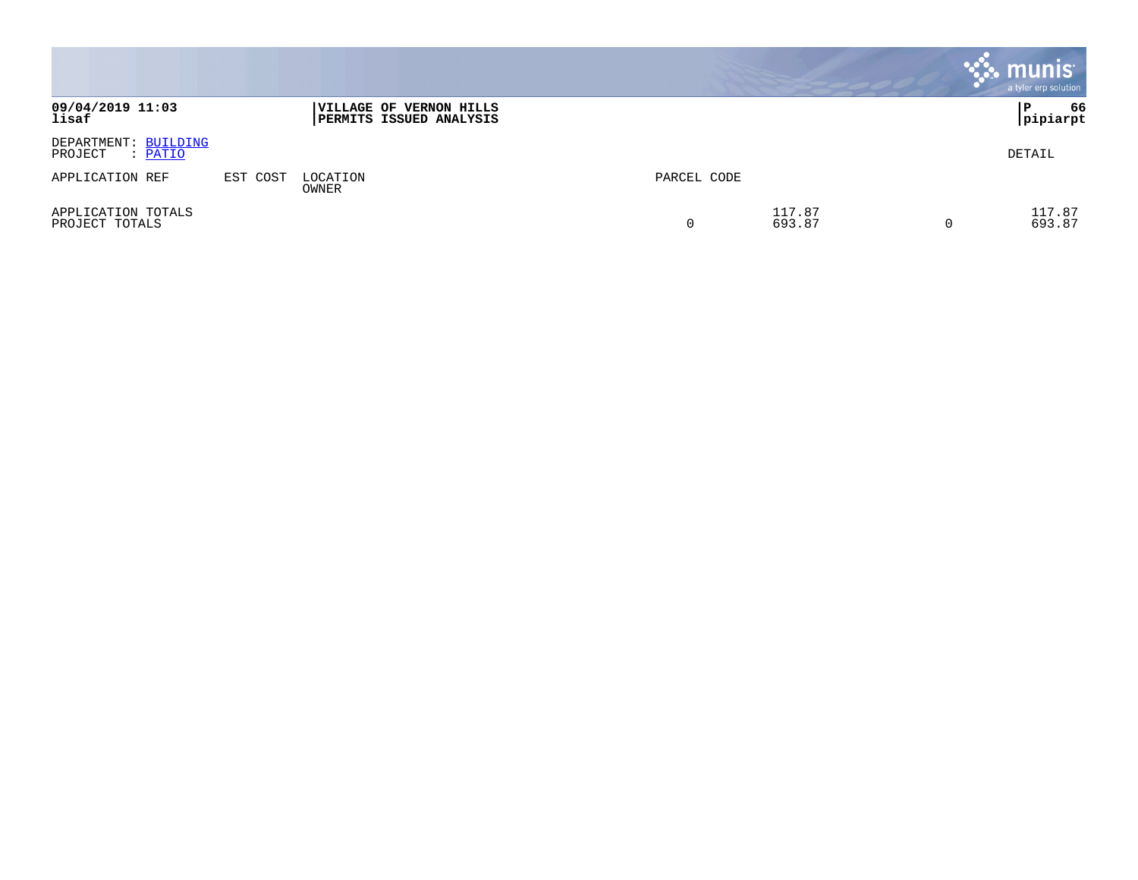|                                            |          |                                                           |             |                  | munis<br>a tyler erp solution |
|--------------------------------------------|----------|-----------------------------------------------------------|-------------|------------------|-------------------------------|
| 09/04/2019 11:03<br>lisaf                  |          | <b>VILLAGE OF VERNON HILLS</b><br>PERMITS ISSUED ANALYSIS |             |                  | 66<br>Р<br>pipiarpt           |
| DEPARTMENT: BUILDING<br>PROJECT<br>: PATIO |          |                                                           |             |                  | DETAIL                        |
| APPLICATION REF                            | EST COST | LOCATION<br>OWNER                                         | PARCEL CODE |                  |                               |
| APPLICATION TOTALS<br>PROJECT TOTALS       |          |                                                           | $\mathbf 0$ | 117.87<br>693.87 | 117.87<br>693.87              |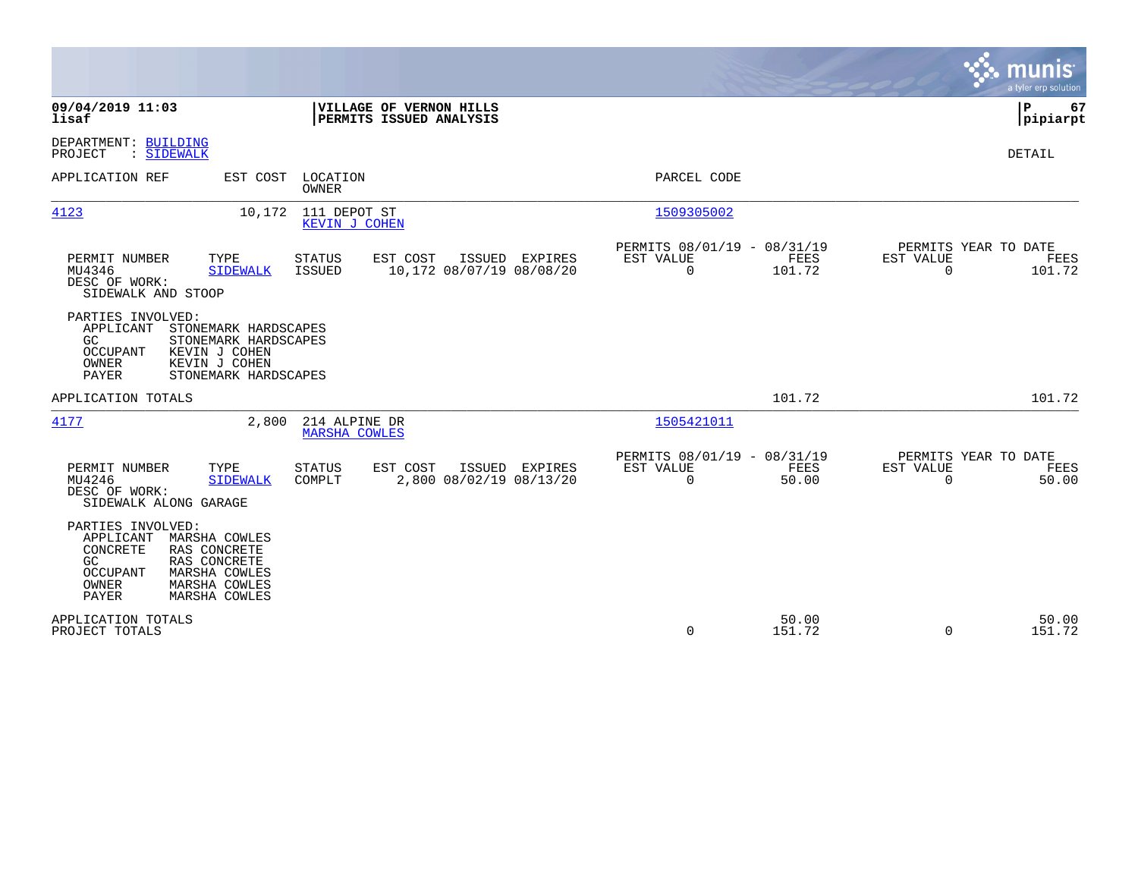|                                                                                                                                                                                                  |                                                                           | munis<br>a tyler erp solution                                     |
|--------------------------------------------------------------------------------------------------------------------------------------------------------------------------------------------------|---------------------------------------------------------------------------|-------------------------------------------------------------------|
| 09/04/2019 11:03<br>VILLAGE OF VERNON HILLS<br>lisaf<br>PERMITS ISSUED ANALYSIS                                                                                                                  |                                                                           | ΙP<br>67<br> pipiarpt                                             |
| DEPARTMENT: BUILDING<br>: SIDEWALK<br>PROJECT                                                                                                                                                    |                                                                           | DETAIL                                                            |
| LOCATION<br>APPLICATION REF<br>EST COST<br>OWNER                                                                                                                                                 | PARCEL CODE                                                               |                                                                   |
| 111 DEPOT ST<br>4123<br>10,172<br>KEVIN J COHEN                                                                                                                                                  | 1509305002                                                                |                                                                   |
| TYPE<br>ISSUED EXPIRES<br>PERMIT NUMBER<br><b>STATUS</b><br>EST COST<br>MU4346<br><b>SIDEWALK</b><br>ISSUED<br>10,172 08/07/19 08/08/20<br>DESC OF WORK:<br>SIDEWALK AND STOOP                   | PERMITS 08/01/19 - 08/31/19<br>EST VALUE<br>FEES<br>$\mathbf 0$<br>101.72 | PERMITS YEAR TO DATE<br>EST VALUE<br>FEES<br>$\Omega$<br>101.72   |
| PARTIES INVOLVED:<br>APPLICANT<br>STONEMARK HARDSCAPES<br>GC.<br>STONEMARK HARDSCAPES<br><b>OCCUPANT</b><br>KEVIN J COHEN<br>OWNER<br>KEVIN J COHEN<br><b>PAYER</b><br>STONEMARK HARDSCAPES      |                                                                           |                                                                   |
| APPLICATION TOTALS                                                                                                                                                                               | 101.72                                                                    | 101.72                                                            |
| 4177<br>2,800<br>214 ALPINE DR<br><b>MARSHA COWLES</b>                                                                                                                                           | 1505421011                                                                |                                                                   |
| PERMIT NUMBER<br>TYPE<br><b>STATUS</b><br>EST COST<br>ISSUED EXPIRES<br>MU4246<br>COMPLT<br>2,800 08/02/19 08/13/20<br><b>SIDEWALK</b><br>DESC OF WORK:<br>SIDEWALK ALONG GARAGE                 | PERMITS 08/01/19 - 08/31/19<br>EST VALUE<br>FEES<br>$\mathbf 0$<br>50.00  | PERMITS YEAR TO DATE<br>EST VALUE<br>FEES<br>$\mathbf 0$<br>50.00 |
| PARTIES INVOLVED:<br>APPLICANT<br>MARSHA COWLES<br>CONCRETE<br>RAS CONCRETE<br>GC<br>RAS CONCRETE<br><b>OCCUPANT</b><br>MARSHA COWLES<br>OWNER<br>MARSHA COWLES<br><b>PAYER</b><br>MARSHA COWLES |                                                                           |                                                                   |
| APPLICATION TOTALS<br>PROJECT TOTALS                                                                                                                                                             | 50.00<br>0<br>151.72                                                      | 50.00<br>$\Omega$<br>151.72                                       |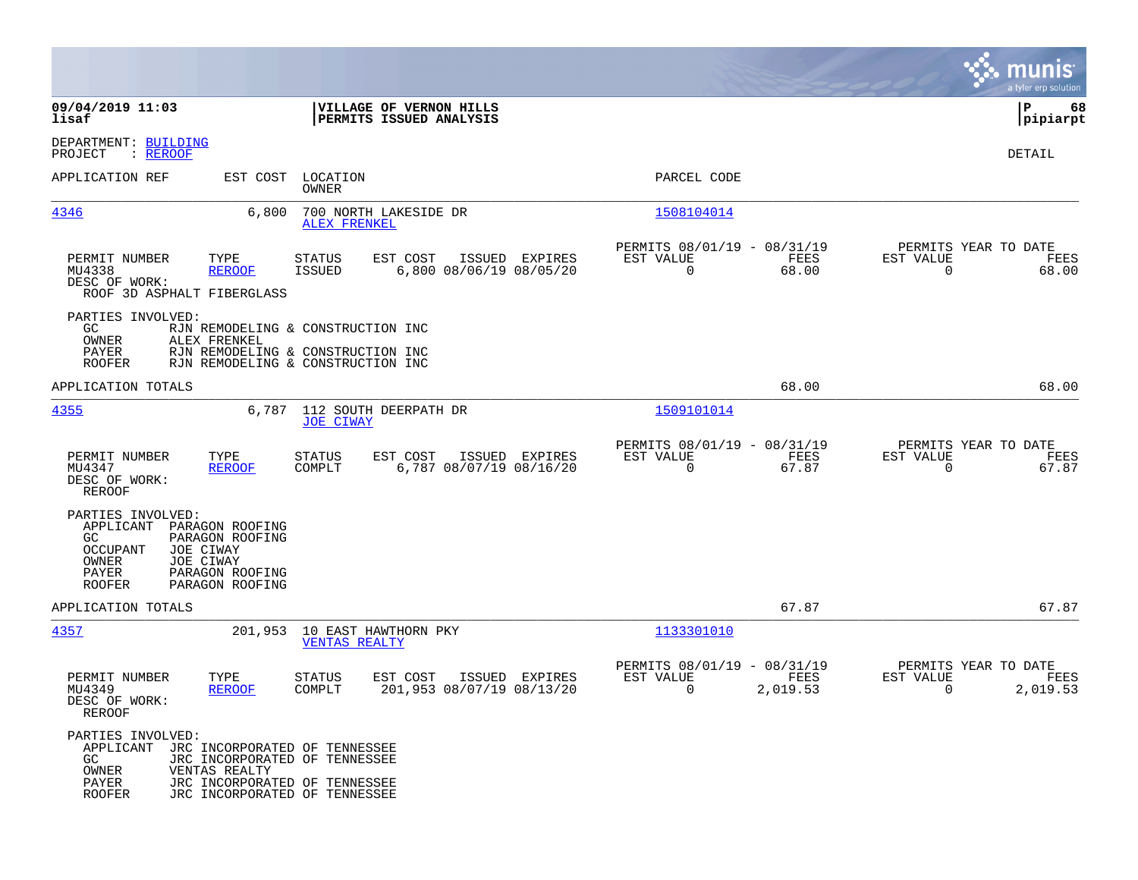|                                                                                                                                                                                            |                                                                                                             |                                                                          | munis<br>a tyler erp solution                                     |
|--------------------------------------------------------------------------------------------------------------------------------------------------------------------------------------------|-------------------------------------------------------------------------------------------------------------|--------------------------------------------------------------------------|-------------------------------------------------------------------|
| 09/04/2019 11:03<br>lisaf                                                                                                                                                                  | VILLAGE OF VERNON HILLS<br>PERMITS ISSUED ANALYSIS                                                          |                                                                          | l P<br>68<br> pipiarpt                                            |
| DEPARTMENT: BUILDING<br>PROJECT<br>: <u>REROOF</u>                                                                                                                                         |                                                                                                             |                                                                          | DETAIL                                                            |
| APPLICATION REF                                                                                                                                                                            | LOCATION<br>EST COST<br>OWNER                                                                               | PARCEL CODE                                                              |                                                                   |
| 4346                                                                                                                                                                                       | 700 NORTH LAKESIDE DR<br>6,800<br>ALEX FRENKEL                                                              | 1508104014                                                               |                                                                   |
| PERMIT NUMBER<br>TYPE<br>MU4338<br><b>REROOF</b><br>DESC OF WORK:<br>ROOF 3D ASPHALT FIBERGLASS                                                                                            | STATUS<br>EST COST<br>ISSUED EXPIRES<br>6,800 08/06/19 08/05/20<br><b>ISSUED</b>                            | PERMITS 08/01/19 - 08/31/19<br>EST VALUE<br>FEES<br>68.00<br>$\mathbf 0$ | PERMITS YEAR TO DATE<br>EST VALUE<br>FEES<br>$\Omega$<br>68.00    |
| PARTIES INVOLVED:<br>GC.<br>OWNER<br>ALEX FRENKEL<br>PAYER<br><b>ROOFER</b>                                                                                                                | RJN REMODELING & CONSTRUCTION INC<br>RJN REMODELING & CONSTRUCTION INC<br>RJN REMODELING & CONSTRUCTION INC |                                                                          |                                                                   |
| APPLICATION TOTALS                                                                                                                                                                         |                                                                                                             | 68.00                                                                    | 68.00                                                             |
| 4355                                                                                                                                                                                       | 6,787<br>112 SOUTH DEERPATH DR<br><b>JOE CIWAY</b>                                                          | 1509101014                                                               |                                                                   |
| PERMIT NUMBER<br>TYPE<br>MU4347<br><b>REROOF</b><br>DESC OF WORK:<br>REROOF                                                                                                                | <b>STATUS</b><br>EST COST<br>ISSUED EXPIRES<br>6,787 08/07/19 08/16/20<br>COMPLT                            | PERMITS 08/01/19 - 08/31/19<br>EST VALUE<br>FEES<br>67.87<br>0           | PERMITS YEAR TO DATE<br>EST VALUE<br>FEES<br>67.87<br>$\mathbf 0$ |
| PARTIES INVOLVED:<br>APPLICANT<br>PARAGON ROOFING<br>PARAGON ROOFING<br>GC.<br><b>OCCUPANT</b><br>JOE CIWAY<br>OWNER<br>JOE CIWAY<br>PAYER<br>PARAGON ROOFING<br>ROOFER<br>PARAGON ROOFING |                                                                                                             |                                                                          |                                                                   |
| APPLICATION TOTALS                                                                                                                                                                         |                                                                                                             | 67.87                                                                    | 67.87                                                             |
| 4357                                                                                                                                                                                       | 201,953<br>10 EAST HAWTHORN PKY<br><b>VENTAS REALTY</b>                                                     | 1133301010                                                               |                                                                   |
| PERMIT NUMBER<br>TYPE<br>MU4349<br><b>REROOF</b><br>DESC OF WORK:<br>REROOF                                                                                                                | <b>STATUS</b><br>EST COST<br>ISSUED EXPIRES<br>201,953 08/07/19 08/13/20<br>COMPLT                          | PERMITS 08/01/19 - 08/31/19<br>EST VALUE<br>FEES<br>2,019.53<br>0        | PERMITS YEAR TO DATE<br>EST VALUE<br>FEES<br>2,019.53<br>0        |
| PARTIES INVOLVED:<br>APPLICANT JRC INCORPORATED OF TENNESSEE<br>GC<br>OWNER<br>VENTAS REALTY<br>PAYER<br><b>ROOFER</b>                                                                     | JRC INCORPORATED OF TENNESSEE<br>JRC INCORPORATED OF TENNESSEE<br>JRC INCORPORATED OF TENNESSEE             |                                                                          |                                                                   |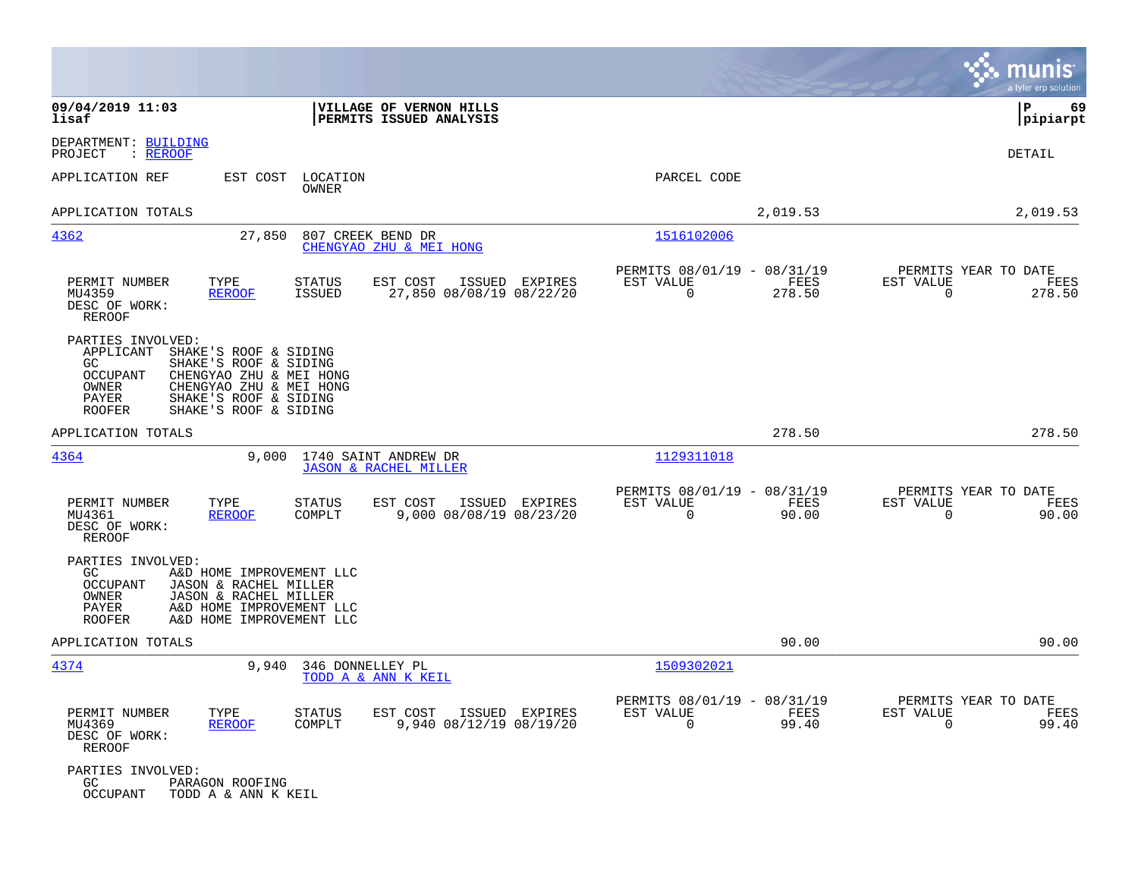|                                                                                                                                                                                                                                                      |                                                                           | munis<br>a tyler erp solution                                      |
|------------------------------------------------------------------------------------------------------------------------------------------------------------------------------------------------------------------------------------------------------|---------------------------------------------------------------------------|--------------------------------------------------------------------|
| VILLAGE OF VERNON HILLS<br>09/04/2019 11:03<br>PERMITS ISSUED ANALYSIS<br>lisaf                                                                                                                                                                      |                                                                           | 69<br>ΙP<br> pipiarpt                                              |
| DEPARTMENT: BUILDING<br>: <u>REROOF</u><br>PROJECT                                                                                                                                                                                                   |                                                                           | DETAIL                                                             |
| LOCATION<br>APPLICATION REF<br>EST COST<br>OWNER                                                                                                                                                                                                     | PARCEL CODE                                                               |                                                                    |
| APPLICATION TOTALS                                                                                                                                                                                                                                   | 2,019.53                                                                  | 2,019.53                                                           |
| 4362<br>27,850<br>807 CREEK BEND DR<br>CHENGYAO ZHU & MEI HONG                                                                                                                                                                                       | 1516102006                                                                |                                                                    |
| PERMIT NUMBER<br>TYPE<br><b>STATUS</b><br>EST COST<br>ISSUED EXPIRES<br>27,850 08/08/19 08/22/20<br>MU4359<br><b>REROOF</b><br><b>ISSUED</b><br>DESC OF WORK:<br>REROOF                                                                              | PERMITS 08/01/19 -<br>08/31/19<br>EST VALUE<br>FEES<br>$\Omega$<br>278.50 | PERMITS YEAR TO DATE<br>EST VALUE<br>FEES<br>$\mathbf 0$<br>278.50 |
| PARTIES INVOLVED:<br>APPLICANT<br>SHAKE'S ROOF & SIDING<br>SHAKE'S ROOF & SIDING<br>GC<br><b>OCCUPANT</b><br>CHENGYAO ZHU & MEI HONG<br>OWNER<br>CHENGYAO ZHU & MEI HONG<br>PAYER<br>SHAKE'S ROOF & SIDING<br><b>ROOFER</b><br>SHAKE'S ROOF & SIDING |                                                                           |                                                                    |
| APPLICATION TOTALS                                                                                                                                                                                                                                   | 278.50                                                                    | 278.50                                                             |
| 4364<br>9,000<br>1740 SAINT ANDREW DR<br><b>JASON &amp; RACHEL MILLER</b>                                                                                                                                                                            | 1129311018                                                                |                                                                    |
| PERMIT NUMBER<br>TYPE<br>EST COST<br>STATUS<br>ISSUED EXPIRES<br>9,000 08/08/19 08/23/20<br><b>REROOF</b><br>MU4361<br>COMPLT<br>DESC OF WORK:<br><b>REROOF</b>                                                                                      | PERMITS 08/01/19 - 08/31/19<br>EST VALUE<br>FEES<br>$\Omega$<br>90.00     | PERMITS YEAR TO DATE<br>EST VALUE<br>FEES<br>$\mathsf{O}$<br>90.00 |
| PARTIES INVOLVED:<br>A&D HOME IMPROVEMENT LLC<br>GC<br><b>OCCUPANT</b><br>JASON & RACHEL MILLER<br>JASON & RACHEL MILLER<br>OWNER<br>A&D HOME IMPROVEMENT LLC<br>PAYER<br><b>ROOFER</b><br>A&D HOME IMPROVEMENT LLC                                  |                                                                           |                                                                    |
| APPLICATION TOTALS                                                                                                                                                                                                                                   | 90.00                                                                     | 90.00                                                              |
| 9,940<br>346 DONNELLEY PL<br>4374<br>TODD A & ANN K KEIL                                                                                                                                                                                             | 1509302021                                                                |                                                                    |
| PERMIT NUMBER<br>TYPE<br>STATUS<br>EST COST<br>ISSUED EXPIRES<br>MU4369<br><b>REROOF</b><br>COMPLT<br>9,940 08/12/19 08/19/20<br>DESC OF WORK:<br>REROOF                                                                                             | PERMITS 08/01/19 - 08/31/19<br>EST VALUE<br>FEES<br>0<br>99.40            | PERMITS YEAR TO DATE<br>EST VALUE<br>FEES<br>0<br>99.40            |
| PARTIES INVOLVED:<br>GC.<br>PARAGON ROOFING<br><b>OCCUPANT</b><br>TODD A & ANN K KEIL                                                                                                                                                                |                                                                           |                                                                    |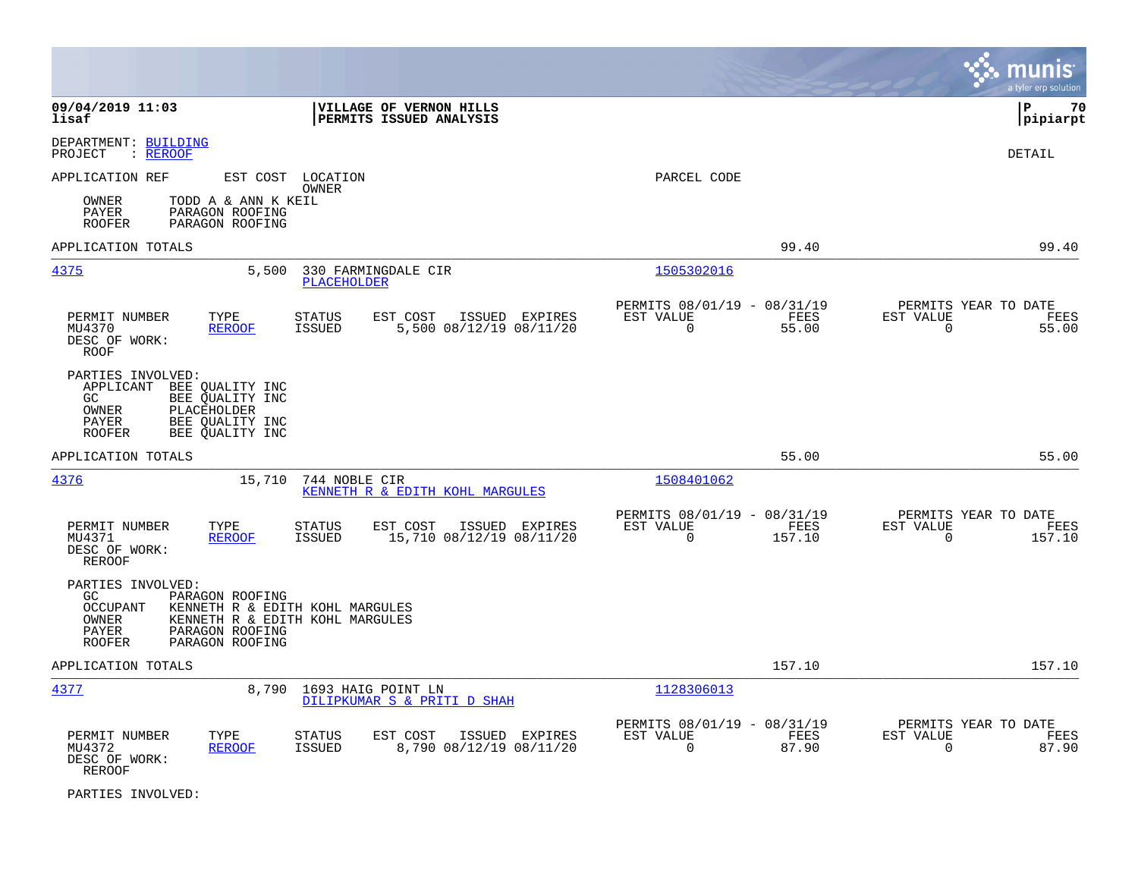|                                                                                                                                                                                                              |                                                                          | munis<br>a tyler erp solution                                      |
|--------------------------------------------------------------------------------------------------------------------------------------------------------------------------------------------------------------|--------------------------------------------------------------------------|--------------------------------------------------------------------|
| 09/04/2019 11:03<br>VILLAGE OF VERNON HILLS<br>PERMITS ISSUED ANALYSIS<br>lisaf                                                                                                                              |                                                                          | lР<br>70<br> pipiarpt                                              |
| DEPARTMENT: BUILDING<br>PROJECT<br>$:$ REROOF                                                                                                                                                                |                                                                          | <b>DETAIL</b>                                                      |
| APPLICATION REF<br>EST COST LOCATION<br>OWNER<br>OWNER<br>TODD A & ANN K KEIL<br><b>PAYER</b><br>PARAGON ROOFING<br><b>ROOFER</b><br>PARAGON ROOFING                                                         | PARCEL CODE                                                              |                                                                    |
| APPLICATION TOTALS                                                                                                                                                                                           | 99.40                                                                    | 99.40                                                              |
| 4375<br>330 FARMINGDALE CIR<br>5,500<br><b>PLACEHOLDER</b>                                                                                                                                                   | 1505302016                                                               |                                                                    |
| TYPE<br>EST COST<br>PERMIT NUMBER<br><b>STATUS</b><br>ISSUED EXPIRES<br>5,500 08/12/19 08/11/20<br>MU4370<br><b>REROOF</b><br><b>ISSUED</b><br>DESC OF WORK:<br>ROOF                                         | PERMITS 08/01/19 - 08/31/19<br>EST VALUE<br>FEES<br>$\mathbf 0$<br>55.00 | PERMITS YEAR TO DATE<br>EST VALUE<br>FEES<br>$\mathbf 0$<br>55.00  |
| PARTIES INVOLVED:<br>APPLICANT<br>BEE QUALITY INC<br>BEE QUALITY INC<br>GC<br>OWNER<br>PLACEHOLDER<br>PAYER<br>BEE OUALITY INC<br><b>ROOFER</b><br>BEE OUALITY INC                                           |                                                                          |                                                                    |
| APPLICATION TOTALS                                                                                                                                                                                           | 55.00                                                                    | 55.00                                                              |
| 4376<br>15,710<br>744 NOBLE CIR<br>KENNETH R & EDITH KOHL MARGULES                                                                                                                                           | 1508401062                                                               |                                                                    |
| PERMIT NUMBER<br>TYPE<br><b>STATUS</b><br>EST COST<br>ISSUED EXPIRES<br>MU4371<br><b>REROOF</b><br><b>ISSUED</b><br>15,710 08/12/19 08/11/20<br>DESC OF WORK:<br><b>REROOF</b>                               | PERMITS 08/01/19 - 08/31/19<br>EST VALUE<br>FEES<br>157.10<br>$\Omega$   | PERMITS YEAR TO DATE<br>EST VALUE<br>FEES<br>$\mathbf 0$<br>157.10 |
| PARTIES INVOLVED:<br>PARAGON ROOFING<br>GC<br><b>OCCUPANT</b><br>KENNETH R & EDITH KOHL MARGULES<br>OWNER<br>KENNETH R & EDITH KOHL MARGULES<br>PAYER<br>PARAGON ROOFING<br><b>ROOFER</b><br>PARAGON ROOFING |                                                                          |                                                                    |
| APPLICATION TOTALS                                                                                                                                                                                           | 157.10                                                                   | 157.10                                                             |
| 8,790<br>4377<br>1693 HAIG POINT LN<br>DILIPKUMAR S & PRITI D SHAH                                                                                                                                           | 1128306013                                                               |                                                                    |
| PERMIT NUMBER<br>TYPE<br><b>STATUS</b><br>EST COST<br>ISSUED EXPIRES<br>8,790 08/12/19 08/11/20<br><b>REROOF</b><br><b>ISSUED</b><br>MU4372<br>DESC OF WORK:<br><b>REROOF</b>                                | PERMITS 08/01/19 - 08/31/19<br>EST VALUE<br>FEES<br>$\Omega$<br>87.90    | PERMITS YEAR TO DATE<br>EST VALUE<br>FEES<br>$\Omega$<br>87.90     |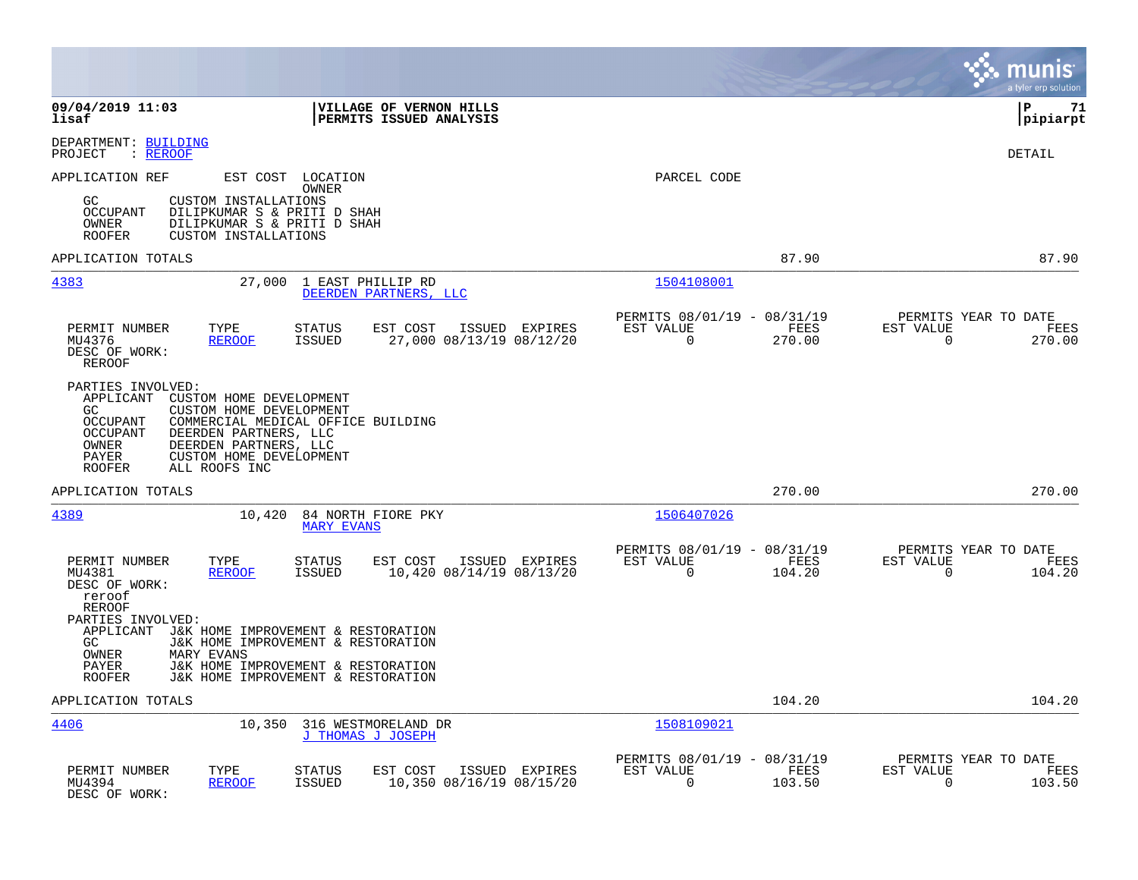|                                                                                                                                                                                                                                                                                                  |                                                                              | munis<br>a tyler erp solution                                      |
|--------------------------------------------------------------------------------------------------------------------------------------------------------------------------------------------------------------------------------------------------------------------------------------------------|------------------------------------------------------------------------------|--------------------------------------------------------------------|
| 09/04/2019 11:03<br>VILLAGE OF VERNON HILLS<br>lisaf<br>PERMITS ISSUED ANALYSIS                                                                                                                                                                                                                  |                                                                              | l P<br>71<br> pipiarpt                                             |
| DEPARTMENT: BUILDING<br>: REROOF<br>PROJECT                                                                                                                                                                                                                                                      |                                                                              | DETAIL                                                             |
| APPLICATION REF<br>EST COST LOCATION<br>OWNER<br>GC<br>CUSTOM INSTALLATIONS<br><b>OCCUPANT</b><br>DILIPKUMAR S & PRITI D SHAH<br>OWNER<br>DILIPKUMAR S & PRITI D SHAH<br>CUSTOM INSTALLATIONS<br><b>ROOFER</b>                                                                                   | PARCEL CODE                                                                  |                                                                    |
| APPLICATION TOTALS                                                                                                                                                                                                                                                                               | 87.90                                                                        | 87.90                                                              |
| 4383<br>27,000 1 EAST PHILLIP RD<br>DEERDEN PARTNERS, LLC                                                                                                                                                                                                                                        | 1504108001                                                                   |                                                                    |
| PERMIT NUMBER<br>TYPE<br><b>STATUS</b><br>EST COST<br>ISSUED EXPIRES<br><b>REROOF</b><br>ISSUED<br>27,000 08/13/19 08/12/20<br>MU4376<br>DESC OF WORK:<br>REROOF                                                                                                                                 | PERMITS 08/01/19 - 08/31/19<br>EST VALUE<br>FEES<br>$\overline{0}$<br>270.00 | PERMITS YEAR TO DATE<br>EST VALUE<br>FEES<br>$\mathbf 0$<br>270.00 |
| PARTIES INVOLVED:<br>APPLICANT<br>CUSTOM HOME DEVELOPMENT<br>GC<br>CUSTOM HOME DEVELOPMENT<br>OCCUPANT<br>COMMERCIAL MEDICAL OFFICE BUILDING<br><b>OCCUPANT</b><br>DEERDEN PARTNERS, LLC<br>OWNER<br>DEERDEN PARTNERS, LLC<br>PAYER<br>CUSTOM HOME DEVELOPMENT<br><b>ROOFER</b><br>ALL ROOFS INC |                                                                              |                                                                    |
| APPLICATION TOTALS                                                                                                                                                                                                                                                                               | 270.00                                                                       | 270.00                                                             |
| 4389<br>10,420<br>84 NORTH FIORE PKY<br><b>MARY EVANS</b>                                                                                                                                                                                                                                        | 1506407026                                                                   |                                                                    |
| PERMIT NUMBER<br>TYPE<br><b>STATUS</b><br>EST COST<br>ISSUED EXPIRES<br>10,420 08/14/19 08/13/20<br>MU4381<br><b>REROOF</b><br>ISSUED<br>DESC OF WORK:<br>reroof<br><b>REROOF</b><br>PARTIES INVOLVED:                                                                                           | PERMITS 08/01/19 - 08/31/19<br>FEES<br>EST VALUE<br>$\mathbf 0$<br>104.20    | PERMITS YEAR TO DATE<br>EST VALUE<br>FEES<br>$\mathbf 0$<br>104.20 |
| APPLICANT<br>J&K HOME IMPROVEMENT & RESTORATION<br>J&K HOME IMPROVEMENT & RESTORATION<br>GC.<br>OWNER<br>MARY EVANS<br>J&K HOME IMPROVEMENT & RESTORATION<br>PAYER<br>J&K HOME IMPROVEMENT & RESTORATION<br><b>ROOFER</b>                                                                        |                                                                              |                                                                    |
| APPLICATION TOTALS                                                                                                                                                                                                                                                                               | 104.20                                                                       | 104.20                                                             |
| 4406<br>10,350<br>316 WESTMORELAND DR<br>J THOMAS J JOSEPH                                                                                                                                                                                                                                       | 1508109021                                                                   |                                                                    |
| PERMIT NUMBER<br>TYPE<br>EST COST<br>STATUS<br>ISSUED EXPIRES<br>10,350 08/16/19 08/15/20<br>MU4394<br><b>REROOF</b><br><b>ISSUED</b><br>DESC OF WORK:                                                                                                                                           | PERMITS 08/01/19 - 08/31/19<br>EST VALUE<br><b>FEES</b><br>103.50<br>0       | PERMITS YEAR TO DATE<br>EST VALUE<br>FEES<br>0<br>103.50           |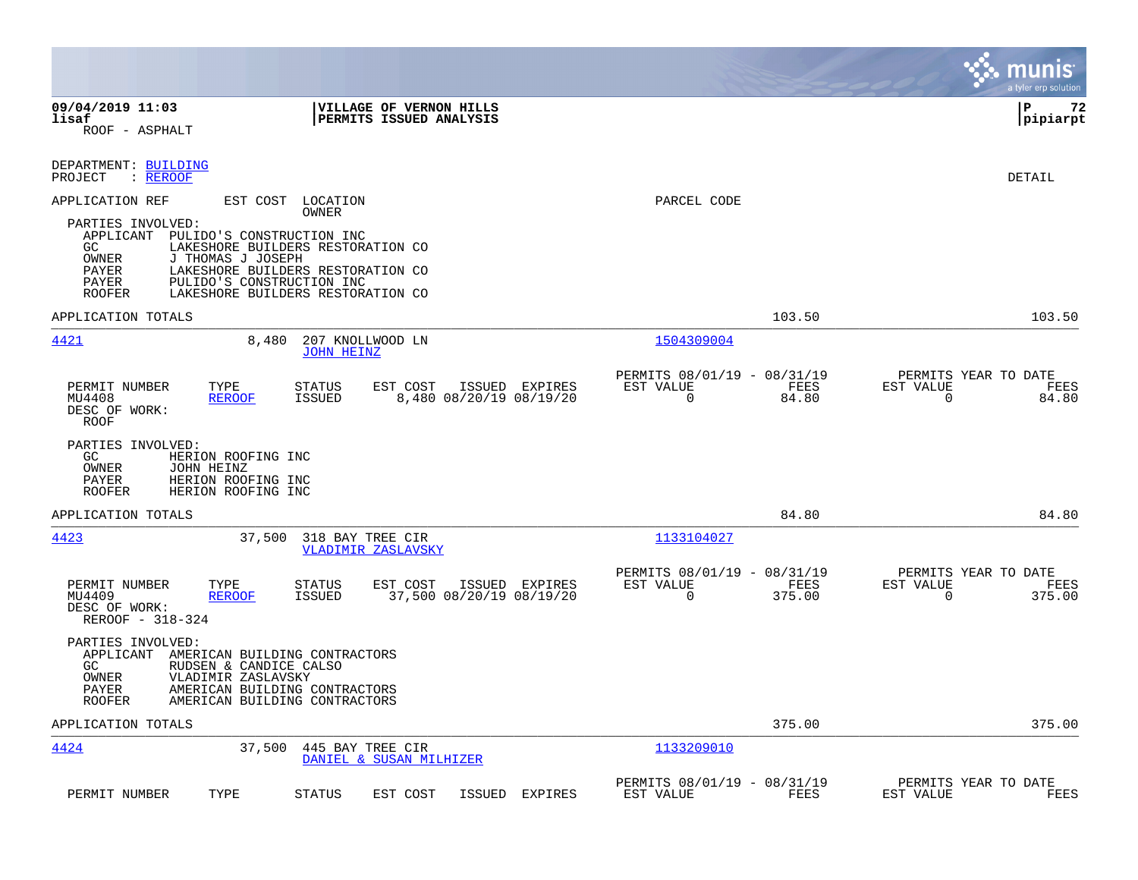|                                                                                                                                                                                                                                                                      |                                                                          | munis<br>a tyler erp solution                                     |
|----------------------------------------------------------------------------------------------------------------------------------------------------------------------------------------------------------------------------------------------------------------------|--------------------------------------------------------------------------|-------------------------------------------------------------------|
| 09/04/2019 11:03<br>VILLAGE OF VERNON HILLS<br><b>PERMITS ISSUED ANALYSIS</b><br>lisaf<br>ROOF - ASPHALT                                                                                                                                                             |                                                                          | l P<br>72<br> pipiarpt                                            |
| DEPARTMENT: BUILDING<br>PROJECT<br>: REROOF                                                                                                                                                                                                                          |                                                                          | DETAIL                                                            |
| APPLICATION REF<br>EST COST LOCATION<br>OWNER                                                                                                                                                                                                                        | PARCEL CODE                                                              |                                                                   |
| PARTIES INVOLVED:<br>APPLICANT PULIDO'S CONSTRUCTION INC<br>GC<br>LAKESHORE BUILDERS RESTORATION CO<br>OWNER<br>J THOMAS J JOSEPH<br>PAYER<br>LAKESHORE BUILDERS RESTORATION CO<br>PAYER<br>PULIDO'S CONSTRUCTION INC<br>ROOFER<br>LAKESHORE BUILDERS RESTORATION CO |                                                                          |                                                                   |
| APPLICATION TOTALS                                                                                                                                                                                                                                                   | 103.50                                                                   | 103.50                                                            |
| 4421<br>8,480<br>207 KNOLLWOOD LN                                                                                                                                                                                                                                    | 1504309004                                                               |                                                                   |
| <b>JOHN HEINZ</b><br>PERMIT NUMBER<br>TYPE<br><b>STATUS</b><br>EST COST<br>ISSUED EXPIRES<br><b>ISSUED</b><br>8,480 08/20/19 08/19/20<br>MU4408<br><b>REROOF</b><br>DESC OF WORK:                                                                                    | PERMITS 08/01/19 - 08/31/19<br>EST VALUE<br>FEES<br>$\mathbf 0$<br>84.80 | PERMITS YEAR TO DATE<br>EST VALUE<br>FEES<br>$\mathbf 0$<br>84.80 |
| PARTIES INVOLVED:<br>GC<br>HERION ROOFING INC<br>OWNER<br>JOHN HEINZ<br>PAYER<br>HERION ROOFING INC<br>HERION ROOFING INC<br>ROOFER                                                                                                                                  |                                                                          |                                                                   |
| APPLICATION TOTALS                                                                                                                                                                                                                                                   | 84.80                                                                    | 84.80                                                             |
| 4423<br>37,500<br>318 BAY TREE CIR<br>VLADIMIR ZASLAVSKY                                                                                                                                                                                                             | 1133104027                                                               |                                                                   |
| PERMIT NUMBER<br>TYPE<br><b>STATUS</b><br>EST COST<br>ISSUED EXPIRES<br>MU4409<br><b>REROOF</b><br><b>ISSUED</b><br>37,500 08/20/19 08/19/20<br>DESC OF WORK:<br>REROOF - 318-324                                                                                    | PERMITS 08/01/19 - 08/31/19<br>EST VALUE<br>FEES<br>0<br>375.00          | PERMITS YEAR TO DATE<br>EST VALUE<br>FEES<br>0<br>375.00          |
| PARTIES INVOLVED:<br>APPLICANT<br>AMERICAN BUILDING CONTRACTORS<br>GC.<br>RUDSEN & CANDICE CALSO<br>OWNER<br>VLADIMIR ZASLAVSKY<br>PAYER<br>AMERICAN BUILDING CONTRACTORS<br><b>ROOFER</b><br>AMERICAN BUILDING CONTRACTORS                                          |                                                                          |                                                                   |
| APPLICATION TOTALS                                                                                                                                                                                                                                                   | 375.00                                                                   | 375.00                                                            |
| 4424<br>37,500<br>445 BAY TREE CIR<br>DANIEL & SUSAN MILHIZER                                                                                                                                                                                                        | 1133209010                                                               |                                                                   |
| PERMIT NUMBER<br>TYPE<br><b>STATUS</b><br>EST COST<br>ISSUED EXPIRES                                                                                                                                                                                                 | PERMITS 08/01/19 - 08/31/19<br>EST VALUE<br>FEES                         | PERMITS YEAR TO DATE<br>EST VALUE<br>FEES                         |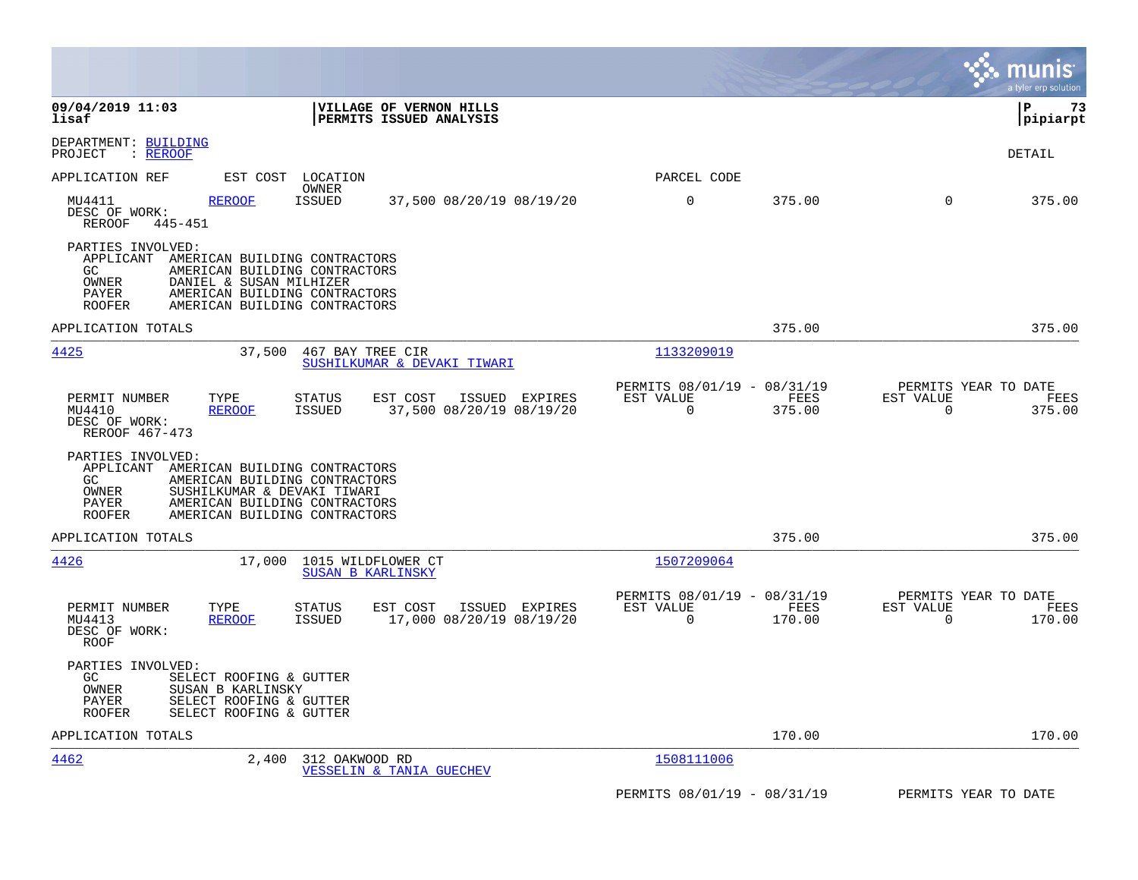|                                                                                                                                                                                                                                             |                                                                           | munis<br>a tyler erp solution                                      |
|---------------------------------------------------------------------------------------------------------------------------------------------------------------------------------------------------------------------------------------------|---------------------------------------------------------------------------|--------------------------------------------------------------------|
| 09/04/2019 11:03<br>VILLAGE OF VERNON HILLS<br>PERMITS ISSUED ANALYSIS<br>lisaf                                                                                                                                                             |                                                                           | P<br>73<br> pipiarpt                                               |
| DEPARTMENT: BUILDING<br>PROJECT<br>: REROOF                                                                                                                                                                                                 |                                                                           | DETAIL                                                             |
| APPLICATION REF<br>EST COST<br>LOCATION                                                                                                                                                                                                     | PARCEL CODE                                                               |                                                                    |
| OWNER<br><b>REROOF</b><br>ISSUED<br>37,500 08/20/19 08/19/20<br>MU4411<br>DESC OF WORK:<br>REROOF<br>445-451                                                                                                                                | 0<br>375.00                                                               | $\Omega$<br>375.00                                                 |
| PARTIES INVOLVED:<br>APPLICANT<br>AMERICAN BUILDING CONTRACTORS<br>GC.<br>AMERICAN BUILDING CONTRACTORS<br>OWNER<br>DANIEL & SUSAN MILHIZER<br>PAYER<br>AMERICAN BUILDING CONTRACTORS<br><b>ROOFER</b><br>AMERICAN BUILDING CONTRACTORS     |                                                                           |                                                                    |
| APPLICATION TOTALS                                                                                                                                                                                                                          | 375.00                                                                    | 375.00                                                             |
| 4425<br>467 BAY TREE CIR<br>37,500<br>SUSHILKUMAR & DEVAKI TIWARI                                                                                                                                                                           | 1133209019                                                                |                                                                    |
| EST COST<br>PERMIT NUMBER<br>TYPE<br><b>STATUS</b><br>ISSUED EXPIRES<br>MU4410<br>37,500 08/20/19 08/19/20<br><b>REROOF</b><br>ISSUED<br>DESC OF WORK:<br>REROOF 467-473                                                                    | PERMITS 08/01/19 - 08/31/19<br>EST VALUE<br>FEES<br>0<br>375.00           | PERMITS YEAR TO DATE<br>EST VALUE<br>FEES<br>0<br>375.00           |
| PARTIES INVOLVED:<br>APPLICANT<br>AMERICAN BUILDING CONTRACTORS<br>GC.<br>AMERICAN BUILDING CONTRACTORS<br>OWNER<br>SUSHILKUMAR & DEVAKI TIWARI<br>PAYER<br>AMERICAN BUILDING CONTRACTORS<br><b>ROOFER</b><br>AMERICAN BUILDING CONTRACTORS |                                                                           |                                                                    |
| APPLICATION TOTALS                                                                                                                                                                                                                          | 375.00                                                                    | 375.00                                                             |
| 4426<br>17,000<br>1015 WILDFLOWER CT<br>SUSAN B KARLINSKY                                                                                                                                                                                   | 1507209064                                                                |                                                                    |
| PERMIT NUMBER<br>TYPE<br>EST COST<br>ISSUED EXPIRES<br><b>STATUS</b><br>MU4413<br><b>REROOF</b><br><b>ISSUED</b><br>17,000 08/20/19 08/19/20<br>DESC OF WORK:<br>ROOF                                                                       | PERMITS 08/01/19 - 08/31/19<br>EST VALUE<br>FEES<br>$\mathbf 0$<br>170.00 | PERMITS YEAR TO DATE<br>EST VALUE<br>FEES<br>$\mathbf 0$<br>170.00 |
| PARTIES INVOLVED:<br>GC<br>SELECT ROOFING & GUTTER<br>OWNER<br>SUSAN B KARLINSKY<br>PAYER<br>SELECT ROOFING & GUTTER<br><b>ROOFER</b><br>SELECT ROOFING & GUTTER                                                                            |                                                                           |                                                                    |
| APPLICATION TOTALS                                                                                                                                                                                                                          | 170.00                                                                    | 170.00                                                             |
| 4462<br>312 OAKWOOD RD<br>2,400<br>VESSELIN & TANIA GUECHEV                                                                                                                                                                                 | 1508111006                                                                |                                                                    |
|                                                                                                                                                                                                                                             | PERMITS 08/01/19 - 08/31/19                                               | PERMITS YEAR TO DATE                                               |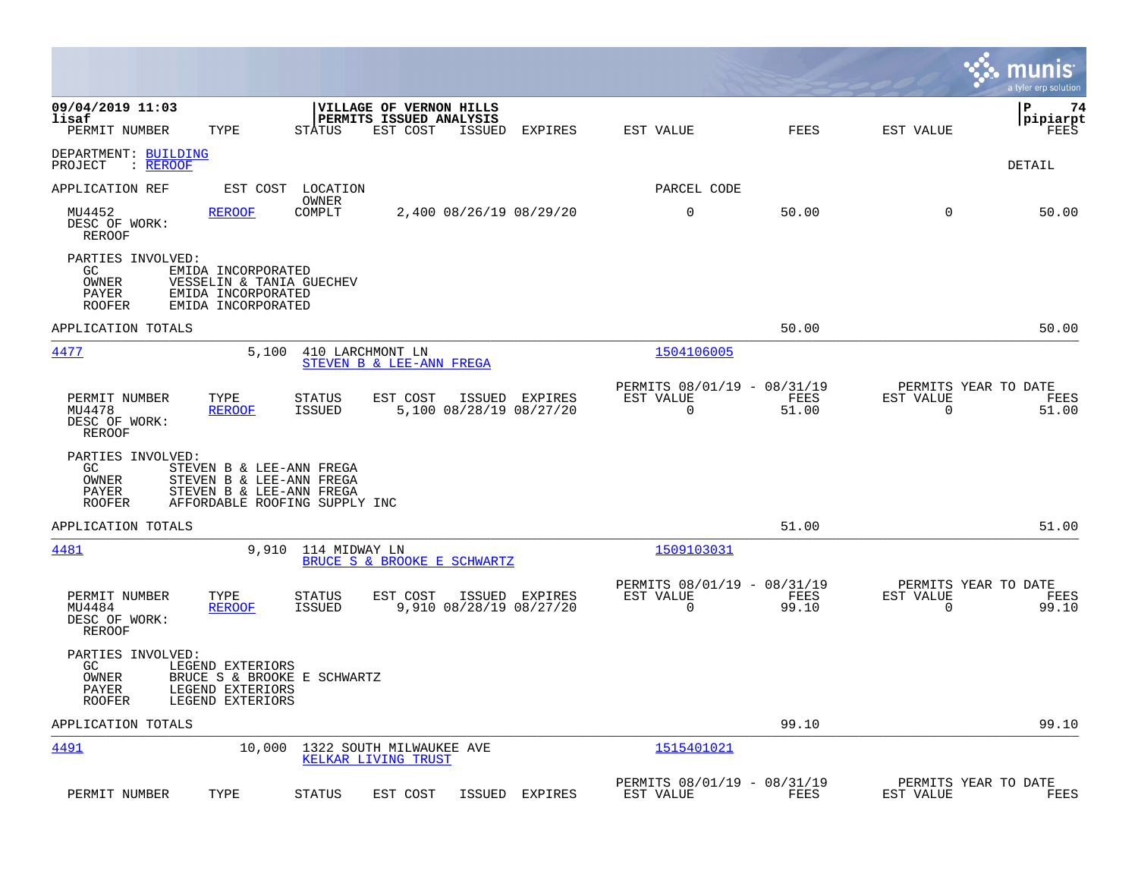|                                                                                                                                                                                  |                                                 |                                                              |                |                                                         |               |                                               | munis<br>a tyler erp solution  |
|----------------------------------------------------------------------------------------------------------------------------------------------------------------------------------|-------------------------------------------------|--------------------------------------------------------------|----------------|---------------------------------------------------------|---------------|-----------------------------------------------|--------------------------------|
| 09/04/2019 11:03<br>lisaf<br>PERMIT NUMBER<br>TYPE                                                                                                                               | STATUS<br>EST COST                              | VILLAGE OF VERNON HILLS<br>PERMITS ISSUED ANALYSIS<br>ISSUED | EXPIRES        | EST VALUE                                               | FEES          | EST VALUE                                     | l P<br>74<br> pipiarpt<br>FEES |
| DEPARTMENT: BUILDING<br>PROJECT<br>: REROOF                                                                                                                                      |                                                 |                                                              |                |                                                         |               |                                               | DETAIL                         |
| APPLICATION REF<br>EST COST                                                                                                                                                      | LOCATION                                        |                                                              |                | PARCEL CODE                                             |               |                                               |                                |
| MU4452<br><b>REROOF</b><br>DESC OF WORK:<br><b>REROOF</b>                                                                                                                        | OWNER<br>COMPLT                                 | 2,400 08/26/19 08/29/20                                      |                | 0                                                       | 50.00         | 0                                             | 50.00                          |
| PARTIES INVOLVED:<br>GC.<br>EMIDA INCORPORATED<br>OWNER<br>VESSELIN & TANIA GUECHEV<br>PAYER<br>EMIDA INCORPORATED<br><b>ROOFER</b><br>EMIDA INCORPORATED                        |                                                 |                                                              |                |                                                         |               |                                               |                                |
| APPLICATION TOTALS                                                                                                                                                               |                                                 |                                                              |                |                                                         | 50.00         |                                               | 50.00                          |
| 4477<br>5,100                                                                                                                                                                    | 410 LARCHMONT LN<br>STEVEN B & LEE-ANN FREGA    |                                                              |                | 1504106005                                              |               |                                               |                                |
| PERMIT NUMBER<br>TYPE<br>MU4478<br><b>REROOF</b><br>DESC OF WORK:<br>REROOF                                                                                                      | EST COST<br>STATUS<br><b>ISSUED</b>             | 5,100 08/28/19 08/27/20                                      | ISSUED EXPIRES | PERMITS 08/01/19 - 08/31/19<br>EST VALUE<br>$\mathbf 0$ | FEES<br>51.00 | PERMITS YEAR TO DATE<br>EST VALUE<br>0        | FEES<br>51.00                  |
| PARTIES INVOLVED:<br>GC.<br>STEVEN B & LEE-ANN FREGA<br>OWNER<br>STEVEN B & LEE-ANN FREGA<br>PAYER<br>STEVEN B & LEE-ANN FREGA<br><b>ROOFER</b><br>AFFORDABLE ROOFING SUPPLY INC |                                                 |                                                              |                |                                                         |               |                                               |                                |
| APPLICATION TOTALS                                                                                                                                                               |                                                 |                                                              |                |                                                         | 51.00         |                                               | 51.00                          |
| 4481<br>9,910                                                                                                                                                                    | 114 MIDWAY LN                                   | BRUCE S & BROOKE E SCHWARTZ                                  |                | 1509103031                                              |               |                                               |                                |
| PERMIT NUMBER<br>TYPE<br>MU4484<br><b>REROOF</b><br>DESC OF WORK:<br>REROOF                                                                                                      | <b>STATUS</b><br>EST COST<br><b>ISSUED</b>      | 9,910 08/28/19 08/27/20                                      | ISSUED EXPIRES | PERMITS 08/01/19 - 08/31/19<br>EST VALUE<br>0           | FEES<br>99.10 | PERMITS YEAR TO DATE<br>EST VALUE<br>$\Omega$ | FEES<br>99.10                  |
| PARTIES INVOLVED:<br>LEGEND EXTERIORS<br>GC.<br>OWNER<br>BRUCE S & BROOKE E SCHWARTZ<br>LEGEND EXTERIORS<br>PAYER<br><b>ROOFER</b><br>LEGEND EXTERIORS                           |                                                 |                                                              |                |                                                         |               |                                               |                                |
| APPLICATION TOTALS                                                                                                                                                               |                                                 |                                                              |                |                                                         | 99.10         |                                               | 99.10                          |
| 4491<br>10,000                                                                                                                                                                   | 1322 SOUTH MILWAUKEE AVE<br>KELKAR LIVING TRUST |                                                              |                | 1515401021                                              |               |                                               |                                |
| PERMIT NUMBER<br>TYPE                                                                                                                                                            | <b>STATUS</b><br>EST COST                       |                                                              | ISSUED EXPIRES | PERMITS 08/01/19 - 08/31/19<br>EST VALUE                | FEES          | PERMITS YEAR TO DATE<br>EST VALUE             | FEES                           |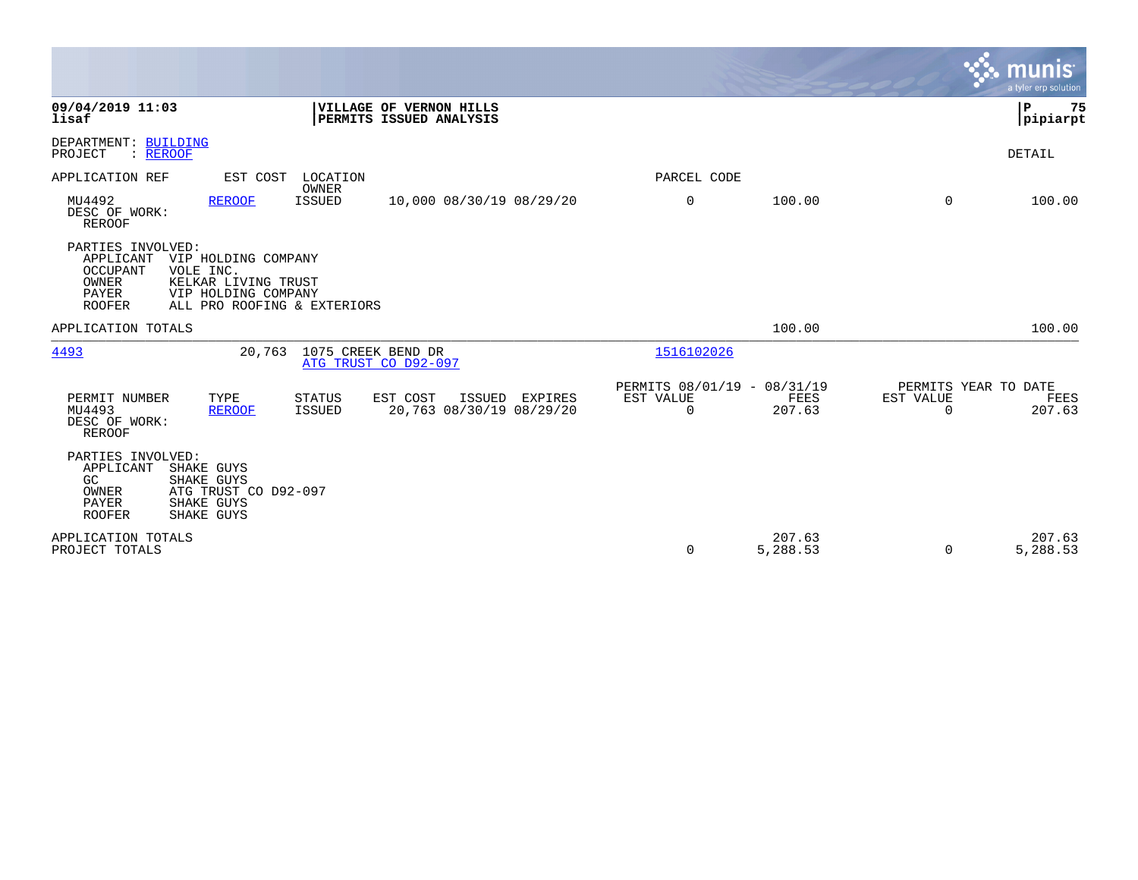|                                                                                                                                                                                                |                                                                                             |                                                                 | munis <sup>®</sup><br>a tyler erp solution                      |
|------------------------------------------------------------------------------------------------------------------------------------------------------------------------------------------------|---------------------------------------------------------------------------------------------|-----------------------------------------------------------------|-----------------------------------------------------------------|
| 09/04/2019 11:03<br>lisaf                                                                                                                                                                      | VILLAGE OF VERNON HILLS<br>PERMITS ISSUED ANALYSIS                                          |                                                                 | ∣₽<br>75<br> pipiarpt                                           |
| DEPARTMENT: BUILDING<br>PROJECT<br>: REROOF                                                                                                                                                    |                                                                                             |                                                                 | DETAIL                                                          |
| APPLICATION REF<br>EST COST                                                                                                                                                                    | LOCATION                                                                                    | PARCEL CODE                                                     |                                                                 |
| MU4492<br><b>REROOF</b><br>DESC OF WORK:<br><b>REROOF</b>                                                                                                                                      | OWNER<br><b>ISSUED</b><br>10,000 08/30/19 08/29/20                                          | $\mathbf 0$<br>100.00                                           | 100.00<br>$\Omega$                                              |
| PARTIES INVOLVED:<br>APPLICANT<br>VIP HOLDING COMPANY<br>OCCUPANT<br>VOLE INC.<br>OWNER<br>KELKAR LIVING TRUST<br>VIP HOLDING COMPANY<br>PAYER<br><b>ROOFER</b><br>ALL PRO ROOFING & EXTERIORS |                                                                                             |                                                                 |                                                                 |
| APPLICATION TOTALS                                                                                                                                                                             |                                                                                             | 100.00                                                          | 100.00                                                          |
| 4493<br>20,763                                                                                                                                                                                 | 1075 CREEK BEND DR<br>ATG TRUST CO D92-097                                                  | 1516102026                                                      |                                                                 |
| PERMIT NUMBER<br>TYPE<br>MU4493<br><b>REROOF</b><br>DESC OF WORK:<br><b>REROOF</b>                                                                                                             | EST COST<br>ISSUED<br><b>STATUS</b><br>EXPIRES<br>20,763 08/30/19 08/29/20<br><b>ISSUED</b> | PERMITS 08/01/19 - 08/31/19<br>EST VALUE<br>FEES<br>0<br>207.63 | PERMITS YEAR TO DATE<br>EST VALUE<br>FEES<br>207.63<br>$\Omega$ |
| PARTIES INVOLVED:<br>SHAKE GUYS<br>APPLICANT<br>SHAKE GUYS<br>GC<br>ATG TRUST CO D92-097<br>OWNER<br>PAYER<br>SHAKE GUYS<br><b>ROOFER</b><br>SHAKE GUYS                                        |                                                                                             |                                                                 |                                                                 |
| APPLICATION TOTALS<br>PROJECT TOTALS                                                                                                                                                           |                                                                                             | 207.63<br>5,288.53<br>$\mathbf 0$                               | 207.63<br>5,288.53<br>$\Omega$                                  |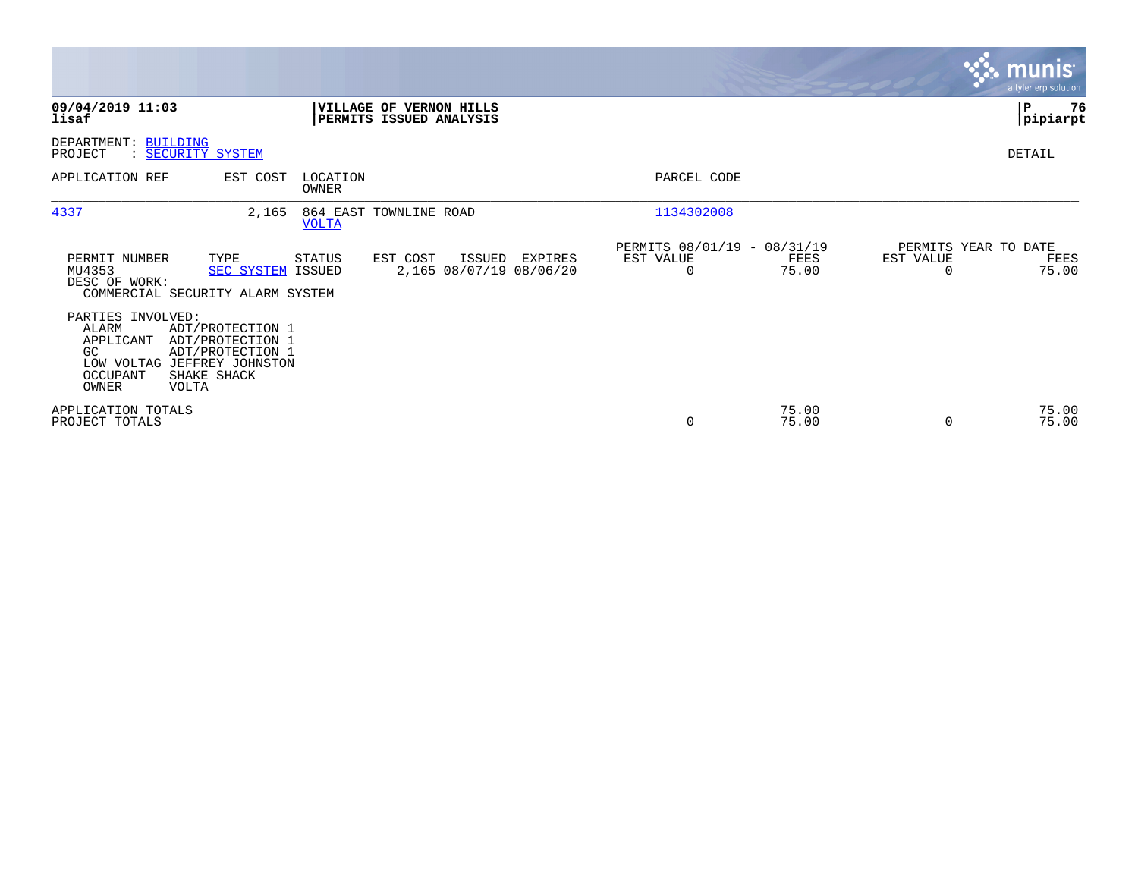|                                                                                                                          |                                                                         |                   |                                                    |         |                                               |                |                                               | $ \mathsf{munis} $<br>a tyler erp solution |
|--------------------------------------------------------------------------------------------------------------------------|-------------------------------------------------------------------------|-------------------|----------------------------------------------------|---------|-----------------------------------------------|----------------|-----------------------------------------------|--------------------------------------------|
| 09/04/2019 11:03<br>lisaf                                                                                                |                                                                         |                   | VILLAGE OF VERNON HILLS<br>PERMITS ISSUED ANALYSIS |         |                                               |                |                                               | P<br>76<br> pipiarpt                       |
| DEPARTMENT: BUILDING<br>PROJECT                                                                                          | : SECURITY SYSTEM                                                       |                   |                                                    |         |                                               |                |                                               | DETAIL                                     |
| APPLICATION REF                                                                                                          | EST COST                                                                | LOCATION<br>OWNER |                                                    |         | PARCEL CODE                                   |                |                                               |                                            |
| 4337                                                                                                                     | 2,165                                                                   | <b>VOLTA</b>      | 864 EAST TOWNLINE ROAD                             |         | 1134302008                                    |                |                                               |                                            |
| PERMIT NUMBER<br>MU4353<br>DESC OF WORK:<br>COMMERCIAL SECURITY ALARM SYSTEM                                             | TYPE<br><b>SEC SYSTEM ISSUED</b>                                        | <b>STATUS</b>     | EST COST<br>ISSUED<br>2,165 08/07/19 08/06/20      | EXPIRES | PERMITS 08/01/19 - 08/31/19<br>EST VALUE<br>0 | FEES<br>75.00  | PERMITS YEAR TO DATE<br>EST VALUE<br>$\Omega$ | FEES<br>75.00                              |
| PARTIES INVOLVED:<br><b>ALARM</b><br>APPLICANT<br>GC<br>LOW VOLTAG JEFFREY JOHNSTON<br>OCCUPANT<br>OWNER<br><b>VOLTA</b> | ADT/PROTECTION 1<br>ADT/PROTECTION 1<br>ADT/PROTECTION 1<br>SHAKE SHACK |                   |                                                    |         |                                               |                |                                               |                                            |
| APPLICATION TOTALS<br>PROJECT TOTALS                                                                                     |                                                                         |                   |                                                    |         | 0                                             | 75.00<br>75.00 | 0                                             | 75.00<br>75.00                             |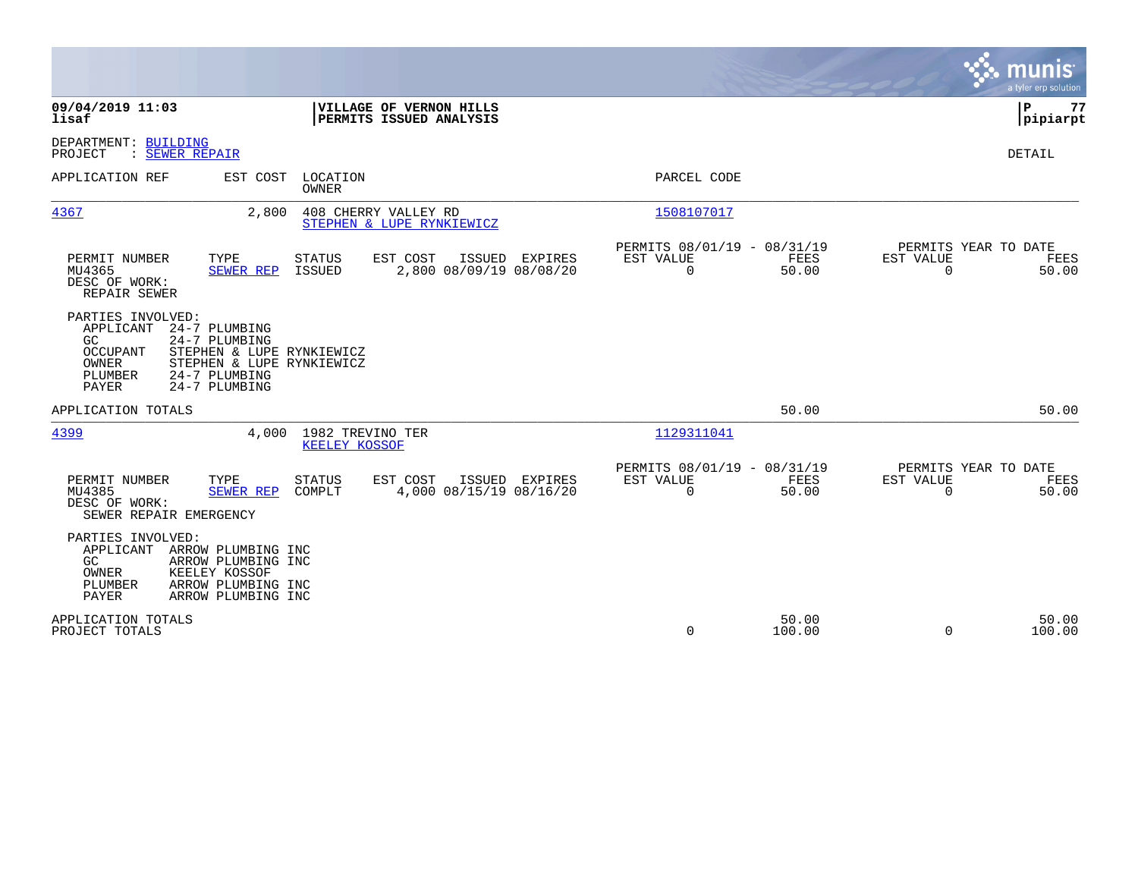|                                                                                                                                                                                                             |                                                                                 | munis<br>a tyler erp solution                                     |
|-------------------------------------------------------------------------------------------------------------------------------------------------------------------------------------------------------------|---------------------------------------------------------------------------------|-------------------------------------------------------------------|
| 09/04/2019 11:03<br>VILLAGE OF VERNON HILLS<br>lisaf<br>PERMITS ISSUED ANALYSIS                                                                                                                             |                                                                                 | 77<br>ΙP<br> pipiarpt                                             |
| DEPARTMENT: BUILDING<br>: SEWER REPAIR<br>PROJECT                                                                                                                                                           |                                                                                 | DETAIL                                                            |
| APPLICATION REF<br>EST COST<br>LOCATION<br><b>OWNER</b>                                                                                                                                                     | PARCEL CODE                                                                     |                                                                   |
| 4367<br>2,800<br>408 CHERRY VALLEY RD<br>STEPHEN & LUPE RYNKIEWICZ                                                                                                                                          | 1508107017                                                                      |                                                                   |
| PERMIT NUMBER<br>TYPE<br><b>STATUS</b><br>EST COST<br>ISSUED EXPIRES<br>2,800 08/09/19 08/08/20<br>MU4365<br>ISSUED<br><b>SEWER REP</b><br>DESC OF WORK:<br>REPAIR SEWER                                    | PERMITS 08/01/19 - 08/31/19<br>EST VALUE<br>FEES<br>$\mathbf 0$<br>50.00        | PERMITS YEAR TO DATE<br>EST VALUE<br>FEES<br>$\mathbf 0$<br>50.00 |
| PARTIES INVOLVED:<br>APPLICANT<br>24-7 PLUMBING<br>24-7 PLUMBING<br>GC<br>OCCUPANT<br>STEPHEN & LUPE RYNKIEWICZ<br>OWNER<br>STEPHEN & LUPE RYNKIEWICZ<br>PLUMBER<br>24-7 PLUMBING<br>PAYER<br>24-7 PLUMBING |                                                                                 |                                                                   |
| APPLICATION TOTALS                                                                                                                                                                                          | 50.00                                                                           | 50.00                                                             |
| 1982 TREVINO TER<br>4399<br>4,000<br><b>KEELEY KOSSOF</b>                                                                                                                                                   | 1129311041                                                                      |                                                                   |
| PERMIT NUMBER<br>EST COST<br>TYPE<br><b>STATUS</b><br>ISSUED EXPIRES<br>MU4385<br>SEWER REP<br>COMPLT<br>4,000 08/15/19 08/16/20<br>DESC OF WORK:<br>SEWER REPAIR EMERGENCY                                 | PERMITS 08/01/19 - 08/31/19<br><b>EST VALUE</b><br>FEES<br>$\mathbf 0$<br>50.00 | PERMITS YEAR TO DATE<br>EST VALUE<br>FEES<br>$\Omega$<br>50.00    |
| PARTIES INVOLVED:<br>APPLICANT<br>ARROW PLUMBING INC<br>GC<br>ARROW PLUMBING INC<br>OWNER<br>KEELEY KOSSOF<br>PLUMBER<br>ARROW PLUMBING INC<br>PAYER<br>ARROW PLUMBING INC                                  |                                                                                 |                                                                   |
| APPLICATION TOTALS<br>PROJECT TOTALS                                                                                                                                                                        | 50.00<br>0<br>100.00                                                            | 50.00<br>$\mathbf 0$<br>100.00                                    |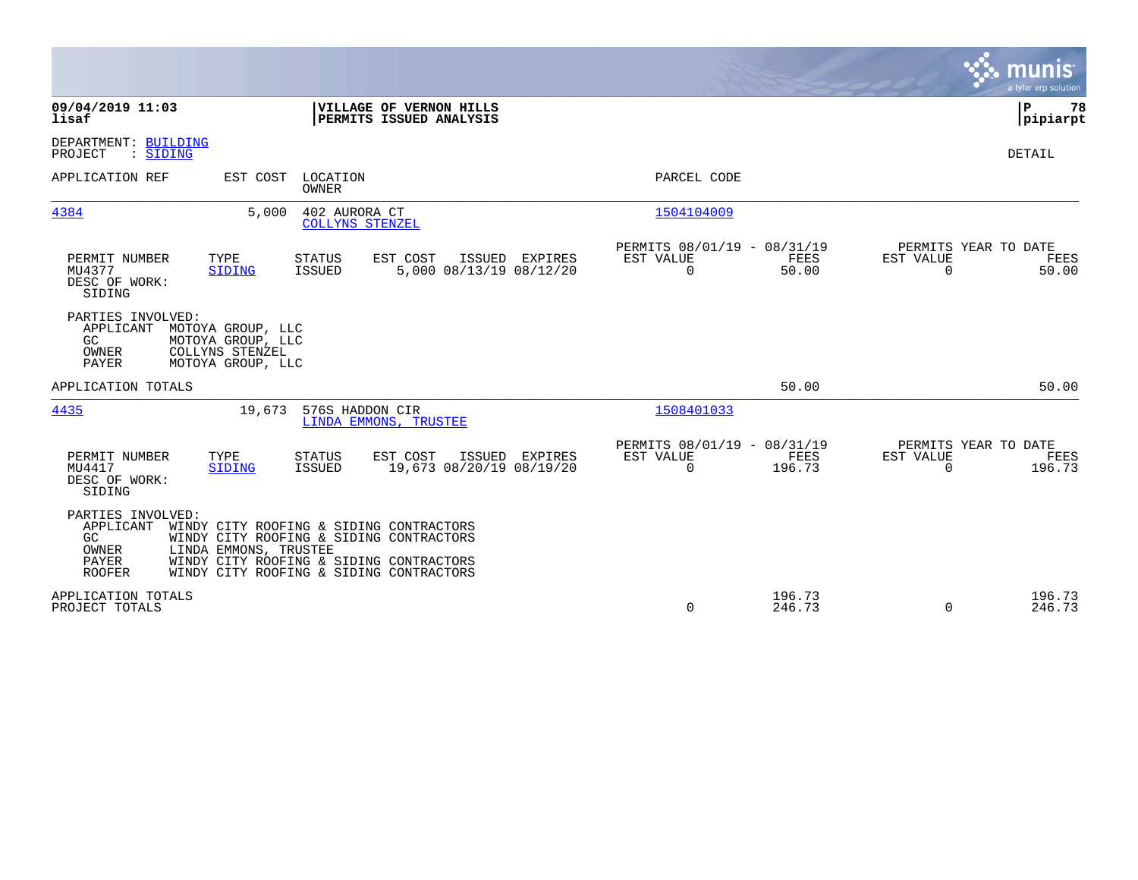|                                                                                                                                                                                                                                                                              |                                                                           | munis<br>a tyler erp solution                                   |
|------------------------------------------------------------------------------------------------------------------------------------------------------------------------------------------------------------------------------------------------------------------------------|---------------------------------------------------------------------------|-----------------------------------------------------------------|
| 09/04/2019 11:03<br>VILLAGE OF VERNON HILLS<br>PERMITS ISSUED ANALYSIS<br>lisaf                                                                                                                                                                                              |                                                                           | 78<br>P<br> pipiarpt                                            |
| DEPARTMENT: BUILDING<br>PROJECT<br>: SIDING                                                                                                                                                                                                                                  |                                                                           | DETAIL                                                          |
| APPLICATION REF<br>EST COST<br>LOCATION<br>OWNER                                                                                                                                                                                                                             | PARCEL CODE                                                               |                                                                 |
| 4384<br>5,000<br>402 AURORA CT<br><b>COLLYNS STENZEL</b>                                                                                                                                                                                                                     | 1504104009                                                                |                                                                 |
| EST COST<br>PERMIT NUMBER<br>TYPE<br><b>STATUS</b><br>ISSUED EXPIRES<br>5,000 08/13/19 08/12/20<br>MU4377<br>ISSUED<br>SIDING<br>DESC OF WORK:<br>SIDING                                                                                                                     | PERMITS 08/01/19 - 08/31/19<br>EST VALUE<br>FEES<br>$\Omega$<br>50.00     | PERMITS YEAR TO DATE<br>EST VALUE<br>FEES<br>$\Omega$<br>50.00  |
| PARTIES INVOLVED:<br>APPLICANT<br>MOTOYA GROUP, LLC<br>GC<br>MOTOYA GROUP, LLC<br>OWNER<br>COLLYNS STENZEL<br>PAYER<br>MOTOYA GROUP, LLC                                                                                                                                     |                                                                           |                                                                 |
| APPLICATION TOTALS                                                                                                                                                                                                                                                           | 50.00                                                                     | 50.00                                                           |
| 4435<br>19,673<br>576S HADDON CIR<br>LINDA EMMONS, TRUSTEE                                                                                                                                                                                                                   | 1508401033                                                                |                                                                 |
| EST COST<br>PERMIT NUMBER<br>TYPE<br><b>STATUS</b><br>ISSUED EXPIRES<br>MU4417<br>ISSUED<br>19,673 08/20/19 08/19/20<br>SIDING<br>DESC OF WORK:<br>SIDING                                                                                                                    | PERMITS 08/01/19 - 08/31/19<br>EST VALUE<br>FEES<br>$\mathbf 0$<br>196.73 | PERMITS YEAR TO DATE<br>EST VALUE<br>FEES<br>$\Omega$<br>196.73 |
| PARTIES INVOLVED:<br>APPLICANT<br>WINDY CITY ROOFING & SIDING CONTRACTORS<br>GC<br>WINDY CITY ROOFING & SIDING CONTRACTORS<br>OWNER<br>LINDA EMMONS, TRUSTEE<br>PAYER<br>WINDY CITY ROOFING & SIDING CONTRACTORS<br><b>ROOFER</b><br>WINDY CITY ROOFING & SIDING CONTRACTORS |                                                                           |                                                                 |
| APPLICATION TOTALS<br>PROJECT TOTALS                                                                                                                                                                                                                                         | 196.73<br>0<br>246.73                                                     | 196.73<br>246.73<br>$\Omega$                                    |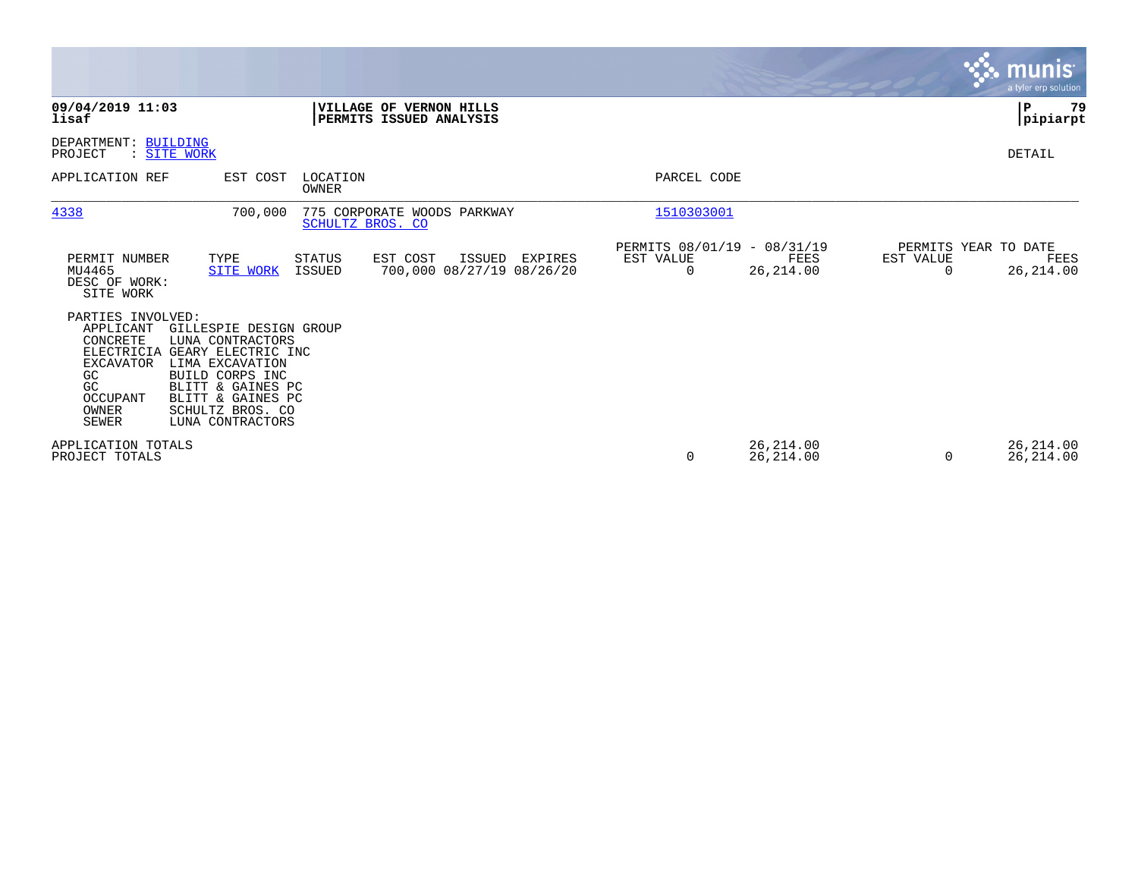|                                                                                                                               |                                                                                                                                                                                          |                                |                                                    |         |           |             |                                                   |                                        | munis<br>a tyler erp solution. |
|-------------------------------------------------------------------------------------------------------------------------------|------------------------------------------------------------------------------------------------------------------------------------------------------------------------------------------|--------------------------------|----------------------------------------------------|---------|-----------|-------------|---------------------------------------------------|----------------------------------------|--------------------------------|
| 09/04/2019 11:03<br>lisaf                                                                                                     |                                                                                                                                                                                          |                                | VILLAGE OF VERNON HILLS<br>PERMITS ISSUED ANALYSIS |         |           |             |                                                   |                                        | P)<br>79<br> pipiarpt          |
| DEPARTMENT: BUILDING<br>PROJECT<br>: SITE WORK                                                                                |                                                                                                                                                                                          |                                |                                                    |         |           |             |                                                   |                                        | DETAIL                         |
| APPLICATION REF                                                                                                               | EST COST                                                                                                                                                                                 | LOCATION<br>OWNER              |                                                    |         |           | PARCEL CODE |                                                   |                                        |                                |
| 4338                                                                                                                          | 700,000                                                                                                                                                                                  | SCHULTZ BROS. CO               | 775 CORPORATE WOODS PARKWAY                        |         |           | 1510303001  |                                                   |                                        |                                |
| PERMIT NUMBER<br>MU4465<br>DESC OF WORK:<br>SITE WORK                                                                         | TYPE<br><b>SITE WORK</b>                                                                                                                                                                 | <b>STATUS</b><br><b>ISSUED</b> | EST COST<br>ISSUED<br>700,000 08/27/19 08/26/20    | EXPIRES | EST VALUE | 0           | PERMITS 08/01/19 - 08/31/19<br>FEES<br>26, 214.00 | PERMITS YEAR TO DATE<br>EST VALUE<br>0 | FEES<br>26, 214.00             |
| PARTIES INVOLVED:<br>APPLICANT<br>CONCRETE<br>ELECTRICIA<br><b>EXCAVATOR</b><br>GC<br>GC<br>OCCUPANT<br>OWNER<br><b>SEWER</b> | GILLESPIE DESIGN GROUP<br>LUNA CONTRACTORS<br>GEARY ELECTRIC INC<br>LIMA EXCAVATION<br>BUILD CORPS INC<br>BLITT & GAINES PC<br>BLITT & GAINES PC<br>SCHULTZ BROS. CO<br>LUNA CONTRACTORS |                                |                                                    |         |           |             |                                                   |                                        |                                |
| APPLICATION TOTALS<br>PROJECT TOTALS                                                                                          |                                                                                                                                                                                          |                                |                                                    |         |           | $\mathbf 0$ | 26, 214.00<br>26, 214.00                          | $\Omega$                               | 26,214.00<br>26, 214.00        |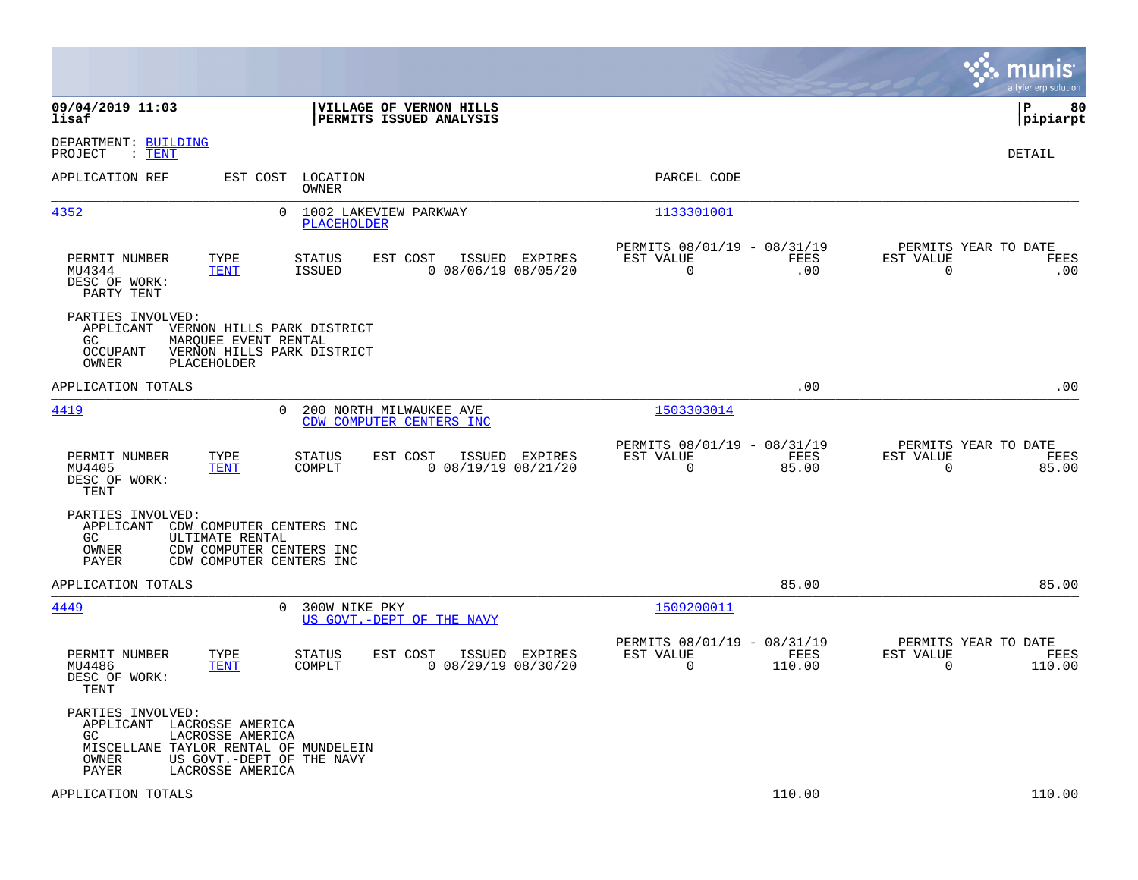|                                                                                                                                                                                        |                                                                        | munis<br>a tyler erp solution                                     |
|----------------------------------------------------------------------------------------------------------------------------------------------------------------------------------------|------------------------------------------------------------------------|-------------------------------------------------------------------|
| 09/04/2019 11:03<br>VILLAGE OF VERNON HILLS<br>lisaf<br>PERMITS ISSUED ANALYSIS                                                                                                        |                                                                        | lР<br>80<br> pipiarpt                                             |
| DEPARTMENT: BUILDING<br>PROJECT<br>$:$ TENT                                                                                                                                            |                                                                        | DETAIL                                                            |
| APPLICATION REF<br>EST COST<br>LOCATION<br>OWNER                                                                                                                                       | PARCEL CODE                                                            |                                                                   |
| 4352<br>$\Omega$<br>1002 LAKEVIEW PARKWAY<br><b>PLACEHOLDER</b>                                                                                                                        | 1133301001                                                             |                                                                   |
| PERMIT NUMBER<br>TYPE<br><b>STATUS</b><br>EST COST<br>ISSUED EXPIRES<br>MU4344<br>$0$ 08/06/19 08/05/20<br><b>TENT</b><br><b>ISSUED</b><br>DESC OF WORK:<br>PARTY TENT                 | PERMITS 08/01/19 - 08/31/19<br>EST VALUE<br>FEES<br>$\mathbf 0$<br>.00 | PERMITS YEAR TO DATE<br>EST VALUE<br>FEES<br>$\mathbf 0$<br>.00   |
| PARTIES INVOLVED:<br>APPLICANT<br>VERNON HILLS PARK DISTRICT<br>GC.<br>MARQUEE EVENT RENTAL<br>OCCUPANT<br>VERNON HILLS PARK DISTRICT<br>OWNER<br>PLACEHOLDER                          |                                                                        |                                                                   |
| APPLICATION TOTALS                                                                                                                                                                     | .00                                                                    | .00                                                               |
| 4419<br>$\Omega$<br>200 NORTH MILWAUKEE AVE<br>CDW COMPUTER CENTERS INC                                                                                                                | 1503303014                                                             |                                                                   |
| TYPE<br>EST COST<br>ISSUED EXPIRES<br>PERMIT NUMBER<br><b>STATUS</b><br>MU4405<br><b>TENT</b><br>COMPLT<br>$0$ 08/19/19 08/21/20<br>DESC OF WORK:<br>TENT                              | PERMITS 08/01/19 - 08/31/19<br>EST VALUE<br>FEES<br>$\Omega$<br>85.00  | PERMITS YEAR TO DATE<br>EST VALUE<br>FEES<br>$\mathbf 0$<br>85.00 |
| PARTIES INVOLVED:<br>APPLICANT<br>CDW COMPUTER CENTERS INC<br>GC<br>ULTIMATE RENTAL<br>OWNER<br>CDW COMPUTER CENTERS INC<br>PAYER<br>CDW COMPUTER CENTERS INC                          |                                                                        |                                                                   |
| APPLICATION TOTALS                                                                                                                                                                     | 85.00                                                                  | 85.00                                                             |
| 4449<br>0<br>300W NIKE PKY<br>US GOVT. - DEPT OF THE NAVY                                                                                                                              | 1509200011                                                             |                                                                   |
| PERMIT NUMBER<br>TYPE<br><b>STATUS</b><br>EST COST<br>ISSUED EXPIRES<br>COMPLT<br>$0$ 08/29/19 08/30/20<br>MU4486<br><b>TENT</b><br>DESC OF WORK:<br>TENT                              | PERMITS 08/01/19 - 08/31/19<br>EST VALUE<br>FEES<br>$\Omega$<br>110.00 | PERMITS YEAR TO DATE<br>EST VALUE<br>FEES<br>$\Omega$<br>110.00   |
| PARTIES INVOLVED:<br>APPLICANT LACROSSE AMERICA<br>LACROSSE AMERICA<br>GC.<br>MISCELLANE TAYLOR RENTAL OF MUNDELEIN<br>OWNER<br>US GOVT.-DEPT OF THE NAVY<br>PAYER<br>LACROSSE AMERICA |                                                                        |                                                                   |
| APPLICATION TOTALS                                                                                                                                                                     | 110.00                                                                 | 110.00                                                            |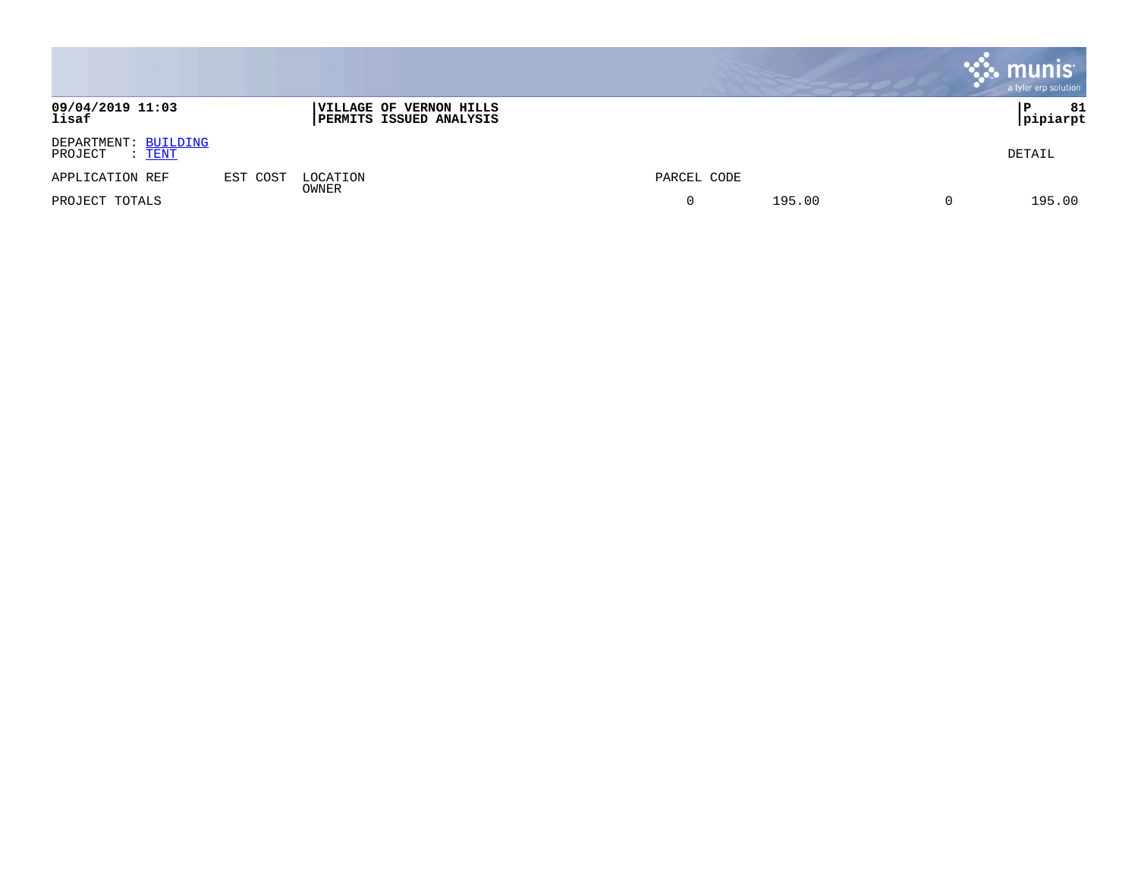|                                                  |          |                                                    |             | , munis <sup>.</sup><br>a tyler erp solution |
|--------------------------------------------------|----------|----------------------------------------------------|-------------|----------------------------------------------|
| 09/04/2019 11:03<br>lisaf                        |          | VILLAGE OF VERNON HILLS<br>PERMITS ISSUED ANALYSIS |             | 81<br>P<br> pipiarpt                         |
| DEPARTMENT: BUILDING<br>PROJECT<br>: <u>TENT</u> |          |                                                    |             | DETAIL                                       |
| APPLICATION REF                                  | EST COST | LOCATION                                           | PARCEL CODE |                                              |
| PROJECT TOTALS                                   |          | OWNER                                              | 195.00<br>υ | 195.00                                       |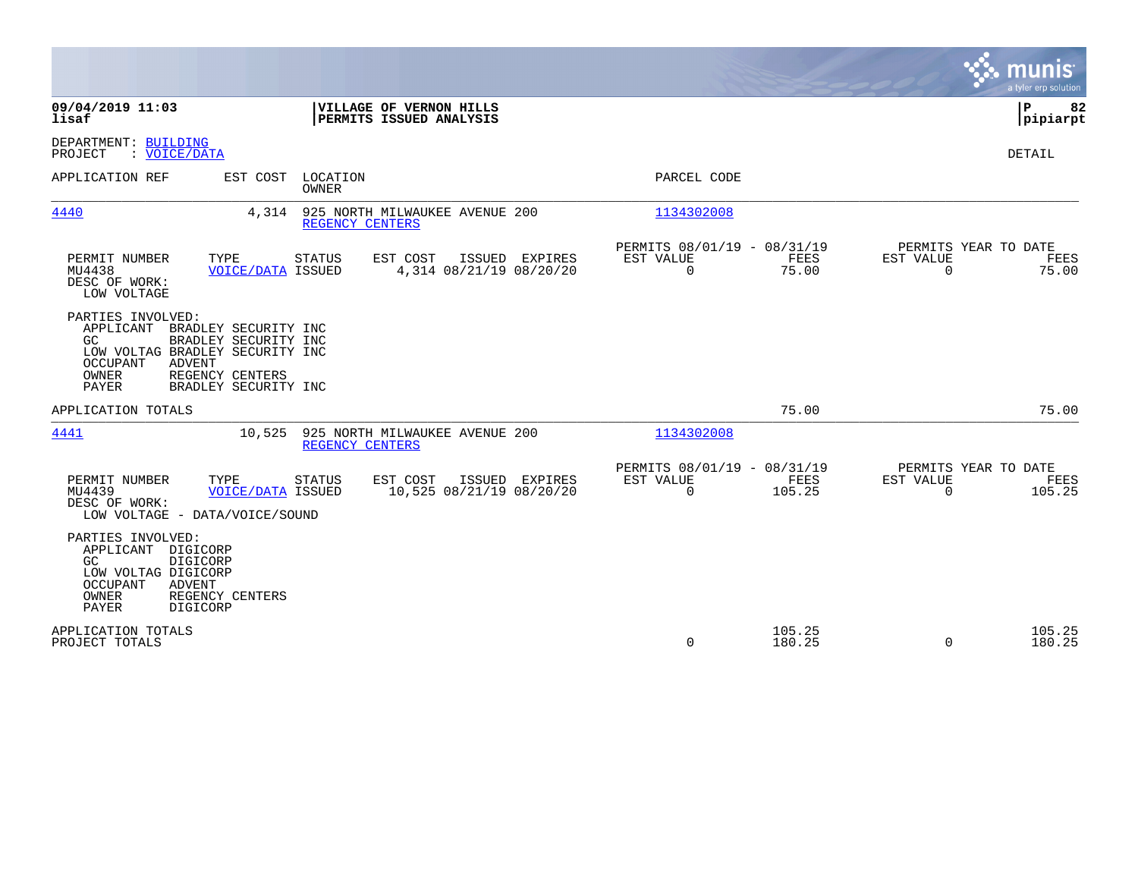|                                                                                                                                                                                                                    |                                                                           | munis<br>a tyler erp solution                                   |
|--------------------------------------------------------------------------------------------------------------------------------------------------------------------------------------------------------------------|---------------------------------------------------------------------------|-----------------------------------------------------------------|
| 09/04/2019 11:03<br>VILLAGE OF VERNON HILLS<br>PERMITS ISSUED ANALYSIS<br>lisaf                                                                                                                                    |                                                                           | ΙP<br>82<br> pipiarpt                                           |
| DEPARTMENT: BUILDING<br>PROJECT<br>: VOICE/DATA                                                                                                                                                                    |                                                                           | DETAIL                                                          |
| APPLICATION REF<br>EST COST LOCATION<br><b>OWNER</b>                                                                                                                                                               | PARCEL CODE                                                               |                                                                 |
| 4440<br>925 NORTH MILWAUKEE AVENUE 200<br>4,314<br>REGENCY CENTERS                                                                                                                                                 | 1134302008                                                                |                                                                 |
| PERMIT NUMBER<br>TYPE<br><b>STATUS</b><br>EST COST<br>ISSUED EXPIRES<br>MU4438<br>4,314 08/21/19 08/20/20<br><b>VOICE/DATA ISSUED</b><br>DESC OF WORK:<br>LOW VOLTAGE                                              | PERMITS 08/01/19 - 08/31/19<br>EST VALUE<br>FEES<br>$\Omega$<br>75.00     | PERMITS YEAR TO DATE<br>EST VALUE<br>FEES<br>75.00<br>$\Omega$  |
| PARTIES INVOLVED:<br>APPLICANT<br>BRADLEY SECURITY INC<br>BRADLEY SECURITY INC<br>GC.<br>LOW VOLTAG BRADLEY SECURITY INC<br>OCCUPANT<br><b>ADVENT</b><br>OWNER<br>REGENCY CENTERS<br>PAYER<br>BRADLEY SECURITY INC |                                                                           |                                                                 |
| APPLICATION TOTALS                                                                                                                                                                                                 | 75.00                                                                     | 75.00                                                           |
| 4441<br>10,525<br>925 NORTH MILWAUKEE AVENUE 200<br>REGENCY CENTERS                                                                                                                                                | 1134302008                                                                |                                                                 |
| PERMIT NUMBER<br>TYPE<br><b>STATUS</b><br>EST COST<br>ISSUED EXPIRES<br>10,525 08/21/19 08/20/20<br>MU4439<br><b>VOICE/DATA ISSUED</b><br>DESC OF WORK:<br>LOW VOLTAGE - DATA/VOICE/SOUND                          | PERMITS 08/01/19 - 08/31/19<br>EST VALUE<br>FEES<br>105.25<br>$\mathbf 0$ | PERMITS YEAR TO DATE<br>EST VALUE<br>FEES<br>105.25<br>$\Omega$ |
| PARTIES INVOLVED:<br>APPLICANT DIGICORP<br>GC<br>DIGICORP<br>LOW VOLTAG DIGICORP<br>OCCUPANT<br><b>ADVENT</b><br>OWNER<br>REGENCY CENTERS<br>PAYER<br>DIGICORP                                                     |                                                                           |                                                                 |
| APPLICATION TOTALS<br>PROJECT TOTALS                                                                                                                                                                               | 105.25<br>$\mathbf 0$<br>180.25                                           | 105.25<br>$\Omega$<br>180.25                                    |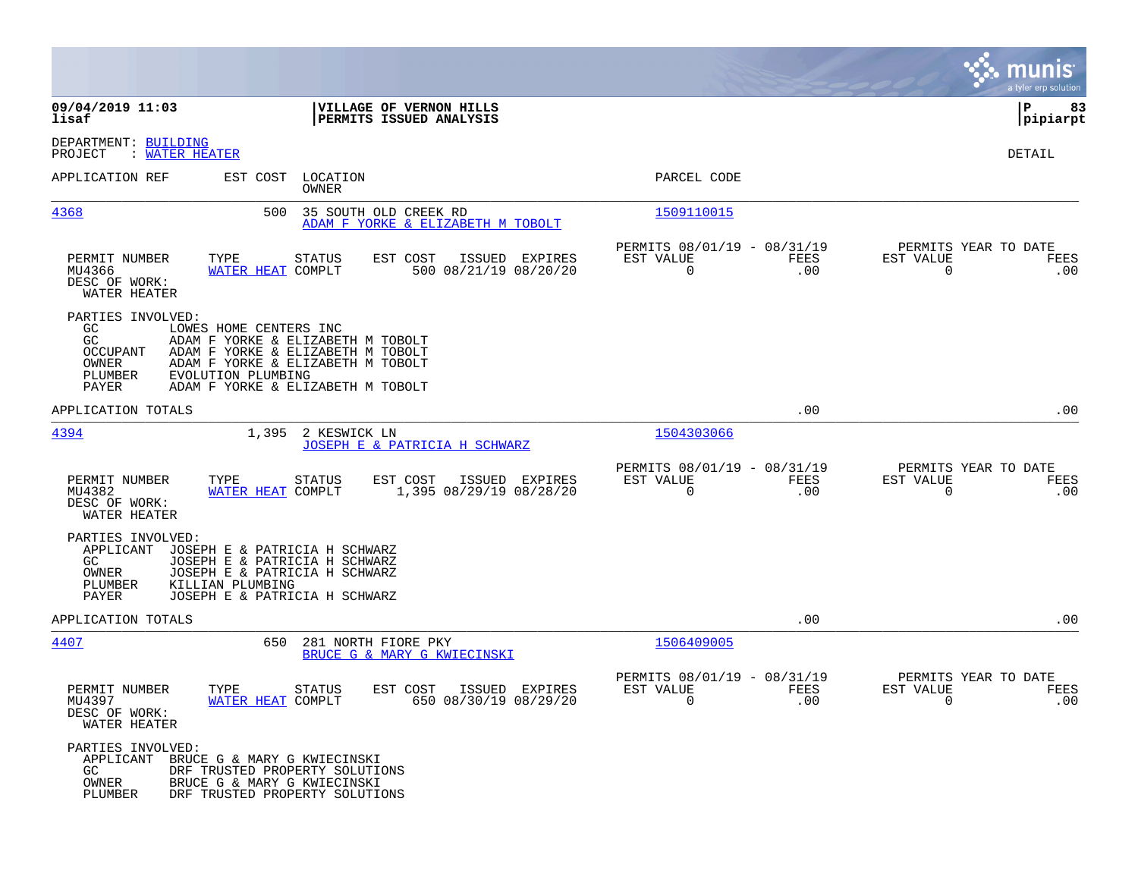|                                                                                                                                                                                                                            |                                                                                                                                                  |                                                                        | munis<br>a tyler erp solution                                      |
|----------------------------------------------------------------------------------------------------------------------------------------------------------------------------------------------------------------------------|--------------------------------------------------------------------------------------------------------------------------------------------------|------------------------------------------------------------------------|--------------------------------------------------------------------|
| 09/04/2019 11:03<br>lisaf                                                                                                                                                                                                  | VILLAGE OF VERNON HILLS<br>PERMITS ISSUED ANALYSIS                                                                                               |                                                                        | 83<br>ΙP<br> pipiarpt                                              |
| DEPARTMENT: BUILDING<br>PROJECT<br>: WATER HEATER                                                                                                                                                                          |                                                                                                                                                  |                                                                        | DETAIL                                                             |
| APPLICATION REF<br>EST COST                                                                                                                                                                                                | LOCATION<br>OWNER                                                                                                                                | PARCEL CODE                                                            |                                                                    |
| 4368<br>500                                                                                                                                                                                                                | 35 SOUTH OLD CREEK RD<br>ADAM F YORKE & ELIZABETH M TOBOLT                                                                                       | 1509110015                                                             |                                                                    |
| PERMIT NUMBER<br>TYPE<br><b>WATER HEAT COMPLT</b><br>MU4366<br>DESC OF WORK:<br>WATER HEATER                                                                                                                               | EST COST<br><b>STATUS</b><br>ISSUED EXPIRES<br>500 08/21/19 08/20/20                                                                             | PERMITS 08/01/19 - 08/31/19<br>EST VALUE<br>FEES<br>$\mathbf 0$<br>.00 | PERMITS YEAR TO DATE<br>EST VALUE<br>FEES<br>$\Omega$<br>.00       |
| PARTIES INVOLVED:<br>GC<br>LOWES HOME CENTERS INC<br>$\rm GC$<br>OCCUPANT<br>OWNER<br>PLUMBER<br>EVOLUTION PLUMBING<br>PAYER                                                                                               | ADAM F YORKE & ELIZABETH M TOBOLT<br>ADAM F YORKE & ELIZABETH M TOBOLT<br>ADAM F YORKE & ELIZABETH M TOBOLT<br>ADAM F YORKE & ELIZABETH M TOBOLT |                                                                        |                                                                    |
| APPLICATION TOTALS                                                                                                                                                                                                         |                                                                                                                                                  | .00                                                                    | .00                                                                |
| 4394<br>1,395                                                                                                                                                                                                              | 2 KESWICK LN<br>JOSEPH E & PATRICIA H SCHWARZ                                                                                                    | 1504303066                                                             |                                                                    |
| PERMIT NUMBER<br>TYPE<br>MU4382<br>WATER HEAT COMPLT<br>DESC OF WORK:<br>WATER HEATER                                                                                                                                      | EST COST<br>ISSUED EXPIRES<br>STATUS<br>1,395 08/29/19 08/28/20                                                                                  | PERMITS 08/01/19 - 08/31/19<br>EST VALUE<br>FEES<br>$\mathbf 0$<br>.00 | PERMITS YEAR TO DATE<br>EST VALUE<br>FEES<br>$\mathbf 0$<br>.00    |
| PARTIES INVOLVED:<br>JOSEPH E & PATRICIA H SCHWARZ<br>APPLICANT<br>GC.<br>JOSEPH E & PATRICIA H SCHWARZ<br>JOSEPH E & PATRICIA H SCHWARZ<br>OWNER<br>PLUMBER<br>KILLIAN PLUMBING<br>PAYER<br>JOSEPH E & PATRICIA H SCHWARZ |                                                                                                                                                  |                                                                        |                                                                    |
| APPLICATION TOTALS                                                                                                                                                                                                         |                                                                                                                                                  | .00                                                                    | .00                                                                |
| 4407<br>650                                                                                                                                                                                                                | 281 NORTH FIORE PKY<br>BRUCE G & MARY G KWIECINSKI                                                                                               | 1506409005                                                             |                                                                    |
| PERMIT NUMBER<br>TYPE<br>MU4397<br>WATER HEAT COMPLT<br>DESC OF WORK:<br>WATER HEATER                                                                                                                                      | <b>STATUS</b><br>EST COST<br>ISSUED EXPIRES<br>650 08/30/19 08/29/20                                                                             | PERMITS 08/01/19 - 08/31/19<br>EST VALUE<br>FEES<br>$\sim$ 0<br>.00    | PERMITS YEAR TO DATE<br>EST VALUE<br>FEES<br>.00<br>$\overline{0}$ |
| PARTIES INVOLVED:<br>APPLICANT BRUCE G & MARY G KWIECINSKI<br>GC<br>OWNER<br>BRUCE G & MARY G KWIECINSKI<br>PLUMBER                                                                                                        | DRF TRUSTED PROPERTY SOLUTIONS<br>DRF TRUSTED PROPERTY SOLUTIONS                                                                                 |                                                                        |                                                                    |

 $\mathcal{L}^{\text{max}}$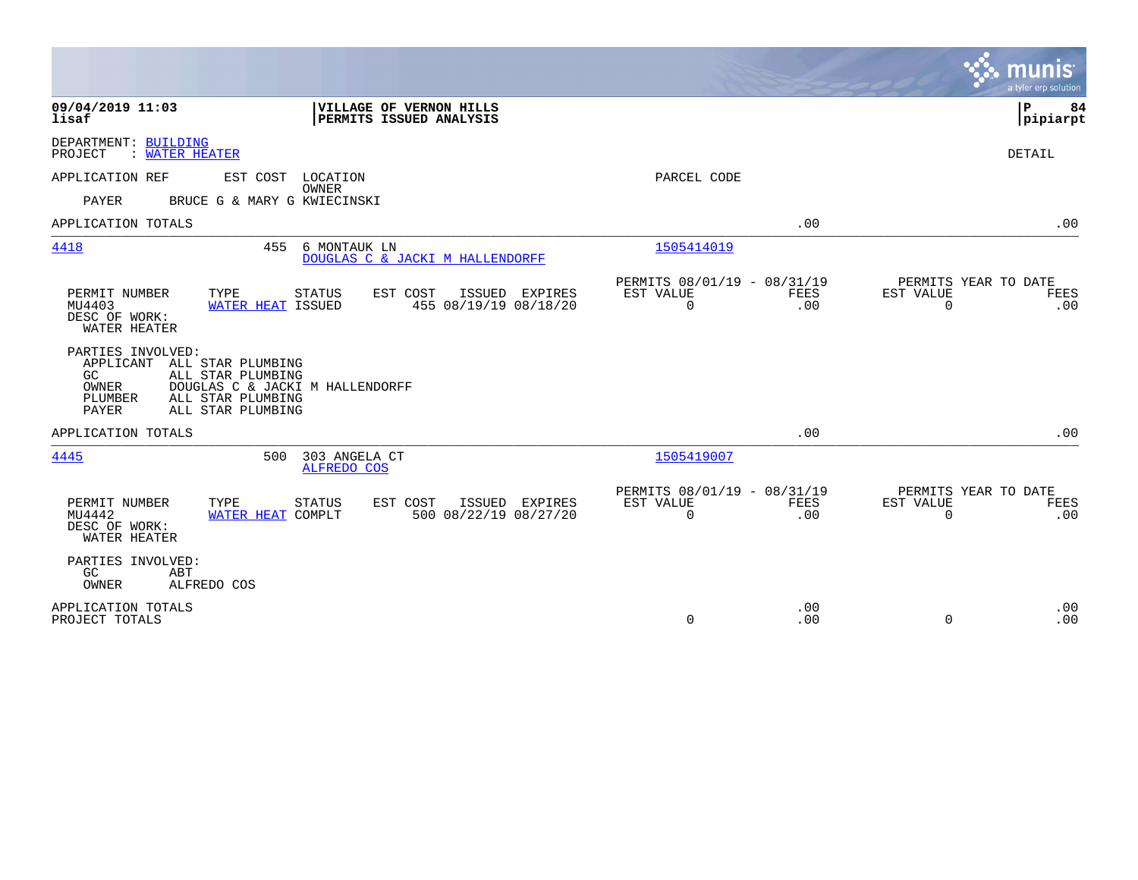|                                                                                                                                                                                          |                                                         |             |                                               | munis<br>a tyler erp solution |
|------------------------------------------------------------------------------------------------------------------------------------------------------------------------------------------|---------------------------------------------------------|-------------|-----------------------------------------------|-------------------------------|
| 09/04/2019 11:03<br>VILLAGE OF VERNON HILLS<br>PERMITS ISSUED ANALYSIS<br>lisaf                                                                                                          |                                                         |             |                                               | l P<br>84<br> pipiarpt        |
| DEPARTMENT: BUILDING<br>: WATER HEATER<br>PROJECT                                                                                                                                        |                                                         |             |                                               | DETAIL                        |
| APPLICATION REF<br>EST COST<br>LOCATION<br><b>OWNER</b><br><b>PAYER</b><br>BRUCE G & MARY G KWIECINSKI                                                                                   | PARCEL CODE                                             |             |                                               |                               |
| APPLICATION TOTALS                                                                                                                                                                       |                                                         | .00         |                                               | .00                           |
| 6 MONTAUK LN<br>4418<br>455<br>DOUGLAS C & JACKI M HALLENDORFF                                                                                                                           | 1505414019                                              |             |                                               |                               |
| PERMIT NUMBER<br>TYPE<br>EST COST<br><b>STATUS</b><br>ISSUED<br>EXPIRES<br>455 08/19/19 08/18/20<br>MU4403<br><b>WATER HEAT ISSUED</b><br>DESC OF WORK:<br>WATER HEATER                  | PERMITS 08/01/19 - 08/31/19<br>EST VALUE<br>$\Omega$    | FEES<br>.00 | PERMITS YEAR TO DATE<br>EST VALUE<br>$\Omega$ | FEES<br>.00                   |
| PARTIES INVOLVED:<br>APPLICANT<br>ALL STAR PLUMBING<br>GC<br>ALL STAR PLUMBING<br>OWNER<br>DOUGLAS C & JACKI M HALLENDORFF<br>ALL STAR PLUMBING<br>PLUMBER<br>PAYER<br>ALL STAR PLUMBING |                                                         |             |                                               |                               |
| APPLICATION TOTALS                                                                                                                                                                       |                                                         | .00         |                                               | .00                           |
| 500<br>303 ANGELA CT<br>4445<br><b>ALFREDO COS</b>                                                                                                                                       | 1505419007                                              |             |                                               |                               |
| PERMIT NUMBER<br>TYPE<br>EST COST<br>ISSUED EXPIRES<br><b>STATUS</b><br>WATER HEAT COMPLT<br>500 08/22/19 08/27/20<br>MU4442<br>DESC OF WORK:<br>WATER HEATER                            | PERMITS 08/01/19 - 08/31/19<br>EST VALUE<br>$\mathbf 0$ | FEES<br>.00 | PERMITS YEAR TO DATE<br>EST VALUE<br>$\Omega$ | FEES<br>.00                   |
| PARTIES INVOLVED:<br>GC<br>ABT<br>OWNER<br>ALFREDO COS                                                                                                                                   |                                                         |             |                                               |                               |
| APPLICATION TOTALS<br>PROJECT TOTALS                                                                                                                                                     | $\Omega$                                                | .00<br>.00  | $\Omega$                                      | .00<br>.00                    |

**Contract**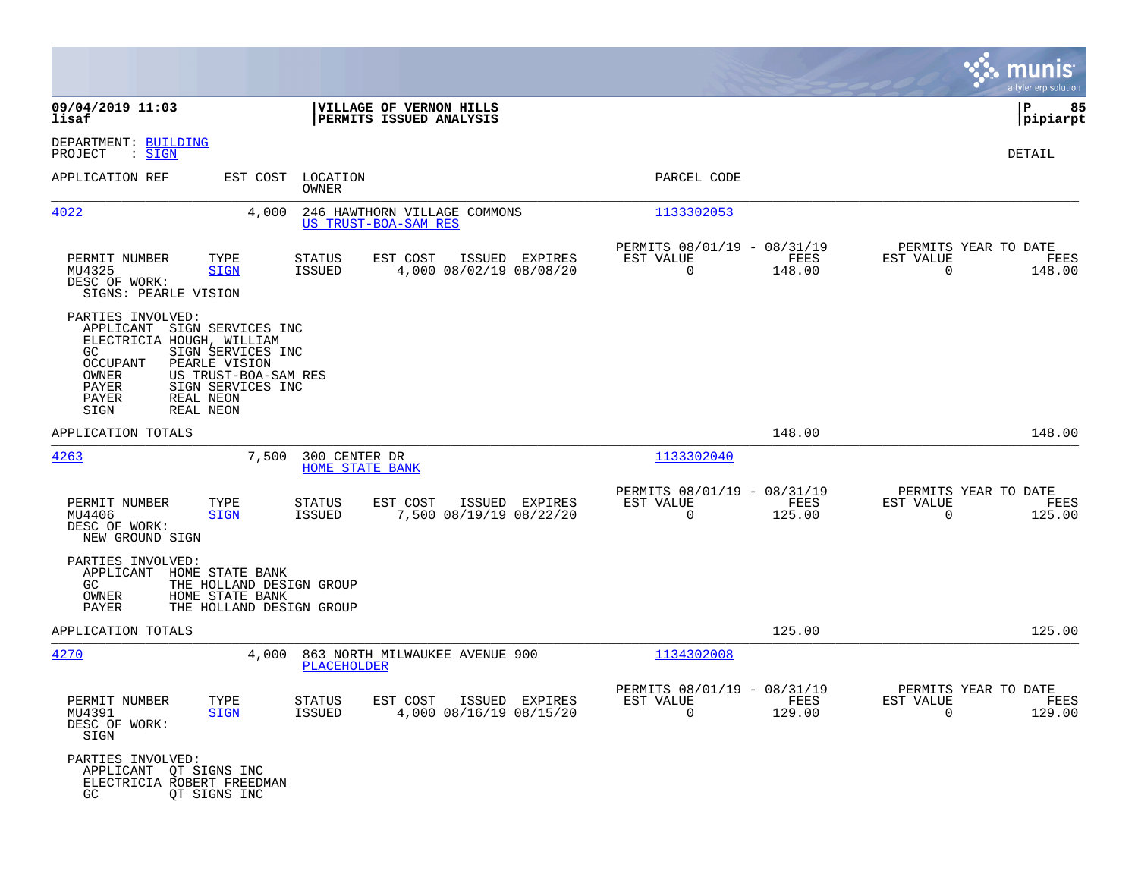|                                                                                                                                                              |                                                                                            |                                                      |                |                                                            |                |                                               | munis<br>a tyler erp solution |
|--------------------------------------------------------------------------------------------------------------------------------------------------------------|--------------------------------------------------------------------------------------------|------------------------------------------------------|----------------|------------------------------------------------------------|----------------|-----------------------------------------------|-------------------------------|
| 09/04/2019 11:03<br>lisaf                                                                                                                                    |                                                                                            | VILLAGE OF VERNON HILLS<br>PERMITS ISSUED ANALYSIS   |                |                                                            |                |                                               | 85<br>ΙP<br> pipiarpt         |
| DEPARTMENT: BUILDING<br>PROJECT<br>: SIGN                                                                                                                    |                                                                                            |                                                      |                |                                                            |                |                                               | DETAIL                        |
| APPLICATION REF                                                                                                                                              | EST COST LOCATION<br>OWNER                                                                 |                                                      |                | PARCEL CODE                                                |                |                                               |                               |
| 4022                                                                                                                                                         | 4,000                                                                                      | 246 HAWTHORN VILLAGE COMMONS<br>US TRUST-BOA-SAM RES |                | 1133302053                                                 |                |                                               |                               |
| PERMIT NUMBER<br>TYPE<br>MU4325<br>DESC OF WORK:<br>SIGNS: PEARLE VISION                                                                                     | <b>STATUS</b><br><b>SIGN</b><br>ISSUED                                                     | EST COST<br>4,000 08/02/19 08/08/20                  | ISSUED EXPIRES | PERMITS 08/01/19 - 08/31/19<br>EST VALUE<br>$\overline{0}$ | FEES<br>148.00 | PERMITS YEAR TO DATE<br>EST VALUE<br>$\Omega$ | FEES<br>148.00                |
| PARTIES INVOLVED:<br>APPLICANT<br>ELECTRICIA HOUGH, WILLIAM<br>GC.<br>OCCUPANT<br>PEARLE VISION<br>OWNER<br>PAYER<br>PAYER<br>REAL NEON<br>SIGN<br>REAL NEON | SIGN SERVICES INC<br>SIGN SERVICES INC<br>US TRUST-BOA-SAM RES<br>SIGN SERVICES INC        |                                                      |                |                                                            |                |                                               |                               |
| APPLICATION TOTALS                                                                                                                                           |                                                                                            |                                                      |                |                                                            | 148.00         |                                               | 148.00                        |
| 4263                                                                                                                                                         | 7,500<br>300 CENTER DR<br><b>HOME STATE BANK</b>                                           |                                                      |                | 1133302040                                                 |                |                                               |                               |
| PERMIT NUMBER<br>MU4406<br>DESC OF WORK:<br>NEW GROUND SIGN                                                                                                  | TYPE<br>STATUS<br><b>SIGN</b><br>ISSUED                                                    | EST COST<br>7,500 08/19/19 08/22/20                  | ISSUED EXPIRES | PERMITS 08/01/19 - 08/31/19<br>EST VALUE<br>$\mathbf 0$    | FEES<br>125.00 | PERMITS YEAR TO DATE<br>EST VALUE<br>0        | FEES<br>125.00                |
| PARTIES INVOLVED:<br>APPLICANT<br>GC.<br>OWNER<br>PAYER                                                                                                      | HOME STATE BANK<br>THE HOLLAND DESIGN GROUP<br>HOME STATE BANK<br>THE HOLLAND DESIGN GROUP |                                                      |                |                                                            |                |                                               |                               |
| APPLICATION TOTALS                                                                                                                                           |                                                                                            |                                                      |                |                                                            | 125.00         |                                               | 125.00                        |
| 4270                                                                                                                                                         | 4,000<br>PLACEHOLDER                                                                       | 863 NORTH MILWAUKEE AVENUE 900                       |                | 1134302008                                                 |                |                                               |                               |
| PERMIT NUMBER<br>MU4391<br>DESC OF WORK:<br>SIGN                                                                                                             | TYPE<br>STATUS<br><b>SIGN</b><br>ISSUED                                                    | EST COST ISSUED EXPIRES<br>4,000 08/16/19 08/15/20   |                | PERMITS 08/01/19 - 08/31/19<br>EST VALUE<br>$\Omega$       | FEES<br>129.00 | PERMITS YEAR TO DATE<br>EST VALUE<br>$\Omega$ | FEES<br>129.00                |
| PARTIES INVOLVED:<br>APPLICANT OT SIGNS INC<br>ELECTRICIA ROBERT FREEDMAN<br>GC.<br>OT SIGNS INC                                                             |                                                                                            |                                                      |                |                                                            |                |                                               |                               |